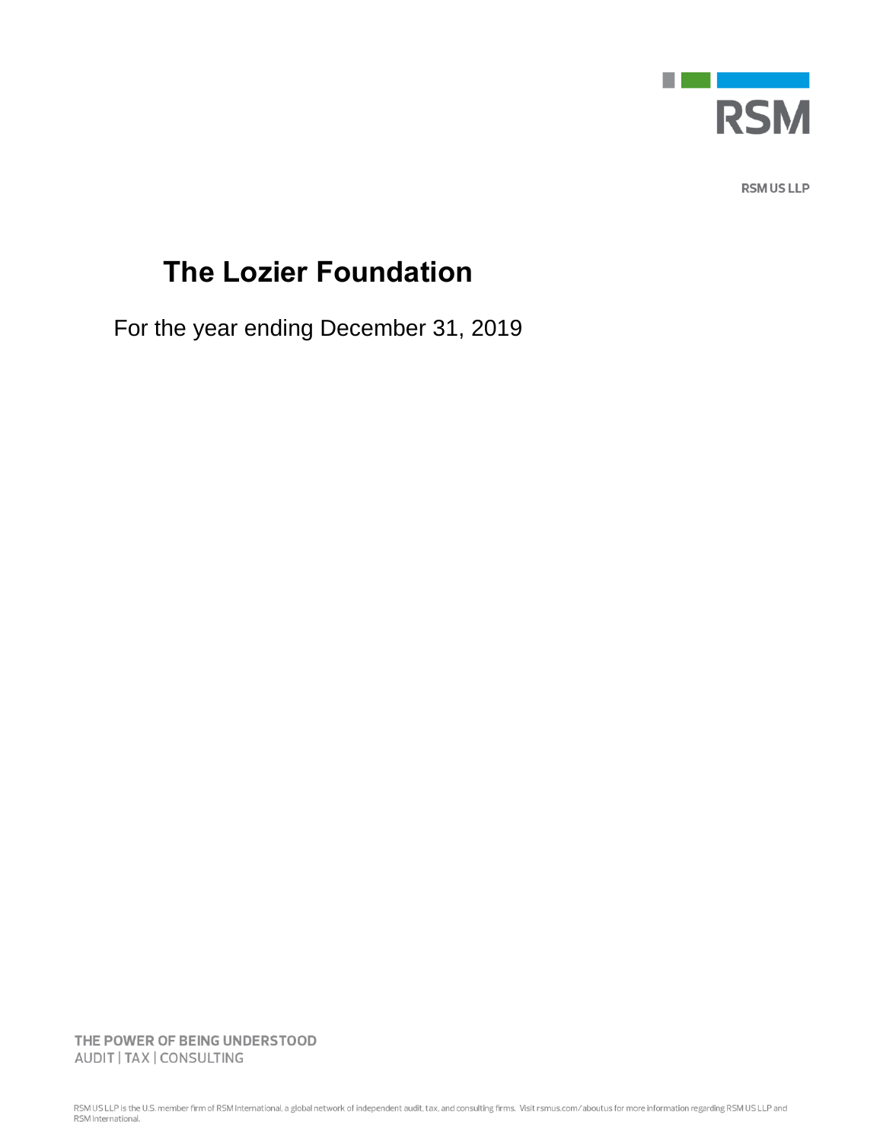

**RSM US LLP** 

## **The Lozier Foundation**

For the year ending December 31, 2019

THE POWER OF BEING UNDERSTOOD AUDIT | TAX | CONSULTING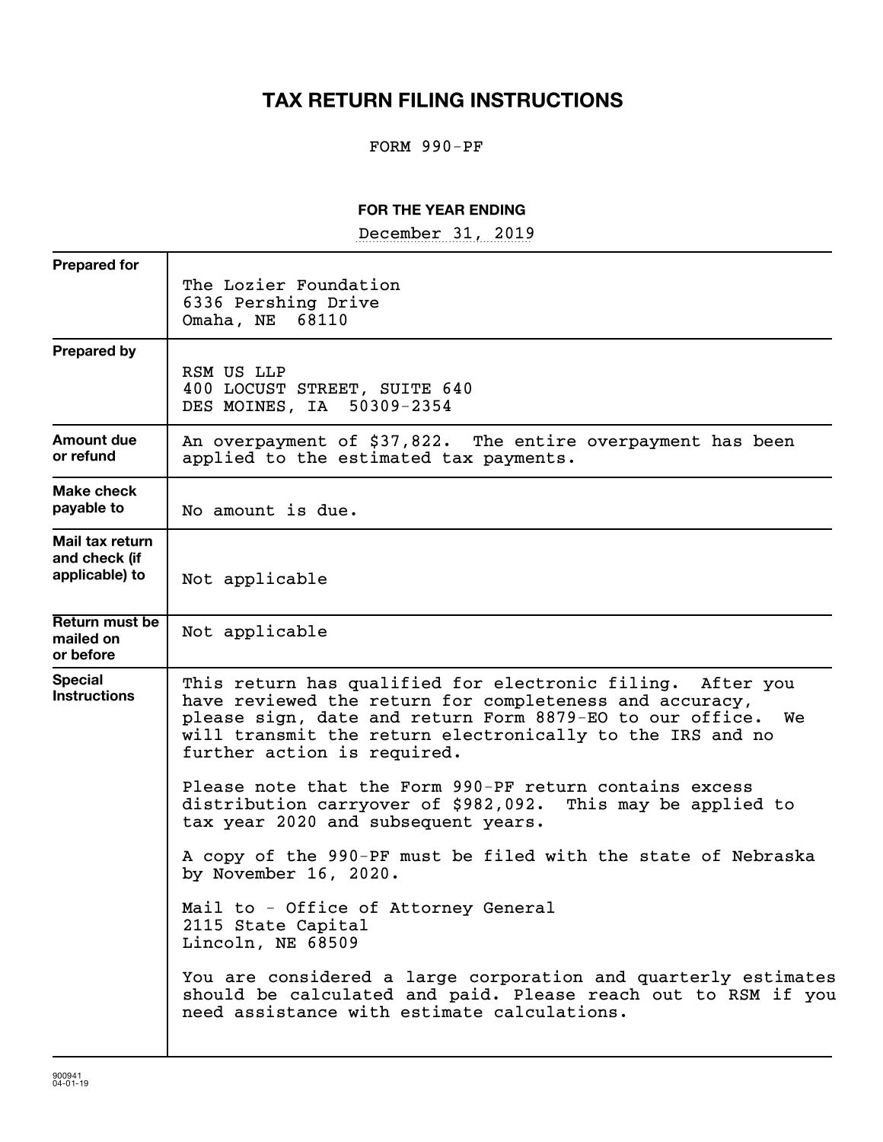### **TAX RETURN FILING INSTRUCTIONS**

#### FORM 990-PF

#### **FOR THE YEAR ENDING**

December 31, 2019

| <b>Prepared for</b>                                |                                                                                                                                                                                                                                                                                                                                                |
|----------------------------------------------------|------------------------------------------------------------------------------------------------------------------------------------------------------------------------------------------------------------------------------------------------------------------------------------------------------------------------------------------------|
|                                                    | The Lozier Foundation<br>6336 Pershing Drive<br>Omaha, NE 68110                                                                                                                                                                                                                                                                                |
| <b>Prepared by</b>                                 | RSM US LLP<br>400 LOCUST STREET, SUITE 640<br>DES MOINES, IA 50309-2354                                                                                                                                                                                                                                                                        |
| Amount due<br>or refund                            | An overpayment of \$37,822. The entire overpayment has been<br>applied to the estimated tax payments.                                                                                                                                                                                                                                          |
| <b>Make check</b><br>payable to                    | No amount is due.                                                                                                                                                                                                                                                                                                                              |
| Mail tax return<br>and check (if<br>applicable) to | Not applicable                                                                                                                                                                                                                                                                                                                                 |
| Return must be<br>mailed on<br>or before           | Not applicable                                                                                                                                                                                                                                                                                                                                 |
| <b>Special</b><br><b>Instructions</b>              | This return has qualified for electronic filing. After you<br>have reviewed the return for completeness and accuracy,<br>please sign, date and return Form 8879-EO to our office.<br>We<br>will transmit the return electronically to the IRS and no<br>further action is required.<br>Please note that the Form 990-PF return contains excess |
|                                                    | distribution carryover of \$982,092. This may be applied to<br>tax year 2020 and subsequent years.                                                                                                                                                                                                                                             |
|                                                    | A copy of the 990-PF must be filed with the state of Nebraska<br>by November 16, 2020.                                                                                                                                                                                                                                                         |
|                                                    | Mail to - Office of Attorney General<br>2115 State Capital<br>Lincoln, NE 68509                                                                                                                                                                                                                                                                |
|                                                    | You are considered a large corporation and quarterly estimates<br>should be calculated and paid. Please reach out to RSM if you<br>need assistance with estimate calculations.                                                                                                                                                                 |
|                                                    |                                                                                                                                                                                                                                                                                                                                                |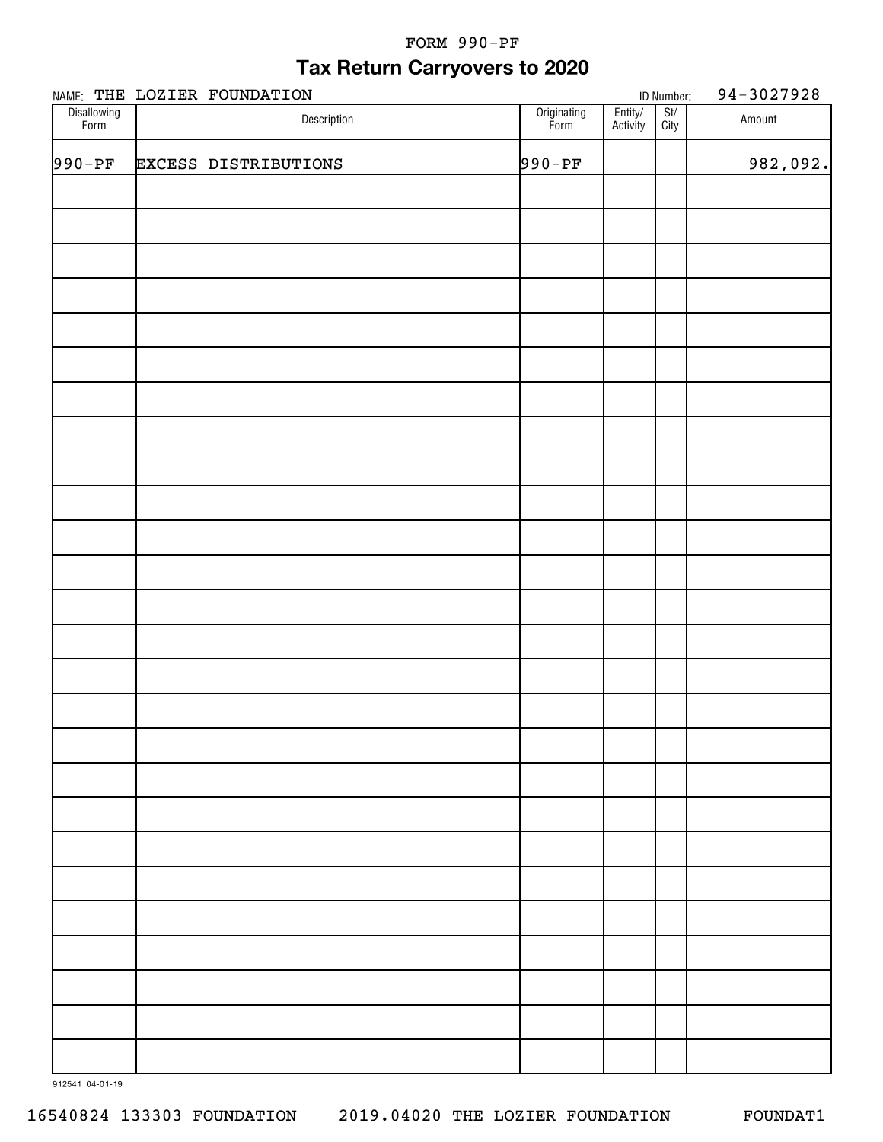#### FORM 990-PF

### **Tax Return Carryovers to 2020**

|                     | NAME: THE LOZIER FOUNDATION |                     |                     | ID Number:                          | 94-3027928 |
|---------------------|-----------------------------|---------------------|---------------------|-------------------------------------|------------|
| Disallowing<br>Form | Description                 | Originating<br>Form | Entity/<br>Activity | $\frac{\mathsf{St}}{\mathsf{City}}$ | Amount     |
| $990-PF$            | <b>EXCESS DISTRIBUTIONS</b> | $990-PF$            |                     |                                     | 982,092.   |
|                     |                             |                     |                     |                                     |            |
|                     |                             |                     |                     |                                     |            |
|                     |                             |                     |                     |                                     |            |
|                     |                             |                     |                     |                                     |            |
|                     |                             |                     |                     |                                     |            |
|                     |                             |                     |                     |                                     |            |
|                     |                             |                     |                     |                                     |            |
|                     |                             |                     |                     |                                     |            |
|                     |                             |                     |                     |                                     |            |
|                     |                             |                     |                     |                                     |            |
|                     |                             |                     |                     |                                     |            |
|                     |                             |                     |                     |                                     |            |
|                     |                             |                     |                     |                                     |            |
|                     |                             |                     |                     |                                     |            |
|                     |                             |                     |                     |                                     |            |
|                     |                             |                     |                     |                                     |            |
|                     |                             |                     |                     |                                     |            |
|                     |                             |                     |                     |                                     |            |
|                     |                             |                     |                     |                                     |            |
|                     |                             |                     |                     |                                     |            |
|                     |                             |                     |                     |                                     |            |
|                     |                             |                     |                     |                                     |            |
|                     |                             |                     |                     |                                     |            |
|                     |                             |                     |                     |                                     |            |
|                     |                             |                     |                     |                                     |            |
|                     |                             |                     |                     |                                     |            |
|                     |                             |                     |                     |                                     |            |

912541 04-01-19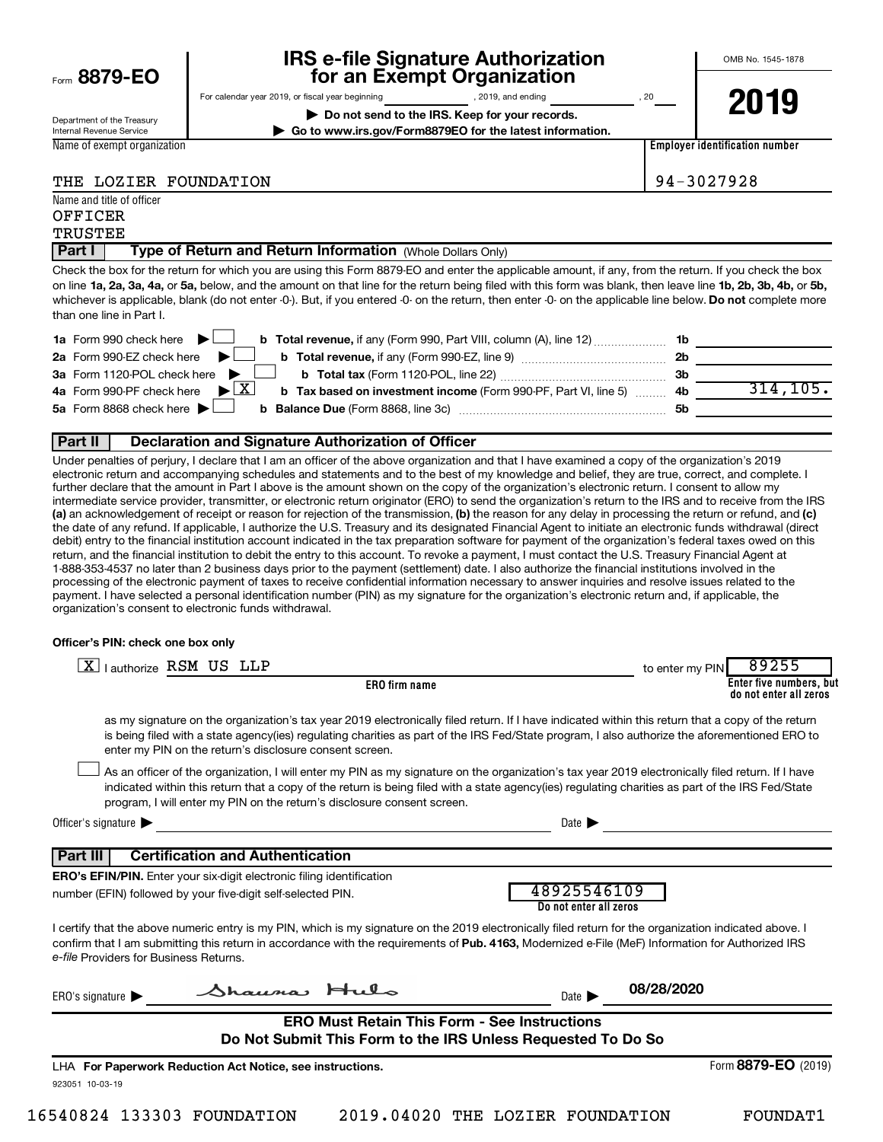Eorm 8879-EC

# **IRS e-file Signature Authorization**<br>**687 For an Exempt Organization**

For calendar year 2019, or fiscal year beginning , 2019, and ending , 20

OMB No. 1545-1878

Department of the Treasury Internal Revenue Service

Name and title of officer

**| Do not send to the IRS. Keep for your records. | Go to www.irs.gov/Form8879EO for the latest information.**

Name of exempt organization

**2019**

**Employer identification number**

|  | THE LOZIER FOUNDATION |
|--|-----------------------|
|  |                       |

94-3027928

| OFFICER<br>TRUSTEE |                                                            |  |
|--------------------|------------------------------------------------------------|--|
| <b>Part I</b>      | Type of Return and Return Information (Whole Dollars Only) |  |

on line 1a, 2a, 3a, 4a, or 5a, below, and the amount on that line for the return being filed with this form was blank, then leave line 1b, 2b, 3b, 4b, or 5b, whichever is applicable, blank (do not enter -0-). But, if you entered -0- on the return, then enter -0- on the applicable line below. **Do not** complete more Check the box for the return for which you are using this Form 8879-EO and enter the applicable amount, if any, from the return. If you check the box than one line in Part I.

| 1a Form 990 check here $\blacktriangleright$<br><b>b Total revenue,</b> if any (Form 990, Part VIII, column (A), line 12)     | - 1b      |          |
|-------------------------------------------------------------------------------------------------------------------------------|-----------|----------|
| 2a Form 990-EZ check here $\blacktriangleright$<br>b Total revenue, if any (Form 990-EZ, line 9)                              | 2b        |          |
| 3a Form 1120-POL check here $\blacktriangleright$                                                                             | -3b       |          |
| 4a Form 990-PF check here $\triangleright$ $\boxed{X}$<br>b Tax based on investment income (Form 990-PF, Part VI, line 5)  4b |           | 314.105. |
| 5a Form 8868 check here $\blacktriangleright$                                                                                 | <b>5b</b> |          |
|                                                                                                                               |           |          |

#### **Part II Declaration and Signature Authorization of Officer**

(a) an acknowledgement of receipt or reason for rejection of the transmission, (b) the reason for any delay in processing the return or refund, and (c) Under penalties of perjury, I declare that I am an officer of the above organization and that I have examined a copy of the organization's 2019 electronic return and accompanying schedules and statements and to the best of my knowledge and belief, they are true, correct, and complete. I further declare that the amount in Part I above is the amount shown on the copy of the organization's electronic return. I consent to allow my intermediate service provider, transmitter, or electronic return originator (ERO) to send the organization's return to the IRS and to receive from the IRS the date of any refund. If applicable, I authorize the U.S. Treasury and its designated Financial Agent to initiate an electronic funds withdrawal (direct debit) entry to the financial institution account indicated in the tax preparation software for payment of the organization's federal taxes owed on this return, and the financial institution to debit the entry to this account. To revoke a payment, I must contact the U.S. Treasury Financial Agent at 1-888-353-4537 no later than 2 business days prior to the payment (settlement) date. I also authorize the financial institutions involved in the processing of the electronic payment of taxes to receive confidential information necessary to answer inquiries and resolve issues related to the payment. I have selected a personal identification number (PIN) as my signature for the organization's electronic return and, if applicable, the organization's consent to electronic funds withdrawal.

#### **Officer's PIN: check one box only**

| l authorize RSM US LLP                                                                                                                                                                                                                                                                                                                                 | 89255<br>to enter my PIN                                                                                                                                                                                                                                                                              |
|--------------------------------------------------------------------------------------------------------------------------------------------------------------------------------------------------------------------------------------------------------------------------------------------------------------------------------------------------------|-------------------------------------------------------------------------------------------------------------------------------------------------------------------------------------------------------------------------------------------------------------------------------------------------------|
| <b>ERO</b> firm name                                                                                                                                                                                                                                                                                                                                   | Enter five numbers, but<br>do not enter all zeros                                                                                                                                                                                                                                                     |
| enter my PIN on the return's disclosure consent screen.                                                                                                                                                                                                                                                                                                | as my signature on the organization's tax year 2019 electronically filed return. If I have indicated within this return that a copy of the return<br>is being filed with a state agency(ies) regulating charities as part of the IRS Fed/State program, I also authorize the aforementioned ERO to    |
| program, I will enter my PIN on the return's disclosure consent screen.                                                                                                                                                                                                                                                                                | As an officer of the organization, I will enter my PIN as my signature on the organization's tax year 2019 electronically filed return. If I have<br>indicated within this return that a copy of the return is being filed with a state agency(ies) regulating charities as part of the IRS Fed/State |
| Officer's signature $\blacktriangleright$                                                                                                                                                                                                                                                                                                              | Date $\blacksquare$                                                                                                                                                                                                                                                                                   |
| <b>Certification and Authentication</b><br>l Part III                                                                                                                                                                                                                                                                                                  |                                                                                                                                                                                                                                                                                                       |
| <b>ERO's EFIN/PIN.</b> Enter your six-digit electronic filing identification<br>number (EFIN) followed by your five-digit self-selected PIN.                                                                                                                                                                                                           | 48925546109<br>Do not enter all zeros                                                                                                                                                                                                                                                                 |
| I certify that the above numeric entry is my PIN, which is my signature on the 2019 electronically filed return for the organization indicated above. I<br>confirm that I am submitting this return in accordance with the requirements of Pub. 4163, Modernized e-File (MeF) Information for Authorized IRS<br>e-file Providers for Business Returns. |                                                                                                                                                                                                                                                                                                       |
| Shauma, Hulo<br>ERO's signature $\blacktriangleright$                                                                                                                                                                                                                                                                                                  | 08/28/2020<br>Date $\blacksquare$                                                                                                                                                                                                                                                                     |
| <b>ERO Must Retain This Form - See Instructions</b><br>Do Not Submit This Form to the IRS Unless Requested To Do So                                                                                                                                                                                                                                    |                                                                                                                                                                                                                                                                                                       |
| LHA For Paperwork Reduction Act Notice, see instructions.                                                                                                                                                                                                                                                                                              | Form 8879-EO (2019)                                                                                                                                                                                                                                                                                   |
| 923051 10-03-19                                                                                                                                                                                                                                                                                                                                        |                                                                                                                                                                                                                                                                                                       |
|                                                                                                                                                                                                                                                                                                                                                        |                                                                                                                                                                                                                                                                                                       |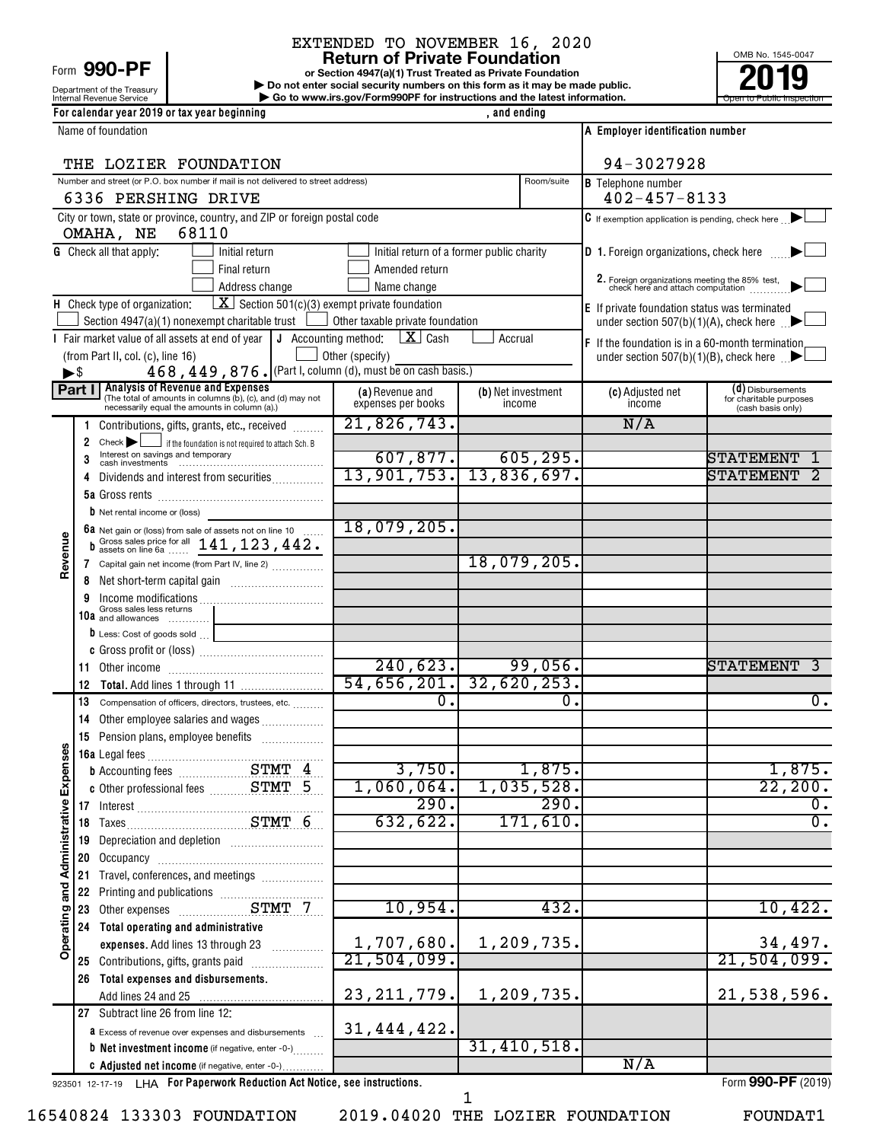### EXTENDED TO NOVEMBER 16, 2020

|                |                                                            |                                                                                                                                                                                                                                | <b>Return of Private Foundation</b>                                                                                                      |                    |                      |                                                                                     | OMB No. 1545-0047                            |
|----------------|------------------------------------------------------------|--------------------------------------------------------------------------------------------------------------------------------------------------------------------------------------------------------------------------------|------------------------------------------------------------------------------------------------------------------------------------------|--------------------|----------------------|-------------------------------------------------------------------------------------|----------------------------------------------|
|                | Form 990-PF                                                |                                                                                                                                                                                                                                | or Section 4947(a)(1) Trust Treated as Private Foundation<br>Do not enter social security numbers on this form as it may be made public. |                    |                      |                                                                                     |                                              |
|                | Department of the Treasury<br>Internal Revenue Service     |                                                                                                                                                                                                                                | Go to www.irs.gov/Form990PF for instructions and the latest information.                                                                 |                    |                      |                                                                                     | Open to Public Inspection                    |
|                |                                                            | For calendar year 2019 or tax year beginning                                                                                                                                                                                   |                                                                                                                                          | , and ending       |                      |                                                                                     |                                              |
|                | Name of foundation                                         |                                                                                                                                                                                                                                |                                                                                                                                          |                    |                      | A Employer identification number                                                    |                                              |
|                |                                                            | THE LOZIER FOUNDATION                                                                                                                                                                                                          |                                                                                                                                          |                    |                      | 94-3027928                                                                          |                                              |
|                |                                                            | Number and street (or P.O. box number if mail is not delivered to street address)                                                                                                                                              |                                                                                                                                          |                    | Room/suite           | <b>B</b> Telephone number                                                           |                                              |
|                |                                                            | 6336 PERSHING DRIVE                                                                                                                                                                                                            |                                                                                                                                          |                    |                      | $402 - 457 - 8133$                                                                  |                                              |
|                |                                                            | City or town, state or province, country, and ZIP or foreign postal code                                                                                                                                                       |                                                                                                                                          |                    |                      | $\mathbf C$ If exemption application is pending, check here $\Box$                  |                                              |
|                | OMAHA, NE                                                  | 68110                                                                                                                                                                                                                          |                                                                                                                                          |                    |                      |                                                                                     |                                              |
|                | <b>G</b> Check all that apply:                             | Initial return<br>Final return                                                                                                                                                                                                 | Initial return of a former public charity<br>Amended return                                                                              |                    |                      | <b>D</b> 1. Foreign organizations, check here                                       |                                              |
|                |                                                            | Address change                                                                                                                                                                                                                 | Name change                                                                                                                              |                    |                      | 2. Foreign organizations meeting the 85% test,<br>check here and attach computation |                                              |
|                | H Check type of organization:                              | $\boxed{\mathbf{X}}$ Section 501(c)(3) exempt private foundation                                                                                                                                                               |                                                                                                                                          |                    |                      | E If private foundation status was terminated                                       |                                              |
|                |                                                            | Section 4947(a)(1) nonexempt charitable trust                                                                                                                                                                                  | Other taxable private foundation                                                                                                         |                    |                      | under section 507(b)(1)(A), check here $\Box$                                       |                                              |
|                |                                                            | I Fair market value of all assets at end of year                                                                                                                                                                               | $\lfloor \mathbf{X} \rfloor$ Cash<br>J Accounting method:                                                                                | Accrual            |                      | F If the foundation is in a 60-month termination                                    |                                              |
|                | (from Part II, col. (c), line 16)<br>$\blacktriangleright$ | 468, 449, 876. (Part I, column (d), must be on cash basis.)                                                                                                                                                                    | Other (specify)                                                                                                                          |                    |                      | under section 507(b)(1)(B), check here $\Box$                                       |                                              |
|                | Part I                                                     | <b>Analysis of Revenue and Expenses</b>                                                                                                                                                                                        | (a) Revenue and                                                                                                                          | (b) Net investment |                      | (c) Adjusted net                                                                    | (d) Disbursements                            |
|                |                                                            | (The total of amounts in columns (b), (c), and (d) may not necessarily equal the amounts in column (a).)                                                                                                                       | expenses per books                                                                                                                       | income             |                      | income                                                                              | for charitable purposes<br>(cash basis only) |
|                | 1.                                                         | Contributions, gifts, grants, etc., received                                                                                                                                                                                   | 21,826,743.                                                                                                                              |                    |                      | N/A                                                                                 |                                              |
|                | Check<br>2                                                 | if the foundation is not required to attach Sch. B<br>Interest on savings and temporary                                                                                                                                        |                                                                                                                                          |                    |                      |                                                                                     |                                              |
|                |                                                            | cash investments                                                                                                                                                                                                               | 607,877.<br>13,901,753.                                                                                                                  | 13,836,697.        | 605, 295.            |                                                                                     | STATEMENT<br>STATEMENT                       |
|                | 4                                                          | Dividends and interest from securities                                                                                                                                                                                         |                                                                                                                                          |                    |                      |                                                                                     |                                              |
|                | <b>b</b> Net rental income or (loss)                       |                                                                                                                                                                                                                                |                                                                                                                                          |                    |                      |                                                                                     |                                              |
|                |                                                            |                                                                                                                                                                                                                                | 18,079,205.                                                                                                                              |                    |                      |                                                                                     |                                              |
| Revenue        |                                                            | 6a Net gain or (loss) from sale of assets not on line 10 $\ldots$<br>b Gross sales price for all $141, 123, 442$ .                                                                                                             |                                                                                                                                          |                    |                      |                                                                                     |                                              |
|                |                                                            | 7 Capital gain net income (from Part IV, line 2)                                                                                                                                                                               |                                                                                                                                          |                    | 18,079,205.          |                                                                                     |                                              |
|                | 8                                                          |                                                                                                                                                                                                                                |                                                                                                                                          |                    |                      |                                                                                     |                                              |
|                | Gross sales less returns<br>10a and allowances             |                                                                                                                                                                                                                                |                                                                                                                                          |                    |                      |                                                                                     |                                              |
|                | $\mathbf b$ Less: Cost of goods sold $\ldots$              |                                                                                                                                                                                                                                |                                                                                                                                          |                    |                      |                                                                                     |                                              |
|                |                                                            |                                                                                                                                                                                                                                |                                                                                                                                          |                    |                      |                                                                                     |                                              |
|                |                                                            |                                                                                                                                                                                                                                | 240,623.<br>$54,656,201.$ 32,620,253.                                                                                                    |                    | 99,056.              |                                                                                     | STATEMENT                                    |
|                |                                                            | 13 Compensation of officers, directors, trustees, etc.                                                                                                                                                                         | υ.                                                                                                                                       |                    | υ.                   |                                                                                     | $\mathbf{0}$ .                               |
|                |                                                            | 14 Other employee salaries and wages                                                                                                                                                                                           |                                                                                                                                          |                    |                      |                                                                                     |                                              |
|                |                                                            | 15 Pension plans, employee benefits                                                                                                                                                                                            |                                                                                                                                          |                    |                      |                                                                                     |                                              |
|                |                                                            |                                                                                                                                                                                                                                |                                                                                                                                          |                    |                      |                                                                                     |                                              |
| Expenses       |                                                            |                                                                                                                                                                                                                                | 3,750.<br>1,060,064.                                                                                                                     |                    | 1,875.<br>1,035,528. |                                                                                     | 1,875.<br>22, 200.                           |
|                |                                                            |                                                                                                                                                                                                                                | 290.                                                                                                                                     |                    | 290.                 |                                                                                     | ο.                                           |
| Administrative |                                                            |                                                                                                                                                                                                                                | 632,622.                                                                                                                                 |                    | 171,610.             |                                                                                     | σ.                                           |
|                | 19                                                         | Depreciation and depletion [11] [11] Depreciation and depletion                                                                                                                                                                |                                                                                                                                          |                    |                      |                                                                                     |                                              |
|                |                                                            |                                                                                                                                                                                                                                |                                                                                                                                          |                    |                      |                                                                                     |                                              |
|                | 21<br>22                                                   | Travel, conferences, and meetings                                                                                                                                                                                              |                                                                                                                                          |                    |                      |                                                                                     |                                              |
|                | 23                                                         |                                                                                                                                                                                                                                | 10,954.                                                                                                                                  |                    | 432.                 |                                                                                     | 10,422.                                      |
| Operating and  |                                                            | 24 Total operating and administrative                                                                                                                                                                                          |                                                                                                                                          |                    |                      |                                                                                     |                                              |
|                |                                                            | expenses. Add lines 13 through 23                                                                                                                                                                                              | 1,707,680.                                                                                                                               |                    | 1,209,735.           |                                                                                     | 34,497.                                      |
|                | 25 Contributions, gifts, grants paid                       | and a complete the complete state of the state of the state of the state of the state of the state of the state of the state of the state of the state of the state of the state of the state of the state of the state of the | 21,504,099.                                                                                                                              |                    |                      |                                                                                     | 21,504,099.                                  |
|                |                                                            | 26 Total expenses and disbursements.                                                                                                                                                                                           | 23, 211, 779.                                                                                                                            |                    | 1,209,735.           |                                                                                     | 21,538,596.                                  |
|                | 27 Subtract line 26 from line 12:                          |                                                                                                                                                                                                                                |                                                                                                                                          |                    |                      |                                                                                     |                                              |
|                |                                                            | <b>a</b> Excess of revenue over expenses and disbursements                                                                                                                                                                     | 31, 444, 422.                                                                                                                            |                    |                      |                                                                                     |                                              |
|                |                                                            | <b>b</b> Net investment income (if negative, enter -0-)                                                                                                                                                                        |                                                                                                                                          |                    | 31,410,518.          |                                                                                     |                                              |
|                |                                                            | C Adjusted net income (if negative, enter -0-)                                                                                                                                                                                 |                                                                                                                                          |                    |                      | N/A                                                                                 |                                              |

923501 12-17-19 **For Paperwork Reduction Act Notice, see instructions.** LHA Form (2019)

16540824 133303 FOUNDATION 2019.04020 THE LOZIER FOUNDATION FOUNDAT1

1

Form **990-PF** (2019)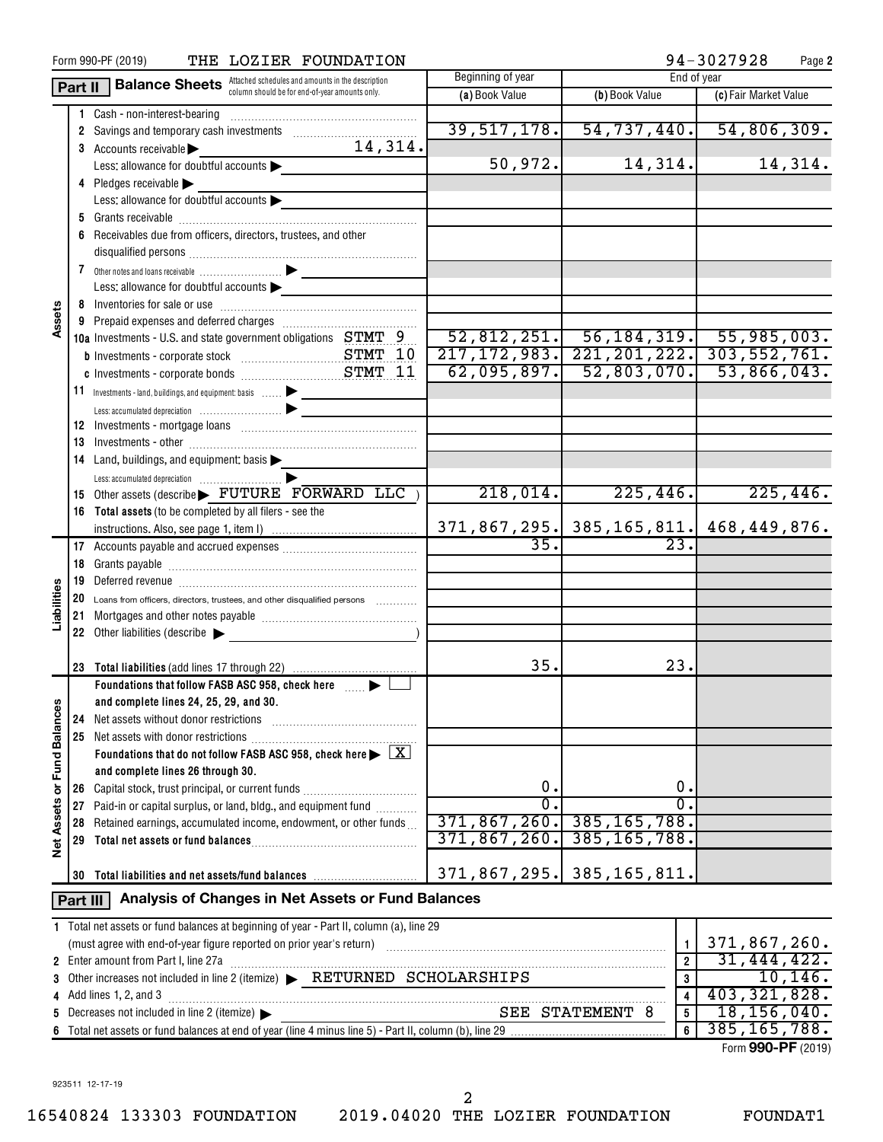|                      |          | THE LOZIER FOUNDATION<br>Form 990-PF (2019)                                                                                                                                                                                    |                   |                                                  | 94-3027928<br>Page 2          |
|----------------------|----------|--------------------------------------------------------------------------------------------------------------------------------------------------------------------------------------------------------------------------------|-------------------|--------------------------------------------------|-------------------------------|
|                      | Part II  | <b>Balance Sheets</b> Attached schedules and amounts in the description                                                                                                                                                        | Beginning of year | End of year                                      |                               |
|                      |          | column should be for end-of-year amounts only.                                                                                                                                                                                 | (a) Book Value    | (b) Book Value                                   | (c) Fair Market Value         |
|                      |          | 1 Cash - non-interest-bearing                                                                                                                                                                                                  |                   |                                                  |                               |
|                      |          | 2 Savings and temporary cash investments                                                                                                                                                                                       | 39,517,178.       | 54, 737, 440.                                    | 54,806,309.                   |
|                      |          | 14,314.<br>3 Accounts receivable                                                                                                                                                                                               |                   |                                                  |                               |
|                      |          | Less: allowance for doubtful accounts                                                                                                                                                                                          | 50,972.           | 14, 314.                                         | 14,314.                       |
|                      |          | 4 Pledges receivable                                                                                                                                                                                                           |                   |                                                  |                               |
|                      |          | Less: allowance for doubtful accounts                                                                                                                                                                                          |                   |                                                  |                               |
|                      |          |                                                                                                                                                                                                                                |                   |                                                  |                               |
|                      | 6        | Receivables due from officers, directors, trustees, and other                                                                                                                                                                  |                   |                                                  |                               |
|                      |          |                                                                                                                                                                                                                                |                   |                                                  |                               |
|                      |          |                                                                                                                                                                                                                                |                   |                                                  |                               |
|                      |          | Less: allowance for doubtful accounts $\blacktriangleright$                                                                                                                                                                    |                   |                                                  |                               |
|                      |          |                                                                                                                                                                                                                                |                   |                                                  |                               |
| Assets               |          |                                                                                                                                                                                                                                |                   |                                                  |                               |
|                      |          | 10a Investments - U.S. and state government obligations STMT 9                                                                                                                                                                 |                   | $\overline{52,812,251.}$ 56,184,319. 55,985,003. |                               |
|                      |          |                                                                                                                                                                                                                                | 217, 172, 983.    |                                                  | 221, 201, 222. 303, 552, 761. |
|                      |          |                                                                                                                                                                                                                                | 62,095,897.       | 52,803,070.                                      | 53,866,043.                   |
|                      |          | 11 Investments - land, buildings, and equipment: basis  >                                                                                                                                                                      |                   |                                                  |                               |
|                      |          |                                                                                                                                                                                                                                |                   |                                                  |                               |
|                      |          |                                                                                                                                                                                                                                |                   |                                                  |                               |
|                      | 13       |                                                                                                                                                                                                                                |                   |                                                  |                               |
|                      |          | 14 Land, buildings, and equipment: basis                                                                                                                                                                                       |                   |                                                  |                               |
|                      |          |                                                                                                                                                                                                                                |                   |                                                  |                               |
|                      |          | 15 Other assets (describe FUTURE FORWARD LLC)                                                                                                                                                                                  | 218,014.          | 225, 446.                                        | 225,446.                      |
|                      |          | 16 Total assets (to be completed by all filers - see the                                                                                                                                                                       |                   |                                                  |                               |
|                      |          |                                                                                                                                                                                                                                |                   | $371, 867, 295.$ 385, 165, 811. 468, 449, 876.   |                               |
|                      |          |                                                                                                                                                                                                                                | 35.               | 23.                                              |                               |
|                      | 18       |                                                                                                                                                                                                                                |                   |                                                  |                               |
|                      | 19       | Deferred revenue information and contain an area of the contained and contain an area of the contained and contain an area of the contained and contain an area of the contained and contain an area of the contained and cont |                   |                                                  |                               |
| Liabilities          | 20       | Loans from officers, directors, trustees, and other disqualified persons                                                                                                                                                       |                   |                                                  |                               |
|                      | 21       |                                                                                                                                                                                                                                |                   |                                                  |                               |
|                      |          | 22 Other liabilities (describe                                                                                                                                                                                                 |                   |                                                  |                               |
|                      |          |                                                                                                                                                                                                                                |                   |                                                  |                               |
|                      | 23       |                                                                                                                                                                                                                                | 35.               | 23.                                              |                               |
|                      |          | Foundations that follow FASB ASC 958, check here <b>Fig.</b>                                                                                                                                                                   |                   |                                                  |                               |
|                      |          | and complete lines 24, 25, 29, and 30.                                                                                                                                                                                         |                   |                                                  |                               |
|                      | 24       | Net assets without donor restrictions                                                                                                                                                                                          |                   |                                                  |                               |
|                      | 25       | Net assets with donor restrictions                                                                                                                                                                                             |                   |                                                  |                               |
|                      |          | Foundations that do not follow FASB ASC 958, check here $\blacktriangleright \boxed{\text{X}}$                                                                                                                                 |                   |                                                  |                               |
| <b>Fund Balances</b> |          | and complete lines 26 through 30.                                                                                                                                                                                              |                   |                                                  |                               |
| ৯                    | 26       | Capital stock, trust principal, or current funds                                                                                                                                                                               | 0.                | 0.                                               |                               |
|                      | 27       | Paid-in or capital surplus, or land, bldg., and equipment fund                                                                                                                                                                 | $\overline{0}$    | Ο.                                               |                               |
| Net Assets           | 28       | Retained earnings, accumulated income, endowment, or other funds                                                                                                                                                               | 371,867,260.      | 385, 165, 788.                                   |                               |
|                      | 29       |                                                                                                                                                                                                                                | 371, 867, 260.    | 385, 165, 788.                                   |                               |
|                      |          |                                                                                                                                                                                                                                |                   |                                                  |                               |
|                      | 30       | Total liabilities and net assets/fund balances                                                                                                                                                                                 | 371,867,295.      | 385, 165, 811.                                   |                               |
|                      |          | Analysis of Changes in Net Assets or Fund Balances                                                                                                                                                                             |                   |                                                  |                               |
|                      | Part III |                                                                                                                                                                                                                                |                   |                                                  |                               |
|                      |          | 1 Total net assets or fund balances at beginning of year - Part II, column (a), line 29                                                                                                                                        |                   |                                                  |                               |
|                      |          |                                                                                                                                                                                                                                |                   | $\mathbf{1}$                                     | 371,867,260.                  |
|                      |          | 2 Enter amount from Part I, line 27a                                                                                                                                                                                           |                   | $\overline{2}$                                   | 31, 444, 422.                 |
| 3                    |          | Other increases not included in line 2 (itemize) > RETURNED SCHOLARSHIPS                                                                                                                                                       |                   | $\bf{3}$                                         | 10, 146.                      |
| 4                    |          | Add lines 1, 2, and 3                                                                                                                                                                                                          |                   | $\overline{\mathbf{4}}$                          | 403, 321, 828.                |
| 5                    |          | Decreases not included in line 2 (itemize)                                                                                                                                                                                     |                   | SEE STATEMENT 8<br>5                             | 18, 156, 040.                 |
| 6                    |          |                                                                                                                                                                                                                                |                   | 6                                                | 385, 165, 788.                |
|                      |          |                                                                                                                                                                                                                                |                   |                                                  | Form 990-PF (2019)            |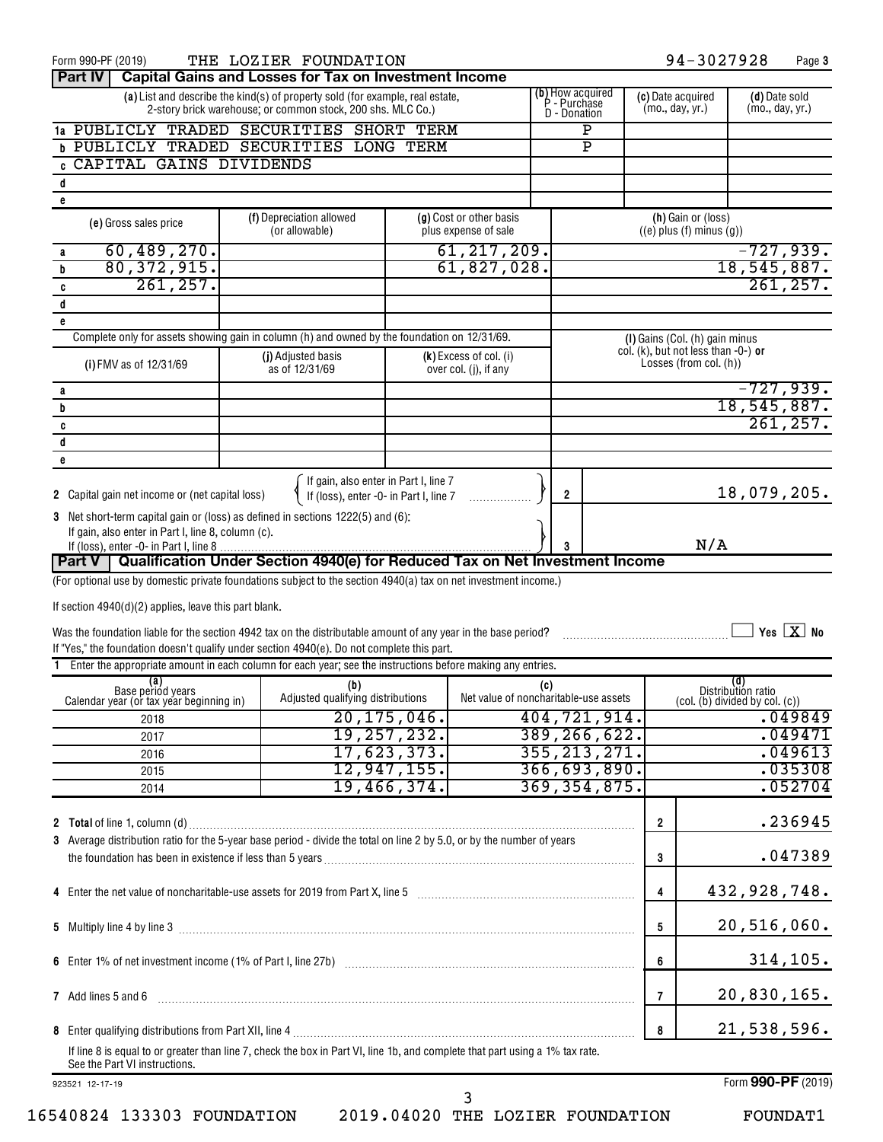| Form 990-PF (2019)                                                                                                                                                        | THE LOZIER FOUNDATION                                                                                                                        |               |                                                 |     |                                                  | 94-3027928                                            | Page 3                                                                          |
|---------------------------------------------------------------------------------------------------------------------------------------------------------------------------|----------------------------------------------------------------------------------------------------------------------------------------------|---------------|-------------------------------------------------|-----|--------------------------------------------------|-------------------------------------------------------|---------------------------------------------------------------------------------|
| <b>Part IV</b>                                                                                                                                                            | <b>Capital Gains and Losses for Tax on Investment Income</b>                                                                                 |               |                                                 |     |                                                  |                                                       |                                                                                 |
|                                                                                                                                                                           | (a) List and describe the kind(s) of property sold (for example, real estate,<br>2-story brick warehouse; or common stock, 200 shs. MLC Co.) |               |                                                 |     | (b) How acquired<br>P - Purchase<br>D - Donation | (c) Date acquired<br>(mo., day, yr.)                  | (d) Date sold<br>(mo., day, yr.)                                                |
| 1a PUBLICLY TRADED SECURITIES SHORT TERM                                                                                                                                  |                                                                                                                                              |               |                                                 |     | P                                                |                                                       |                                                                                 |
| <b>b PUBLICLY TRADED SECURITIES LONG TERM</b>                                                                                                                             |                                                                                                                                              |               |                                                 |     | $\mathbf{P}$                                     |                                                       |                                                                                 |
| <b>CAPITAL GAINS DIVIDENDS</b>                                                                                                                                            |                                                                                                                                              |               |                                                 |     |                                                  |                                                       |                                                                                 |
| d                                                                                                                                                                         |                                                                                                                                              |               |                                                 |     |                                                  |                                                       |                                                                                 |
| e                                                                                                                                                                         |                                                                                                                                              |               |                                                 |     |                                                  |                                                       |                                                                                 |
| (e) Gross sales price                                                                                                                                                     | (f) Depreciation allowed<br>(or allowable)                                                                                                   |               | (g) Cost or other basis<br>plus expense of sale |     |                                                  | (h) Gain or (loss)<br>$((e)$ plus $(f)$ minus $(g)$ ) |                                                                                 |
| 60,489,270.<br>a                                                                                                                                                          |                                                                                                                                              |               | 61, 217, 209.                                   |     |                                                  |                                                       | $-727,939.$                                                                     |
| 80, 372, 915.<br>b                                                                                                                                                        |                                                                                                                                              |               | 61,827,028.                                     |     |                                                  |                                                       | 18,545,887.                                                                     |
| 261, 257.<br>C                                                                                                                                                            |                                                                                                                                              |               |                                                 |     |                                                  |                                                       | 261, 257.                                                                       |
| d                                                                                                                                                                         |                                                                                                                                              |               |                                                 |     |                                                  |                                                       |                                                                                 |
| e                                                                                                                                                                         |                                                                                                                                              |               |                                                 |     |                                                  |                                                       |                                                                                 |
| Complete only for assets showing gain in column (h) and owned by the foundation on 12/31/69.                                                                              |                                                                                                                                              |               |                                                 |     |                                                  | (I) Gains (Col. (h) gain minus                        |                                                                                 |
|                                                                                                                                                                           | (j) Adjusted basis                                                                                                                           |               | $(k)$ Excess of col. (i)                        |     |                                                  | col. $(k)$ , but not less than $-0$ -) or             |                                                                                 |
| (i) FMV as of 12/31/69                                                                                                                                                    | as of 12/31/69                                                                                                                               |               | over col. (j), if any                           |     |                                                  | Losses (from col. (h))                                |                                                                                 |
| a                                                                                                                                                                         |                                                                                                                                              |               |                                                 |     |                                                  |                                                       | $-727,939.$                                                                     |
| b                                                                                                                                                                         |                                                                                                                                              |               |                                                 |     |                                                  |                                                       | 18,545,887.                                                                     |
| c                                                                                                                                                                         |                                                                                                                                              |               |                                                 |     |                                                  |                                                       | 261, 257.                                                                       |
| d                                                                                                                                                                         |                                                                                                                                              |               |                                                 |     |                                                  |                                                       |                                                                                 |
|                                                                                                                                                                           |                                                                                                                                              |               |                                                 |     |                                                  |                                                       |                                                                                 |
| e                                                                                                                                                                         |                                                                                                                                              |               |                                                 |     |                                                  |                                                       |                                                                                 |
| 2 Capital gain net income or (net capital loss)                                                                                                                           | If gain, also enter in Part I, line 7<br>If (loss), enter -0- in Part I, line 7                                                              |               |                                                 |     | $\overline{2}$                                   |                                                       | 18,079,205.                                                                     |
| 3 Net short-term capital gain or (loss) as defined in sections 1222(5) and (6):                                                                                           |                                                                                                                                              |               |                                                 |     |                                                  |                                                       |                                                                                 |
| If gain, also enter in Part I, line 8, column (c).                                                                                                                        |                                                                                                                                              |               |                                                 |     |                                                  |                                                       |                                                                                 |
| If (loss), enter -0- in Part I, line 8.                                                                                                                                   |                                                                                                                                              |               |                                                 |     |                                                  | N/A                                                   |                                                                                 |
| Part V   Qualification Under Section 4940(e) for Reduced Tax on Net Investment Income                                                                                     |                                                                                                                                              |               |                                                 |     |                                                  |                                                       |                                                                                 |
|                                                                                                                                                                           |                                                                                                                                              |               |                                                 |     |                                                  |                                                       |                                                                                 |
| (For optional use by domestic private foundations subject to the section 4940(a) tax on net investment income.)                                                           |                                                                                                                                              |               |                                                 |     |                                                  |                                                       |                                                                                 |
|                                                                                                                                                                           |                                                                                                                                              |               |                                                 |     |                                                  |                                                       |                                                                                 |
| If section 4940(d)(2) applies, leave this part blank.                                                                                                                     |                                                                                                                                              |               |                                                 |     |                                                  |                                                       |                                                                                 |
| Was the foundation liable for the section 4942 tax on the distributable amount of any year in the base period?                                                            |                                                                                                                                              |               |                                                 |     |                                                  |                                                       | Yes $X$ No                                                                      |
| If "Yes," the foundation doesn't qualify under section 4940(e). Do not complete this part.                                                                                |                                                                                                                                              |               |                                                 |     |                                                  |                                                       |                                                                                 |
| 1 Enter the appropriate amount in each column for each year; see the instructions before making any entries.                                                              |                                                                                                                                              |               |                                                 |     |                                                  |                                                       |                                                                                 |
| (a)                                                                                                                                                                       | (b)                                                                                                                                          |               |                                                 | (c) |                                                  |                                                       |                                                                                 |
| Base periód years<br>Calendar year (or tax year beginning in)                                                                                                             | Adjusted qualifying distributions                                                                                                            |               | Net value of noncharitable-use assets           |     |                                                  |                                                       | (d)<br>Distribution ratio<br>$\left(\text{col. (b) divided by col. (c)}\right)$ |
| 2018                                                                                                                                                                      |                                                                                                                                              | 20, 175, 046. |                                                 |     | 404, 721, 914.                                   |                                                       | .049849                                                                         |
| 2017                                                                                                                                                                      |                                                                                                                                              |               |                                                 |     |                                                  |                                                       | .049471                                                                         |
| 2016                                                                                                                                                                      |                                                                                                                                              | 19, 257, 232. |                                                 |     | 389, 266, 622.                                   |                                                       | .049613                                                                         |
|                                                                                                                                                                           |                                                                                                                                              | 17,623,373.   |                                                 |     | 355, 213, 271.                                   |                                                       |                                                                                 |
| 2015                                                                                                                                                                      |                                                                                                                                              | 12,947,155.   |                                                 |     | 366, 693, 890.                                   |                                                       | .035308                                                                         |
| 2014                                                                                                                                                                      |                                                                                                                                              | 19,466,374.   |                                                 |     | 369, 354, 875.                                   |                                                       | .052704                                                                         |
|                                                                                                                                                                           |                                                                                                                                              |               |                                                 |     |                                                  |                                                       |                                                                                 |
|                                                                                                                                                                           |                                                                                                                                              |               |                                                 |     |                                                  | $\overline{2}$                                        | .236945                                                                         |
| 3 Average distribution ratio for the 5-year base period - divide the total on line 2 by 5.0, or by the number of years                                                    |                                                                                                                                              |               |                                                 |     |                                                  |                                                       |                                                                                 |
|                                                                                                                                                                           |                                                                                                                                              |               |                                                 |     |                                                  | 3                                                     | .047389                                                                         |
|                                                                                                                                                                           |                                                                                                                                              |               |                                                 |     |                                                  |                                                       |                                                                                 |
| 4 Enter the net value of noncharitable-use assets for 2019 from Part X, line 5 [11] manufacture in the net value of noncharitable-use assets for 2019 from Part X, line 5 |                                                                                                                                              |               |                                                 |     |                                                  | 4                                                     | 432,928,748.                                                                    |
|                                                                                                                                                                           |                                                                                                                                              |               |                                                 |     |                                                  |                                                       |                                                                                 |
|                                                                                                                                                                           |                                                                                                                                              |               |                                                 |     |                                                  | 5                                                     | 20,516,060.                                                                     |
|                                                                                                                                                                           |                                                                                                                                              |               |                                                 |     |                                                  |                                                       |                                                                                 |
|                                                                                                                                                                           |                                                                                                                                              |               |                                                 |     |                                                  | 6                                                     | 314, 105.                                                                       |
|                                                                                                                                                                           |                                                                                                                                              |               |                                                 |     |                                                  |                                                       |                                                                                 |
| 7 Add lines 5 and 6                                                                                                                                                       |                                                                                                                                              |               |                                                 |     |                                                  | 7                                                     | 20,830,165.                                                                     |
|                                                                                                                                                                           |                                                                                                                                              |               |                                                 |     |                                                  |                                                       |                                                                                 |
|                                                                                                                                                                           |                                                                                                                                              |               |                                                 |     |                                                  | 8                                                     | 21,538,596.                                                                     |
| If line 8 is equal to or greater than line 7, check the box in Part VI, line 1b, and complete that part using a 1% tax rate.                                              |                                                                                                                                              |               |                                                 |     |                                                  |                                                       |                                                                                 |
| See the Part VI instructions.                                                                                                                                             |                                                                                                                                              |               |                                                 |     |                                                  |                                                       |                                                                                 |
| 923521 12-17-19                                                                                                                                                           |                                                                                                                                              |               |                                                 |     |                                                  |                                                       | Form 990-PF (2019)                                                              |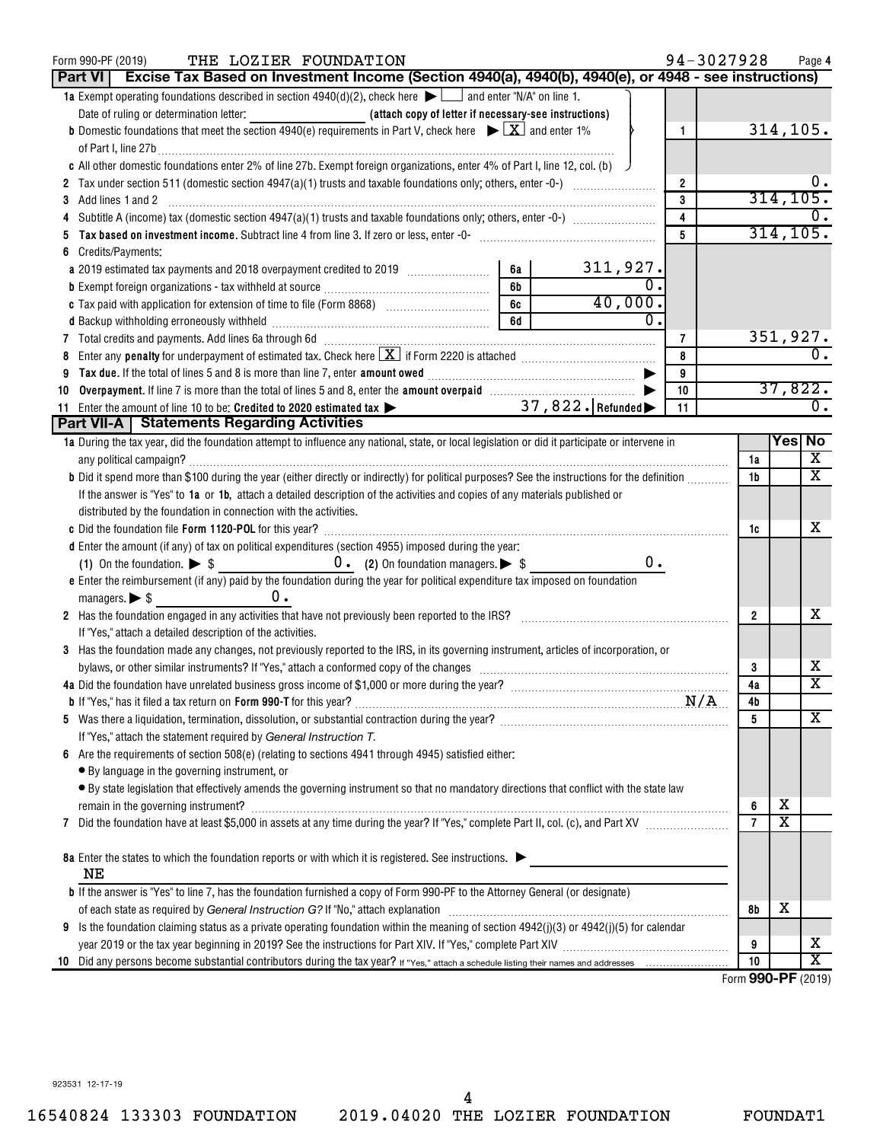| THE LOZIER FOUNDATION<br>Form 990-PF (2019)<br>Excise Tax Based on Investment Income (Section 4940(a), 4940(b), 4940(e), or 4948 - see instructions)<br>Part VI                                                                |                           | 94-3027928              |                |                              | Page 4                                                    |
|--------------------------------------------------------------------------------------------------------------------------------------------------------------------------------------------------------------------------------|---------------------------|-------------------------|----------------|------------------------------|-----------------------------------------------------------|
| 1a Exempt operating foundations described in section $4940(d)(2)$ , check here $\blacktriangleright$ and enter "N/A" on line 1.                                                                                                |                           |                         |                |                              |                                                           |
|                                                                                                                                                                                                                                |                           |                         |                |                              |                                                           |
| <b>b</b> Domestic foundations that meet the section 4940(e) requirements in Part V, check here $\blacktriangleright \boxed{X}$ and enter 1%                                                                                    |                           | $\mathbf{1}$            |                |                              | 314, 105.                                                 |
|                                                                                                                                                                                                                                |                           |                         |                |                              |                                                           |
| c All other domestic foundations enter 2% of line 27b. Exempt foreign organizations, enter 4% of Part I, line 12, col. (b)                                                                                                     |                           |                         |                |                              |                                                           |
|                                                                                                                                                                                                                                |                           |                         |                |                              |                                                           |
|                                                                                                                                                                                                                                |                           | $\overline{2}$<br>3     |                | 314, 105.                    |                                                           |
| Add lines 1 and 2<br>3                                                                                                                                                                                                         |                           |                         |                |                              |                                                           |
| 4                                                                                                                                                                                                                              |                           | $\overline{\mathbf{4}}$ |                | 314, 105.                    |                                                           |
| 5                                                                                                                                                                                                                              |                           | 5                       |                |                              |                                                           |
| Credits/Payments:<br>6                                                                                                                                                                                                         |                           |                         |                |                              |                                                           |
| a 2019 estimated tax payments and 2018 overpayment credited to 2019 [100] [100]                                                                                                                                                | $\frac{311,927}{0}$<br>6а |                         |                |                              |                                                           |
|                                                                                                                                                                                                                                | 6b                        |                         |                |                              |                                                           |
|                                                                                                                                                                                                                                | 40,000.<br>6c             |                         |                |                              |                                                           |
|                                                                                                                                                                                                                                | 6d                        |                         |                |                              |                                                           |
| 7 Total credits and payments. Add lines 6a through 6d [11] [12] Total Content Content of Total credits and payments. Add lines 6a through 6d                                                                                   |                           | $\overline{7}$          |                | 351,927.                     |                                                           |
| 8                                                                                                                                                                                                                              |                           | 8                       |                |                              | $\overline{0}$ .                                          |
| 9                                                                                                                                                                                                                              |                           | 9                       |                |                              |                                                           |
| Overpayment. If line 7 is more than the total of lines 5 and 8, enter the amount overpaid manufactured by the 7 is more than the total of lines 5 and 8, enter the amount overpaid<br>10                                       |                           | 10                      |                |                              | 37,822.                                                   |
| Enter the amount of line 10 to be: Credited to 2020 estimated tax ><br>11                                                                                                                                                      | 37, 822. Refunded         | 11                      |                |                              | $\overline{0}$ .                                          |
| <b>Part VII-A   Statements Regarding Activities</b>                                                                                                                                                                            |                           |                         |                |                              |                                                           |
| 1a During the tax year, did the foundation attempt to influence any national, state, or local legislation or did it participate or intervene in                                                                                |                           |                         |                | $\overline{\mathsf{Yes}}$ No |                                                           |
|                                                                                                                                                                                                                                |                           |                         | 1a             |                              | $\overline{\mathbf{x}}$                                   |
| b Did it spend more than \$100 during the year (either directly or indirectly) for political purposes? See the instructions for the definition                                                                                 |                           |                         | 1 <sub>b</sub> |                              | $\overline{\mathbf{X}}$                                   |
| If the answer is "Yes" to 1a or 1b, attach a detailed description of the activities and copies of any materials published or                                                                                                   |                           |                         |                |                              |                                                           |
| distributed by the foundation in connection with the activities.                                                                                                                                                               |                           |                         |                |                              |                                                           |
|                                                                                                                                                                                                                                |                           |                         | 1c             |                              | x.                                                        |
| d Enter the amount (if any) of tax on political expenditures (section 4955) imposed during the year:                                                                                                                           |                           |                         |                |                              |                                                           |
| (1) On the foundation. $\triangleright$ \$ 0. (2) On foundation managers. $\triangleright$ \$                                                                                                                                  | 0.                        |                         |                |                              |                                                           |
| e Enter the reimbursement (if any) paid by the foundation during the year for political expenditure tax imposed on foundation                                                                                                  |                           |                         |                |                              |                                                           |
| $0$ .<br>managers. $\triangleright$ \$                                                                                                                                                                                         |                           |                         |                |                              |                                                           |
| 2 Has the foundation engaged in any activities that have not previously been reported to the IRS?                                                                                                                              |                           |                         | $\overline{2}$ |                              | х                                                         |
| If "Yes," attach a detailed description of the activities.                                                                                                                                                                     |                           |                         |                |                              |                                                           |
| 3 Has the foundation made any changes, not previously reported to the IRS, in its governing instrument, articles of incorporation, or                                                                                          |                           |                         |                |                              |                                                           |
| bylaws, or other similar instruments? If "Yes," attach a conformed copy of the changes                                                                                                                                         |                           |                         | 3              |                              | x                                                         |
|                                                                                                                                                                                                                                |                           |                         | 4a             |                              | $\overline{\texttt{x}}$                                   |
| <b>b</b> If "Yes," has it filed a tax return on <b>Form 990-T</b> for this year?                                                                                                                                               |                           | N/A                     | 4b             |                              |                                                           |
| 5                                                                                                                                                                                                                              |                           |                         | 5              |                              | x                                                         |
| If "Yes," attach the statement required by General Instruction T.                                                                                                                                                              |                           |                         |                |                              |                                                           |
| Are the requirements of section 508(e) (relating to sections 4941 through 4945) satisfied either:                                                                                                                              |                           |                         |                |                              |                                                           |
| • By language in the governing instrument, or                                                                                                                                                                                  |                           |                         |                |                              |                                                           |
| • By state legislation that effectively amends the governing instrument so that no mandatory directions that conflict with the state law                                                                                       |                           |                         |                |                              |                                                           |
|                                                                                                                                                                                                                                |                           |                         | 6              | х                            |                                                           |
| 7                                                                                                                                                                                                                              |                           |                         | $\overline{7}$ | $\overline{\texttt{x}}$      |                                                           |
|                                                                                                                                                                                                                                |                           |                         |                |                              |                                                           |
| 8a Enter the states to which the foundation reports or with which it is registered. See instructions.                                                                                                                          |                           |                         |                |                              |                                                           |
| ΝE                                                                                                                                                                                                                             |                           |                         |                |                              |                                                           |
| <b>b</b> If the answer is "Yes" to line 7, has the foundation furnished a copy of Form 990-PF to the Attorney General (or designate)                                                                                           |                           |                         |                |                              |                                                           |
| of each state as required by General Instruction G? If "No," attach explanation [11] content manufactures in the state as required by General Instruction G? If "No," attach explanation [11] content manufactures in the stat |                           |                         | 8b             | x                            |                                                           |
| Is the foundation claiming status as a private operating foundation within the meaning of section $4942(j)(3)$ or $4942(j)(5)$ for calendar<br>9                                                                               |                           |                         |                |                              |                                                           |
|                                                                                                                                                                                                                                |                           |                         | 9              |                              | x                                                         |
| 10                                                                                                                                                                                                                             |                           |                         | 10             |                              | $\overline{\texttt{x}}$<br>$F_{\text{max}}$ 000 DE (0040) |

Form (2019) **990-PF**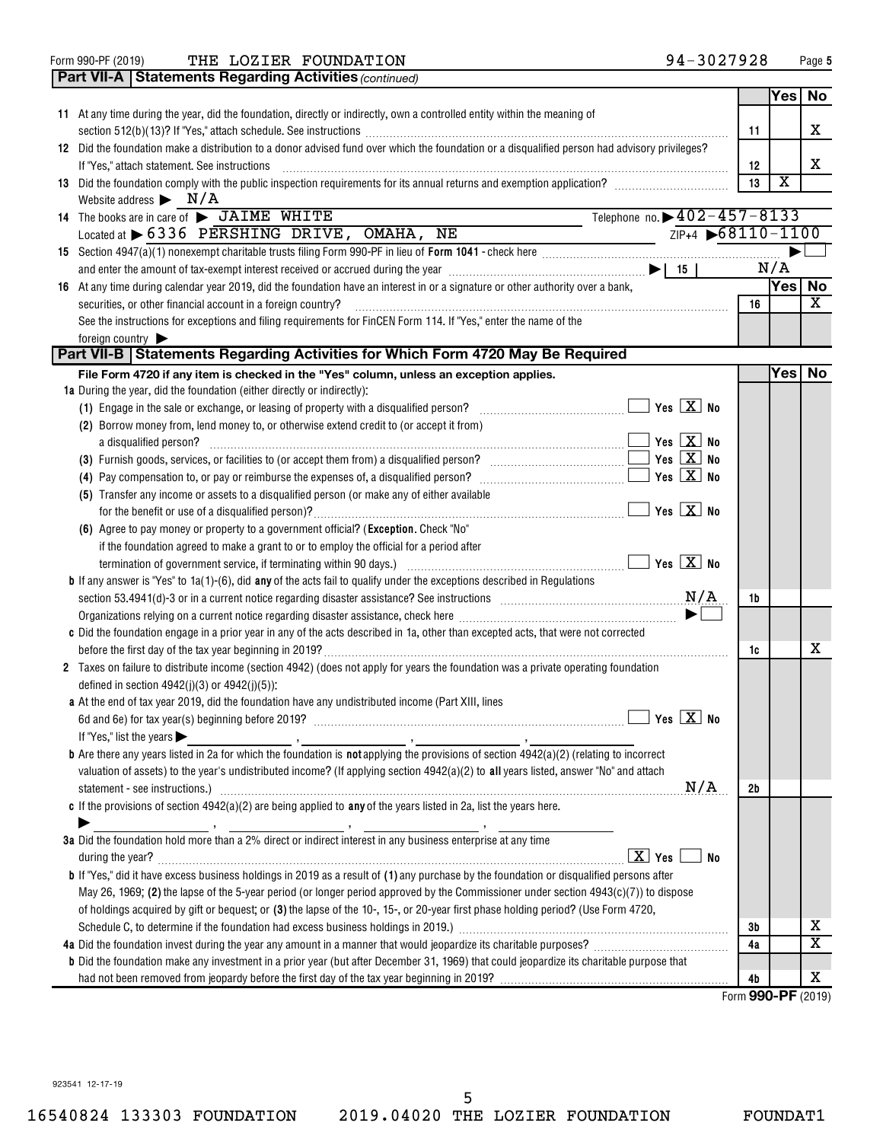Form 990-PF (2019)  $\,$  THE LOZIER FOUNDATION  $\,$  94  $-$  3027928  $\,$  Page  $\,$ 

|                 | <b>Part VII-A   Statements Regarding Activities (continued)</b>                                                                                                                                                                       |    |                         |                         |
|-----------------|---------------------------------------------------------------------------------------------------------------------------------------------------------------------------------------------------------------------------------------|----|-------------------------|-------------------------|
|                 |                                                                                                                                                                                                                                       |    | Yes                     | No                      |
|                 | 11 At any time during the year, did the foundation, directly or indirectly, own a controlled entity within the meaning of                                                                                                             |    |                         |                         |
|                 |                                                                                                                                                                                                                                       | 11 |                         | x                       |
|                 | 12 Did the foundation make a distribution to a donor advised fund over which the foundation or a disqualified person had advisory privileges?                                                                                         |    |                         |                         |
|                 | If "Yes," attach statement. See instructions                                                                                                                                                                                          | 12 |                         | x                       |
|                 | 13 Did the foundation comply with the public inspection requirements for its annual returns and exemption application?                                                                                                                | 13 | $\overline{\textbf{x}}$ |                         |
|                 | Website address $\blacktriangleright$ $N/A$                                                                                                                                                                                           |    |                         |                         |
|                 | Telephone no. > 402-457-8133<br>14 The books are in care of > JAIME WHITE                                                                                                                                                             |    |                         |                         |
|                 | $ZIP+4$ $\rightarrow$ 68110-1100<br>Located at > 6336 PERSHING DRIVE, OMAHA, NE                                                                                                                                                       |    |                         |                         |
|                 |                                                                                                                                                                                                                                       |    |                         |                         |
|                 | and enter the amount of tax-exempt interest received or accrued during the year $\ldots$ $\ldots$ $\ldots$ $\ldots$ $\ldots$ $\ldots$ $\ldots$ $\ldots$ $\ldots$ $\ldots$ $\ldots$ $\ldots$                                           |    | N/A                     |                         |
|                 | 16 At any time during calendar year 2019, did the foundation have an interest in or a signature or other authority over a bank,                                                                                                       |    | Yes∣                    | No                      |
|                 | securities, or other financial account in a foreign country?                                                                                                                                                                          | 16 |                         | $\mathbf x$             |
|                 |                                                                                                                                                                                                                                       |    |                         |                         |
|                 | See the instructions for exceptions and filing requirements for FinCEN Form 114. If "Yes," enter the name of the                                                                                                                      |    |                         |                         |
| foreign country | Part VII-B   Statements Regarding Activities for Which Form 4720 May Be Required                                                                                                                                                      |    |                         |                         |
|                 | File Form 4720 if any item is checked in the "Yes" column, unless an exception applies.                                                                                                                                               |    | Yesl                    | <b>No</b>               |
|                 | 1a During the year, did the foundation (either directly or indirectly):                                                                                                                                                               |    |                         |                         |
|                 | (1) Engage in the sale or exchange, or leasing of property with a disqualified person?                                                                                                                                                |    |                         |                         |
|                 | (2) Borrow money from, lend money to, or otherwise extend credit to (or accept it from)                                                                                                                                               |    |                         |                         |
|                 | a disqualified person?                                                                                                                                                                                                                |    |                         |                         |
|                 | $\overline{\mathbf{y}}$ Yes $\overline{\mathbf{X}}$ No                                                                                                                                                                                |    |                         |                         |
|                 |                                                                                                                                                                                                                                       |    |                         |                         |
|                 | (4) Pay compensation to, or pay or reimburse the expenses of, a disqualified person? $\ldots$ $\ldots$ $\ldots$ $\ldots$ $\ldots$ $\ldots$ $\ldots$ Yes $\boxed{\mathbf{X}}$ No                                                       |    |                         |                         |
|                 | (5) Transfer any income or assets to a disqualified person (or make any of either available                                                                                                                                           |    |                         |                         |
|                 |                                                                                                                                                                                                                                       |    |                         |                         |
|                 | (6) Agree to pay money or property to a government official? (Exception. Check "No"                                                                                                                                                   |    |                         |                         |
|                 | if the foundation agreed to make a grant to or to employ the official for a period after                                                                                                                                              |    |                         |                         |
|                 |                                                                                                                                                                                                                                       |    |                         |                         |
|                 | <b>b</b> If any answer is "Yes" to $1a(1)-(6)$ , did any of the acts fail to qualify under the exceptions described in Regulations                                                                                                    |    |                         |                         |
|                 | section 53.4941(d)-3 or in a current notice regarding disaster assistance? See instructions $M/A$                                                                                                                                     | 1b |                         |                         |
|                 | Organizations relying on a current notice regarding disaster assistance, check here manufaction containsations relying on a current reduce                                                                                            |    |                         |                         |
|                 | c Did the foundation engage in a prior year in any of the acts described in 1a, other than excepted acts, that were not corrected                                                                                                     |    |                         |                         |
|                 |                                                                                                                                                                                                                                       | 1c |                         | x                       |
|                 | 2 Taxes on failure to distribute income (section 4942) (does not apply for years the foundation was a private operating foundation                                                                                                    |    |                         |                         |
|                 | defined in section $4942(j)(3)$ or $4942(j)(5)$ :                                                                                                                                                                                     |    |                         |                         |
|                 | a At the end of tax year 2019, did the foundation have any undistributed income (Part XIII, lines                                                                                                                                     |    |                         |                         |
|                 |                                                                                                                                                                                                                                       |    |                         |                         |
|                 | If "Yes," list the years $\blacktriangleright$                                                                                                                                                                                        |    |                         |                         |
|                 | <b>b</b> Are there any years listed in 2a for which the foundation is <b>not</b> applying the provisions of section $4942(a)(2)$ (relating to incorrect                                                                               |    |                         |                         |
|                 | valuation of assets) to the year's undistributed income? (If applying section 4942(a)(2) to all years listed, answer "No" and attach                                                                                                  |    |                         |                         |
|                 | N/A<br>statement - see instructions.) 2000 minimum contract and the intervention of the intervention of the intervention of the intervention of the intervention of the intervention of the intervention of the intervention of the i | 2b |                         |                         |
|                 | c If the provisions of section $4942(a)(2)$ are being applied to any of the years listed in 2a, list the years here.                                                                                                                  |    |                         |                         |
|                 |                                                                                                                                                                                                                                       |    |                         |                         |
|                 | 3a Did the foundation hold more than a 2% direct or indirect interest in any business enterprise at any time                                                                                                                          |    |                         |                         |
|                 | $\boxed{\mathbf{X}}$ Yes<br>No                                                                                                                                                                                                        |    |                         |                         |
|                 | <b>b</b> If "Yes," did it have excess business holdings in 2019 as a result of (1) any purchase by the foundation or disqualified persons after                                                                                       |    |                         |                         |
|                 | May 26, 1969; (2) the lapse of the 5-year period (or longer period approved by the Commissioner under section $4943(c)(7)$ ) to dispose                                                                                               |    |                         |                         |
|                 | of holdings acquired by gift or bequest; or (3) the lapse of the 10-, 15-, or 20-year first phase holding period? (Use Form 4720,                                                                                                     |    |                         |                         |
|                 | Schedule C, to determine if the foundation had excess business holdings in 2019.) [11] manufacture content to determine if the foundation had excess business holdings in 2019.) [11] manufacture content of the state of the         | 3b |                         | х                       |
|                 |                                                                                                                                                                                                                                       | 4a |                         | $\overline{\textbf{x}}$ |
|                 | <b>b</b> Did the foundation make any investment in a prior year (but after December 31, 1969) that could jeopardize its charitable purpose that                                                                                       |    |                         |                         |
|                 |                                                                                                                                                                                                                                       | 4b |                         | х                       |
|                 |                                                                                                                                                                                                                                       |    |                         |                         |

Form (2019) **990-PF**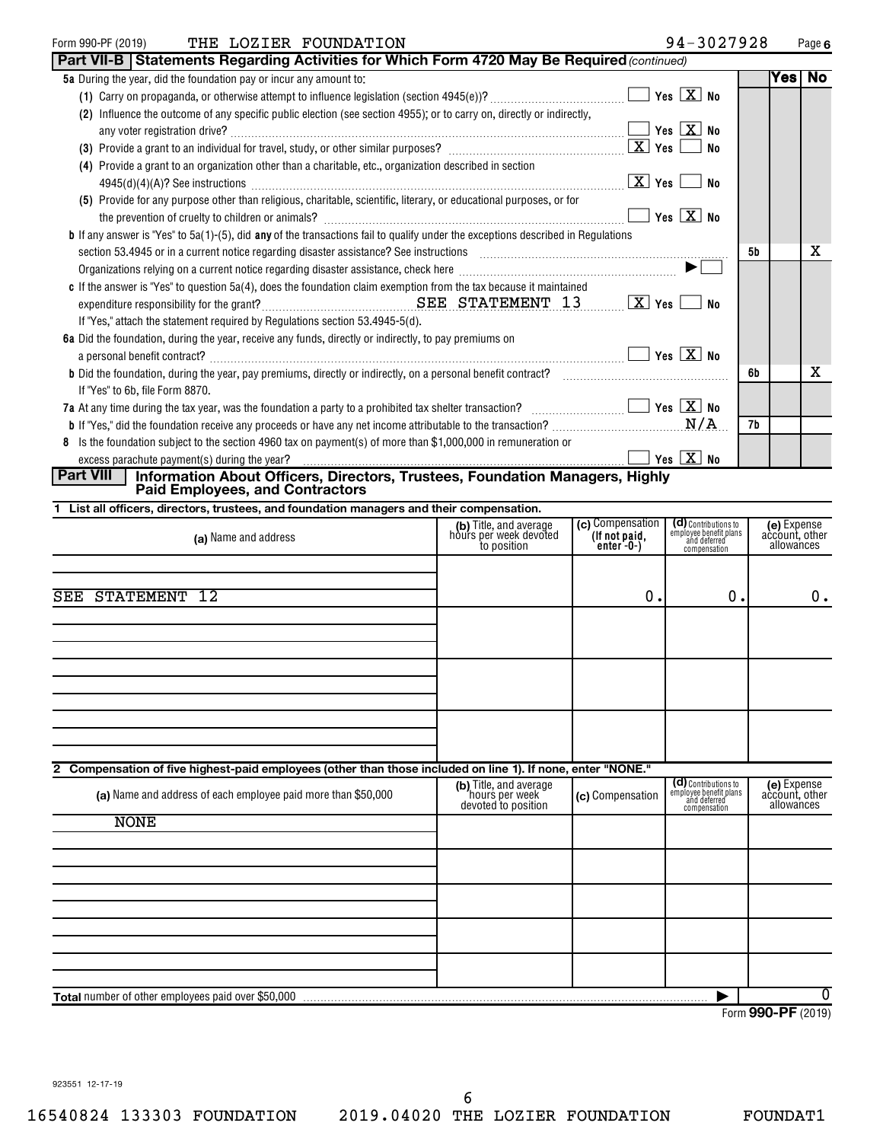#### Form 990-PF (2019) Page THE LOZIER FOUNDATION 94-3027928 **Part VII-B | Statements Regarding Activities for Which Form 4720 May Be Required as a Venetical Community**

| THE LOZIER FOUNDATION |
|-----------------------|
|-----------------------|

| <b>Part VII-B   Statements Regarding Activities for Which Form 4720 May Be Required</b> (continued)                                                                                                                                        |                                                 |                       |    |      |    |
|--------------------------------------------------------------------------------------------------------------------------------------------------------------------------------------------------------------------------------------------|-------------------------------------------------|-----------------------|----|------|----|
| 5a During the year, did the foundation pay or incur any amount to:                                                                                                                                                                         |                                                 |                       |    | Yesl | No |
|                                                                                                                                                                                                                                            | $\boxed{\phantom{1}}$ Yes $\boxed{\text{X}}$ No |                       |    |      |    |
| (2) Influence the outcome of any specific public election (see section 4955); or to carry on, directly or indirectly,                                                                                                                      |                                                 |                       |    |      |    |
|                                                                                                                                                                                                                                            |                                                 | <b>No</b>             |    |      |    |
|                                                                                                                                                                                                                                            |                                                 | No                    |    |      |    |
| (4) Provide a grant to an organization other than a charitable, etc., organization described in section                                                                                                                                    |                                                 |                       |    |      |    |
|                                                                                                                                                                                                                                            | $\boxed{\text{X}}$ Yes                          | No                    |    |      |    |
| (5) Provide for any purpose other than religious, charitable, scientific, literary, or educational purposes, or for                                                                                                                        |                                                 |                       |    |      |    |
| the prevention of cruelty to children or animals? [11] matter contains and prevention of cruelty to children or animals?                                                                                                                   |                                                 | $Yes \quad X$ No      |    |      |    |
| <b>b</b> If any answer is "Yes" to 5a(1)-(5), did <b>any</b> of the transactions fail to qualify under the exceptions described in Regulations                                                                                             |                                                 |                       |    |      |    |
| section 53.4945 or in a current notice regarding disaster assistance? See instructions [11,111] successions and the content of the content of the set of the content of the content of the content of the content of the conte             |                                                 |                       | 5b |      | x  |
|                                                                                                                                                                                                                                            |                                                 | $\blacktriangleright$ |    |      |    |
| c If the answer is "Yes" to question 5a(4), does the foundation claim exemption from the tax because it maintained                                                                                                                         |                                                 |                       |    |      |    |
|                                                                                                                                                                                                                                            |                                                 | <b>No</b>             |    |      |    |
| If "Yes," attach the statement required by Regulations section 53.4945-5(d).                                                                                                                                                               |                                                 |                       |    |      |    |
| 6a Did the foundation, during the year, receive any funds, directly or indirectly, to pay premiums on                                                                                                                                      |                                                 |                       |    |      |    |
| a personal benefit contract? $\ldots$ No                                                                                                                                                                                                   |                                                 |                       |    |      |    |
| <b>b</b> Did the foundation, during the year, pay premiums, directly or indirectly, on a personal benefit contract?<br><b>b</b> Did the foundation, during the year, pay premiums, directly or indirectly, on a personal benefit contract? |                                                 |                       | 6b |      | x  |
| If "Yes" to 6b, file Form 8870.                                                                                                                                                                                                            |                                                 |                       |    |      |    |
| 7a At any time during the tax year, was the foundation a party to a prohibited tax shelter transaction? $\Box$ $\Box$ Yes $\Box$ Yes $\Box$ No                                                                                             |                                                 |                       |    |      |    |
|                                                                                                                                                                                                                                            |                                                 |                       | 7b |      |    |
| 8 Is the foundation subject to the section 4960 tax on payment(s) of more than \$1,000,000 in remuneration or                                                                                                                              |                                                 |                       |    |      |    |
|                                                                                                                                                                                                                                            |                                                 |                       |    |      |    |
| <b>Part VIII</b><br>Information About Officers, Directors, Trustees, Foundation Managers, Highly                                                                                                                                           |                                                 |                       |    |      |    |
| <b>Paid Employees, and Contractors</b>                                                                                                                                                                                                     |                                                 |                       |    |      |    |
| 1 List all officers, directors, trustees, and foundation managers and their compensation.                                                                                                                                                  |                                                 |                       |    |      |    |

| (a) Name and address                                                                                                                                                         | (b) Title, and average<br>hours per week devoted<br>to position | (c) Compensation<br>(If not paid,<br>enter -0-) | (d) Contributions to<br>employee benefit plans<br>and deferred<br>compensation | (e) Expense<br>account, other<br>allowances |
|------------------------------------------------------------------------------------------------------------------------------------------------------------------------------|-----------------------------------------------------------------|-------------------------------------------------|--------------------------------------------------------------------------------|---------------------------------------------|
| SEE STATEMENT 12                                                                                                                                                             |                                                                 | 0.                                              | 0.                                                                             | $0$ .                                       |
|                                                                                                                                                                              |                                                                 |                                                 |                                                                                |                                             |
|                                                                                                                                                                              |                                                                 |                                                 |                                                                                |                                             |
|                                                                                                                                                                              |                                                                 |                                                 |                                                                                |                                             |
| 2 Compensation of five highest-paid employees (other than those included on line 1). If none, enter "NONE."<br>(a) Name and address of each employee paid more than \$50,000 | (b) Title, and average<br>hours per week<br>devoted to position | (c) Compensation                                | (d) Contributions to<br>employee benefit plans<br>and deferred<br>compensation | (e) Expense<br>account, other<br>allowances |
| <b>NONE</b>                                                                                                                                                                  |                                                                 |                                                 |                                                                                |                                             |
|                                                                                                                                                                              |                                                                 |                                                 |                                                                                |                                             |
|                                                                                                                                                                              |                                                                 |                                                 |                                                                                |                                             |
|                                                                                                                                                                              |                                                                 |                                                 |                                                                                |                                             |
| Total number of other employees paid over \$50,000                                                                                                                           |                                                                 |                                                 |                                                                                | 0                                           |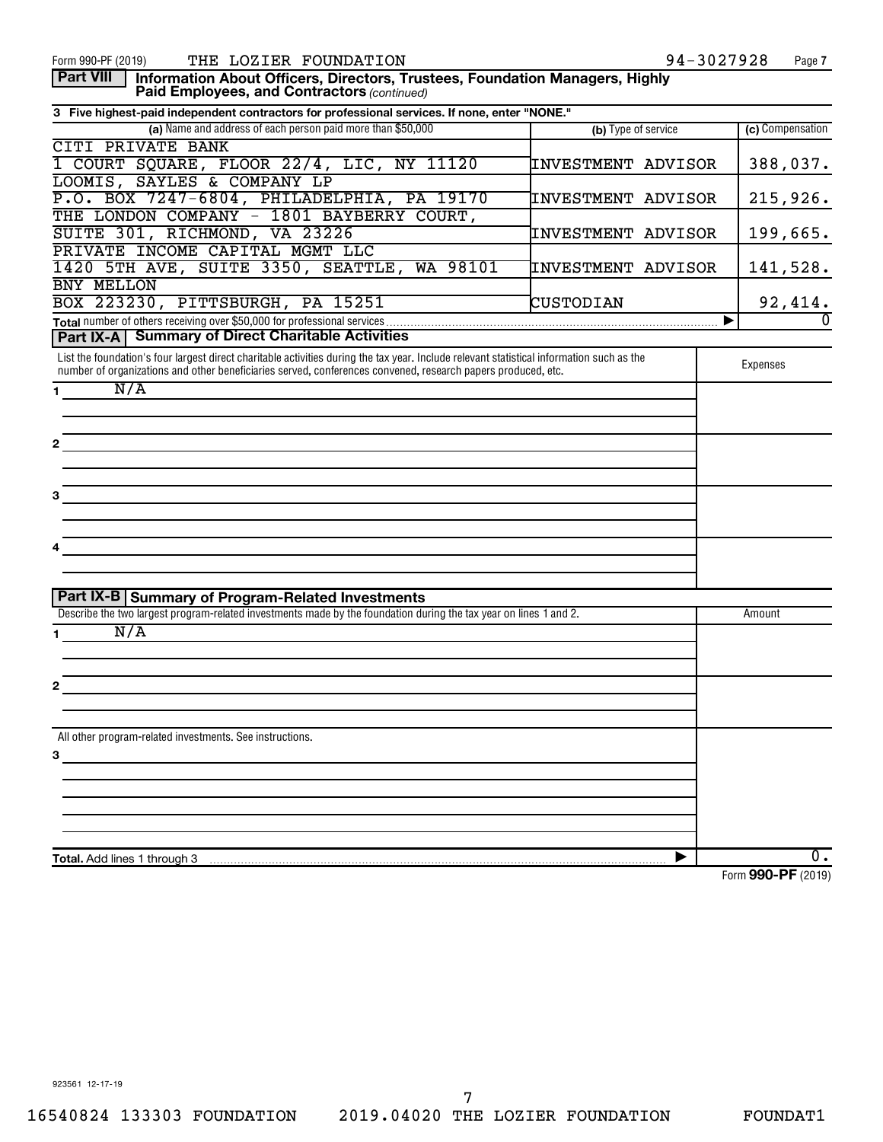| <b>Part VIII</b><br>Information About Officers, Directors, Trustees, Foundation Managers, Highly<br>Paid Employees, and Contractors (continued)                                                                                                           |                     |                                          |
|-----------------------------------------------------------------------------------------------------------------------------------------------------------------------------------------------------------------------------------------------------------|---------------------|------------------------------------------|
| 3 Five highest-paid independent contractors for professional services. If none, enter "NONE."                                                                                                                                                             |                     |                                          |
| (a) Name and address of each person paid more than \$50,000                                                                                                                                                                                               | (b) Type of service | (c) Compensation                         |
| <b>CITI PRIVATE BANK</b>                                                                                                                                                                                                                                  |                     |                                          |
| 1 COURT SQUARE, FLOOR 22/4, LIC, NY 11120                                                                                                                                                                                                                 | INVESTMENT ADVISOR  | 388,037.                                 |
| LOOMIS, SAYLES & COMPANY LP                                                                                                                                                                                                                               |                     |                                          |
| P.O. BOX 7247-6804, PHILADELPHIA, PA 19170                                                                                                                                                                                                                | INVESTMENT ADVISOR  | 215,926.                                 |
| THE LONDON COMPANY - 1801 BAYBERRY COURT,                                                                                                                                                                                                                 |                     |                                          |
| SUITE 301, RICHMOND, VA 23226                                                                                                                                                                                                                             | INVESTMENT ADVISOR  | 199,665.                                 |
| PRIVATE INCOME CAPITAL MGMT LLC                                                                                                                                                                                                                           |                     |                                          |
| 1420 5TH AVE, SUITE 3350, SEATTLE, WA 98101                                                                                                                                                                                                               | INVESTMENT ADVISOR  | 141,528.                                 |
| BNY MELLON                                                                                                                                                                                                                                                |                     |                                          |
| BOX 223230, PITTSBURGH, PA 15251                                                                                                                                                                                                                          | CUSTODIAN           | $\frac{92,414}{0}$                       |
|                                                                                                                                                                                                                                                           |                     | $\overline{0}$<br>▶                      |
| <b>Part IX-A   Summary of Direct Charitable Activities</b>                                                                                                                                                                                                |                     |                                          |
| List the foundation's four largest direct charitable activities during the tax year. Include relevant statistical information such as the<br>number of organizations and other beneficiaries served, conferences convened, research papers produced, etc. |                     | Expenses                                 |
| N/A<br>$1 \quad$                                                                                                                                                                                                                                          |                     |                                          |
|                                                                                                                                                                                                                                                           |                     |                                          |
|                                                                                                                                                                                                                                                           |                     |                                          |
| $\mathbf{2}$                                                                                                                                                                                                                                              |                     |                                          |
|                                                                                                                                                                                                                                                           |                     |                                          |
|                                                                                                                                                                                                                                                           |                     |                                          |
| 3                                                                                                                                                                                                                                                         |                     |                                          |
|                                                                                                                                                                                                                                                           |                     |                                          |
|                                                                                                                                                                                                                                                           |                     |                                          |
| 4                                                                                                                                                                                                                                                         |                     |                                          |
|                                                                                                                                                                                                                                                           |                     |                                          |
|                                                                                                                                                                                                                                                           |                     |                                          |
| <b>Part IX-B Summary of Program-Related Investments</b>                                                                                                                                                                                                   |                     |                                          |
| Describe the two largest program-related investments made by the foundation during the tax year on lines 1 and 2.                                                                                                                                         |                     | Amount                                   |
| N/A<br>1.                                                                                                                                                                                                                                                 |                     |                                          |
|                                                                                                                                                                                                                                                           |                     |                                          |
|                                                                                                                                                                                                                                                           |                     |                                          |
| 2                                                                                                                                                                                                                                                         |                     |                                          |
|                                                                                                                                                                                                                                                           |                     |                                          |
|                                                                                                                                                                                                                                                           |                     |                                          |
| All other program-related investments. See instructions.                                                                                                                                                                                                  |                     |                                          |
| 3                                                                                                                                                                                                                                                         |                     |                                          |
|                                                                                                                                                                                                                                                           |                     |                                          |
|                                                                                                                                                                                                                                                           |                     |                                          |
|                                                                                                                                                                                                                                                           |                     |                                          |
|                                                                                                                                                                                                                                                           |                     |                                          |
|                                                                                                                                                                                                                                                           |                     |                                          |
| Total. Add lines 1 through 3                                                                                                                                                                                                                              |                     | 0.                                       |
|                                                                                                                                                                                                                                                           |                     | $000 \text{ } \text{D} \text{ } \text{}$ |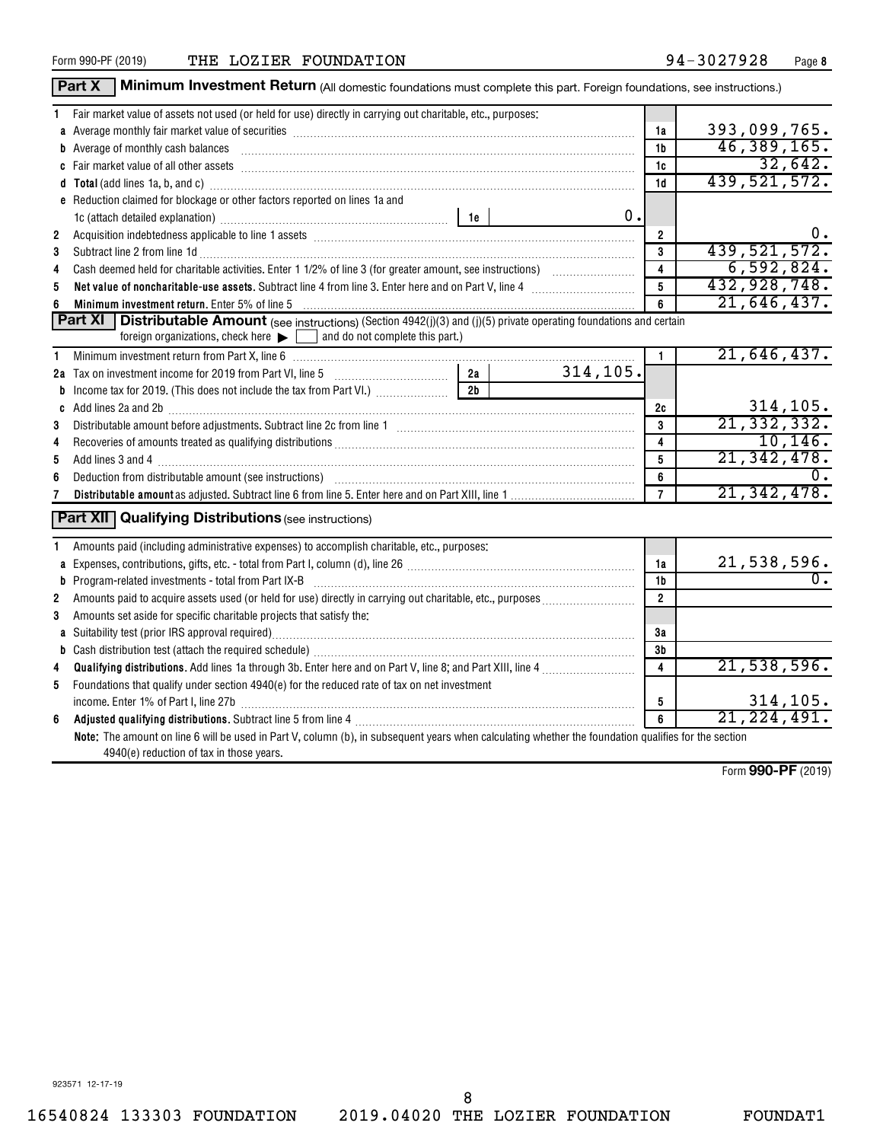|                     | Part X<br>Minimum Investment Return (All domestic foundations must complete this part. Foreign foundations, see instructions.)                                                                                                                                                                                                                                                                                                                                                           |                 |           |                         |                                 |
|---------------------|------------------------------------------------------------------------------------------------------------------------------------------------------------------------------------------------------------------------------------------------------------------------------------------------------------------------------------------------------------------------------------------------------------------------------------------------------------------------------------------|-----------------|-----------|-------------------------|---------------------------------|
| 1.                  | Fair market value of assets not used (or held for use) directly in carrying out charitable, etc., purposes:                                                                                                                                                                                                                                                                                                                                                                              |                 |           |                         |                                 |
|                     | a Average monthly fair market value of securities [11] matter content to the content of the second state of securities [11] matter content and average monthly fair market value of securities [11] matter content and average                                                                                                                                                                                                                                                           |                 |           | 1a                      | 393,099,765.                    |
|                     | <b>b</b> Average of monthly cash balances<br>$\begin{minipage}{0.5\textwidth} \begin{tabular}{ l l l } \hline \multicolumn{1}{ l l l } \hline \multicolumn{1}{ l l } \multicolumn{1}{ l } \multicolumn{1}{ l } \multicolumn{1}{ l } \multicolumn{1}{ l } \multicolumn{1}{ l } \multicolumn{1}{ l } \multicolumn{1}{ l } \multicolumn{1}{ l } \multicolumn{1}{ l } \multicolumn{1}{ l } \multicolumn{1}{ l } \multicolumn{1}{ l } \multicolumn{1}{ l } \multicolumn{1}{ l } \multicolumn$ |                 |           | 1b                      | 46,389,165.                     |
|                     |                                                                                                                                                                                                                                                                                                                                                                                                                                                                                          |                 |           | 1c                      | 32,642.                         |
|                     | d Total (add lines 1a, b, and c) manufactured and control of the control of the control of the control of the control of the control of the control of the control of the control of the control of the control of the control                                                                                                                                                                                                                                                           |                 |           | 1 <sub>d</sub>          | 439, 521, 572.                  |
|                     | e Reduction claimed for blockage or other factors reported on lines 1a and                                                                                                                                                                                                                                                                                                                                                                                                               |                 |           |                         |                                 |
|                     |                                                                                                                                                                                                                                                                                                                                                                                                                                                                                          |                 | 0.        |                         |                                 |
| $\overline{2}$      | Acquisition indebtedness applicable to line 1 assets [11] Assets [11] Acquisition indebtedness applicable to line 1 assets [11] Assets [11] Acquisition indebtedness applicable to line 1 assets [11] Assets [11] Acquisition                                                                                                                                                                                                                                                            |                 |           | $\overline{2}$          | $0 \cdot$                       |
| 3                   | Subtract line 2 from line 1d <b>Machinese and Contract Line 2</b> from line 1d <b>Machinese Automobile 2</b>                                                                                                                                                                                                                                                                                                                                                                             |                 |           | 3                       | 439,521,572.                    |
| 4                   |                                                                                                                                                                                                                                                                                                                                                                                                                                                                                          |                 |           | $\overline{\mathbf{4}}$ | 6,592,824.                      |
| 5                   |                                                                                                                                                                                                                                                                                                                                                                                                                                                                                          |                 |           | $5\phantom{.0}$         | 432,928,748.                    |
| 6                   | Minimum investment return. Enter 5% of line 5 [11] Minimum material contracts and the state of the state of the state of the state of the state of the state of the state of the state of the state of the state of the state                                                                                                                                                                                                                                                            |                 |           | 6                       | 21,646,437.                     |
|                     | <b>Part XI</b> Distributable Amount (see instructions) (Section 4942(j)(3) and (j)(5) private operating foundations and certain                                                                                                                                                                                                                                                                                                                                                          |                 |           |                         |                                 |
|                     | foreign organizations, check here $\blacktriangleright$ $\Box$ and do not complete this part.)                                                                                                                                                                                                                                                                                                                                                                                           |                 |           |                         |                                 |
| 1                   |                                                                                                                                                                                                                                                                                                                                                                                                                                                                                          |                 |           | $\mathbf{1}$            | 21,646,437.                     |
|                     | 2a Tax on investment income for 2019 from Part VI, line 5 [100] [100] [20] Tax on investment income for 2019 from Part VI, line 5                                                                                                                                                                                                                                                                                                                                                        | 2a              | 314, 105. |                         |                                 |
|                     | <b>b</b> Income tax for 2019. (This does not include the tax from Part VI.)                                                                                                                                                                                                                                                                                                                                                                                                              | $\overline{2b}$ |           |                         |                                 |
|                     |                                                                                                                                                                                                                                                                                                                                                                                                                                                                                          |                 |           | 2c                      | 314, 105.                       |
| 3                   |                                                                                                                                                                                                                                                                                                                                                                                                                                                                                          |                 |           | 3                       | 21, 332, 332.                   |
| 4                   |                                                                                                                                                                                                                                                                                                                                                                                                                                                                                          |                 |           | $\overline{4}$          | 10, 146.                        |
| 5                   |                                                                                                                                                                                                                                                                                                                                                                                                                                                                                          |                 |           | 5                       | 21, 342, 478.                   |
| 6                   | Deduction from distributable amount (see instructions) with an amount contained and an amount of the contained                                                                                                                                                                                                                                                                                                                                                                           |                 |           | 6                       | $0$ .                           |
| 7                   |                                                                                                                                                                                                                                                                                                                                                                                                                                                                                          |                 |           | $\overline{7}$          | 21, 342, 478.                   |
|                     | <b>Part XII</b> Qualifying Distributions (see instructions)                                                                                                                                                                                                                                                                                                                                                                                                                              |                 |           |                         |                                 |
| 1.                  | Amounts paid (including administrative expenses) to accomplish charitable, etc., purposes:                                                                                                                                                                                                                                                                                                                                                                                               |                 |           |                         |                                 |
|                     |                                                                                                                                                                                                                                                                                                                                                                                                                                                                                          |                 |           | 1a<br>1 <sub>b</sub>    | 21,538,596.<br>$\overline{0}$ . |
|                     |                                                                                                                                                                                                                                                                                                                                                                                                                                                                                          |                 |           |                         |                                 |
| $\overline{2}$<br>3 |                                                                                                                                                                                                                                                                                                                                                                                                                                                                                          |                 |           | $\overline{2}$          |                                 |
|                     | Amounts set aside for specific charitable projects that satisfy the:                                                                                                                                                                                                                                                                                                                                                                                                                     |                 |           |                         |                                 |
|                     |                                                                                                                                                                                                                                                                                                                                                                                                                                                                                          |                 |           | 3a<br>3b                |                                 |
|                     |                                                                                                                                                                                                                                                                                                                                                                                                                                                                                          |                 |           | $\overline{\mathbf{4}}$ | 21,538,596.                     |
| 4                   | Foundations that qualify under section 4940(e) for the reduced rate of tax on net investment                                                                                                                                                                                                                                                                                                                                                                                             |                 |           |                         |                                 |
| 5                   | income. Enter 1% of Part I, line 27b [ with the with the contract the contract of Part I, line 27b [ with the w                                                                                                                                                                                                                                                                                                                                                                          |                 |           | 5                       | 314, 105.                       |
| 6                   |                                                                                                                                                                                                                                                                                                                                                                                                                                                                                          |                 |           | $\overline{6}$          | 21, 224, 491.                   |
|                     | Note: The amount on line 6 will be used in Part V, column (b), in subsequent years when calculating whether the foundation qualifies for the section<br>4940(e) reduction of tax in those years.                                                                                                                                                                                                                                                                                         |                 |           |                         |                                 |

Form (2019) **990-PF**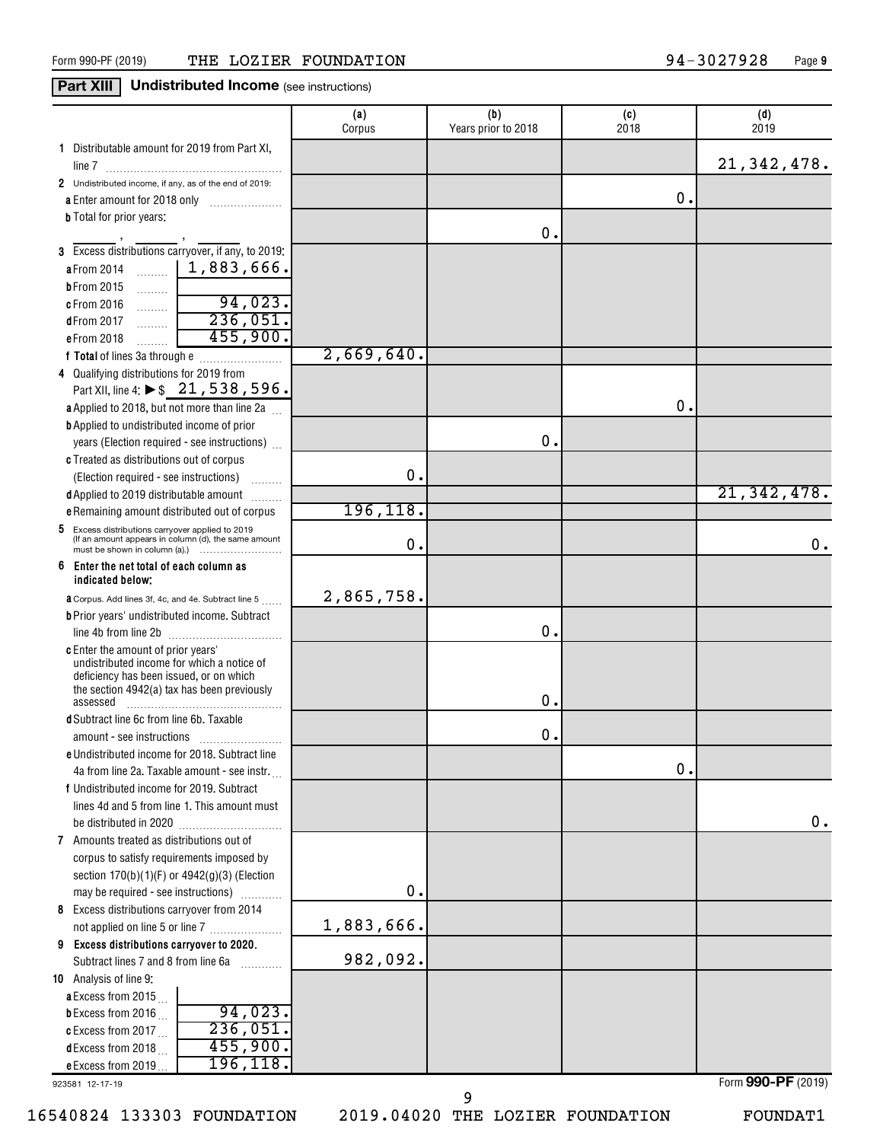### **Part XIII Undistributed Income** (see instructions)

|                                                                                                          | (a)<br>Corpus | (b)<br>Years prior to 2018 | (c)<br>2018 | (d)<br>2019   |
|----------------------------------------------------------------------------------------------------------|---------------|----------------------------|-------------|---------------|
| 1 Distributable amount for 2019 from Part XI,                                                            |               |                            |             | 21, 342, 478. |
| 2 Undistributed income, if any, as of the end of 2019:                                                   |               |                            |             |               |
| a Enter amount for 2018 only                                                                             |               |                            | 0.          |               |
| <b>b</b> Total for prior years:                                                                          |               |                            |             |               |
|                                                                                                          |               | Ο.                         |             |               |
| 3 Excess distributions carryover, if any, to 2019:                                                       |               |                            |             |               |
| 1,883,666.<br>a From 2014                                                                                |               |                            |             |               |
| <b>b</b> From 2015<br>.<br>94,023.                                                                       |               |                            |             |               |
| c From 2016<br>.<br>236,051.                                                                             |               |                            |             |               |
| dFrom 2017<br>.<br>455,900.                                                                              |               |                            |             |               |
| e From 2018<br>.                                                                                         | 2,669,640.    |                            |             |               |
| 4 Qualifying distributions for 2019 from                                                                 |               |                            |             |               |
| Part XII, line 4: ▶ \$ 21, 538, 596.                                                                     |               |                            |             |               |
| a Applied to 2018, but not more than line 2a                                                             |               |                            | О.          |               |
| <b>b</b> Applied to undistributed income of prior                                                        |               |                            |             |               |
| years (Election required - see instructions)                                                             |               | О.                         |             |               |
| c Treated as distributions out of corpus                                                                 |               |                            |             |               |
| (Election required - see instructions)                                                                   | $\mathbf 0$ . |                            |             |               |
| d Applied to 2019 distributable amount                                                                   |               |                            |             | 21, 342, 478. |
| e Remaining amount distributed out of corpus                                                             | 196, 118.     |                            |             |               |
| 5 Excess distributions carryover applied to 2019<br>(If an amount appears in column (d), the same amount | 0.            |                            |             | 0.            |
| 6<br>Enter the net total of each column as                                                               |               |                            |             |               |
| indicated below:                                                                                         | 2,865,758.    |                            |             |               |
| <b>a</b> Corpus. Add lines 3f, 4c, and 4e. Subtract line 5                                               |               |                            |             |               |
| <b>b</b> Prior years' undistributed income. Subtract                                                     |               | 0.                         |             |               |
| c Enter the amount of prior years'                                                                       |               |                            |             |               |
| undistributed income for which a notice of                                                               |               |                            |             |               |
| deficiency has been issued, or on which<br>the section 4942(a) tax has been previously                   |               |                            |             |               |
| assessed                                                                                                 |               | 0.                         |             |               |
| d Subtract line 6c from line 6b. Taxable                                                                 |               |                            |             |               |
|                                                                                                          |               | 0.                         |             |               |
| e Undistributed income for 2018. Subtract line                                                           |               |                            |             |               |
| 4a from line 2a. Taxable amount - see instr.                                                             |               |                            | 0.          |               |
| f Undistributed income for 2019. Subtract                                                                |               |                            |             |               |
| lines 4d and 5 from line 1. This amount must                                                             |               |                            |             |               |
|                                                                                                          |               |                            |             | 0.            |
| 7 Amounts treated as distributions out of                                                                |               |                            |             |               |
| corpus to satisfy requirements imposed by                                                                |               |                            |             |               |
| section $170(b)(1)(F)$ or $4942(g)(3)$ (Election                                                         |               |                            |             |               |
| may be required - see instructions)                                                                      | 0.            |                            |             |               |
| 8 Excess distributions carryover from 2014                                                               | 1,883,666.    |                            |             |               |
| not applied on line 5 or line 7                                                                          |               |                            |             |               |
| 9 Excess distributions carryover to 2020.<br>Subtract lines 7 and 8 from line 6a                         | 982,092.      |                            |             |               |
| 10 Analysis of line 9:                                                                                   |               |                            |             |               |
| a Excess from 2015                                                                                       |               |                            |             |               |
| 94,023.<br><b>b</b> Excess from 2016                                                                     |               |                            |             |               |
| 236,051<br>c Excess from 2017                                                                            |               |                            |             |               |
| 455,900.<br>dExcess from 2018 $\ldots$                                                                   |               |                            |             |               |
| 196, 118.<br>e Excess from 2019                                                                          |               |                            |             |               |

923581 12-17-19

16540824 133303 FOUNDATION 2019.04020 THE LOZIER FOUNDATION FOUNDAT1

9

Form (2019) **990-PF**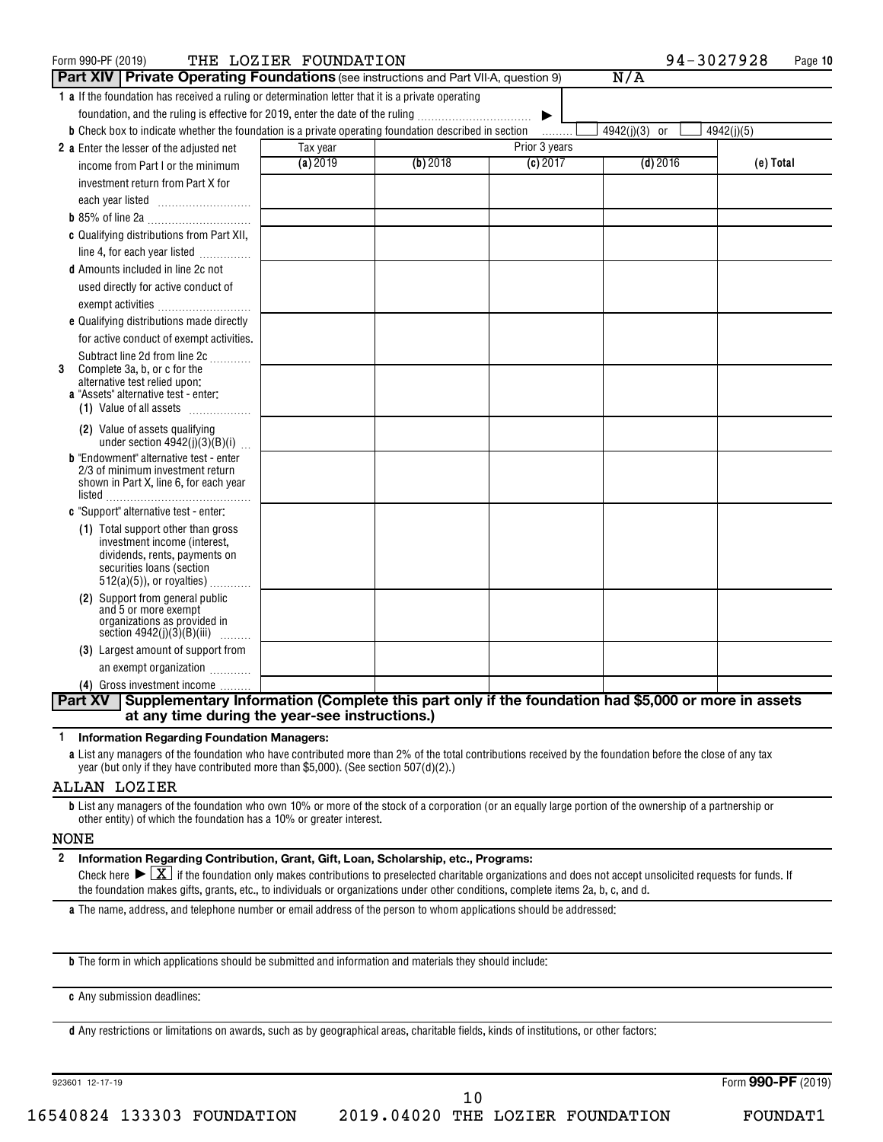| Form 990-PF (2019)                                                                                                                           | THE LOZIER FOUNDATION |          |               | 94-3027928    | Page 10    |
|----------------------------------------------------------------------------------------------------------------------------------------------|-----------------------|----------|---------------|---------------|------------|
| <b>Part XIV   Private Operating Foundations</b> (see instructions and Part VII-A, question 9)                                                |                       |          |               | N/A           |            |
| 1 a If the foundation has received a ruling or determination letter that it is a private operating                                           |                       |          |               |               |            |
| foundation, and the ruling is effective for 2019, enter the date of the ruling                                                               |                       |          | ▶             |               |            |
| <b>b</b> Check box to indicate whether the foundation is a private operating foundation described in section                                 |                       |          | .             | 4942(j)(3) or | 4942(j)(5) |
| 2 a Enter the lesser of the adjusted net                                                                                                     | Tax year              |          | Prior 3 years |               |            |
| income from Part I or the minimum                                                                                                            | (a) 2019              | (b) 2018 | (c) 2017      | $(d)$ 2016    | (e) Total  |
| investment return from Part X for                                                                                                            |                       |          |               |               |            |
| each year listed                                                                                                                             |                       |          |               |               |            |
|                                                                                                                                              |                       |          |               |               |            |
| c Qualifying distributions from Part XII,                                                                                                    |                       |          |               |               |            |
| line 4, for each year listed <i></i>                                                                                                         |                       |          |               |               |            |
| <b>d</b> Amounts included in line 2c not                                                                                                     |                       |          |               |               |            |
| used directly for active conduct of                                                                                                          |                       |          |               |               |            |
| exempt activities                                                                                                                            |                       |          |               |               |            |
| e Qualifying distributions made directly                                                                                                     |                       |          |               |               |            |
| for active conduct of exempt activities.                                                                                                     |                       |          |               |               |            |
| Subtract line 2d from line 2c                                                                                                                |                       |          |               |               |            |
| Complete 3a, b, or c for the<br>3<br>alternative test relied upon:                                                                           |                       |          |               |               |            |
| a "Assets" alternative test - enter:                                                                                                         |                       |          |               |               |            |
| (1) Value of all assets                                                                                                                      |                       |          |               |               |            |
| (2) Value of assets qualifying                                                                                                               |                       |          |               |               |            |
| under section $4942(j)(3)(B)(i)$                                                                                                             |                       |          |               |               |            |
| <b>b</b> "Endowment" alternative test - enter<br>2/3 of minimum investment return                                                            |                       |          |               |               |            |
| shown in Part X, line 6, for each year                                                                                                       |                       |          |               |               |            |
|                                                                                                                                              |                       |          |               |               |            |
| c "Support" alternative test - enter:                                                                                                        |                       |          |               |               |            |
| (1) Total support other than gross<br>investment income (interest,                                                                           |                       |          |               |               |            |
| dividends, rents, payments on                                                                                                                |                       |          |               |               |            |
| securities loans (section                                                                                                                    |                       |          |               |               |            |
| $512(a)(5)$ , or royalties)                                                                                                                  |                       |          |               |               |            |
| (2) Support from general public<br>and 5 or more exempt                                                                                      |                       |          |               |               |            |
| organizations as provided in                                                                                                                 |                       |          |               |               |            |
| section $4942(j)(3)(B)(iii)$<br>.                                                                                                            |                       |          |               |               |            |
| (3) Largest amount of support from                                                                                                           |                       |          |               |               |            |
| an exempt organization                                                                                                                       |                       |          |               |               |            |
| (4) Gross investment income<br>Supplementary Information (Complete this part only if the foundation had \$5,000 or more in assets<br>Part XV |                       |          |               |               |            |
| at any time during the year-see instructions.)                                                                                               |                       |          |               |               |            |
|                                                                                                                                              |                       |          |               |               |            |

**1 Information Regarding Foundation Managers:**

**a** List any managers of the foundation who have contributed more than 2% of the total contributions received by the foundation before the close of any tax year (but only if they have contributed more than \$5,000). (See section 507(d)(2).)

#### ALLAN LOZIER

**b** List any managers of the foundation who own 10% or more of the stock of a corporation (or an equally large portion of the ownership of a partnership or other entity) of which the foundation has a 10% or greater interest.

#### NONE

**2 Information Regarding Contribution, Grant, Gift, Loan, Scholarship, etc., Programs:**

Check here  $\sum X_i$  if the foundation only makes contributions to preselected charitable organizations and does not accept unsolicited requests for funds. If the foundation makes gifts, grants, etc., to individuals or organizations under other conditions, complete items 2a, b, c, and d.

**a** The name, address, and telephone number or email address of the person to whom applications should be addressed:

**b** The form in which applications should be submitted and information and materials they should include:

**c** Any submission deadlines:

**d** Any restrictions or limitations on awards, such as by geographical areas, charitable fields, kinds of institutions, or other factors:

923601 12-17-19

Form (2019) **990-PF**

16540824 133303 FOUNDATION 2019.04020 THE LOZIER FOUNDATION FOUNDAT1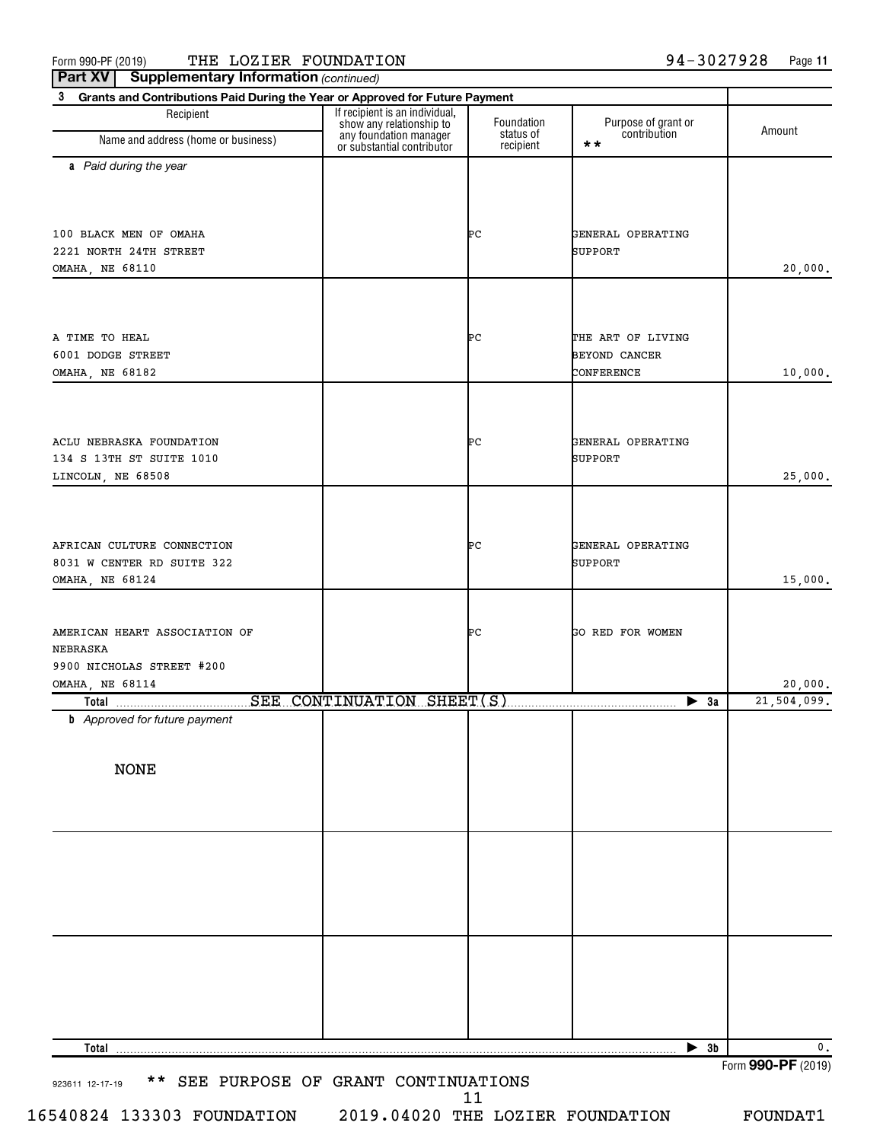Form 990-PF (2019)  $\,$  THE <code>LOZIER</code> FOUNDATION  $94-3027928$  Page

**Part XV** | Supplementary Information (continued)

**11**

| Grants and Contributions Paid During the Year or Approved for Future Payment<br>3<br>Recipient | If recipient is an individual,                                                   |                                      |                                            |             |
|------------------------------------------------------------------------------------------------|----------------------------------------------------------------------------------|--------------------------------------|--------------------------------------------|-------------|
| Name and address (home or business)                                                            | show any relationship to<br>any foundation manager<br>or substantial contributor | Foundation<br>status of<br>recipient | Purpose of grant or<br>contribution<br>* * | Amount      |
| a Paid during the year                                                                         |                                                                                  |                                      |                                            |             |
| 100 BLACK MEN OF OMAHA                                                                         |                                                                                  | ÞС                                   | GENERAL OPERATING                          |             |
| 2221 NORTH 24TH STREET                                                                         |                                                                                  |                                      | SUPPORT                                    |             |
| OMAHA, NE 68110                                                                                |                                                                                  |                                      |                                            | 20,000.     |
|                                                                                                |                                                                                  |                                      |                                            |             |
| A TIME TO HEAL                                                                                 |                                                                                  | ÞС                                   | THE ART OF LIVING                          |             |
| 6001 DODGE STREET                                                                              |                                                                                  |                                      | <b>BEYOND CANCER</b>                       |             |
| OMAHA, NE 68182                                                                                |                                                                                  |                                      | CONFERENCE                                 | 10,000.     |
|                                                                                                |                                                                                  |                                      |                                            |             |
| ACLU NEBRASKA FOUNDATION                                                                       |                                                                                  | ÞС                                   | GENERAL OPERATING                          |             |
| 134 S 13TH ST SUITE 1010                                                                       |                                                                                  |                                      | SUPPORT                                    |             |
| LINCOLN, NE 68508                                                                              |                                                                                  |                                      |                                            | 25,000.     |
|                                                                                                |                                                                                  |                                      |                                            |             |
| AFRICAN CULTURE CONNECTION                                                                     |                                                                                  | ÞС                                   | GENERAL OPERATING                          |             |
| 8031 W CENTER RD SUITE 322                                                                     |                                                                                  |                                      | SUPPORT                                    |             |
| OMAHA, NE 68124                                                                                |                                                                                  |                                      |                                            | 15,000.     |
| AMERICAN HEART ASSOCIATION OF                                                                  |                                                                                  | ÞС                                   | GO RED FOR WOMEN                           |             |
| NEBRASKA                                                                                       |                                                                                  |                                      |                                            |             |
| 9900 NICHOLAS STREET #200                                                                      |                                                                                  |                                      |                                            |             |
| OMAHA, NE 68114                                                                                |                                                                                  |                                      |                                            | 20,000.     |
| Total<br><b>b</b> Approved for future payment                                                  | SEE CONTINUATION SHEET(S)                                                        |                                      | $\blacktriangleright$ 3a                   | 21,504,099. |
|                                                                                                |                                                                                  |                                      |                                            |             |
| <b>NONE</b>                                                                                    |                                                                                  |                                      |                                            |             |
|                                                                                                |                                                                                  |                                      |                                            |             |
|                                                                                                |                                                                                  |                                      |                                            |             |
|                                                                                                |                                                                                  |                                      |                                            |             |
|                                                                                                |                                                                                  |                                      |                                            |             |
|                                                                                                |                                                                                  |                                      |                                            |             |
|                                                                                                |                                                                                  |                                      |                                            |             |
|                                                                                                |                                                                                  |                                      |                                            |             |
| Total                                                                                          |                                                                                  |                                      | $\blacktriangleright$ 3b                   | 0.          |
|                                                                                                |                                                                                  |                                      |                                            |             |

16540824 133303 FOUNDATION 2019.04020 THE LOZIER FOUNDATION FOUNDAT1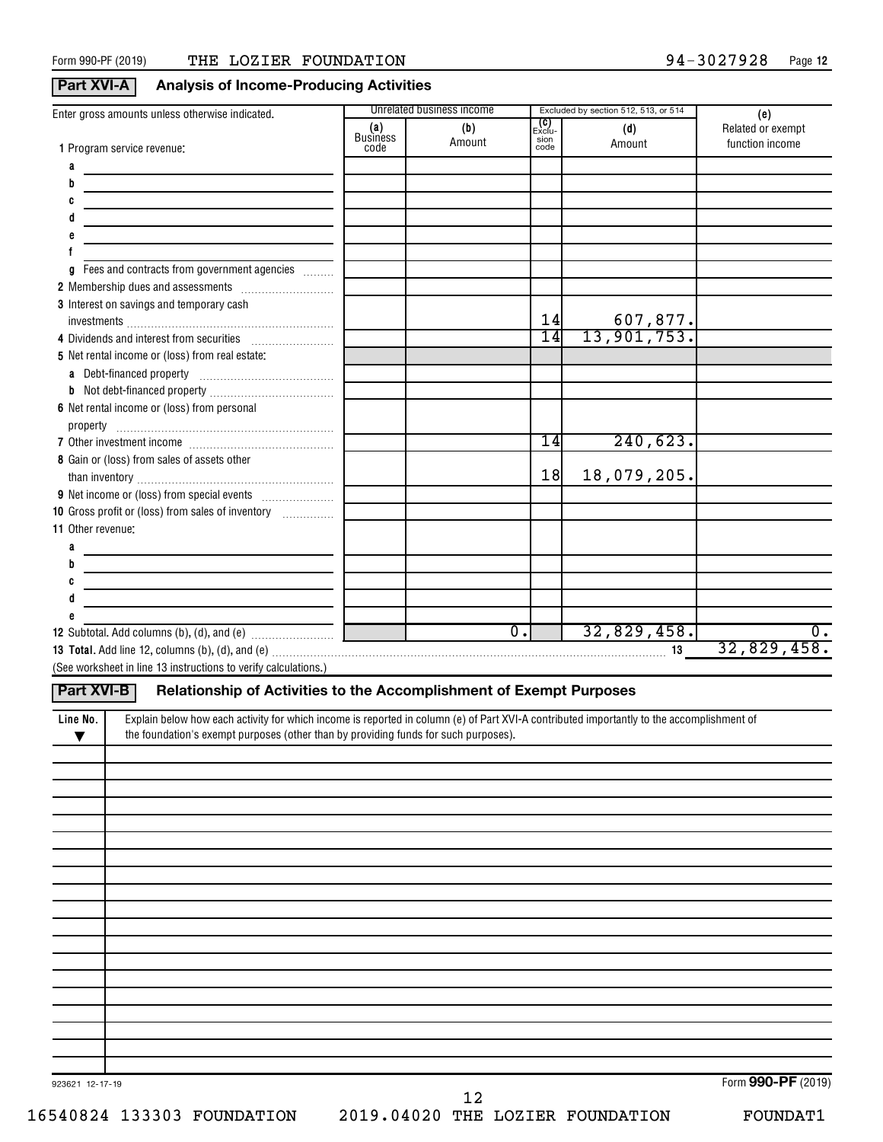### **Part XVI-A Analysis of Income-Producing Activities**

| Enter gross amounts unless otherwise indicated.                                                                                                       |                         | Unrelated business income                                          |                      | Excluded by section 512, 513, or 514 | (e)               |
|-------------------------------------------------------------------------------------------------------------------------------------------------------|-------------------------|--------------------------------------------------------------------|----------------------|--------------------------------------|-------------------|
|                                                                                                                                                       | (a)                     | (b)                                                                | <b>(C)</b><br>Exclu- | (d)                                  | Related or exempt |
| 1 Program service revenue:                                                                                                                            | <b>Business</b><br>code | Amount                                                             | sion<br>code         | Amount                               | function income   |
| a                                                                                                                                                     |                         |                                                                    |                      |                                      |                   |
| b                                                                                                                                                     |                         |                                                                    |                      |                                      |                   |
| C                                                                                                                                                     |                         |                                                                    |                      |                                      |                   |
|                                                                                                                                                       |                         |                                                                    |                      |                                      |                   |
|                                                                                                                                                       |                         |                                                                    |                      |                                      |                   |
|                                                                                                                                                       |                         |                                                                    |                      |                                      |                   |
| Fees and contracts from government agencies<br>a                                                                                                      |                         |                                                                    |                      |                                      |                   |
|                                                                                                                                                       |                         |                                                                    |                      |                                      |                   |
| 3 Interest on savings and temporary cash                                                                                                              |                         |                                                                    |                      |                                      |                   |
|                                                                                                                                                       |                         |                                                                    | 14                   |                                      |                   |
| 4 Dividends and interest from securities                                                                                                              |                         |                                                                    | $\overline{14}$      | $\frac{607,877.}{13,901,753.}$       |                   |
| 5 Net rental income or (loss) from real estate:                                                                                                       |                         |                                                                    |                      |                                      |                   |
|                                                                                                                                                       |                         |                                                                    |                      |                                      |                   |
|                                                                                                                                                       |                         |                                                                    |                      |                                      |                   |
| 6 Net rental income or (loss) from personal                                                                                                           |                         |                                                                    |                      |                                      |                   |
|                                                                                                                                                       |                         |                                                                    |                      |                                      |                   |
|                                                                                                                                                       |                         |                                                                    | 14                   | 240,623.                             |                   |
| 8 Gain or (loss) from sales of assets other                                                                                                           |                         |                                                                    |                      |                                      |                   |
|                                                                                                                                                       |                         |                                                                    | 18                   | 18,079,205.                          |                   |
|                                                                                                                                                       |                         |                                                                    |                      |                                      |                   |
| 10 Gross profit or (loss) from sales of inventory                                                                                                     |                         |                                                                    |                      |                                      |                   |
| 11 Other revenue:                                                                                                                                     |                         |                                                                    |                      |                                      |                   |
| a                                                                                                                                                     |                         |                                                                    |                      |                                      |                   |
| b                                                                                                                                                     |                         |                                                                    |                      |                                      |                   |
| C                                                                                                                                                     |                         |                                                                    |                      |                                      |                   |
|                                                                                                                                                       |                         |                                                                    |                      |                                      |                   |
|                                                                                                                                                       |                         |                                                                    |                      |                                      |                   |
|                                                                                                                                                       |                         | $\overline{\mathfrak{o}}$ .<br>the contract of the contract of the |                      | 32,829,458.                          | $\overline{0}$ .  |
|                                                                                                                                                       |                         |                                                                    |                      |                                      | 32,829,458.       |
| (See worksheet in line 13 instructions to verify calculations.)                                                                                       |                         |                                                                    |                      |                                      |                   |
| Part XVI-B<br>Relationship of Activities to the Accomplishment of Exempt Purposes                                                                     |                         |                                                                    |                      |                                      |                   |
|                                                                                                                                                       |                         |                                                                    |                      |                                      |                   |
| Explain below how each activity for which income is reported in column (e) of Part XVI-A contributed importantly to the accomplishment of<br>Line No. |                         |                                                                    |                      |                                      |                   |
| the foundation's exempt purposes (other than by providing funds for such purposes).<br>▼                                                              |                         |                                                                    |                      |                                      |                   |
|                                                                                                                                                       |                         |                                                                    |                      |                                      |                   |
|                                                                                                                                                       |                         |                                                                    |                      |                                      |                   |
|                                                                                                                                                       |                         |                                                                    |                      |                                      |                   |
|                                                                                                                                                       |                         |                                                                    |                      |                                      |                   |
|                                                                                                                                                       |                         |                                                                    |                      |                                      |                   |
|                                                                                                                                                       |                         |                                                                    |                      |                                      |                   |
|                                                                                                                                                       |                         |                                                                    |                      |                                      |                   |
|                                                                                                                                                       |                         |                                                                    |                      |                                      |                   |
|                                                                                                                                                       |                         |                                                                    |                      |                                      |                   |
|                                                                                                                                                       |                         |                                                                    |                      |                                      |                   |
|                                                                                                                                                       |                         |                                                                    |                      |                                      |                   |
|                                                                                                                                                       |                         |                                                                    |                      |                                      |                   |
|                                                                                                                                                       |                         |                                                                    |                      |                                      |                   |
|                                                                                                                                                       |                         |                                                                    |                      |                                      |                   |
|                                                                                                                                                       |                         |                                                                    |                      |                                      |                   |
|                                                                                                                                                       |                         |                                                                    |                      |                                      |                   |
|                                                                                                                                                       |                         |                                                                    |                      |                                      |                   |
|                                                                                                                                                       |                         |                                                                    |                      |                                      |                   |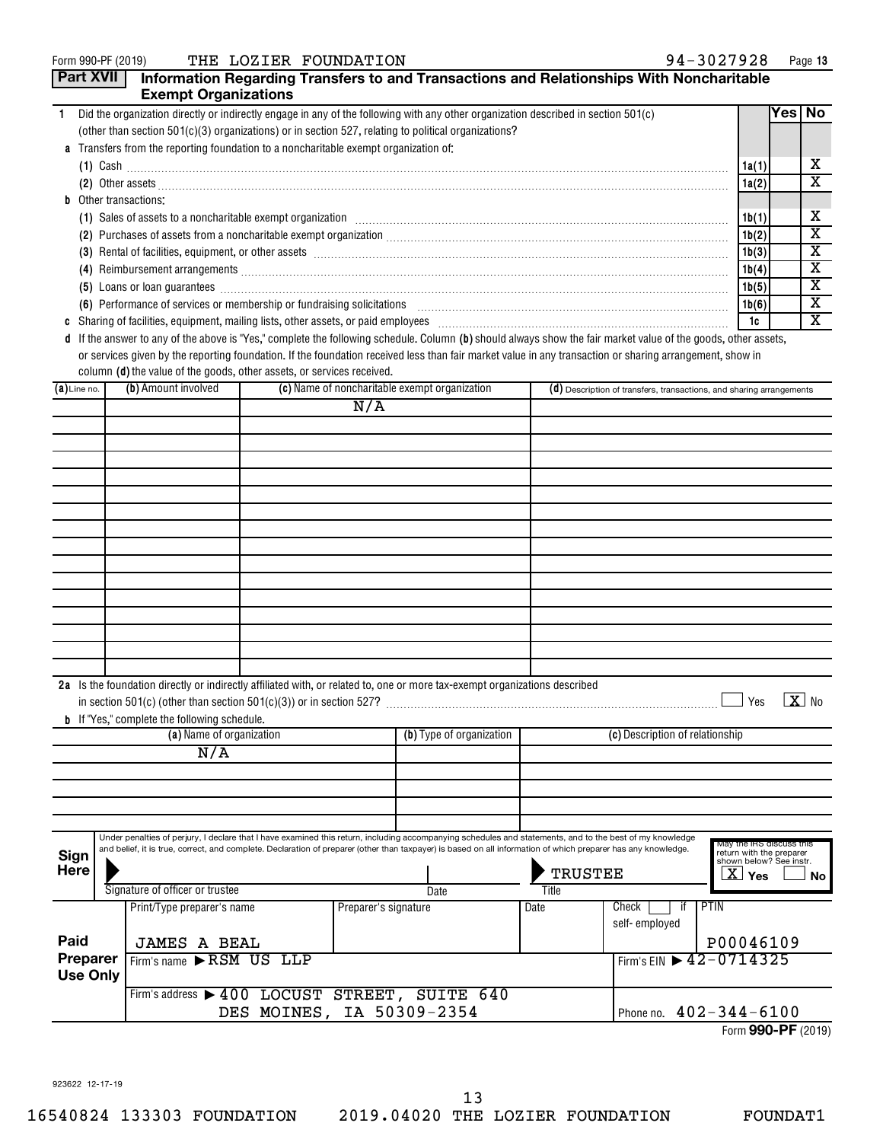|                     | <b>Part XVII</b>                                    | <b>Exempt Organizations</b>                                                        |  |                      |                                                                                                                                                                                                                                                                                                                           |                | Information Regarding Transfers to and Transactions and Relationships With Noncharitable                                                                                                                                            |                                                                           |        |          |
|---------------------|-----------------------------------------------------|------------------------------------------------------------------------------------|--|----------------------|---------------------------------------------------------------------------------------------------------------------------------------------------------------------------------------------------------------------------------------------------------------------------------------------------------------------------|----------------|-------------------------------------------------------------------------------------------------------------------------------------------------------------------------------------------------------------------------------------|---------------------------------------------------------------------------|--------|----------|
| $\mathbf{1}$        |                                                     |                                                                                    |  |                      | Did the organization directly or indirectly engage in any of the following with any other organization described in section 501(c)                                                                                                                                                                                        |                |                                                                                                                                                                                                                                     |                                                                           | Yes No |          |
|                     |                                                     |                                                                                    |  |                      | (other than section $501(c)(3)$ organizations) or in section 527, relating to political organizations?                                                                                                                                                                                                                    |                |                                                                                                                                                                                                                                     |                                                                           |        |          |
|                     |                                                     | Transfers from the reporting foundation to a noncharitable exempt organization of: |  |                      |                                                                                                                                                                                                                                                                                                                           |                |                                                                                                                                                                                                                                     |                                                                           |        |          |
|                     |                                                     |                                                                                    |  |                      |                                                                                                                                                                                                                                                                                                                           |                |                                                                                                                                                                                                                                     | 1a(1)                                                                     |        | х        |
|                     |                                                     |                                                                                    |  |                      |                                                                                                                                                                                                                                                                                                                           |                | (2) Other assets <b>construction and construction of the construction</b> of the construction of the construction of the construction of the construction of the construction of the construction of the construction of the constr | 1a(2)                                                                     |        | X        |
|                     |                                                     | Other transactions:                                                                |  |                      |                                                                                                                                                                                                                                                                                                                           |                |                                                                                                                                                                                                                                     |                                                                           |        |          |
|                     |                                                     |                                                                                    |  |                      |                                                                                                                                                                                                                                                                                                                           |                | (1) Sales of assets to a noncharitable exempt organization [11] Sales Content and Sales of assets to a noncharitable exempt organization [11] Sales of assets to a noncharitable exempt organization [11] $\sim$                    | 1b(1)                                                                     |        | х        |
|                     |                                                     |                                                                                    |  |                      |                                                                                                                                                                                                                                                                                                                           |                | (2) Purchases of assets from a noncharitable exempt organization [11] match material material material material material material material material material material material material material material material material ma      | 1b(2)                                                                     |        | х        |
|                     |                                                     |                                                                                    |  |                      |                                                                                                                                                                                                                                                                                                                           |                | (3) Rental of facilities, equipment, or other assets [1] rental material material material material material material material material material material material material material material material material material mater      | 1b(3)                                                                     |        | х        |
|                     |                                                     |                                                                                    |  |                      |                                                                                                                                                                                                                                                                                                                           |                |                                                                                                                                                                                                                                     | 1b(4)                                                                     |        | х        |
|                     |                                                     |                                                                                    |  |                      |                                                                                                                                                                                                                                                                                                                           |                | (5) Loans or loan guarantees <b>commissions</b> and a construction of the construction of the construction of the construction of the construction of the construction of the construction of the construction of the construction  | 1b(5)                                                                     |        | х        |
|                     |                                                     |                                                                                    |  |                      |                                                                                                                                                                                                                                                                                                                           |                | (6) Performance of services or membership or fundraising solicitations [11] manufacture material manufacture of services or membership or fundraising solicitations [11] manufacture material materials and the service of the      | 1b(6)                                                                     |        | х        |
|                     |                                                     |                                                                                    |  |                      |                                                                                                                                                                                                                                                                                                                           |                | c Sharing of facilities, equipment, mailing lists, other assets, or paid employees [11,11] [11] content that increase the set of facilities, equipment, mailing lists, other assets, or paid employees [11] [12] [12] content       | 1c                                                                        |        | х        |
|                     |                                                     |                                                                                    |  |                      |                                                                                                                                                                                                                                                                                                                           |                | d If the answer to any of the above is "Yes," complete the following schedule. Column (b) should always show the fair market value of the goods, other assets,                                                                      |                                                                           |        |          |
|                     |                                                     | column (d) the value of the goods, other assets, or services received.             |  |                      |                                                                                                                                                                                                                                                                                                                           |                | or services given by the reporting foundation. If the foundation received less than fair market value in any transaction or sharing arrangement, show in                                                                            |                                                                           |        |          |
| $(a)$ Line no.      |                                                     | (b) Amount involved                                                                |  |                      | (c) Name of noncharitable exempt organization                                                                                                                                                                                                                                                                             |                | (d) Description of transfers, transactions, and sharing arrangements                                                                                                                                                                |                                                                           |        |          |
|                     |                                                     |                                                                                    |  | N/A                  |                                                                                                                                                                                                                                                                                                                           |                |                                                                                                                                                                                                                                     |                                                                           |        |          |
|                     |                                                     |                                                                                    |  |                      |                                                                                                                                                                                                                                                                                                                           |                |                                                                                                                                                                                                                                     |                                                                           |        |          |
|                     |                                                     |                                                                                    |  |                      |                                                                                                                                                                                                                                                                                                                           |                |                                                                                                                                                                                                                                     |                                                                           |        |          |
|                     |                                                     |                                                                                    |  |                      |                                                                                                                                                                                                                                                                                                                           |                |                                                                                                                                                                                                                                     |                                                                           |        |          |
|                     |                                                     |                                                                                    |  |                      |                                                                                                                                                                                                                                                                                                                           |                |                                                                                                                                                                                                                                     |                                                                           |        |          |
|                     |                                                     |                                                                                    |  |                      |                                                                                                                                                                                                                                                                                                                           |                |                                                                                                                                                                                                                                     |                                                                           |        |          |
|                     |                                                     |                                                                                    |  |                      |                                                                                                                                                                                                                                                                                                                           |                |                                                                                                                                                                                                                                     |                                                                           |        |          |
|                     |                                                     |                                                                                    |  |                      |                                                                                                                                                                                                                                                                                                                           |                |                                                                                                                                                                                                                                     |                                                                           |        |          |
|                     |                                                     |                                                                                    |  |                      |                                                                                                                                                                                                                                                                                                                           |                |                                                                                                                                                                                                                                     |                                                                           |        |          |
|                     |                                                     |                                                                                    |  |                      |                                                                                                                                                                                                                                                                                                                           |                |                                                                                                                                                                                                                                     |                                                                           |        |          |
|                     |                                                     |                                                                                    |  |                      |                                                                                                                                                                                                                                                                                                                           |                |                                                                                                                                                                                                                                     |                                                                           |        |          |
|                     |                                                     |                                                                                    |  |                      |                                                                                                                                                                                                                                                                                                                           |                |                                                                                                                                                                                                                                     |                                                                           |        |          |
|                     |                                                     |                                                                                    |  |                      |                                                                                                                                                                                                                                                                                                                           |                |                                                                                                                                                                                                                                     |                                                                           |        |          |
|                     |                                                     |                                                                                    |  |                      |                                                                                                                                                                                                                                                                                                                           |                |                                                                                                                                                                                                                                     |                                                                           |        |          |
|                     |                                                     |                                                                                    |  |                      |                                                                                                                                                                                                                                                                                                                           |                |                                                                                                                                                                                                                                     |                                                                           |        |          |
|                     |                                                     |                                                                                    |  |                      |                                                                                                                                                                                                                                                                                                                           |                |                                                                                                                                                                                                                                     |                                                                           |        |          |
|                     |                                                     |                                                                                    |  |                      | 2a Is the foundation directly or indirectly affiliated with, or related to, one or more tax-exempt organizations described                                                                                                                                                                                                |                |                                                                                                                                                                                                                                     | Yes                                                                       |        | $ X $ No |
|                     |                                                     | <b>b</b> If "Yes," complete the following schedule.                                |  |                      |                                                                                                                                                                                                                                                                                                                           |                |                                                                                                                                                                                                                                     |                                                                           |        |          |
|                     |                                                     | (a) Name of organization                                                           |  |                      | (b) Type of organization                                                                                                                                                                                                                                                                                                  |                | (c) Description of relationship                                                                                                                                                                                                     |                                                                           |        |          |
|                     |                                                     | N/A                                                                                |  |                      |                                                                                                                                                                                                                                                                                                                           |                |                                                                                                                                                                                                                                     |                                                                           |        |          |
|                     |                                                     |                                                                                    |  |                      |                                                                                                                                                                                                                                                                                                                           |                |                                                                                                                                                                                                                                     |                                                                           |        |          |
|                     |                                                     |                                                                                    |  |                      |                                                                                                                                                                                                                                                                                                                           |                |                                                                                                                                                                                                                                     |                                                                           |        |          |
|                     |                                                     |                                                                                    |  |                      |                                                                                                                                                                                                                                                                                                                           |                |                                                                                                                                                                                                                                     |                                                                           |        |          |
|                     |                                                     |                                                                                    |  |                      |                                                                                                                                                                                                                                                                                                                           |                |                                                                                                                                                                                                                                     |                                                                           |        |          |
|                     |                                                     |                                                                                    |  |                      | Under penalties of perjury, I declare that I have examined this return, including accompanying schedules and statements, and to the best of my knowledge<br>and belief, it is true, correct, and complete. Declaration of preparer (other than taxpayer) is based on all information of which preparer has any knowledge. |                |                                                                                                                                                                                                                                     | May the IRS discuss this                                                  |        |          |
| Sign<br><b>Here</b> |                                                     |                                                                                    |  |                      |                                                                                                                                                                                                                                                                                                                           | <b>TRUSTEE</b> |                                                                                                                                                                                                                                     | return with the preparer<br>shown below? See instr.<br>$\overline{X}$ Yes |        | No       |
|                     |                                                     | Signature of officer or trustee                                                    |  |                      | Date                                                                                                                                                                                                                                                                                                                      | Title          |                                                                                                                                                                                                                                     |                                                                           |        |          |
|                     |                                                     | Print/Type preparer's name                                                         |  | Preparer's signature |                                                                                                                                                                                                                                                                                                                           | Date           | Check<br>PTIN<br>ा                                                                                                                                                                                                                  |                                                                           |        |          |
| Paid                |                                                     | <b>JAMES A BEAL</b>                                                                |  |                      |                                                                                                                                                                                                                                                                                                                           |                | self-employed                                                                                                                                                                                                                       | P00046109                                                                 |        |          |
| Preparer            |                                                     | Firm's name RSM US LLP                                                             |  |                      |                                                                                                                                                                                                                                                                                                                           |                | Firm's EIN 12-0714325                                                                                                                                                                                                               |                                                                           |        |          |
|                     | <b>Use Only</b>                                     |                                                                                    |  |                      |                                                                                                                                                                                                                                                                                                                           |                |                                                                                                                                                                                                                                     |                                                                           |        |          |
|                     |                                                     |                                                                                    |  |                      | Firm's address > 400 LOCUST STREET, SUITE 640                                                                                                                                                                                                                                                                             |                |                                                                                                                                                                                                                                     |                                                                           |        |          |
|                     | DES MOINES, IA 50309-2354<br>Phone no. 402-344-6100 |                                                                                    |  |                      |                                                                                                                                                                                                                                                                                                                           |                |                                                                                                                                                                                                                                     |                                                                           |        |          |

Form (2019) **990-PF**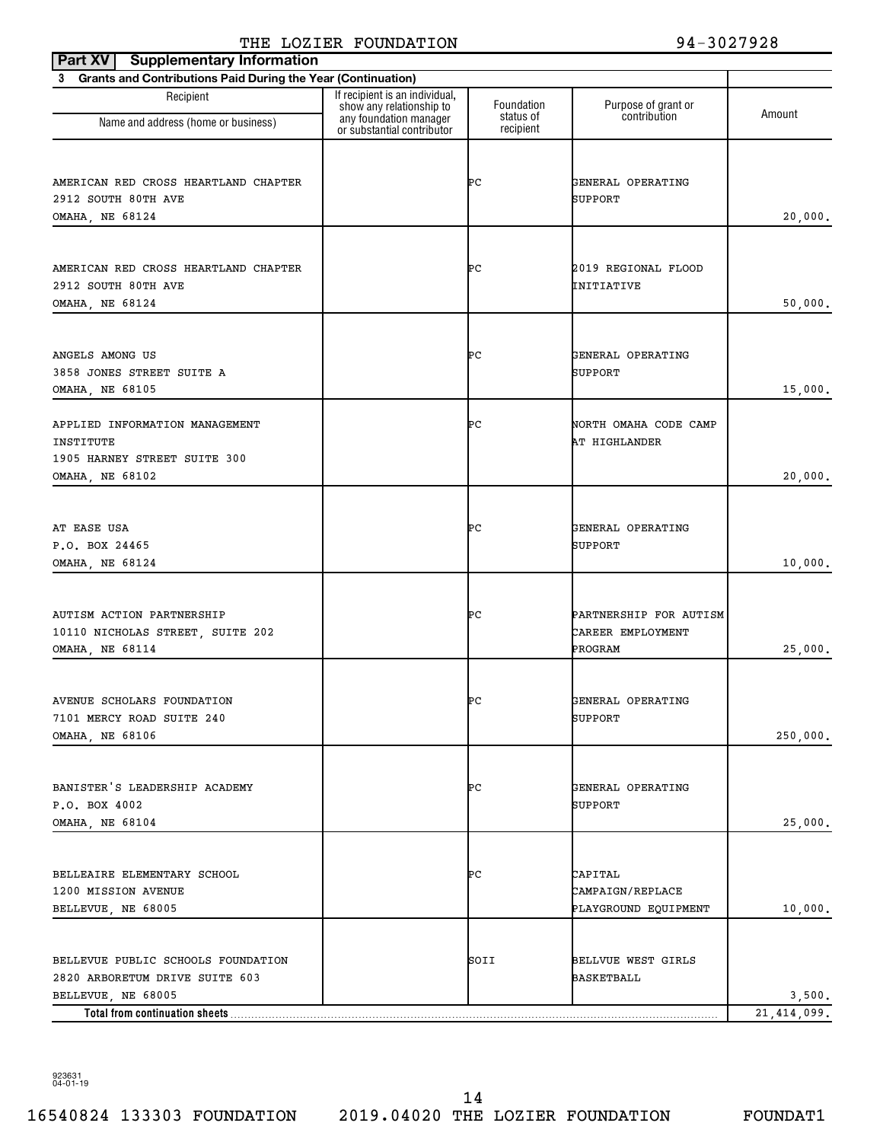| <b>Supplementary Information</b><br>Part XV                              |                                                                                      |                         |                                     |               |
|--------------------------------------------------------------------------|--------------------------------------------------------------------------------------|-------------------------|-------------------------------------|---------------|
| <b>Grants and Contributions Paid During the Year (Continuation)</b><br>3 |                                                                                      |                         |                                     |               |
| Recipient                                                                | If recipient is an individual,<br>show any relationship to<br>any foundation manager | Foundation<br>status of | Purpose of grant or<br>contribution | Amount        |
| Name and address (home or business)                                      | or substantial contributor                                                           | recipient               |                                     |               |
|                                                                          |                                                                                      |                         |                                     |               |
| AMERICAN RED CROSS HEARTLAND CHAPTER                                     |                                                                                      | ÞС                      | GENERAL OPERATING                   |               |
| 2912 SOUTH 80TH AVE                                                      |                                                                                      |                         | SUPPORT                             |               |
| OMAHA, NE 68124                                                          |                                                                                      |                         |                                     | 20,000.       |
|                                                                          |                                                                                      |                         |                                     |               |
| AMERICAN RED CROSS HEARTLAND CHAPTER                                     |                                                                                      | ÞС                      | 2019 REGIONAL FLOOD                 |               |
| 2912 SOUTH 80TH AVE                                                      |                                                                                      |                         | INITIATIVE                          |               |
| OMAHA, NE 68124                                                          |                                                                                      |                         |                                     | 50,000.       |
|                                                                          |                                                                                      |                         |                                     |               |
|                                                                          |                                                                                      |                         |                                     |               |
| ANGELS AMONG US                                                          |                                                                                      | ÞС                      | GENERAL OPERATING                   |               |
| 3858 JONES STREET SUITE A                                                |                                                                                      |                         | SUPPORT                             |               |
| OMAHA, NE 68105                                                          |                                                                                      |                         |                                     | 15,000.       |
| APPLIED INFORMATION MANAGEMENT                                           |                                                                                      | ÞС                      | NORTH OMAHA CODE CAMP               |               |
| INSTITUTE                                                                |                                                                                      |                         | AT HIGHLANDER                       |               |
| 1905 HARNEY STREET SUITE 300                                             |                                                                                      |                         |                                     |               |
| OMAHA, NE 68102                                                          |                                                                                      |                         |                                     | 20,000.       |
|                                                                          |                                                                                      |                         |                                     |               |
|                                                                          |                                                                                      |                         |                                     |               |
| AT EASE USA<br>P.O. BOX 24465                                            |                                                                                      | ÞС                      | GENERAL OPERATING<br>SUPPORT        |               |
| OMAHA, NE 68124                                                          |                                                                                      |                         |                                     | 10,000.       |
|                                                                          |                                                                                      |                         |                                     |               |
|                                                                          |                                                                                      |                         |                                     |               |
| AUTISM ACTION PARTNERSHIP                                                |                                                                                      | ÞС                      | PARTNERSHIP FOR AUTISM              |               |
| 10110 NICHOLAS STREET, SUITE 202                                         |                                                                                      |                         | CAREER EMPLOYMENT                   |               |
| OMAHA, NE 68114                                                          |                                                                                      |                         | PROGRAM                             | 25,000.       |
|                                                                          |                                                                                      |                         |                                     |               |
| AVENUE SCHOLARS FOUNDATION                                               |                                                                                      | ÞС                      | GENERAL OPERATING                   |               |
| 7101 MERCY ROAD SUITE 240                                                |                                                                                      |                         | SUPPORT                             |               |
| <b>OMAHA, NE 68106</b>                                                   |                                                                                      |                         |                                     | 250,000.      |
|                                                                          |                                                                                      |                         |                                     |               |
| BANISTER'S LEADERSHIP ACADEMY                                            |                                                                                      | ÞС                      | GENERAL OPERATING                   |               |
| P.O. BOX 4002                                                            |                                                                                      |                         | SUPPORT                             |               |
| OMAHA, NE 68104                                                          |                                                                                      |                         |                                     | 25,000.       |
|                                                                          |                                                                                      |                         |                                     |               |
|                                                                          |                                                                                      |                         |                                     |               |
| BELLEAIRE ELEMENTARY SCHOOL                                              |                                                                                      | ÞС                      | CAPITAL                             |               |
| 1200 MISSION AVENUE<br>BELLEVUE, NE 68005                                |                                                                                      |                         | CAMPAIGN/REPLACE                    | 10,000.       |
|                                                                          |                                                                                      |                         | PLAYGROUND EQUIPMENT                |               |
|                                                                          |                                                                                      |                         |                                     |               |
| BELLEVUE PUBLIC SCHOOLS FOUNDATION                                       |                                                                                      | SOII                    | <b>BELLVUE WEST GIRLS</b>           |               |
| 2820 ARBORETUM DRIVE SUITE 603                                           |                                                                                      |                         | BASKETBALL                          |               |
| BELLEVUE, NE 68005                                                       |                                                                                      |                         |                                     | 3,500.        |
| Total from continuation sheets                                           |                                                                                      |                         |                                     | 21, 414, 099. |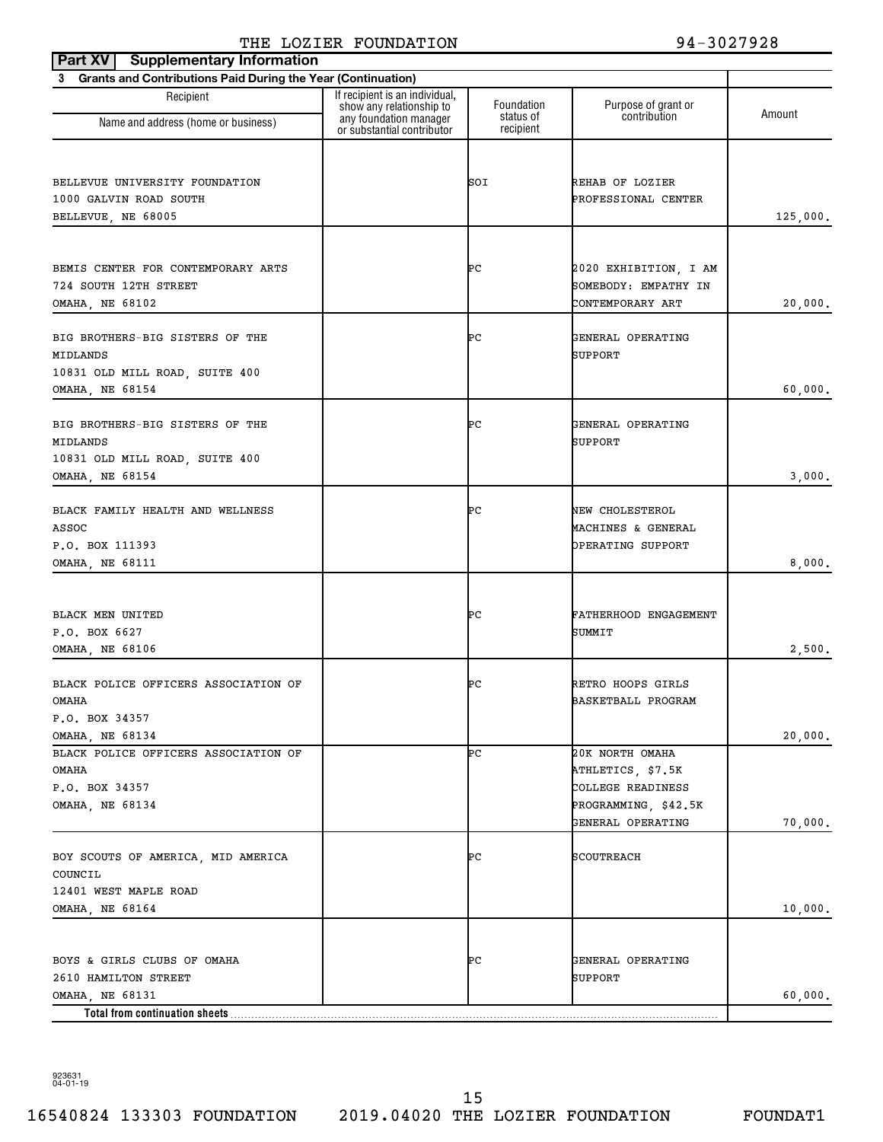| <b>Supplementary Information</b><br>Part XV                    |                                                                                      |                         |                                           |          |
|----------------------------------------------------------------|--------------------------------------------------------------------------------------|-------------------------|-------------------------------------------|----------|
| 3 Grants and Contributions Paid During the Year (Continuation) |                                                                                      |                         |                                           |          |
| Recipient                                                      | If recipient is an individual,<br>show any relationship to<br>any foundation manager | Foundation<br>status of | Purpose of grant or<br>contribution       | Amount   |
| Name and address (home or business)                            | or substantial contributor                                                           | recipient               |                                           |          |
| BELLEVUE UNIVERSITY FOUNDATION                                 |                                                                                      | SOI                     | REHAB OF LOZIER                           |          |
| 1000 GALVIN ROAD SOUTH                                         |                                                                                      |                         | PROFESSIONAL CENTER                       |          |
| BELLEVUE, NE 68005                                             |                                                                                      |                         |                                           | 125,000. |
|                                                                |                                                                                      |                         |                                           |          |
| BEMIS CENTER FOR CONTEMPORARY ARTS                             |                                                                                      | ÞС                      | 2020 EXHIBITION, I AM                     |          |
| 724 SOUTH 12TH STREET                                          |                                                                                      |                         | SOMEBODY: EMPATHY IN                      |          |
| OMAHA, NE 68102                                                |                                                                                      |                         | CONTEMPORARY ART                          | 20,000.  |
| BIG BROTHERS-BIG SISTERS OF THE<br>MIDLANDS                    |                                                                                      | ÞС                      | GENERAL OPERATING<br>SUPPORT              |          |
| 10831 OLD MILL ROAD, SUITE 400                                 |                                                                                      |                         |                                           |          |
| OMAHA, NE 68154                                                |                                                                                      |                         |                                           | 60,000.  |
| BIG BROTHERS-BIG SISTERS OF THE<br>MIDLANDS                    |                                                                                      | ÞС                      | GENERAL OPERATING<br>SUPPORT              |          |
| 10831 OLD MILL ROAD, SUITE 400<br>OMAHA, NE 68154              |                                                                                      |                         |                                           | 3,000.   |
|                                                                |                                                                                      |                         |                                           |          |
| BLACK FAMILY HEALTH AND WELLNESS<br>ASSOC                      |                                                                                      | ÞС                      | NEW CHOLESTEROL<br>MACHINES & GENERAL     |          |
| P.O. BOX 111393                                                |                                                                                      |                         | OPERATING SUPPORT                         |          |
| OMAHA, NE 68111                                                |                                                                                      |                         |                                           | 8,000.   |
|                                                                |                                                                                      |                         |                                           |          |
| BLACK MEN UNITED                                               |                                                                                      | ÞС                      | FATHERHOOD ENGAGEMENT                     |          |
| P.O. BOX 6627                                                  |                                                                                      |                         | SUMMIT                                    |          |
| OMAHA, NE 68106                                                |                                                                                      |                         |                                           | 2,500.   |
| BLACK POLICE OFFICERS ASSOCIATION OF                           |                                                                                      | ÞС                      | RETRO HOOPS GIRLS                         |          |
| OMAHA                                                          |                                                                                      |                         | BASKETBALL PROGRAM                        |          |
| P.O. BOX 34357                                                 |                                                                                      |                         |                                           |          |
| <b>OMAHA, NE 68134</b>                                         |                                                                                      |                         |                                           | 20,000.  |
| BLACK POLICE OFFICERS ASSOCIATION OF                           |                                                                                      | ÞС                      | 20K NORTH OMAHA                           |          |
| OMAHA                                                          |                                                                                      |                         | ATHLETICS, \$7.5K                         |          |
| P.O. BOX 34357                                                 |                                                                                      |                         | COLLEGE READINESS                         |          |
| <b>OMAHA, NE 68134</b>                                         |                                                                                      |                         | PROGRAMMING, \$42.5K<br>GENERAL OPERATING | 70,000.  |
|                                                                |                                                                                      |                         |                                           |          |
| BOY SCOUTS OF AMERICA, MID AMERICA                             |                                                                                      | ÞС                      | SCOUTREACH                                |          |
| COUNCIL                                                        |                                                                                      |                         |                                           |          |
| 12401 WEST MAPLE ROAD                                          |                                                                                      |                         |                                           |          |
| OMAHA, NE 68164                                                |                                                                                      |                         |                                           | 10,000.  |
|                                                                |                                                                                      |                         |                                           |          |
| BOYS & GIRLS CLUBS OF OMAHA                                    |                                                                                      | ÞС                      | GENERAL OPERATING                         |          |
| 2610 HAMILTON STREET                                           |                                                                                      |                         | SUPPORT                                   |          |
| OMAHA, NE 68131                                                |                                                                                      |                         |                                           | 60,000.  |
|                                                                |                                                                                      |                         |                                           |          |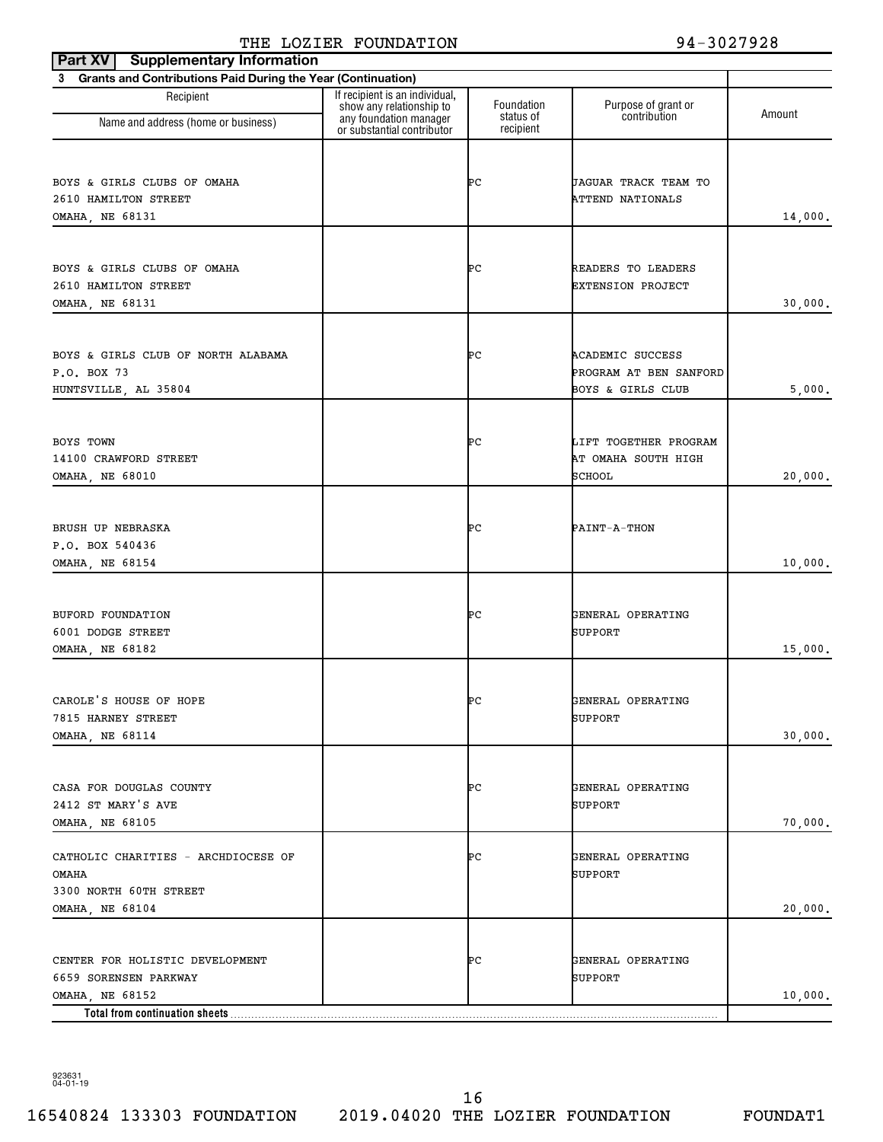| <b>Supplementary Information</b><br>Part XV                                               |                                                                                      |                         |                                                                        |         |
|-------------------------------------------------------------------------------------------|--------------------------------------------------------------------------------------|-------------------------|------------------------------------------------------------------------|---------|
| 3 Grants and Contributions Paid During the Year (Continuation)                            |                                                                                      |                         |                                                                        |         |
| Recipient<br>Name and address (home or business)                                          | If recipient is an individual,<br>show any relationship to<br>any foundation manager | Foundation<br>status of | Purpose of grant or<br>contribution                                    | Amount  |
|                                                                                           | or substantial contributor                                                           | recipient               |                                                                        |         |
| BOYS & GIRLS CLUBS OF OMAHA<br>2610 HAMILTON STREET                                       |                                                                                      | ÞС                      | JAGUAR TRACK TEAM TO<br><b>ATTEND NATIONALS</b>                        |         |
| OMAHA, NE 68131                                                                           |                                                                                      |                         |                                                                        | 14,000. |
| BOYS & GIRLS CLUBS OF OMAHA<br>2610 HAMILTON STREET<br>OMAHA, NE 68131                    |                                                                                      | ÞС                      | READERS TO LEADERS<br><b>EXTENSION PROJECT</b>                         | 30,000. |
| BOYS & GIRLS CLUB OF NORTH ALABAMA<br>P.O. BOX 73<br>HUNTSVILLE, AL 35804                 |                                                                                      | ÞС                      | <b>ACADEMIC SUCCESS</b><br>PROGRAM AT BEN SANFORD<br>BOYS & GIRLS CLUB | 5,000.  |
| BOYS TOWN<br>14100 CRAWFORD STREET<br>OMAHA, NE 68010                                     |                                                                                      | ÞС                      | LIFT TOGETHER PROGRAM<br>AT OMAHA SOUTH HIGH<br>SCHOOL                 | 20,000. |
| BRUSH UP NEBRASKA<br>P.O. BOX 540436<br>OMAHA, NE 68154                                   |                                                                                      | ÞС                      | PAINT-A-THON                                                           | 10,000. |
| BUFORD FOUNDATION<br>6001 DODGE STREET<br>OMAHA, NE 68182                                 |                                                                                      | ÞС                      | GENERAL OPERATING<br><b>SUPPORT</b>                                    | 15,000. |
| CAROLE'S HOUSE OF HOPE<br>7815 HARNEY STREET<br>OMAHA, NE 68114                           |                                                                                      | ÞС                      | GENERAL OPERATING<br><b>SUPPORT</b>                                    | 30,000. |
| CASA FOR DOUGLAS COUNTY<br>2412 ST MARY'S AVE<br>OMAHA, NE 68105                          |                                                                                      | ÞС                      | GENERAL OPERATING<br>SUPPORT                                           | 70,000. |
| CATHOLIC CHARITIES - ARCHDIOCESE OF<br>OMAHA<br>3300 NORTH 60TH STREET<br>OMAHA, NE 68104 |                                                                                      | ÞС                      | GENERAL OPERATING<br>SUPPORT                                           | 20,000. |
| CENTER FOR HOLISTIC DEVELOPMENT<br>6659 SORENSEN PARKWAY<br>OMAHA, NE 68152               |                                                                                      | ÞС                      | GENERAL OPERATING<br><b>SUPPORT</b>                                    | 10,000. |
| Total from continuation sheets                                                            |                                                                                      |                         |                                                                        |         |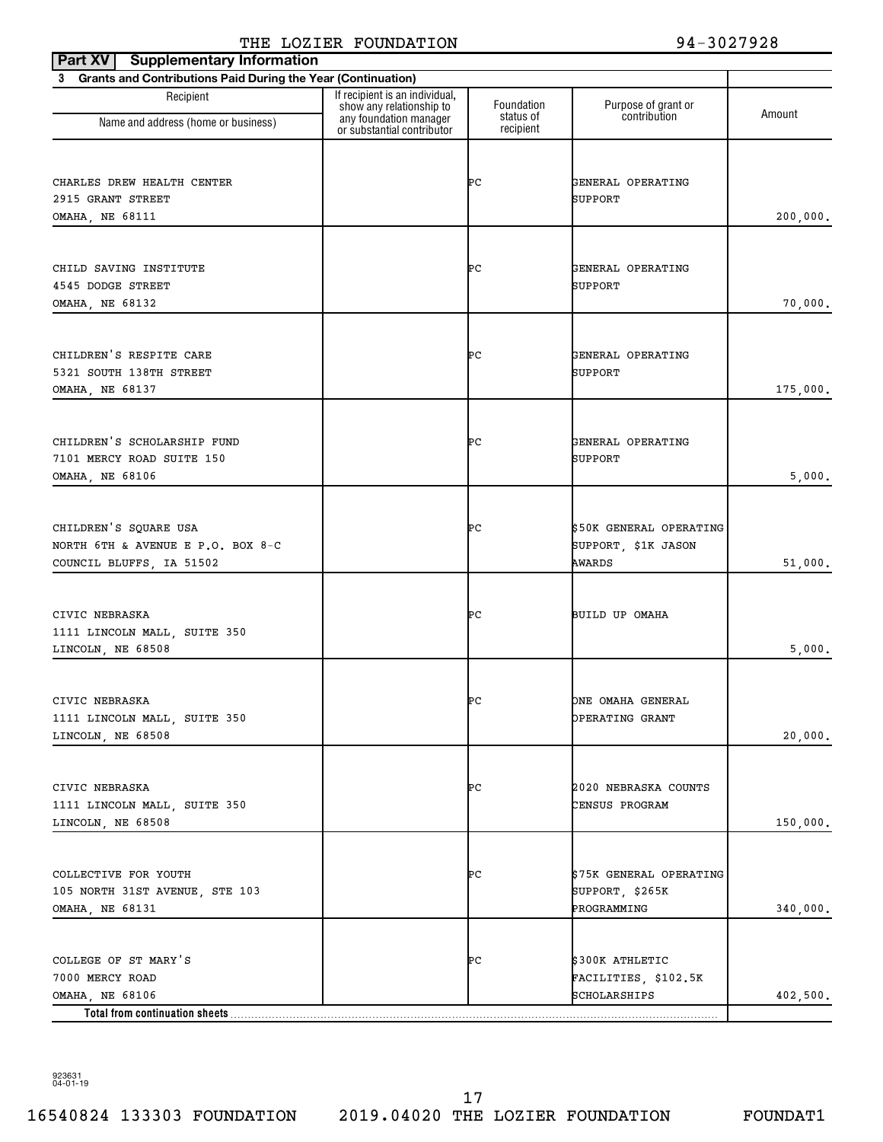| Part XV   Supplementary Information                                                          |                                                            |                         |                                                           |          |
|----------------------------------------------------------------------------------------------|------------------------------------------------------------|-------------------------|-----------------------------------------------------------|----------|
| 3 Grants and Contributions Paid During the Year (Continuation)                               |                                                            |                         |                                                           |          |
| Recipient                                                                                    | If recipient is an individual,<br>show any relationship to | Foundation<br>status of | Purpose of grant or<br>contribution                       | Amount   |
| Name and address (home or business)                                                          | any foundation manager<br>or substantial contributor       | recipient               |                                                           |          |
| CHARLES DREW HEALTH CENTER<br>2915 GRANT STREET<br><b>OMAHA, NE 68111</b>                    |                                                            | ÞС                      | GENERAL OPERATING<br>SUPPORT                              | 200,000. |
| CHILD SAVING INSTITUTE<br>4545 DODGE STREET<br>OMAHA, NE 68132                               |                                                            | ÞС                      | GENERAL OPERATING<br>SUPPORT                              | 70,000.  |
| CHILDREN'S RESPITE CARE<br>5321 SOUTH 138TH STREET<br>OMAHA, NE 68137                        |                                                            | ÞС                      | GENERAL OPERATING<br>SUPPORT                              | 175,000. |
| CHILDREN'S SCHOLARSHIP FUND<br>7101 MERCY ROAD SUITE 150<br>OMAHA, NE 68106                  |                                                            | ÞС                      | GENERAL OPERATING<br>SUPPORT                              | 5,000.   |
| CHILDREN'S SQUARE USA<br>NORTH 6TH & AVENUE E P.O. BOX 8-C<br>COUNCIL BLUFFS, IA 51502       |                                                            | ÞС                      | \$50K GENERAL OPERATING<br>SUPPORT, \$1K JASON<br>AWARDS  | 51,000.  |
| CIVIC NEBRASKA<br>1111 LINCOLN MALL, SUITE 350<br>LINCOLN, NE 68508                          |                                                            | ÞС                      | BUILD UP OMAHA                                            | 5,000.   |
| CIVIC NEBRASKA<br>1111 LINCOLN MALL, SUITE 350<br>LINCOLN, NE 68508                          |                                                            | ۳C                      | ONE OMAHA GENERAL<br>OPERATING GRANT                      | 20,000.  |
| CIVIC NEBRASKA<br>1111 LINCOLN MALL, SUITE 350<br>LINCOLN, NE 68508                          |                                                            | ÞС                      | 2020 NEBRASKA COUNTS<br>CENSUS PROGRAM                    | 150,000. |
| COLLECTIVE FOR YOUTH<br>105 NORTH 31ST AVENUE, STE 103<br>OMAHA, NE 68131                    |                                                            | ÞС                      | \$75K GENERAL OPERATING<br>SUPPORT, \$265K<br>PROGRAMMING | 340,000. |
| COLLEGE OF ST MARY'S<br>7000 MERCY ROAD<br>OMAHA, NE 68106<br>Total from continuation sheets |                                                            | ÞС                      | \$300K ATHLETIC<br>FACILITIES, \$102.5K<br>SCHOLARSHIPS   | 402,500. |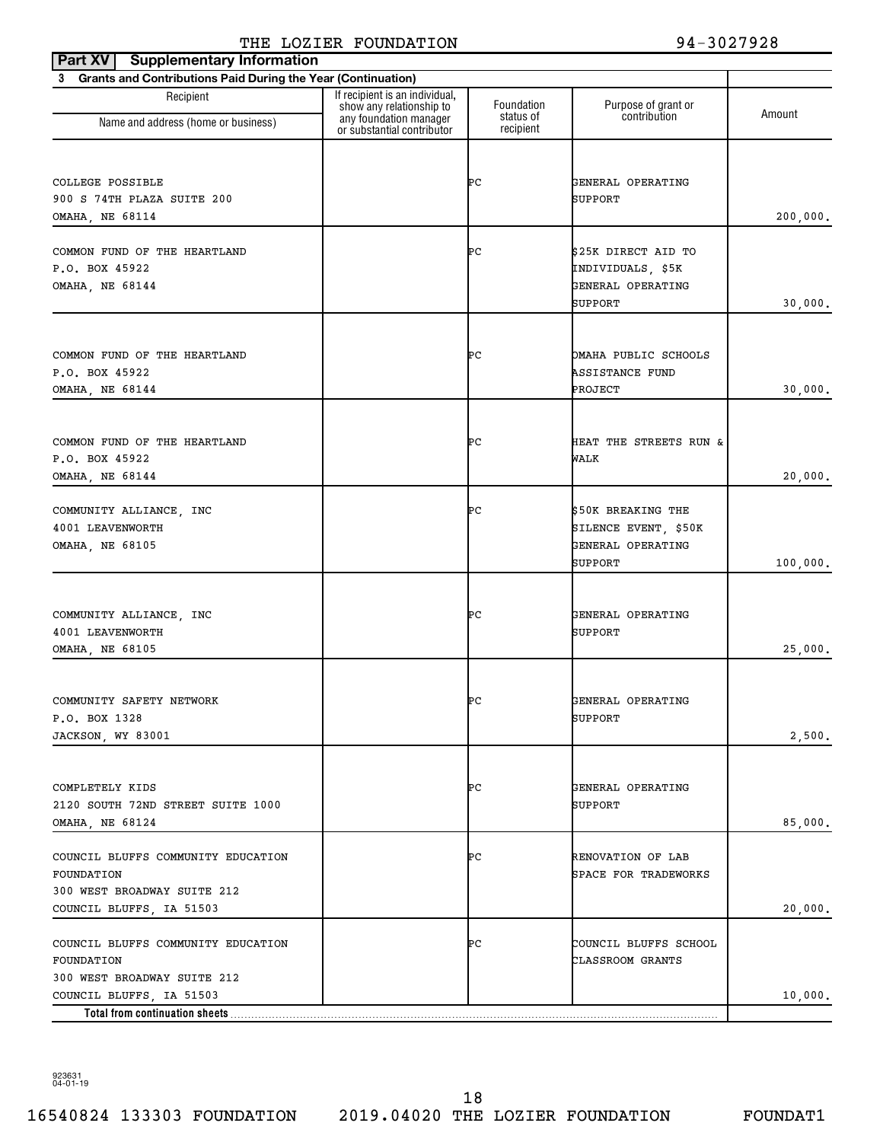| <b>Supplementary Information</b><br>Part XV                    |                                                                                      |                         |                                            |          |
|----------------------------------------------------------------|--------------------------------------------------------------------------------------|-------------------------|--------------------------------------------|----------|
| 3 Grants and Contributions Paid During the Year (Continuation) |                                                                                      |                         |                                            |          |
| Recipient                                                      | If recipient is an individual,<br>show any relationship to<br>any foundation manager | Foundation<br>status of | Purpose of grant or<br>contribution        | Amount   |
| Name and address (home or business)                            | or substantial contributor                                                           | recipient               |                                            |          |
|                                                                |                                                                                      |                         |                                            |          |
| COLLEGE POSSIBLE                                               |                                                                                      | ÞС                      | GENERAL OPERATING                          |          |
| 900 S 74TH PLAZA SUITE 200                                     |                                                                                      |                         | SUPPORT                                    |          |
| <b>OMAHA, NE 68114</b>                                         |                                                                                      |                         |                                            | 200,000. |
| COMMON FUND OF THE HEARTLAND                                   |                                                                                      | ÞС                      | \$25K DIRECT AID TO                        |          |
| P.O. BOX 45922                                                 |                                                                                      |                         | INDIVIDUALS, \$5K                          |          |
| OMAHA, NE 68144                                                |                                                                                      |                         | GENERAL OPERATING                          |          |
|                                                                |                                                                                      |                         | SUPPORT                                    | 30,000.  |
|                                                                |                                                                                      |                         |                                            |          |
| COMMON FUND OF THE HEARTLAND                                   |                                                                                      | ÞС                      | OMAHA PUBLIC SCHOOLS                       |          |
| P.O. BOX 45922                                                 |                                                                                      |                         | <b>ASSISTANCE FUND</b>                     |          |
| <b>OMAHA, NE 68144</b>                                         |                                                                                      |                         | PROJECT                                    | 30,000.  |
|                                                                |                                                                                      |                         |                                            |          |
| COMMON FUND OF THE HEARTLAND                                   |                                                                                      | ÞС                      | HEAT THE STREETS RUN &                     |          |
| P.O. BOX 45922                                                 |                                                                                      |                         | WALK                                       |          |
| OMAHA, NE 68144                                                |                                                                                      |                         |                                            | 20,000.  |
|                                                                |                                                                                      |                         |                                            |          |
| COMMUNITY ALLIANCE, INC<br>4001 LEAVENWORTH                    |                                                                                      | ÞС                      | \$50K BREAKING THE<br>SILENCE EVENT, \$50K |          |
| OMAHA, NE 68105                                                |                                                                                      |                         | GENERAL OPERATING                          |          |
|                                                                |                                                                                      |                         | SUPPORT                                    | 100,000. |
|                                                                |                                                                                      |                         |                                            |          |
| COMMUNITY ALLIANCE, INC                                        |                                                                                      | ÞС                      | GENERAL OPERATING                          |          |
| 4001 LEAVENWORTH                                               |                                                                                      |                         | SUPPORT                                    |          |
| OMAHA, NE 68105                                                |                                                                                      |                         |                                            | 25,000.  |
|                                                                |                                                                                      |                         |                                            |          |
| COMMUNITY SAFETY NETWORK                                       |                                                                                      | ÞС                      | GENERAL OPERATING                          |          |
| P.O. BOX 1328                                                  |                                                                                      |                         | SUPPORT                                    |          |
| JACKSON, WY 83001                                              |                                                                                      |                         |                                            | 2,500.   |
|                                                                |                                                                                      |                         |                                            |          |
| COMPLETELY KIDS                                                |                                                                                      | ÞС                      | GENERAL OPERATING                          |          |
| 2120 SOUTH 72ND STREET SUITE 1000                              |                                                                                      |                         | SUPPORT                                    |          |
| OMAHA, NE 68124                                                |                                                                                      |                         |                                            | 85,000.  |
| COUNCIL BLUFFS COMMUNITY EDUCATION                             |                                                                                      | ÞС                      | <b>RENOVATION OF LAB</b>                   |          |
| FOUNDATION                                                     |                                                                                      |                         | SPACE FOR TRADEWORKS                       |          |
| 300 WEST BROADWAY SUITE 212                                    |                                                                                      |                         |                                            |          |
| COUNCIL BLUFFS, IA 51503                                       |                                                                                      |                         |                                            | 20,000.  |
| COUNCIL BLUFFS COMMUNITY EDUCATION                             |                                                                                      | ÞС                      | COUNCIL BLUFFS SCHOOL                      |          |
| FOUNDATION                                                     |                                                                                      |                         | CLASSROOM GRANTS                           |          |
| 300 WEST BROADWAY SUITE 212                                    |                                                                                      |                         |                                            |          |
| COUNCIL BLUFFS, IA 51503                                       |                                                                                      |                         |                                            | 10,000.  |
| Total from continuation sheets                                 |                                                                                      |                         |                                            |          |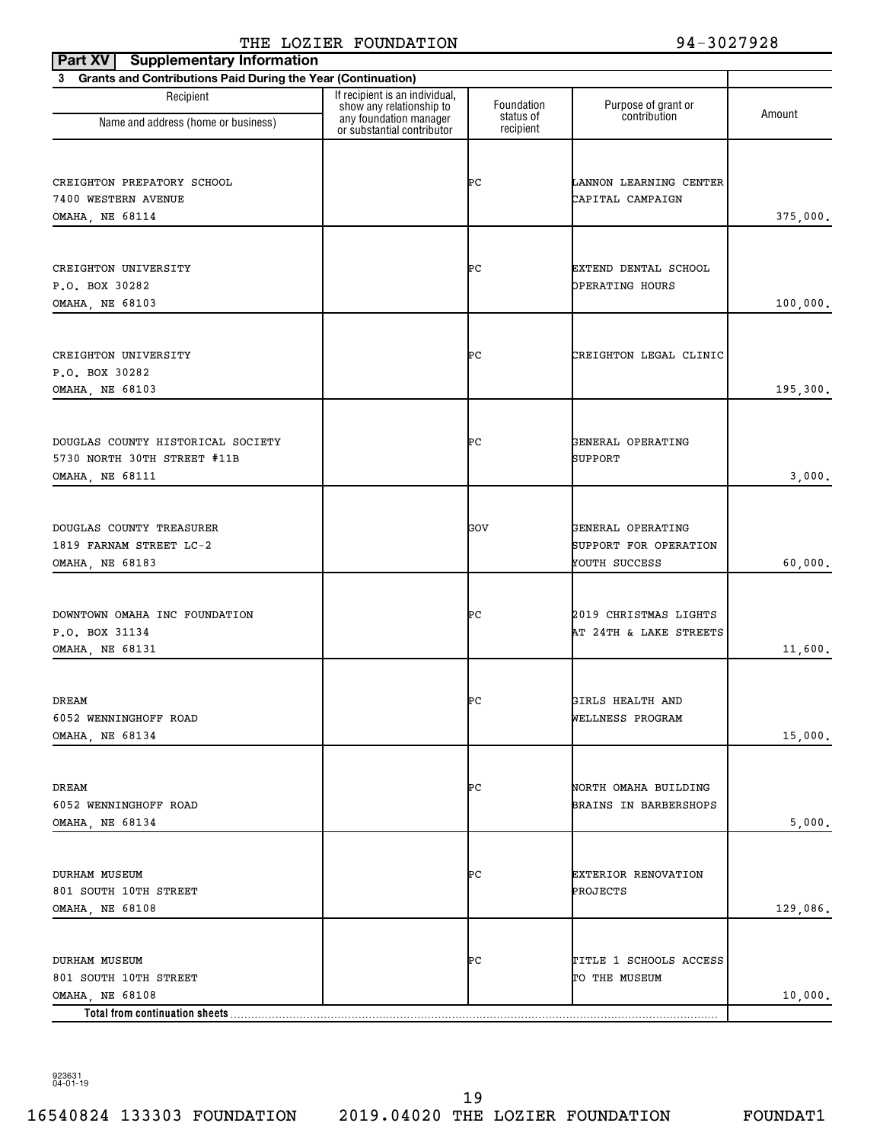| <b>Supplementary Information</b><br>Part XV                    |                                                                                      |                         |                                     |          |
|----------------------------------------------------------------|--------------------------------------------------------------------------------------|-------------------------|-------------------------------------|----------|
| 3 Grants and Contributions Paid During the Year (Continuation) |                                                                                      |                         |                                     |          |
| Recipient<br>Name and address (home or business)               | If recipient is an individual,<br>show any relationship to<br>any foundation manager | Foundation<br>status of | Purpose of grant or<br>contribution | Amount   |
|                                                                | or substantial contributor                                                           | recipient               |                                     |          |
|                                                                |                                                                                      |                         |                                     |          |
| CREIGHTON PREPATORY SCHOOL                                     |                                                                                      | ÞС                      | LANNON LEARNING CENTER              |          |
| 7400 WESTERN AVENUE                                            |                                                                                      |                         | CAPITAL CAMPAIGN                    |          |
| <b>OMAHA, NE 68114</b>                                         |                                                                                      |                         |                                     | 375,000. |
|                                                                |                                                                                      |                         |                                     |          |
| CREIGHTON UNIVERSITY                                           |                                                                                      | ÞС                      | EXTEND DENTAL SCHOOL                |          |
| P.O. BOX 30282                                                 |                                                                                      |                         | OPERATING HOURS                     |          |
| OMAHA, NE 68103                                                |                                                                                      |                         |                                     | 100,000. |
|                                                                |                                                                                      |                         |                                     |          |
| CREIGHTON UNIVERSITY                                           |                                                                                      | ÞС                      | CREIGHTON LEGAL CLINIC              |          |
| P.O. BOX 30282                                                 |                                                                                      |                         |                                     |          |
| <b>OMAHA, NE 68103</b>                                         |                                                                                      |                         |                                     | 195,300. |
|                                                                |                                                                                      |                         |                                     |          |
| DOUGLAS COUNTY HISTORICAL SOCIETY                              |                                                                                      | ÞС                      | GENERAL OPERATING                   |          |
| 5730 NORTH 30TH STREET #11B                                    |                                                                                      |                         | SUPPORT                             |          |
| OMAHA, NE 68111                                                |                                                                                      |                         |                                     | 3,000.   |
|                                                                |                                                                                      |                         |                                     |          |
| DOUGLAS COUNTY TREASURER                                       |                                                                                      | GOV                     | GENERAL OPERATING                   |          |
| 1819 FARNAM STREET LC-2                                        |                                                                                      |                         | SUPPORT FOR OPERATION               |          |
| OMAHA, NE 68183                                                |                                                                                      |                         | YOUTH SUCCESS                       | 60,000.  |
|                                                                |                                                                                      |                         |                                     |          |
| DOWNTOWN OMAHA INC FOUNDATION                                  |                                                                                      | ÞС                      | 2019 CHRISTMAS LIGHTS               |          |
| P.O. BOX 31134                                                 |                                                                                      |                         | AT 24TH & LAKE STREETS              |          |
| OMAHA, NE 68131                                                |                                                                                      |                         |                                     | 11,600.  |
|                                                                |                                                                                      |                         |                                     |          |
| DREAM                                                          |                                                                                      | ÞС                      | GIRLS HEALTH AND                    |          |
| 6052 WENNINGHOFF ROAD                                          |                                                                                      |                         | WELLNESS PROGRAM                    |          |
| OMAHA, NE 68134                                                |                                                                                      |                         |                                     | 15,000.  |
|                                                                |                                                                                      |                         |                                     |          |
| DREAM                                                          |                                                                                      | ÞС                      | NORTH OMAHA BUILDING                |          |
| 6052 WENNINGHOFF ROAD                                          |                                                                                      |                         | BRAINS IN BARBERSHOPS               |          |
| OMAHA, NE 68134                                                |                                                                                      |                         |                                     | 5,000.   |
|                                                                |                                                                                      |                         |                                     |          |
| <b>DURHAM MUSEUM</b>                                           |                                                                                      | ÞС                      | EXTERIOR RENOVATION                 |          |
| 801 SOUTH 10TH STREET                                          |                                                                                      |                         | PROJECTS                            |          |
| OMAHA, NE 68108                                                |                                                                                      |                         |                                     | 129,086. |
|                                                                |                                                                                      |                         |                                     |          |
| <b>DURHAM MUSEUM</b>                                           |                                                                                      | ÞС                      | TITLE 1 SCHOOLS ACCESS              |          |
| 801 SOUTH 10TH STREET<br>OMAHA, NE 68108                       |                                                                                      |                         | TO THE MUSEUM                       | 10,000.  |
| Total from continuation sheets                                 |                                                                                      |                         |                                     |          |

923631 04-01-19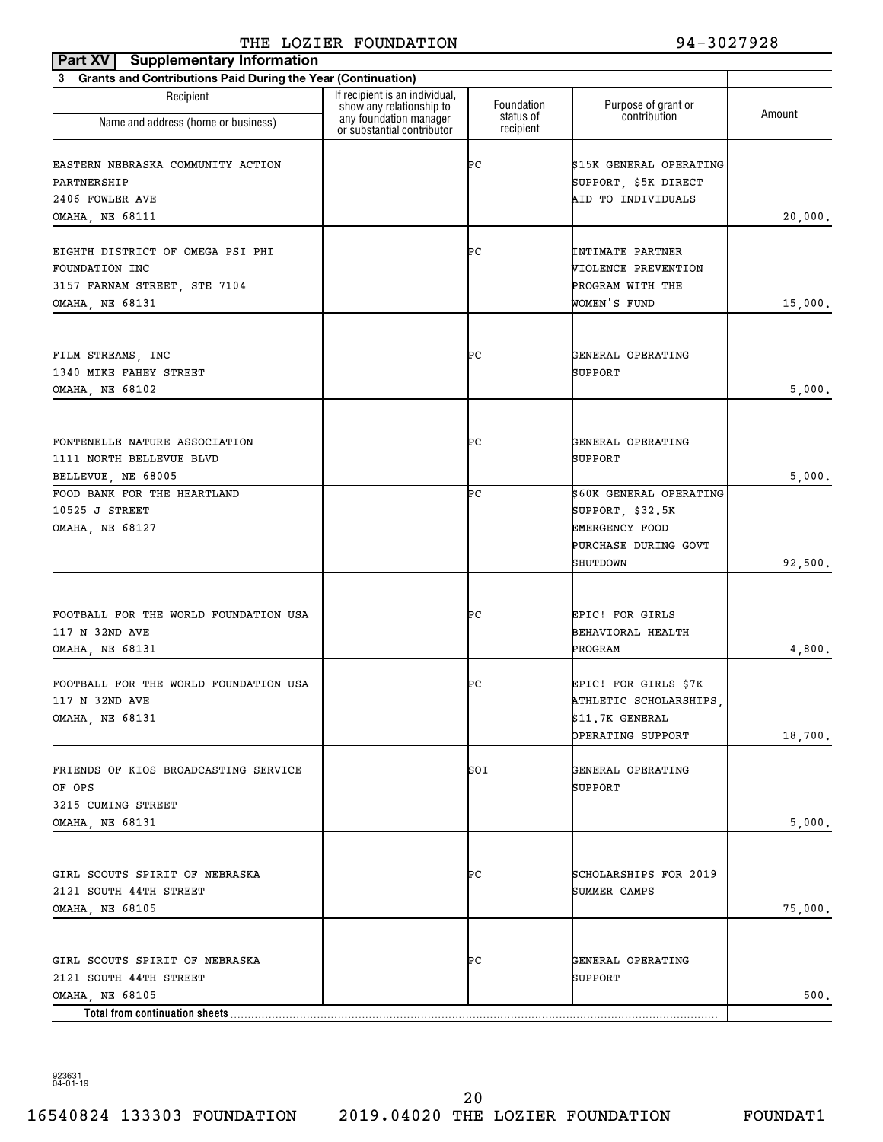| <b>Supplementary Information</b><br>Part XV                                                                   |                                                                                      |                         |                                                                                                          |         |
|---------------------------------------------------------------------------------------------------------------|--------------------------------------------------------------------------------------|-------------------------|----------------------------------------------------------------------------------------------------------|---------|
| 3 Grants and Contributions Paid During the Year (Continuation)                                                |                                                                                      |                         |                                                                                                          |         |
| Recipient                                                                                                     | If recipient is an individual,<br>show any relationship to<br>any foundation manager | Foundation<br>status of | Purpose of grant or<br>contribution                                                                      | Amount  |
| Name and address (home or business)                                                                           | or substantial contributor                                                           | recipient               |                                                                                                          |         |
| EASTERN NEBRASKA COMMUNITY ACTION<br>PARTNERSHIP<br>2406 FOWLER AVE                                           |                                                                                      | ÞС                      | \$15K GENERAL OPERATING<br>SUPPORT, \$5K DIRECT<br>AID TO INDIVIDUALS                                    |         |
| OMAHA, NE 68111                                                                                               |                                                                                      |                         |                                                                                                          | 20,000. |
| EIGHTH DISTRICT OF OMEGA PSI PHI<br><b>FOUNDATION INC</b><br>3157 FARNAM STREET, STE 7104<br>OMAHA, NE 68131  |                                                                                      | ÞС                      | INTIMATE PARTNER<br>VIOLENCE PREVENTION<br>PROGRAM WITH THE<br>WOMEN'S FUND                              | 15,000. |
| FILM STREAMS, INC<br>1340 MIKE FAHEY STREET<br>OMAHA, NE 68102                                                |                                                                                      | ÞС                      | GENERAL OPERATING<br>SUPPORT                                                                             | 5,000.  |
| FONTENELLE NATURE ASSOCIATION<br>1111 NORTH BELLEVUE BLVD<br>BELLEVUE, NE 68005                               |                                                                                      | ÞС                      | GENERAL OPERATING<br>SUPPORT                                                                             | 5,000.  |
| FOOD BANK FOR THE HEARTLAND<br>10525 J STREET<br>OMAHA, NE 68127                                              |                                                                                      | ÞС                      | \$60K GENERAL OPERATING<br>SUPPORT, \$32.5K<br><b>EMERGENCY FOOD</b><br>PURCHASE DURING GOVT<br>SHUTDOWN | 92,500. |
| FOOTBALL FOR THE WORLD FOUNDATION USA<br>117 N 32ND AVE<br>OMAHA, NE 68131                                    |                                                                                      | ÞС                      | EPIC! FOR GIRLS<br>BEHAVIORAL HEALTH<br>PROGRAM                                                          | 4,800.  |
| FOOTBALL FOR THE WORLD FOUNDATION USA<br>117 N 32ND AVE<br><b>OMAHA, NE 68131</b>                             |                                                                                      | ÞС                      | EPIC! FOR GIRLS \$7K<br>ATHLETIC SCHOLARSHIPS<br>\$11.7K GENERAL<br>OPERATING SUPPORT                    | 18,700. |
| FRIENDS OF KIOS BROADCASTING SERVICE<br>OF OPS<br>3215 CUMING STREET                                          |                                                                                      | SOI                     | GENERAL OPERATING<br>SUPPORT                                                                             |         |
| OMAHA, NE 68131                                                                                               |                                                                                      |                         |                                                                                                          | 5,000.  |
| GIRL SCOUTS SPIRIT OF NEBRASKA<br>2121 SOUTH 44TH STREET<br>OMAHA, NE 68105                                   |                                                                                      | ÞС                      | SCHOLARSHIPS FOR 2019<br>SUMMER CAMPS                                                                    | 75,000. |
| GIRL SCOUTS SPIRIT OF NEBRASKA<br>2121 SOUTH 44TH STREET<br>OMAHA, NE 68105<br>Total from continuation sheets |                                                                                      | ÞС                      | GENERAL OPERATING<br>SUPPORT                                                                             | 500.    |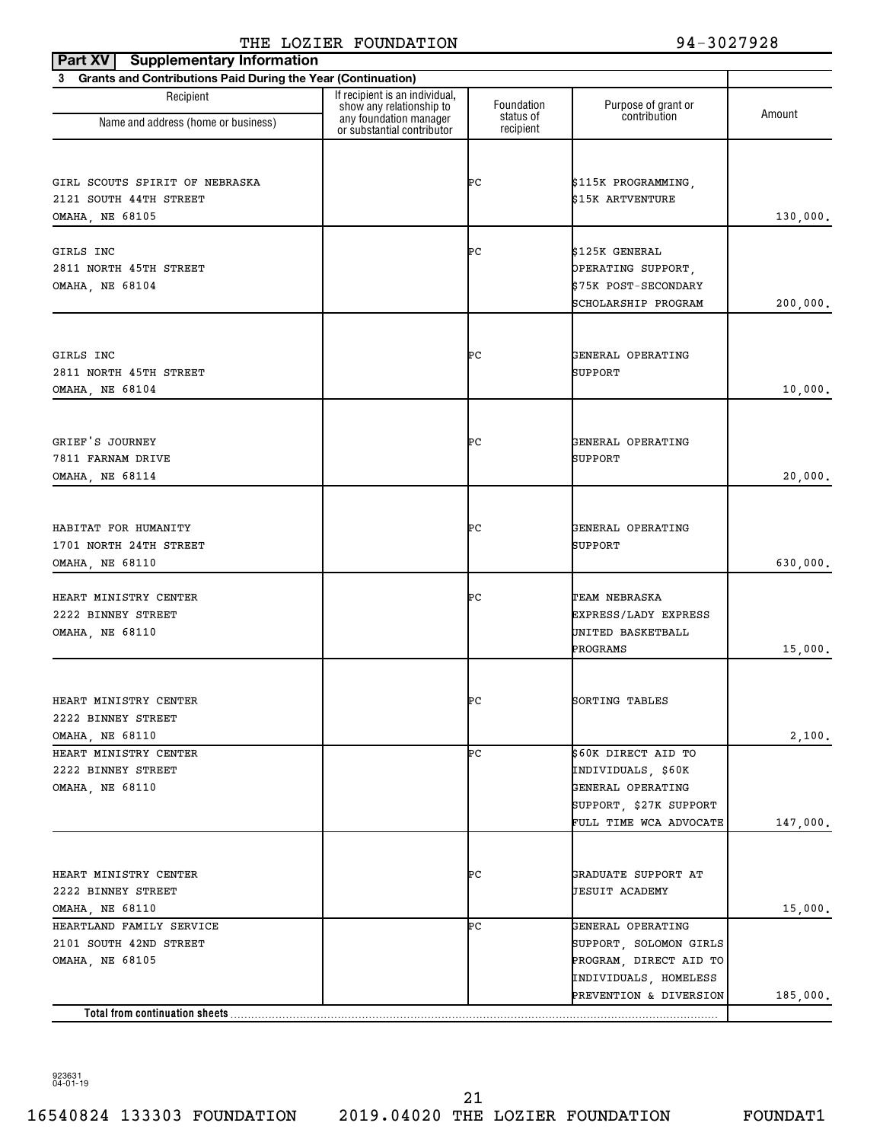| <b>Supplementary Information</b><br>Part XV                    |                                                            |                        |                        |          |
|----------------------------------------------------------------|------------------------------------------------------------|------------------------|------------------------|----------|
| 3 Grants and Contributions Paid During the Year (Continuation) |                                                            |                        |                        |          |
| Recipient                                                      | If recipient is an individual,<br>show any relationship to | Foundation             | Purpose of grant or    | Amount   |
| Name and address (home or business)                            | any foundation manager<br>or substantial contributor       | status of<br>recipient | contribution           |          |
|                                                                |                                                            |                        |                        |          |
| GIRL SCOUTS SPIRIT OF NEBRASKA                                 |                                                            | ÞС                     | \$115K PROGRAMMING,    |          |
| 2121 SOUTH 44TH STREET                                         |                                                            |                        | \$15K ARTVENTURE       |          |
| <b>OMAHA, NE 68105</b>                                         |                                                            |                        |                        | 130,000. |
| GIRLS INC                                                      |                                                            | ÞС                     | \$125K GENERAL         |          |
| 2811 NORTH 45TH STREET                                         |                                                            |                        | OPERATING SUPPORT,     |          |
| OMAHA, NE 68104                                                |                                                            |                        | \$75K POST-SECONDARY   |          |
|                                                                |                                                            |                        | SCHOLARSHIP PROGRAM    | 200,000. |
|                                                                |                                                            |                        |                        |          |
| GIRLS INC                                                      |                                                            | ÞС                     | GENERAL OPERATING      |          |
| 2811 NORTH 45TH STREET                                         |                                                            |                        | SUPPORT                |          |
| OMAHA, NE 68104                                                |                                                            |                        |                        | 10,000.  |
|                                                                |                                                            |                        |                        |          |
| GRIEF'S JOURNEY                                                |                                                            | ÞС                     | GENERAL OPERATING      |          |
| 7811 FARNAM DRIVE                                              |                                                            |                        | SUPPORT                |          |
| OMAHA, NE 68114                                                |                                                            |                        |                        | 20,000.  |
|                                                                |                                                            |                        |                        |          |
| HABITAT FOR HUMANITY                                           |                                                            | ÞС                     | GENERAL OPERATING      |          |
|                                                                |                                                            |                        | SUPPORT                |          |
| 1701 NORTH 24TH STREET<br>OMAHA, NE 68110                      |                                                            |                        |                        | 630,000. |
|                                                                |                                                            |                        |                        |          |
| HEART MINISTRY CENTER                                          |                                                            | ÞС                     | TEAM NEBRASKA          |          |
| 2222 BINNEY STREET                                             |                                                            |                        | EXPRESS/LADY EXPRESS   |          |
| OMAHA, NE 68110                                                |                                                            |                        | UNITED BASKETBALL      |          |
|                                                                |                                                            |                        | PROGRAMS               | 15,000.  |
|                                                                |                                                            |                        |                        |          |
| HEART MINISTRY CENTER                                          |                                                            | ÞС                     | SORTING TABLES         |          |
| 2222 BINNEY STREET<br>OMAHA, NE 68110                          |                                                            |                        |                        |          |
| HEART MINISTRY CENTER                                          |                                                            | ÞС                     | \$60K DIRECT AID TO    | 2,100.   |
| 2222 BINNEY STREET                                             |                                                            |                        | INDIVIDUALS, \$60K     |          |
| <b>OMAHA, NE 68110</b>                                         |                                                            |                        | GENERAL OPERATING      |          |
|                                                                |                                                            |                        | SUPPORT, \$27K SUPPORT |          |
|                                                                |                                                            |                        | FULL TIME WCA ADVOCATE | 147,000. |
|                                                                |                                                            |                        |                        |          |
| HEART MINISTRY CENTER                                          |                                                            | ÞС                     | GRADUATE SUPPORT AT    |          |
| 2222 BINNEY STREET                                             |                                                            |                        | <b>JESUIT ACADEMY</b>  |          |
| OMAHA, NE 68110                                                |                                                            |                        |                        | 15,000.  |
| HEARTLAND FAMILY SERVICE                                       |                                                            | ÞС                     | GENERAL OPERATING      |          |
| 2101 SOUTH 42ND STREET                                         |                                                            |                        | SUPPORT, SOLOMON GIRLS |          |
| OMAHA, NE 68105                                                |                                                            |                        | PROGRAM, DIRECT AID TO |          |
|                                                                |                                                            |                        | INDIVIDUALS, HOMELESS  |          |
|                                                                |                                                            |                        | PREVENTION & DIVERSION | 185,000. |
| Total from continuation sheets                                 |                                                            |                        |                        |          |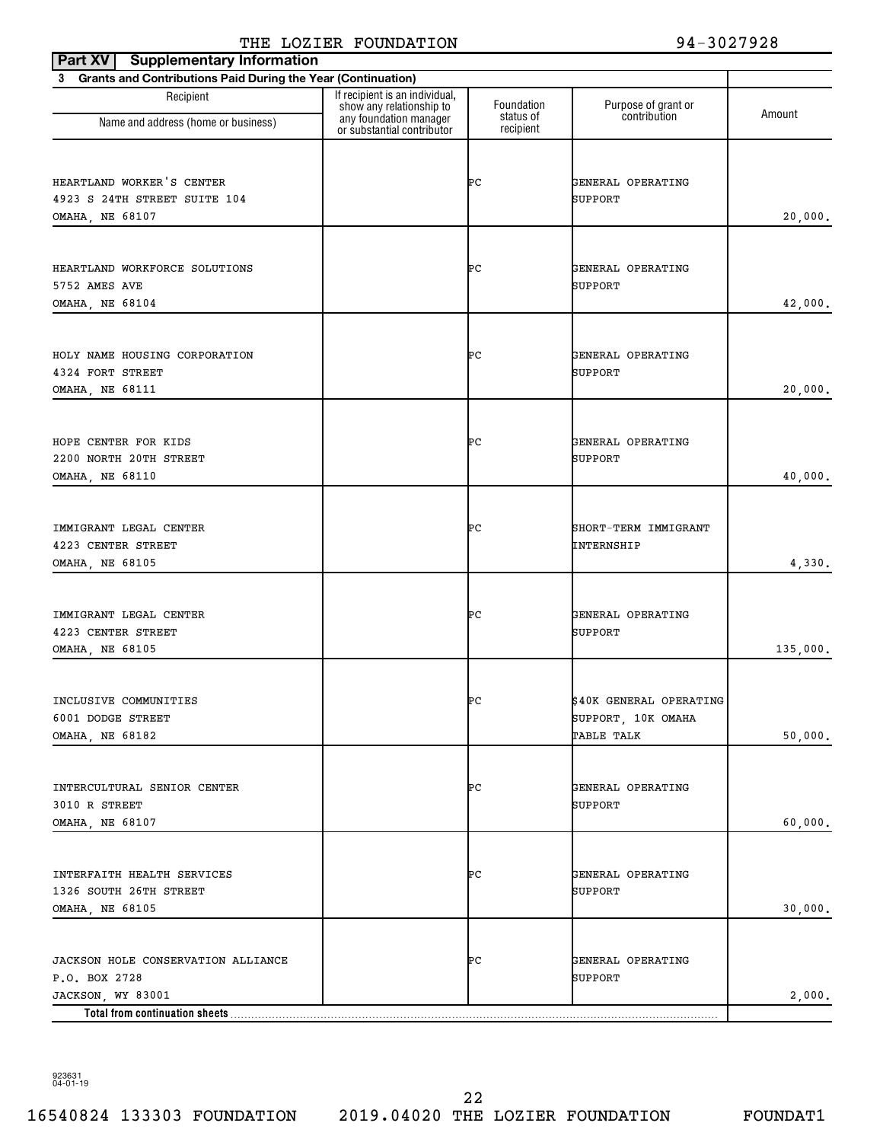| <b>Supplementary Information</b><br>Part XV                                  |                                                                                      |                         |                                                             |          |
|------------------------------------------------------------------------------|--------------------------------------------------------------------------------------|-------------------------|-------------------------------------------------------------|----------|
| 3 Grants and Contributions Paid During the Year (Continuation)               |                                                                                      |                         |                                                             |          |
| Recipient                                                                    | If recipient is an individual,<br>show any relationship to<br>any foundation manager | Foundation<br>status of | Purpose of grant or<br>contribution                         | Amount   |
| Name and address (home or business)                                          | or substantial contributor                                                           | recipient               |                                                             |          |
| HEARTLAND WORKER'S CENTER<br>4923 S 24TH STREET SUITE 104<br>OMAHA, NE 68107 |                                                                                      | ÞС                      | GENERAL OPERATING<br>SUPPORT                                | 20,000.  |
| HEARTLAND WORKFORCE SOLUTIONS<br>5752 AMES AVE<br>OMAHA, NE 68104            |                                                                                      | ÞС                      | GENERAL OPERATING<br>SUPPORT                                | 42,000.  |
| HOLY NAME HOUSING CORPORATION<br>4324 FORT STREET<br><b>OMAHA, NE 68111</b>  |                                                                                      | ÞС                      | GENERAL OPERATING<br>SUPPORT                                | 20,000.  |
| HOPE CENTER FOR KIDS<br>2200 NORTH 20TH STREET<br>OMAHA, NE 68110            |                                                                                      | ÞС                      | GENERAL OPERATING<br>SUPPORT                                | 40,000.  |
| IMMIGRANT LEGAL CENTER<br>4223 CENTER STREET<br>OMAHA, NE 68105              |                                                                                      | ÞС                      | SHORT-TERM IMMIGRANT<br>INTERNSHIP                          | 4,330.   |
| IMMIGRANT LEGAL CENTER<br>4223 CENTER STREET<br>OMAHA, NE 68105              |                                                                                      | ÞС                      | GENERAL OPERATING<br>SUPPORT                                | 135,000. |
| INCLUSIVE COMMUNITIES<br>6001 DODGE STREET<br>OMAHA, NE 68182                |                                                                                      | ÞС                      | \$40K GENERAL OPERATING<br>SUPPORT, 10K OMAHA<br>TABLE TALK | 50,000.  |
| INTERCULTURAL SENIOR CENTER<br>3010 R STREET<br>OMAHA, NE 68107              |                                                                                      | ÞС                      | GENERAL OPERATING<br>SUPPORT                                | 60,000.  |
| INTERFAITH HEALTH SERVICES<br>1326 SOUTH 26TH STREET<br>OMAHA, NE 68105      |                                                                                      | ÞС                      | GENERAL OPERATING<br><b>SUPPORT</b>                         | 30,000.  |
| JACKSON HOLE CONSERVATION ALLIANCE<br>P.O. BOX 2728<br>JACKSON, WY 83001     |                                                                                      | ÞС                      | GENERAL OPERATING<br>SUPPORT                                | 2,000.   |
| Total from continuation sheets                                               |                                                                                      |                         |                                                             |          |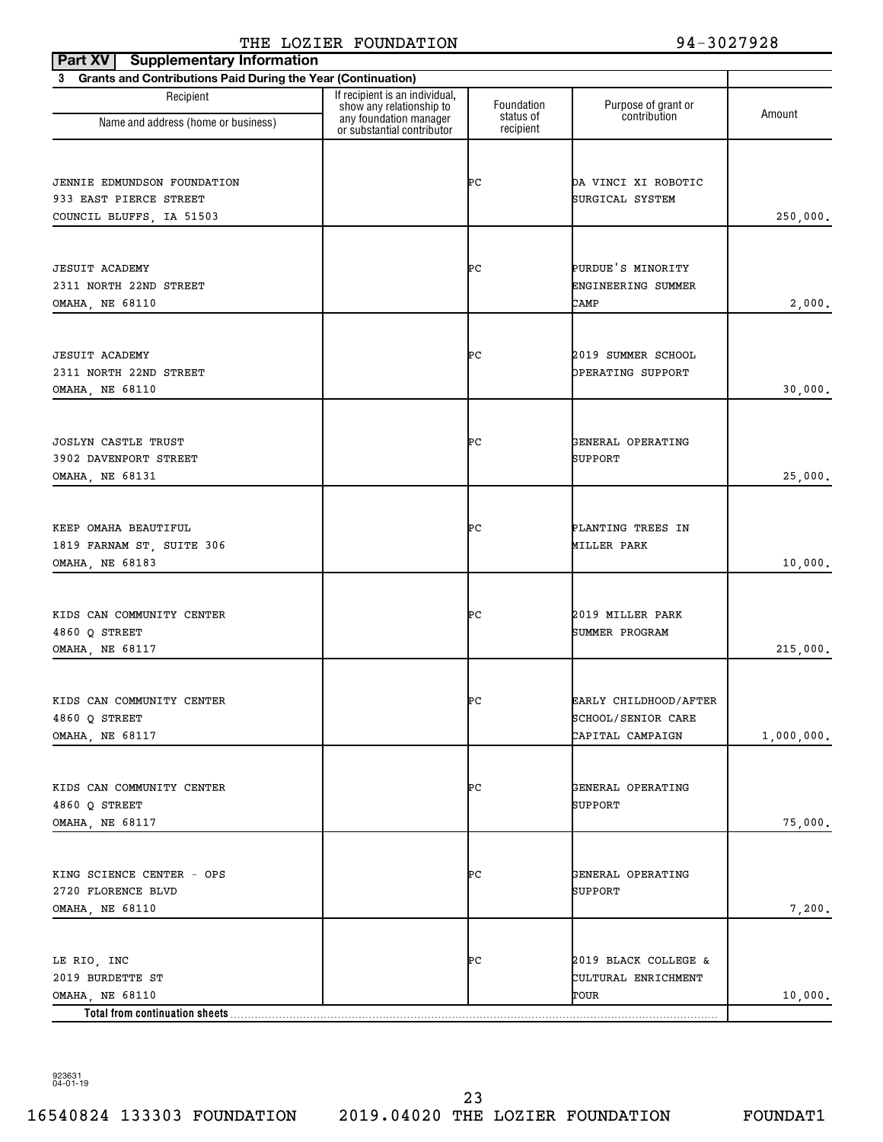| <b>Supplementary Information</b><br>Part XV                    |                                                            |                         |                                        |            |
|----------------------------------------------------------------|------------------------------------------------------------|-------------------------|----------------------------------------|------------|
| 3 Grants and Contributions Paid During the Year (Continuation) |                                                            |                         |                                        |            |
| Recipient                                                      | If recipient is an individual,<br>show any relationship to | Foundation<br>status of | Purpose of grant or<br>contribution    | Amount     |
| Name and address (home or business)                            | any foundation manager<br>or substantial contributor       | recipient               |                                        |            |
|                                                                |                                                            |                         |                                        |            |
| JENNIE EDMUNDSON FOUNDATION                                    |                                                            | ÞС                      | DA VINCI XI ROBOTIC                    |            |
| 933 EAST PIERCE STREET                                         |                                                            |                         | SURGICAL SYSTEM                        |            |
| COUNCIL BLUFFS, IA 51503                                       |                                                            |                         |                                        | 250,000.   |
|                                                                |                                                            |                         |                                        |            |
| <b>JESUIT ACADEMY</b>                                          |                                                            | ÞС                      | PURDUE'S MINORITY                      |            |
| 2311 NORTH 22ND STREET                                         |                                                            |                         | ENGINEERING SUMMER                     |            |
| OMAHA, NE 68110                                                |                                                            |                         | CAMP                                   | 2,000.     |
|                                                                |                                                            |                         |                                        |            |
|                                                                |                                                            |                         |                                        |            |
| <b>JESUIT ACADEMY</b>                                          |                                                            | ÞС                      | 2019 SUMMER SCHOOL                     |            |
| 2311 NORTH 22ND STREET                                         |                                                            |                         | OPERATING SUPPORT                      |            |
| OMAHA, NE 68110                                                |                                                            |                         |                                        | 30,000.    |
|                                                                |                                                            |                         |                                        |            |
| <b>JOSLYN CASTLE TRUST</b>                                     |                                                            | ÞС                      | GENERAL OPERATING                      |            |
| 3902 DAVENPORT STREET                                          |                                                            |                         | SUPPORT                                |            |
| OMAHA, NE 68131                                                |                                                            |                         |                                        | 25,000.    |
|                                                                |                                                            |                         |                                        |            |
| KEEP OMAHA BEAUTIFUL                                           |                                                            | ÞС                      | PLANTING TREES IN                      |            |
| 1819 FARNAM ST, SUITE 306                                      |                                                            |                         | MILLER PARK                            |            |
| OMAHA, NE 68183                                                |                                                            |                         |                                        | 10,000.    |
|                                                                |                                                            |                         |                                        |            |
| KIDS CAN COMMUNITY CENTER                                      |                                                            | ÞС                      | 2019 MILLER PARK                       |            |
| 4860 O STREET                                                  |                                                            |                         | SUMMER PROGRAM                         |            |
| <b>OMAHA, NE 68117</b>                                         |                                                            |                         |                                        | 215,000.   |
|                                                                |                                                            |                         |                                        |            |
|                                                                |                                                            |                         |                                        |            |
| KIDS CAN COMMUNITY CENTER                                      |                                                            | ÞС                      | EARLY CHILDHOOD/AFTER                  |            |
| 4860 Q STREET<br>OMAHA, NE 68117                               |                                                            |                         | SCHOOL/SENIOR CARE<br>CAPITAL CAMPAIGN | 1,000,000. |
|                                                                |                                                            |                         |                                        |            |
|                                                                |                                                            |                         |                                        |            |
| KIDS CAN COMMUNITY CENTER                                      |                                                            | ÞС                      | GENERAL OPERATING                      |            |
| 4860 Q STREET                                                  |                                                            |                         | SUPPORT                                |            |
| OMAHA, NE 68117                                                |                                                            |                         |                                        | 75,000.    |
|                                                                |                                                            |                         |                                        |            |
| KING SCIENCE CENTER - OPS                                      |                                                            | ÞС                      | GENERAL OPERATING                      |            |
| 2720 FLORENCE BLVD                                             |                                                            |                         | SUPPORT                                |            |
| OMAHA, NE 68110                                                |                                                            |                         |                                        | 7,200.     |
|                                                                |                                                            |                         |                                        |            |
| LE RIO, INC                                                    |                                                            | ÞС                      | 2019 BLACK COLLEGE &                   |            |
| 2019 BURDETTE ST                                               |                                                            |                         | CULTURAL ENRICHMENT                    |            |
| OMAHA, NE 68110                                                |                                                            |                         | TOUR                                   | 10,000.    |
| Total from continuation sheets                                 |                                                            |                         |                                        |            |

923631 04-01-19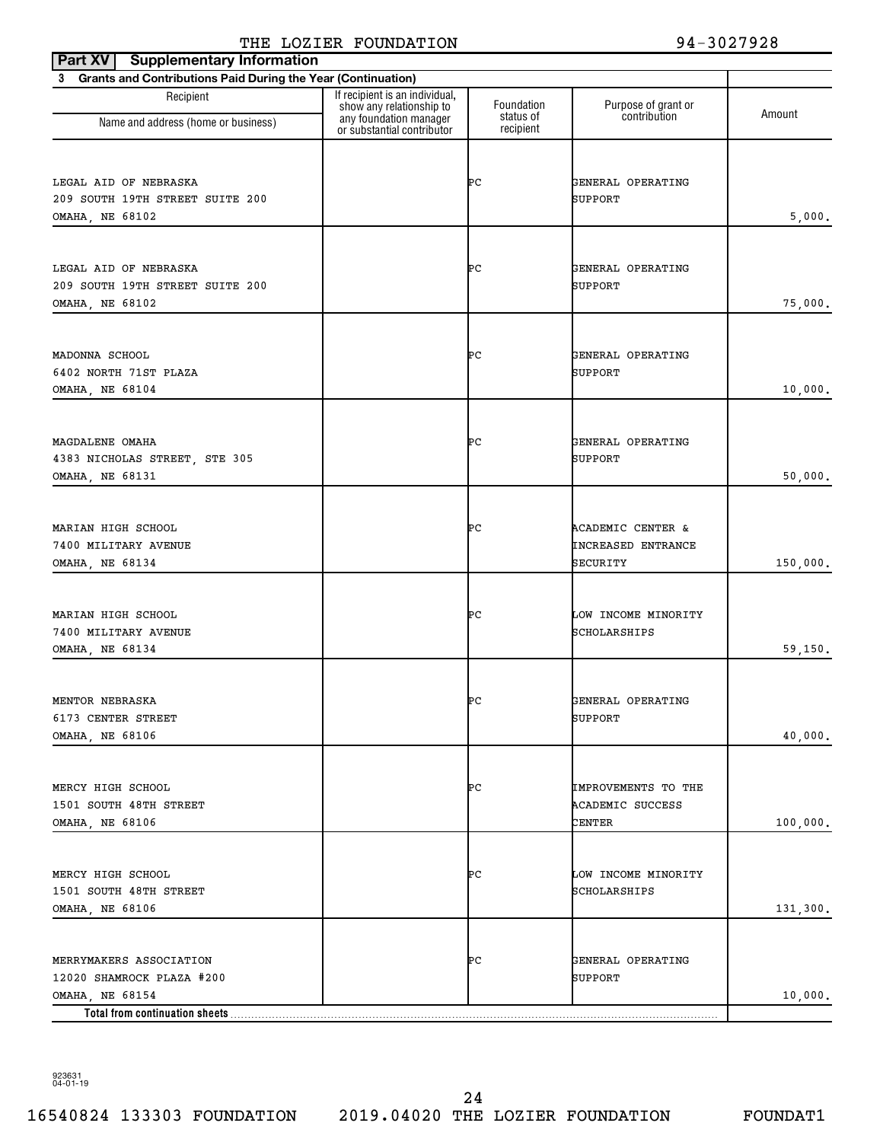| <b>Supplementary Information</b><br>Part XV                    |                                                                                                                    |                         |                                         |          |
|----------------------------------------------------------------|--------------------------------------------------------------------------------------------------------------------|-------------------------|-----------------------------------------|----------|
| 3 Grants and Contributions Paid During the Year (Continuation) |                                                                                                                    |                         |                                         |          |
| Recipient<br>Name and address (home or business)               | If recipient is an individual,<br>show any relationship to<br>any foundation manager<br>or substantial contributor | Foundation<br>status of | Purpose of grant or<br>contribution     | Amount   |
|                                                                |                                                                                                                    | recipient               |                                         |          |
|                                                                |                                                                                                                    |                         |                                         |          |
| LEGAL AID OF NEBRASKA                                          |                                                                                                                    | ÞС                      | GENERAL OPERATING                       |          |
| 209 SOUTH 19TH STREET SUITE 200                                |                                                                                                                    |                         | SUPPORT                                 |          |
| OMAHA, NE 68102                                                |                                                                                                                    |                         |                                         | 5,000.   |
|                                                                |                                                                                                                    |                         |                                         |          |
| LEGAL AID OF NEBRASKA                                          |                                                                                                                    | ÞС                      | GENERAL OPERATING                       |          |
| 209 SOUTH 19TH STREET SUITE 200                                |                                                                                                                    |                         | SUPPORT                                 |          |
| OMAHA, NE 68102                                                |                                                                                                                    |                         |                                         | 75,000.  |
|                                                                |                                                                                                                    |                         |                                         |          |
|                                                                |                                                                                                                    |                         |                                         |          |
| MADONNA SCHOOL                                                 |                                                                                                                    | ÞС                      | GENERAL OPERATING                       |          |
| 6402 NORTH 71ST PLAZA<br>OMAHA, NE 68104                       |                                                                                                                    |                         | SUPPORT                                 | 10,000.  |
|                                                                |                                                                                                                    |                         |                                         |          |
|                                                                |                                                                                                                    |                         |                                         |          |
| MAGDALENE OMAHA                                                |                                                                                                                    | ÞС                      | GENERAL OPERATING                       |          |
| 4383 NICHOLAS STREET, STE 305                                  |                                                                                                                    |                         | SUPPORT                                 |          |
| OMAHA, NE 68131                                                |                                                                                                                    |                         |                                         | 50,000.  |
|                                                                |                                                                                                                    |                         |                                         |          |
| MARIAN HIGH SCHOOL                                             |                                                                                                                    | ÞС                      | <b>ACADEMIC CENTER &amp;</b>            |          |
| 7400 MILITARY AVENUE                                           |                                                                                                                    |                         | <b>INCREASED ENTRANCE</b>               |          |
| OMAHA, NE 68134                                                |                                                                                                                    |                         | SECURITY                                | 150,000. |
|                                                                |                                                                                                                    |                         |                                         |          |
| MARIAN HIGH SCHOOL                                             |                                                                                                                    | ÞС                      | LOW INCOME MINORITY                     |          |
| 7400 MILITARY AVENUE                                           |                                                                                                                    |                         | SCHOLARSHIPS                            |          |
| OMAHA, NE 68134                                                |                                                                                                                    |                         |                                         | 59,150.  |
|                                                                |                                                                                                                    |                         |                                         |          |
| MENTOR NEBRASKA                                                |                                                                                                                    | ÞС                      | GENERAL OPERATING                       |          |
| 6173 CENTER STREET                                             |                                                                                                                    |                         | <b>SUPPORT</b>                          |          |
| OMAHA, NE 68106                                                |                                                                                                                    |                         |                                         | 40,000.  |
|                                                                |                                                                                                                    |                         |                                         |          |
|                                                                |                                                                                                                    |                         |                                         |          |
| MERCY HIGH SCHOOL<br>1501 SOUTH 48TH STREET                    |                                                                                                                    | ÞС                      | IMPROVEMENTS TO THE<br>ACADEMIC SUCCESS |          |
| OMAHA, NE 68106                                                |                                                                                                                    |                         | CENTER                                  | 100,000. |
|                                                                |                                                                                                                    |                         |                                         |          |
|                                                                |                                                                                                                    |                         |                                         |          |
| MERCY HIGH SCHOOL                                              |                                                                                                                    | ÞС                      | LOW INCOME MINORITY                     |          |
| 1501 SOUTH 48TH STREET                                         |                                                                                                                    |                         | SCHOLARSHIPS                            |          |
| OMAHA, NE 68106                                                |                                                                                                                    |                         |                                         | 131,300. |
|                                                                |                                                                                                                    |                         |                                         |          |
| MERRYMAKERS ASSOCIATION                                        |                                                                                                                    | ÞС                      | GENERAL OPERATING                       |          |
| 12020 SHAMROCK PLAZA #200                                      |                                                                                                                    |                         | SUPPORT                                 |          |
| OMAHA, NE 68154                                                |                                                                                                                    |                         |                                         | 10,000.  |
| Total from continuation sheets                                 |                                                                                                                    |                         |                                         |          |

923631 04-01-19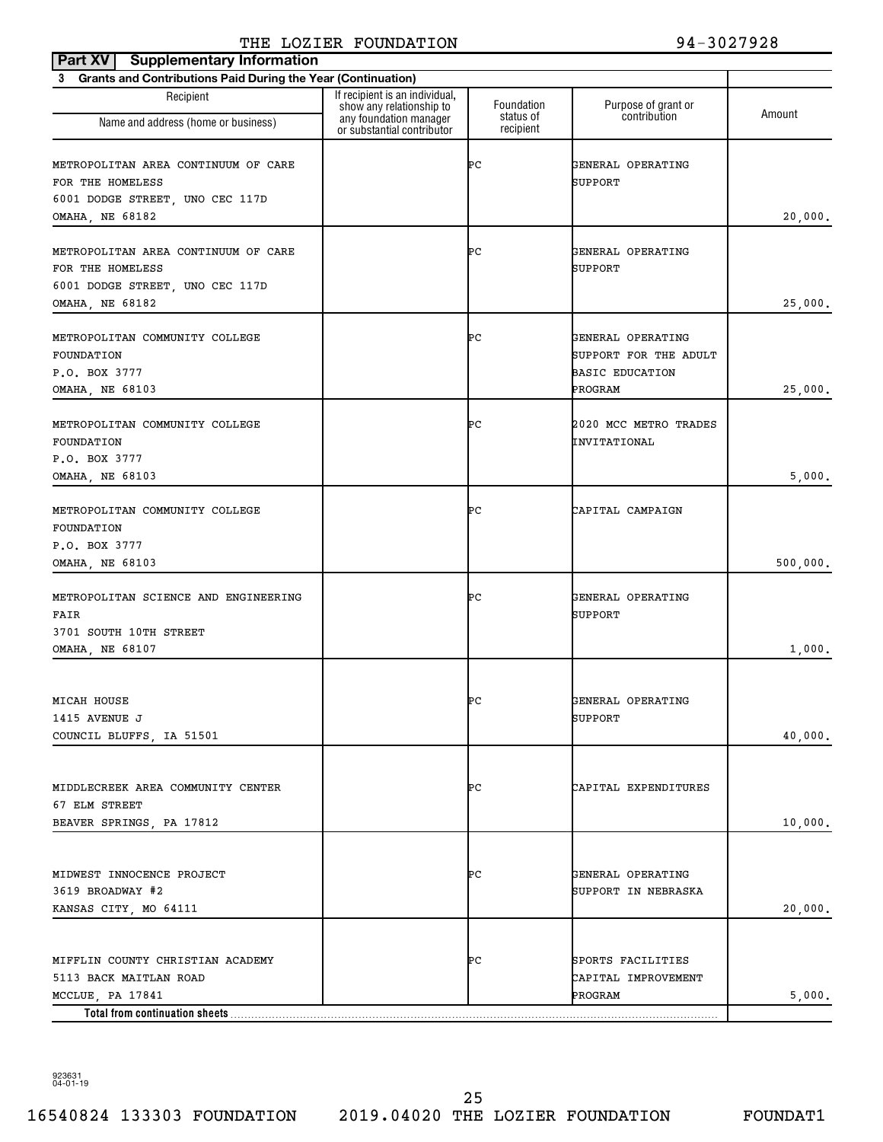| <b>Supplementary Information</b><br>Part XV                                                                   |                                                                                      |                         |                                                                      |          |
|---------------------------------------------------------------------------------------------------------------|--------------------------------------------------------------------------------------|-------------------------|----------------------------------------------------------------------|----------|
| <b>Grants and Contributions Paid During the Year (Continuation)</b><br>3                                      |                                                                                      |                         |                                                                      |          |
| Recipient<br>Name and address (home or business)                                                              | If recipient is an individual,<br>show any relationship to<br>any foundation manager | Foundation<br>status of | Purpose of grant or<br>contribution                                  | Amount   |
|                                                                                                               | or substantial contributor                                                           | recipient               |                                                                      |          |
| METROPOLITAN AREA CONTINUUM OF CARE<br>FOR THE HOMELESS<br>6001 DODGE STREET, UNO CEC 117D                    |                                                                                      | ÞС                      | GENERAL OPERATING<br>SUPPORT                                         |          |
| OMAHA, NE 68182                                                                                               |                                                                                      |                         |                                                                      | 20,000.  |
| METROPOLITAN AREA CONTINUUM OF CARE<br>FOR THE HOMELESS<br>6001 DODGE STREET, UNO CEC 117D<br>OMAHA, NE 68182 |                                                                                      | ÞС                      | GENERAL OPERATING<br>SUPPORT                                         | 25,000.  |
|                                                                                                               |                                                                                      |                         |                                                                      |          |
| METROPOLITAN COMMUNITY COLLEGE<br>FOUNDATION<br>P.O. BOX 3777                                                 |                                                                                      | ÞС                      | GENERAL OPERATING<br>SUPPORT FOR THE ADULT<br><b>BASIC EDUCATION</b> |          |
| OMAHA, NE 68103                                                                                               |                                                                                      |                         | PROGRAM                                                              | 25,000.  |
| METROPOLITAN COMMUNITY COLLEGE<br>FOUNDATION                                                                  |                                                                                      | ÞС                      | 2020 MCC METRO TRADES<br>INVITATIONAL                                |          |
| P.O. BOX 3777<br>OMAHA, NE 68103                                                                              |                                                                                      |                         |                                                                      | 5,000.   |
|                                                                                                               |                                                                                      |                         |                                                                      |          |
| METROPOLITAN COMMUNITY COLLEGE<br>FOUNDATION<br>P.O. BOX 3777                                                 |                                                                                      | ÞС                      | CAPITAL CAMPAIGN                                                     |          |
| OMAHA, NE 68103                                                                                               |                                                                                      |                         |                                                                      | 500,000. |
| METROPOLITAN SCIENCE AND ENGINEERING<br>FAIR<br>3701 SOUTH 10TH STREET                                        |                                                                                      | ÞС                      | GENERAL OPERATING<br>SUPPORT                                         |          |
| OMAHA, NE 68107                                                                                               |                                                                                      |                         |                                                                      | 1,000.   |
|                                                                                                               |                                                                                      |                         |                                                                      |          |
| MICAH HOUSE<br>1415 AVENUE J<br>COUNCIL BLUFFS, IA 51501                                                      |                                                                                      | ÞС                      | GENERAL OPERATING<br>SUPPORT                                         | 40,000.  |
|                                                                                                               |                                                                                      |                         |                                                                      |          |
| MIDDLECREEK AREA COMMUNITY CENTER<br>67 ELM STREET                                                            |                                                                                      | ÞС                      | CAPITAL EXPENDITURES                                                 |          |
| BEAVER SPRINGS, PA 17812                                                                                      |                                                                                      |                         |                                                                      | 10,000.  |
|                                                                                                               |                                                                                      |                         |                                                                      |          |
| MIDWEST INNOCENCE PROJECT<br>3619 BROADWAY #2<br>KANSAS CITY, MO 64111                                        |                                                                                      | ÞС                      | GENERAL OPERATING<br>SUPPORT IN NEBRASKA                             | 20,000.  |
|                                                                                                               |                                                                                      |                         |                                                                      |          |
| MIFFLIN COUNTY CHRISTIAN ACADEMY<br>5113 BACK MAITLAN ROAD                                                    |                                                                                      | ÞС                      | SPORTS FACILITIES<br>CAPITAL IMPROVEMENT                             |          |
| MCCLUE, PA 17841<br>Total from continuation sheets                                                            |                                                                                      |                         | PROGRAM                                                              | 5,000.   |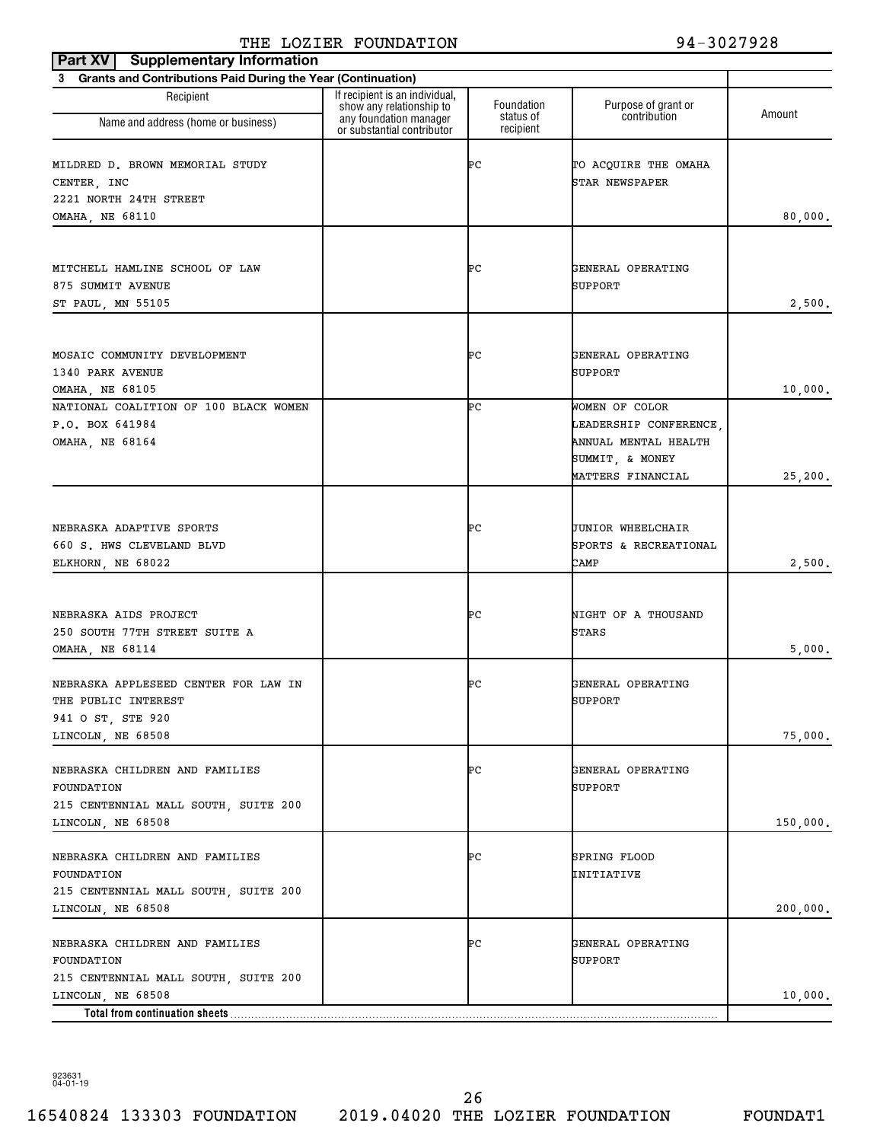| <b>Supplementary Information</b><br>Part XV                    |                                                                                      |                         |                                               |          |
|----------------------------------------------------------------|--------------------------------------------------------------------------------------|-------------------------|-----------------------------------------------|----------|
| 3 Grants and Contributions Paid During the Year (Continuation) |                                                                                      |                         |                                               |          |
| Recipient<br>Name and address (home or business)               | If recipient is an individual,<br>show any relationship to<br>any foundation manager | Foundation<br>status of | Purpose of grant or<br>contribution           | Amount   |
|                                                                | or substantial contributor                                                           | recipient               |                                               |          |
| MILDRED D. BROWN MEMORIAL STUDY<br>CENTER, INC                 |                                                                                      | ÞС                      | TO ACQUIRE THE OMAHA<br><b>STAR NEWSPAPER</b> |          |
| 2221 NORTH 24TH STREET                                         |                                                                                      |                         |                                               |          |
| OMAHA, NE 68110                                                |                                                                                      |                         |                                               | 80,000.  |
|                                                                |                                                                                      |                         |                                               |          |
| MITCHELL HAMLINE SCHOOL OF LAW<br>875 SUMMIT AVENUE            |                                                                                      | ÞС                      | GENERAL OPERATING<br>SUPPORT                  |          |
| ST PAUL, MN 55105                                              |                                                                                      |                         |                                               | 2,500.   |
|                                                                |                                                                                      |                         |                                               |          |
| MOSAIC COMMUNITY DEVELOPMENT                                   |                                                                                      | ÞС                      | GENERAL OPERATING                             |          |
| 1340 PARK AVENUE                                               |                                                                                      |                         | SUPPORT                                       |          |
| OMAHA, NE 68105<br>NATIONAL COALITION OF 100 BLACK WOMEN       |                                                                                      | ÞС                      | WOMEN OF COLOR                                | 10,000.  |
| P.O. BOX 641984                                                |                                                                                      |                         | LEADERSHIP CONFERENCE.                        |          |
| OMAHA, NE 68164                                                |                                                                                      |                         | ANNUAL MENTAL HEALTH                          |          |
|                                                                |                                                                                      |                         | SUMMIT, & MONEY                               |          |
|                                                                |                                                                                      |                         | MATTERS FINANCIAL                             | 25,200.  |
|                                                                |                                                                                      |                         |                                               |          |
|                                                                |                                                                                      |                         |                                               |          |
| NEBRASKA ADAPTIVE SPORTS                                       |                                                                                      | ÞС                      | <b>JUNIOR WHEELCHAIR</b>                      |          |
| 660 S. HWS CLEVELAND BLVD                                      |                                                                                      |                         | SPORTS & RECREATIONAL                         |          |
| ELKHORN, NE 68022                                              |                                                                                      |                         | CAMP                                          | 2,500.   |
|                                                                |                                                                                      |                         |                                               |          |
| NEBRASKA AIDS PROJECT                                          |                                                                                      | ÞС                      | NIGHT OF A THOUSAND                           |          |
| 250 SOUTH 77TH STREET SUITE A                                  |                                                                                      |                         | <b>STARS</b>                                  |          |
| OMAHA, NE 68114                                                |                                                                                      |                         |                                               | 5,000.   |
|                                                                |                                                                                      |                         |                                               |          |
| NEBRASKA APPLESEED CENTER FOR LAW IN                           |                                                                                      | ÞС                      | GENERAL OPERATING                             |          |
| THE PUBLIC INTEREST                                            |                                                                                      |                         | <b>SUPPORT</b>                                |          |
| 941 O ST, STE 920                                              |                                                                                      |                         |                                               |          |
| LINCOLN, NE 68508                                              |                                                                                      |                         |                                               | 75,000.  |
| NEBRASKA CHILDREN AND FAMILIES                                 |                                                                                      | ÞС                      | GENERAL OPERATING                             |          |
| FOUNDATION                                                     |                                                                                      |                         | SUPPORT                                       |          |
| 215 CENTENNIAL MALL SOUTH, SUITE 200                           |                                                                                      |                         |                                               |          |
| LINCOLN, NE 68508                                              |                                                                                      |                         |                                               | 150,000. |
|                                                                |                                                                                      |                         |                                               |          |
| NEBRASKA CHILDREN AND FAMILIES                                 |                                                                                      | ÞС                      | SPRING FLOOD                                  |          |
| FOUNDATION                                                     |                                                                                      |                         | INITIATIVE                                    |          |
| 215 CENTENNIAL MALL SOUTH, SUITE 200<br>LINCOLN, NE 68508      |                                                                                      |                         |                                               | 200,000. |
|                                                                |                                                                                      |                         |                                               |          |
| NEBRASKA CHILDREN AND FAMILIES<br>FOUNDATION                   |                                                                                      | ÞС                      | GENERAL OPERATING<br>SUPPORT                  |          |
| 215 CENTENNIAL MALL SOUTH, SUITE 200                           |                                                                                      |                         |                                               |          |
| LINCOLN, NE 68508                                              |                                                                                      |                         |                                               | 10,000.  |
| Total from continuation sheets                                 |                                                                                      |                         |                                               |          |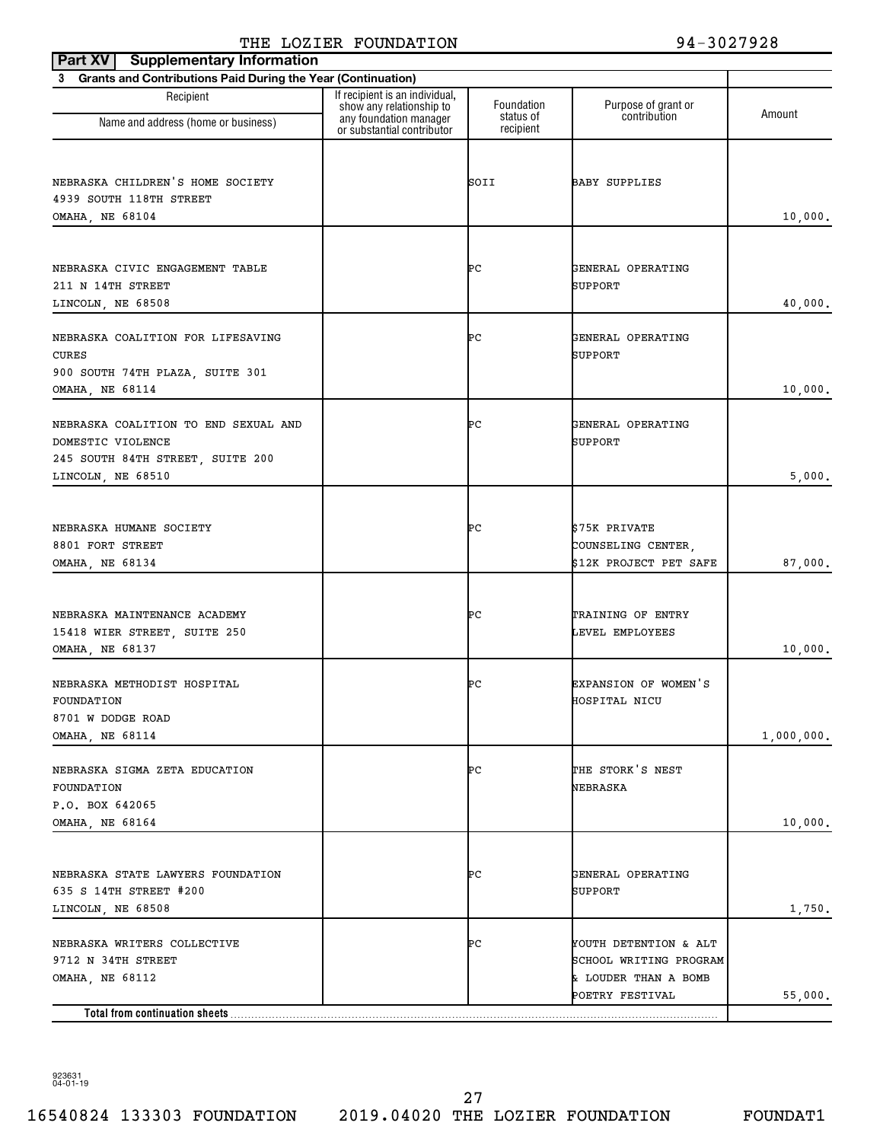| <b>Supplementary Information</b><br>Part XV                    |                                                                                      |                         |                                                |            |
|----------------------------------------------------------------|--------------------------------------------------------------------------------------|-------------------------|------------------------------------------------|------------|
| 3 Grants and Contributions Paid During the Year (Continuation) |                                                                                      |                         |                                                |            |
| Recipient                                                      | If recipient is an individual,<br>show any relationship to<br>any foundation manager | Foundation<br>status of | Purpose of grant or<br>contribution            | Amount     |
| Name and address (home or business)                            | or substantial contributor                                                           | recipient               |                                                |            |
|                                                                |                                                                                      |                         |                                                |            |
| NEBRASKA CHILDREN'S HOME SOCIETY                               |                                                                                      | SOII                    | <b>BABY SUPPLIES</b>                           |            |
| 4939 SOUTH 118TH STREET<br>OMAHA, NE 68104                     |                                                                                      |                         |                                                | 10,000.    |
|                                                                |                                                                                      |                         |                                                |            |
| NEBRASKA CIVIC ENGAGEMENT TABLE                                |                                                                                      | ÞС                      |                                                |            |
| 211 N 14TH STREET                                              |                                                                                      |                         | GENERAL OPERATING<br>SUPPORT                   |            |
| LINCOLN, NE 68508                                              |                                                                                      |                         |                                                | 40,000.    |
|                                                                |                                                                                      |                         |                                                |            |
| NEBRASKA COALITION FOR LIFESAVING<br><b>CURES</b>              |                                                                                      | ÞС                      | GENERAL OPERATING<br>SUPPORT                   |            |
| 900 SOUTH 74TH PLAZA, SUITE 301                                |                                                                                      |                         |                                                |            |
| OMAHA, NE 68114                                                |                                                                                      |                         |                                                | 10,000.    |
| NEBRASKA COALITION TO END SEXUAL AND                           |                                                                                      | ÞС                      | GENERAL OPERATING                              |            |
| DOMESTIC VIOLENCE                                              |                                                                                      |                         | SUPPORT                                        |            |
| 245 SOUTH 84TH STREET, SUITE 200                               |                                                                                      |                         |                                                |            |
| LINCOLN, NE 68510                                              |                                                                                      |                         |                                                | 5,000.     |
|                                                                |                                                                                      |                         |                                                |            |
| NEBRASKA HUMANE SOCIETY                                        |                                                                                      | ÞС                      | \$75K PRIVATE                                  |            |
| 8801 FORT STREET<br>OMAHA, NE 68134                            |                                                                                      |                         | COUNSELING CENTER,<br>\$12K PROJECT PET SAFE   | 87,000.    |
|                                                                |                                                                                      |                         |                                                |            |
|                                                                |                                                                                      |                         |                                                |            |
| NEBRASKA MAINTENANCE ACADEMY<br>15418 WIER STREET, SUITE 250   |                                                                                      | ÞС                      | TRAINING OF ENTRY<br>LEVEL EMPLOYEES           |            |
| OMAHA, NE 68137                                                |                                                                                      |                         |                                                | 10,000.    |
|                                                                |                                                                                      |                         |                                                |            |
| NEBRASKA METHODIST HOSPITAL<br>FOUNDATION                      |                                                                                      | ÞС                      | EXPANSION OF WOMEN'S<br>HOSPITAL NICU          |            |
| 8701 W DODGE ROAD                                              |                                                                                      |                         |                                                |            |
| OMAHA, NE 68114                                                |                                                                                      |                         |                                                | 1,000,000. |
| NEBRASKA SIGMA ZETA EDUCATION                                  |                                                                                      | ÞС                      | THE STORK'S NEST                               |            |
| FOUNDATION                                                     |                                                                                      |                         | NEBRASKA                                       |            |
| P.O. BOX 642065                                                |                                                                                      |                         |                                                |            |
| OMAHA, NE 68164                                                |                                                                                      |                         |                                                | 10,000.    |
|                                                                |                                                                                      |                         |                                                |            |
| NEBRASKA STATE LAWYERS FOUNDATION                              |                                                                                      | ÞС                      | GENERAL OPERATING                              |            |
| 635 S 14TH STREET #200<br>LINCOLN, NE 68508                    |                                                                                      |                         | SUPPORT                                        | 1,750.     |
|                                                                |                                                                                      |                         |                                                |            |
| NEBRASKA WRITERS COLLECTIVE                                    |                                                                                      | ÞС                      | YOUTH DETENTION & ALT                          |            |
| 9712 N 34TH STREET<br>OMAHA, NE 68112                          |                                                                                      |                         | SCHOOL WRITING PROGRAM<br>& LOUDER THAN A BOMB |            |
|                                                                |                                                                                      |                         | POETRY FESTIVAL                                | 55,000.    |
| Total from continuation sheets                                 |                                                                                      |                         |                                                |            |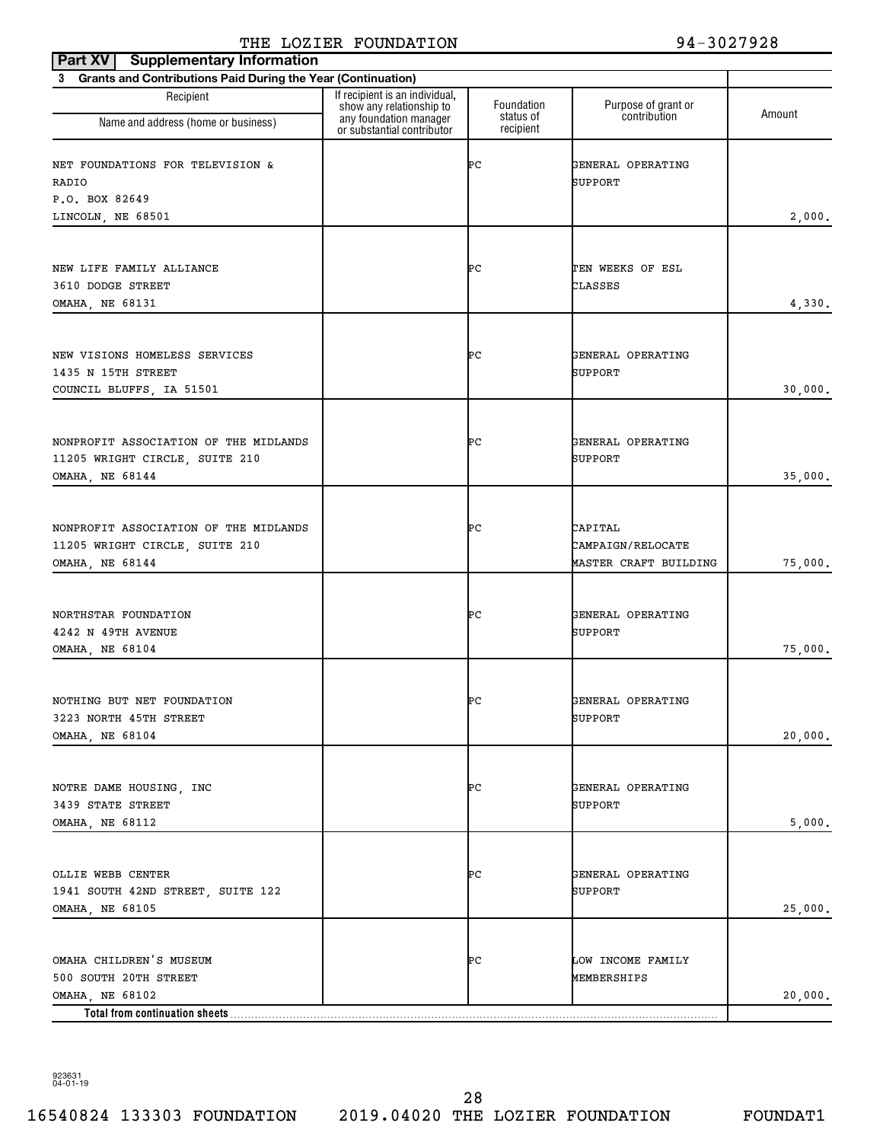| show any relationship to<br>any foundation manager | Foundation<br>status of                                                                                                        | Purpose of grant or<br>contribution                          | Amount  |
|----------------------------------------------------|--------------------------------------------------------------------------------------------------------------------------------|--------------------------------------------------------------|---------|
|                                                    | ÞС                                                                                                                             | GENERAL OPERATING<br>SUPPORT                                 |         |
|                                                    |                                                                                                                                |                                                              | 2,000.  |
|                                                    |                                                                                                                                |                                                              |         |
|                                                    | ÞС                                                                                                                             | TEN WEEKS OF ESL<br>CLASSES                                  | 4,330.  |
|                                                    | ÞС                                                                                                                             | GENERAL OPERATING<br>SUPPORT                                 | 30,000. |
|                                                    | ÞС                                                                                                                             | GENERAL OPERATING<br>SUPPORT                                 | 35,000. |
|                                                    | ÞС                                                                                                                             | CAPITAL<br><b>CAMPAIGN/RELOCATE</b><br>MASTER CRAFT BUILDING | 75,000. |
|                                                    | ÞС                                                                                                                             | GENERAL OPERATING<br>SUPPORT                                 | 75,000. |
|                                                    | ÞС                                                                                                                             | GENERAL OPERATING<br>SUPPORT                                 | 20,000. |
|                                                    | ÞС                                                                                                                             | GENERAL OPERATING<br>SUPPORT                                 | 5,000.  |
|                                                    | ÞС                                                                                                                             | GENERAL OPERATING<br>SUPPORT                                 | 25,000. |
|                                                    | ÞС                                                                                                                             | LOW INCOME FAMILY<br>MEMBERSHIPS                             | 20,000. |
|                                                    | 3 Grants and Contributions Paid During the Year (Continuation)<br>If recipient is an individual,<br>or substantial contributor | recipient                                                    |         |

923631 04-01-19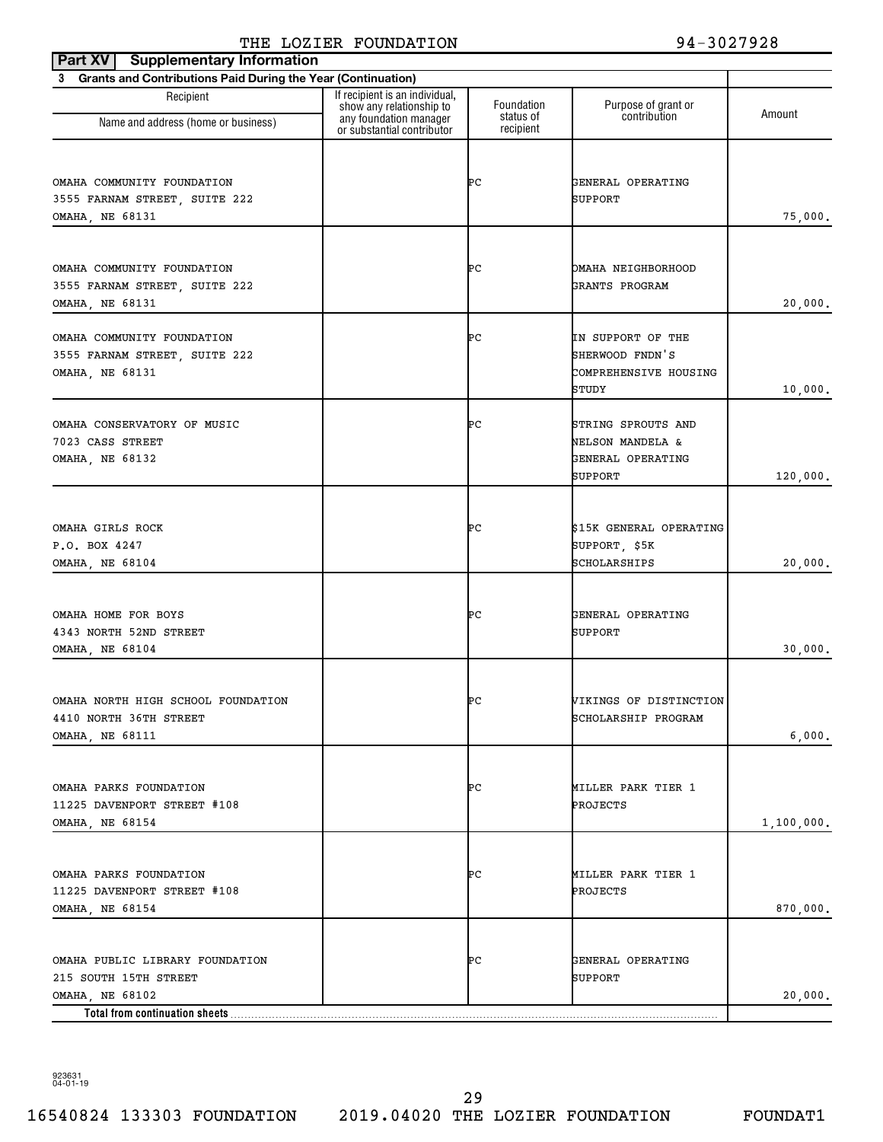| 3 Grants and Contributions Paid During the Year (Continuation)<br>If recipient is an individual,<br>Recipient<br>Foundation<br>Purpose of grant or<br>show any relationship to<br>contribution<br>any foundation manager<br>status of<br>Name and address (home or business)<br>or substantial contributor<br>recipient<br>ÞС<br>OMAHA COMMUNITY FOUNDATION<br>GENERAL OPERATING<br>SUPPORT<br>3555 FARNAM STREET, SUITE 222<br>OMAHA, NE 68131<br>OMAHA COMMUNITY FOUNDATION<br>ÞС<br>OMAHA NEIGHBORHOOD<br>GRANTS PROGRAM<br>3555 FARNAM STREET, SUITE 222<br>OMAHA, NE 68131<br>ÞС<br>OMAHA COMMUNITY FOUNDATION<br>IN SUPPORT OF THE<br>SHERWOOD FNDN'S<br>3555 FARNAM STREET, SUITE 222<br>OMAHA, NE 68131<br>COMPREHENSIVE HOUSING<br>STUDY<br>ÞС<br>OMAHA CONSERVATORY OF MUSIC<br>STRING SPROUTS AND<br>7023 CASS STREET<br>NELSON MANDELA &<br>OMAHA, NE 68132<br>GENERAL OPERATING<br>SUPPORT<br>ÞС<br>OMAHA GIRLS ROCK<br>\$15K GENERAL OPERATING<br>P.O. BOX 4247<br>SUPPORT, \$5K<br>SCHOLARSHIPS<br>OMAHA, NE 68104<br>ÞС<br>OMAHA HOME FOR BOYS<br>GENERAL OPERATING<br>4343 NORTH 52ND STREET<br>SUPPORT<br>OMAHA, NE 68104<br>OMAHA NORTH HIGH SCHOOL FOUNDATION<br>ÞС<br>VIKINGS OF DISTINCTION<br>4410 NORTH 36TH STREET<br>SCHOLARSHIP PROGRAM |            |
|--------------------------------------------------------------------------------------------------------------------------------------------------------------------------------------------------------------------------------------------------------------------------------------------------------------------------------------------------------------------------------------------------------------------------------------------------------------------------------------------------------------------------------------------------------------------------------------------------------------------------------------------------------------------------------------------------------------------------------------------------------------------------------------------------------------------------------------------------------------------------------------------------------------------------------------------------------------------------------------------------------------------------------------------------------------------------------------------------------------------------------------------------------------------------------------------------------------------------------------------------------------------|------------|
|                                                                                                                                                                                                                                                                                                                                                                                                                                                                                                                                                                                                                                                                                                                                                                                                                                                                                                                                                                                                                                                                                                                                                                                                                                                                    |            |
|                                                                                                                                                                                                                                                                                                                                                                                                                                                                                                                                                                                                                                                                                                                                                                                                                                                                                                                                                                                                                                                                                                                                                                                                                                                                    | Amount     |
|                                                                                                                                                                                                                                                                                                                                                                                                                                                                                                                                                                                                                                                                                                                                                                                                                                                                                                                                                                                                                                                                                                                                                                                                                                                                    |            |
|                                                                                                                                                                                                                                                                                                                                                                                                                                                                                                                                                                                                                                                                                                                                                                                                                                                                                                                                                                                                                                                                                                                                                                                                                                                                    | 75,000.    |
|                                                                                                                                                                                                                                                                                                                                                                                                                                                                                                                                                                                                                                                                                                                                                                                                                                                                                                                                                                                                                                                                                                                                                                                                                                                                    | 20,000.    |
|                                                                                                                                                                                                                                                                                                                                                                                                                                                                                                                                                                                                                                                                                                                                                                                                                                                                                                                                                                                                                                                                                                                                                                                                                                                                    | 10,000.    |
|                                                                                                                                                                                                                                                                                                                                                                                                                                                                                                                                                                                                                                                                                                                                                                                                                                                                                                                                                                                                                                                                                                                                                                                                                                                                    | 120,000.   |
|                                                                                                                                                                                                                                                                                                                                                                                                                                                                                                                                                                                                                                                                                                                                                                                                                                                                                                                                                                                                                                                                                                                                                                                                                                                                    | 20,000.    |
|                                                                                                                                                                                                                                                                                                                                                                                                                                                                                                                                                                                                                                                                                                                                                                                                                                                                                                                                                                                                                                                                                                                                                                                                                                                                    | 30,000.    |
| <b>OMAHA, NE 68111</b>                                                                                                                                                                                                                                                                                                                                                                                                                                                                                                                                                                                                                                                                                                                                                                                                                                                                                                                                                                                                                                                                                                                                                                                                                                             | 6,000.     |
| OMAHA PARKS FOUNDATION<br>ÞС<br>MILLER PARK TIER 1<br>11225 DAVENPORT STREET #108<br>PROJECTS<br>OMAHA, NE 68154                                                                                                                                                                                                                                                                                                                                                                                                                                                                                                                                                                                                                                                                                                                                                                                                                                                                                                                                                                                                                                                                                                                                                   | 1,100,000. |
| OMAHA PARKS FOUNDATION<br>ÞС<br>MILLER PARK TIER 1<br>11225 DAVENPORT STREET #108<br>PROJECTS<br>OMAHA, NE 68154                                                                                                                                                                                                                                                                                                                                                                                                                                                                                                                                                                                                                                                                                                                                                                                                                                                                                                                                                                                                                                                                                                                                                   | 870,000.   |
| OMAHA PUBLIC LIBRARY FOUNDATION<br>ÞС<br>GENERAL OPERATING<br>215 SOUTH 15TH STREET<br>SUPPORT<br>OMAHA, NE 68102<br>Total from continuation sheets                                                                                                                                                                                                                                                                                                                                                                                                                                                                                                                                                                                                                                                                                                                                                                                                                                                                                                                                                                                                                                                                                                                | 20,000.    |

923631 04-01-19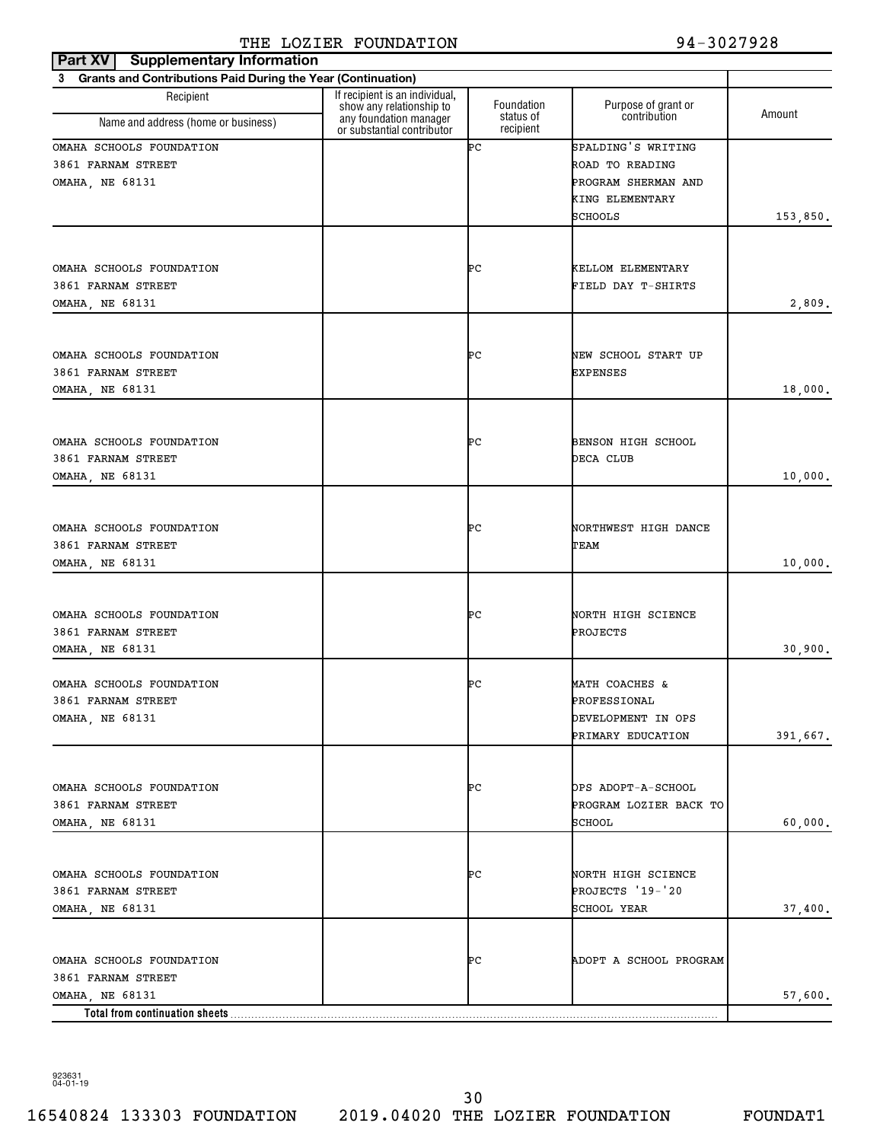| Part XV<br><b>Supplementary Information</b>                       |                                                            |                        |                           |          |
|-------------------------------------------------------------------|------------------------------------------------------------|------------------------|---------------------------|----------|
| Grants and Contributions Paid During the Year (Continuation)<br>3 |                                                            |                        |                           |          |
| Recipient                                                         | If recipient is an individual,<br>show any relationship to | Foundation             | Purpose of grant or       | Amount   |
| Name and address (home or business)                               | any foundation manager<br>or substantial contributor       | status of<br>recipient | contribution              |          |
| OMAHA SCHOOLS FOUNDATION                                          |                                                            | ÞС                     | SPALDING'S WRITING        |          |
| 3861 FARNAM STREET                                                |                                                            |                        | ROAD TO READING           |          |
| OMAHA, NE 68131                                                   |                                                            |                        | PROGRAM SHERMAN AND       |          |
|                                                                   |                                                            |                        | KING ELEMENTARY           |          |
|                                                                   |                                                            |                        | SCHOOLS                   | 153,850. |
|                                                                   |                                                            |                        |                           |          |
| OMAHA SCHOOLS FOUNDATION                                          |                                                            | ÞС                     | KELLOM ELEMENTARY         |          |
| 3861 FARNAM STREET                                                |                                                            |                        | FIELD DAY T-SHIRTS        |          |
| OMAHA, NE 68131                                                   |                                                            |                        |                           | 2,809.   |
|                                                                   |                                                            |                        |                           |          |
| OMAHA SCHOOLS FOUNDATION                                          |                                                            | ÞС                     | NEW SCHOOL START UP       |          |
| 3861 FARNAM STREET                                                |                                                            |                        | <b>EXPENSES</b>           |          |
| <b>OMAHA, NE 68131</b>                                            |                                                            |                        |                           | 18,000.  |
|                                                                   |                                                            |                        |                           |          |
| OMAHA SCHOOLS FOUNDATION                                          |                                                            | ÞС                     | <b>BENSON HIGH SCHOOL</b> |          |
| 3861 FARNAM STREET                                                |                                                            |                        | DECA CLUB                 |          |
| OMAHA, NE 68131                                                   |                                                            |                        |                           | 10,000.  |
|                                                                   |                                                            |                        |                           |          |
| OMAHA SCHOOLS FOUNDATION                                          |                                                            | ÞС                     | NORTHWEST HIGH DANCE      |          |
| 3861 FARNAM STREET                                                |                                                            |                        | TEAM                      |          |
| OMAHA, NE 68131                                                   |                                                            |                        |                           | 10,000.  |
|                                                                   |                                                            |                        |                           |          |
| OMAHA SCHOOLS FOUNDATION                                          |                                                            | ÞС                     | NORTH HIGH SCIENCE        |          |
| 3861 FARNAM STREET                                                |                                                            |                        | PROJECTS                  |          |
| OMAHA, NE 68131                                                   |                                                            |                        |                           | 30,900.  |
| OMAHA SCHOOLS FOUNDATION                                          |                                                            | ÞС                     | MATH COACHES &            |          |
| 3861 FARNAM STREET                                                |                                                            |                        | PROFESSIONAL              |          |
| OMAHA, NE 68131                                                   |                                                            |                        | DEVELOPMENT IN OPS        |          |
|                                                                   |                                                            |                        | PRIMARY EDUCATION         | 391,667. |
|                                                                   |                                                            |                        |                           |          |
| OMAHA SCHOOLS FOUNDATION                                          |                                                            | ÞС                     | OPS ADOPT-A-SCHOOL        |          |
| 3861 FARNAM STREET                                                |                                                            |                        | PROGRAM LOZIER BACK TO    |          |
| OMAHA, NE 68131                                                   |                                                            |                        | SCHOOL                    | 60,000.  |
|                                                                   |                                                            |                        |                           |          |
| OMAHA SCHOOLS FOUNDATION                                          |                                                            | ÞС                     | NORTH HIGH SCIENCE        |          |
| 3861 FARNAM STREET                                                |                                                            |                        | PROJECTS '19-'20          |          |
| OMAHA, NE 68131                                                   |                                                            |                        | SCHOOL YEAR               | 37,400.  |
|                                                                   |                                                            |                        |                           |          |
| OMAHA SCHOOLS FOUNDATION                                          |                                                            | ÞС                     | ADOPT A SCHOOL PROGRAM    |          |
| 3861 FARNAM STREET                                                |                                                            |                        |                           |          |
| OMAHA, NE 68131<br>Total from continuation sheets                 |                                                            |                        |                           | 57,600.  |

923631 04-01-19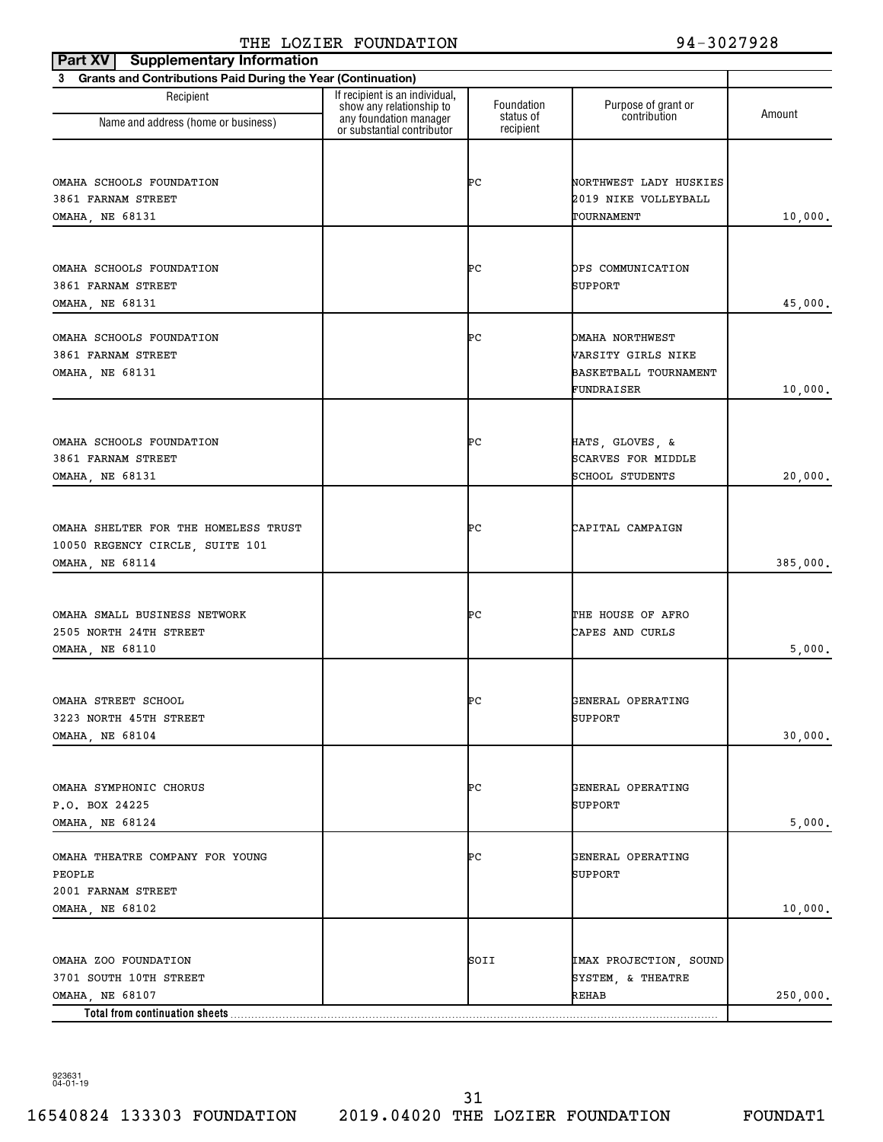| <b>Supplementary Information</b><br>Part XV                    |                                                                                      |                         |                                     |          |
|----------------------------------------------------------------|--------------------------------------------------------------------------------------|-------------------------|-------------------------------------|----------|
| 3 Grants and Contributions Paid During the Year (Continuation) |                                                                                      |                         |                                     |          |
| Recipient                                                      | If recipient is an individual,<br>show any relationship to<br>any foundation manager | Foundation<br>status of | Purpose of grant or<br>contribution | Amount   |
| Name and address (home or business)                            | or substantial contributor                                                           | recipient               |                                     |          |
|                                                                |                                                                                      |                         |                                     |          |
| OMAHA SCHOOLS FOUNDATION                                       |                                                                                      | ÞС                      | NORTHWEST LADY HUSKIES              |          |
| 3861 FARNAM STREET                                             |                                                                                      |                         | 2019 NIKE VOLLEYBALL                |          |
| OMAHA, NE 68131                                                |                                                                                      |                         | TOURNAMENT                          | 10,000.  |
|                                                                |                                                                                      |                         |                                     |          |
| OMAHA SCHOOLS FOUNDATION                                       |                                                                                      | ÞС                      | OPS COMMUNICATION                   |          |
| 3861 FARNAM STREET                                             |                                                                                      |                         | SUPPORT                             |          |
| OMAHA, NE 68131                                                |                                                                                      |                         |                                     | 45,000.  |
|                                                                |                                                                                      |                         |                                     |          |
| OMAHA SCHOOLS FOUNDATION                                       |                                                                                      | ÞС                      | OMAHA NORTHWEST                     |          |
| 3861 FARNAM STREET                                             |                                                                                      |                         | VARSITY GIRLS NIKE                  |          |
| OMAHA, NE 68131                                                |                                                                                      |                         | BASKETBALL TOURNAMENT               |          |
|                                                                |                                                                                      |                         | FUNDRAISER                          | 10,000.  |
|                                                                |                                                                                      |                         |                                     |          |
| OMAHA SCHOOLS FOUNDATION                                       |                                                                                      | ÞС                      | HATS, GLOVES, &                     |          |
| 3861 FARNAM STREET                                             |                                                                                      |                         | <b>SCARVES FOR MIDDLE</b>           |          |
| OMAHA, NE 68131                                                |                                                                                      |                         | SCHOOL STUDENTS                     | 20,000.  |
|                                                                |                                                                                      |                         |                                     |          |
|                                                                |                                                                                      |                         |                                     |          |
| OMAHA SHELTER FOR THE HOMELESS TRUST                           |                                                                                      | ÞС                      | CAPITAL CAMPAIGN                    |          |
| 10050 REGENCY CIRCLE, SUITE 101                                |                                                                                      |                         |                                     |          |
| OMAHA, NE 68114                                                |                                                                                      |                         |                                     | 385,000. |
|                                                                |                                                                                      |                         |                                     |          |
| OMAHA SMALL BUSINESS NETWORK                                   |                                                                                      | ÞС                      | THE HOUSE OF AFRO                   |          |
| 2505 NORTH 24TH STREET                                         |                                                                                      |                         | CAPES AND CURLS                     |          |
| OMAHA, NE 68110                                                |                                                                                      |                         |                                     | 5,000.   |
|                                                                |                                                                                      |                         |                                     |          |
| OMAHA STREET SCHOOL                                            |                                                                                      | ÞС                      | GENERAL OPERATING                   |          |
| 3223 NORTH 45TH STREET                                         |                                                                                      |                         | SUPPORT                             |          |
| OMAHA, NE 68104                                                |                                                                                      |                         |                                     | 30,000.  |
|                                                                |                                                                                      |                         |                                     |          |
|                                                                |                                                                                      |                         |                                     |          |
| OMAHA SYMPHONIC CHORUS                                         |                                                                                      | ÞС                      | GENERAL OPERATING                   |          |
| P.O. BOX 24225<br>OMAHA, NE 68124                              |                                                                                      |                         | SUPPORT                             | 5,000.   |
|                                                                |                                                                                      |                         |                                     |          |
| OMAHA THEATRE COMPANY FOR YOUNG                                |                                                                                      | ÞС                      | GENERAL OPERATING                   |          |
| PEOPLE                                                         |                                                                                      |                         | SUPPORT                             |          |
| 2001 FARNAM STREET                                             |                                                                                      |                         |                                     |          |
| OMAHA, NE 68102                                                |                                                                                      |                         |                                     | 10,000.  |
|                                                                |                                                                                      |                         |                                     |          |
| OMAHA ZOO FOUNDATION                                           |                                                                                      | SOII                    | IMAX PROJECTION, SOUND              |          |
| 3701 SOUTH 10TH STREET                                         |                                                                                      |                         | SYSTEM, & THEATRE                   |          |
| OMAHA, NE 68107                                                |                                                                                      |                         | REHAB                               | 250,000. |
| Total from continuation sheets                                 |                                                                                      |                         |                                     |          |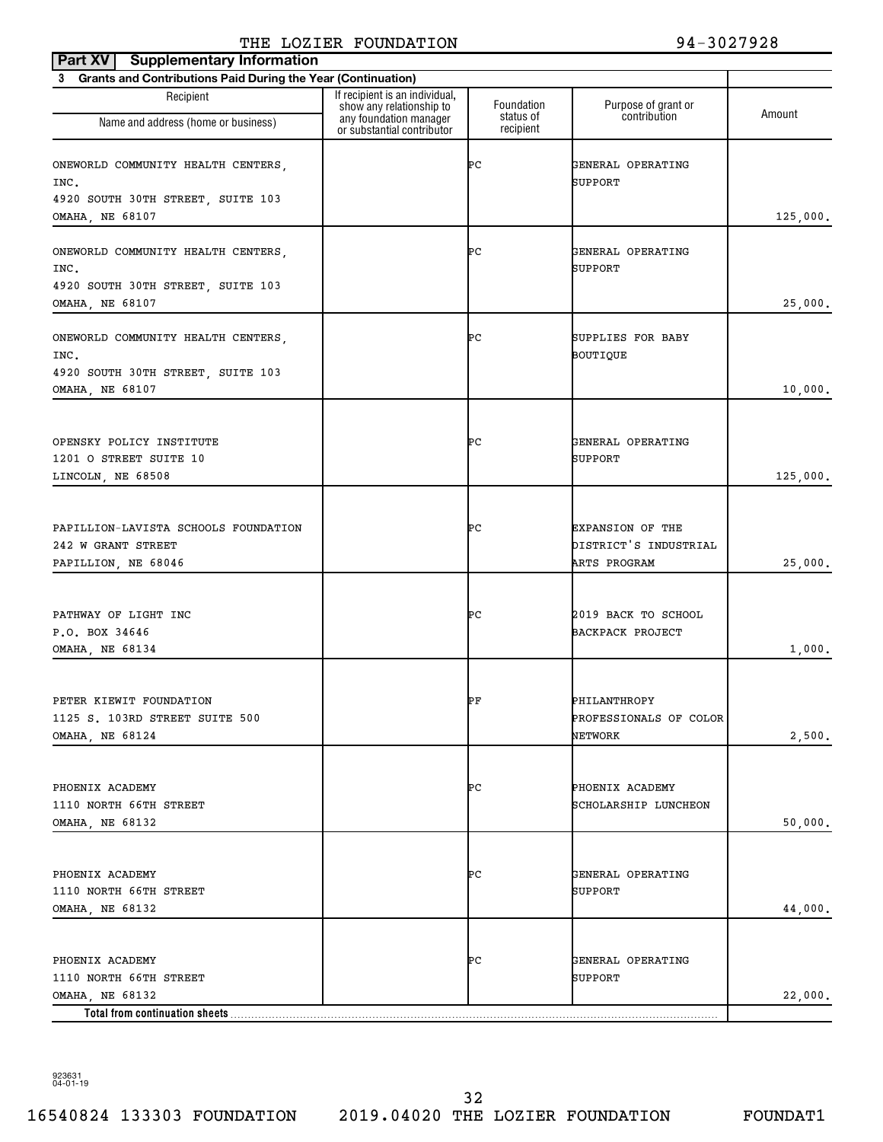| Part XV   Supplementary Information                                                                |                                                            |                         |                                                                  |          |  |  |
|----------------------------------------------------------------------------------------------------|------------------------------------------------------------|-------------------------|------------------------------------------------------------------|----------|--|--|
| 3 Grants and Contributions Paid During the Year (Continuation)                                     |                                                            |                         |                                                                  |          |  |  |
| Recipient                                                                                          | If recipient is an individual,<br>show any relationship to | Foundation<br>status of | Purpose of grant or<br>contribution                              | Amount   |  |  |
| Name and address (home or business)                                                                | any foundation manager<br>or substantial contributor       | recipient               |                                                                  |          |  |  |
| ONEWORLD COMMUNITY HEALTH CENTERS,<br>INC.<br>4920 SOUTH 30TH STREET, SUITE 103<br>OMAHA, NE 68107 |                                                            | ÞС                      | GENERAL OPERATING<br>SUPPORT                                     | 125,000. |  |  |
| ONEWORLD COMMUNITY HEALTH CENTERS,<br>INC.<br>4920 SOUTH 30TH STREET, SUITE 103<br>OMAHA, NE 68107 |                                                            | ÞС                      | GENERAL OPERATING<br>SUPPORT                                     | 25,000.  |  |  |
| ONEWORLD COMMUNITY HEALTH CENTERS,<br>INC.<br>4920 SOUTH 30TH STREET, SUITE 103<br>OMAHA, NE 68107 |                                                            | ÞС                      | SUPPLIES FOR BABY<br>BOUTIQUE                                    | 10,000.  |  |  |
| OPENSKY POLICY INSTITUTE<br>1201 O STREET SUITE 10<br>LINCOLN, NE 68508                            |                                                            | ÞС                      | GENERAL OPERATING<br>SUPPORT                                     | 125,000. |  |  |
| PAPILLION-LAVISTA SCHOOLS FOUNDATION<br>242 W GRANT STREET<br>PAPILLION, NE 68046                  |                                                            | ÞС                      | <b>EXPANSION OF THE</b><br>DISTRICT'S INDUSTRIAL<br>ARTS PROGRAM | 25,000.  |  |  |
| PATHWAY OF LIGHT INC<br>P.O. BOX 34646<br>OMAHA, NE 68134                                          |                                                            | ÞС                      | 2019 BACK TO SCHOOL<br><b>BACKPACK PROJECT</b>                   | 1,000.   |  |  |
| PETER KIEWIT FOUNDATION<br>1125 S. 103RD STREET SUITE 500<br>OMAHA, NE 68124                       |                                                            | РF                      | PHILANTHROPY<br>PROFESSIONALS OF COLOR<br><b>NETWORK</b>         | 2,500.   |  |  |
| PHOENIX ACADEMY<br>1110 NORTH 66TH STREET<br>OMAHA, NE 68132                                       |                                                            | ÞС                      | PHOENIX ACADEMY<br>SCHOLARSHIP LUNCHEON                          | 50,000.  |  |  |
| PHOENIX ACADEMY<br>1110 NORTH 66TH STREET<br>OMAHA, NE 68132                                       |                                                            | ÞС                      | GENERAL OPERATING<br>SUPPORT                                     | 44,000.  |  |  |
| PHOENIX ACADEMY<br>1110 NORTH 66TH STREET<br>OMAHA, NE 68132<br>Total from continuation sheets     |                                                            | ÞС                      | GENERAL OPERATING<br>SUPPORT                                     | 22,000.  |  |  |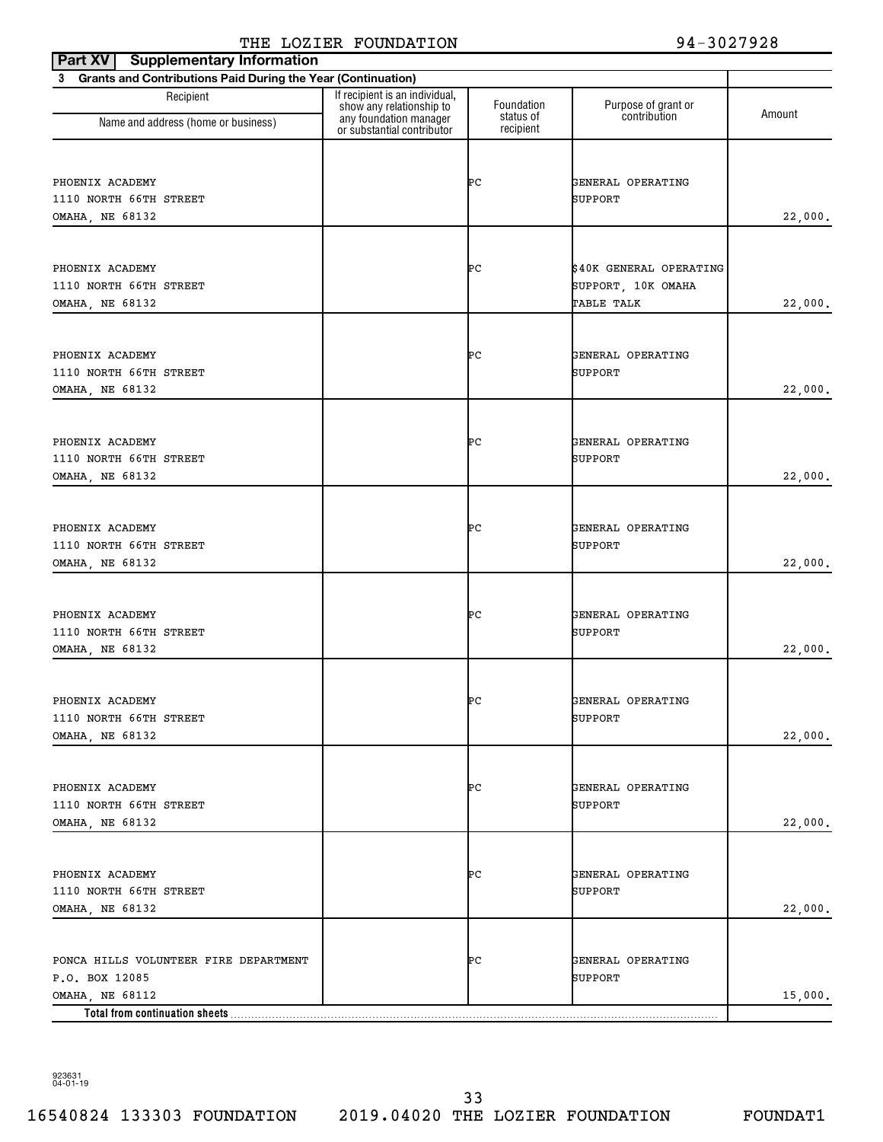| <b>Supplementary Information</b><br>Part XV                    |                                                                                      |                         |                                     |         |
|----------------------------------------------------------------|--------------------------------------------------------------------------------------|-------------------------|-------------------------------------|---------|
| 3 Grants and Contributions Paid During the Year (Continuation) |                                                                                      |                         |                                     |         |
| Recipient<br>Name and address (home or business)               | If recipient is an individual,<br>show any relationship to<br>any foundation manager | Foundation<br>status of | Purpose of grant or<br>contribution | Amount  |
|                                                                | or substantial contributor                                                           | recipient               |                                     |         |
|                                                                |                                                                                      |                         |                                     |         |
| PHOENIX ACADEMY                                                |                                                                                      | ÞС                      | GENERAL OPERATING                   |         |
| 1110 NORTH 66TH STREET                                         |                                                                                      |                         | SUPPORT                             |         |
| OMAHA, NE 68132                                                |                                                                                      |                         |                                     | 22,000. |
|                                                                |                                                                                      |                         |                                     |         |
| PHOENIX ACADEMY                                                |                                                                                      | ÞС                      | \$40K GENERAL OPERATING             |         |
| 1110 NORTH 66TH STREET                                         |                                                                                      |                         | SUPPORT, 10K OMAHA                  |         |
| OMAHA, NE 68132                                                |                                                                                      |                         | TABLE TALK                          | 22,000. |
|                                                                |                                                                                      |                         |                                     |         |
| PHOENIX ACADEMY                                                |                                                                                      | ÞС                      | GENERAL OPERATING                   |         |
| 1110 NORTH 66TH STREET                                         |                                                                                      |                         | SUPPORT                             |         |
| OMAHA, NE 68132                                                |                                                                                      |                         |                                     | 22,000. |
|                                                                |                                                                                      |                         |                                     |         |
| PHOENIX ACADEMY                                                |                                                                                      | ÞС                      | GENERAL OPERATING                   |         |
| 1110 NORTH 66TH STREET                                         |                                                                                      |                         | <b>SUPPORT</b>                      |         |
| OMAHA, NE 68132                                                |                                                                                      |                         |                                     | 22,000. |
|                                                                |                                                                                      |                         |                                     |         |
| PHOENIX ACADEMY                                                |                                                                                      | ÞС                      | GENERAL OPERATING                   |         |
| 1110 NORTH 66TH STREET                                         |                                                                                      |                         | SUPPORT                             |         |
| OMAHA, NE 68132                                                |                                                                                      |                         |                                     | 22,000. |
|                                                                |                                                                                      |                         |                                     |         |
| PHOENIX ACADEMY                                                |                                                                                      | ÞС                      | GENERAL OPERATING                   |         |
| 1110 NORTH 66TH STREET                                         |                                                                                      |                         | <b>SUPPORT</b>                      |         |
| OMAHA, NE 68132                                                |                                                                                      |                         |                                     | 22,000. |
|                                                                |                                                                                      |                         |                                     |         |
| PHOENIX ACADEMY                                                |                                                                                      | ÞС                      | GENERAL OPERATING                   |         |
| 1110 NORTH 66TH STREET                                         |                                                                                      |                         | SUPPORT                             |         |
| <b>OMAHA, NE 68132</b>                                         |                                                                                      |                         |                                     | 22,000. |
|                                                                |                                                                                      |                         |                                     |         |
| PHOENIX ACADEMY                                                |                                                                                      | ÞС                      | GENERAL OPERATING                   |         |
| 1110 NORTH 66TH STREET                                         |                                                                                      |                         | SUPPORT                             |         |
| <b>OMAHA, NE 68132</b>                                         |                                                                                      |                         |                                     | 22,000. |
|                                                                |                                                                                      |                         |                                     |         |
| PHOENIX ACADEMY                                                |                                                                                      | ÞС                      | GENERAL OPERATING                   |         |
| 1110 NORTH 66TH STREET                                         |                                                                                      |                         | SUPPORT                             |         |
| OMAHA, NE 68132                                                |                                                                                      |                         |                                     | 22,000. |
|                                                                |                                                                                      |                         |                                     |         |
| PONCA HILLS VOLUNTEER FIRE DEPARTMENT                          |                                                                                      | ÞС                      | GENERAL OPERATING                   |         |
| P.O. BOX 12085                                                 |                                                                                      |                         | SUPPORT                             |         |
| OMAHA, NE 68112                                                |                                                                                      |                         |                                     | 15,000. |
| Total from continuation sheets                                 |                                                                                      |                         |                                     |         |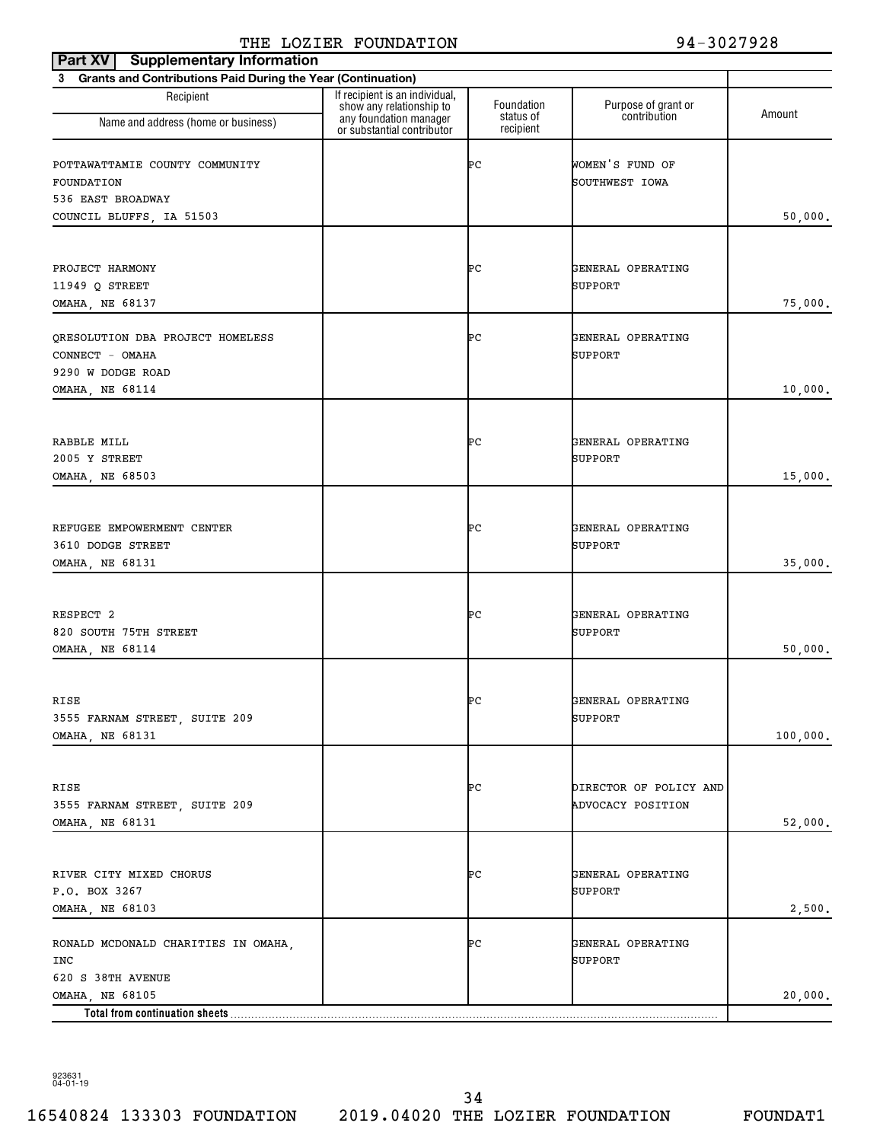| <b>Supplementary Information</b><br>Part XV                              |                                                                                                                    |                                      |                                             |          |
|--------------------------------------------------------------------------|--------------------------------------------------------------------------------------------------------------------|--------------------------------------|---------------------------------------------|----------|
| 3 Grants and Contributions Paid During the Year (Continuation)           |                                                                                                                    |                                      |                                             |          |
| Recipient<br>Name and address (home or business)                         | If recipient is an individual,<br>show any relationship to<br>any foundation manager<br>or substantial contributor | Foundation<br>status of<br>recipient | Purpose of grant or<br>contribution         | Amount   |
| POTTAWATTAMIE COUNTY COMMUNITY<br>FOUNDATION                             |                                                                                                                    | ÞС                                   | WOMEN'S FUND OF<br>SOUTHWEST IOWA           |          |
| 536 EAST BROADWAY<br>COUNCIL BLUFFS, IA 51503                            |                                                                                                                    |                                      |                                             | 50,000.  |
| PROJECT HARMONY<br>11949 Q STREET<br>OMAHA, NE 68137                     |                                                                                                                    | ÞС                                   | GENERAL OPERATING<br><b>SUPPORT</b>         | 75,000.  |
| ORESOLUTION DBA PROJECT HOMELESS<br>CONNECT - OMAHA<br>9290 W DODGE ROAD |                                                                                                                    | ÞС                                   | GENERAL OPERATING<br><b>SUPPORT</b>         |          |
| OMAHA, NE 68114                                                          |                                                                                                                    |                                      |                                             | 10,000.  |
| RABBLE MILL<br>2005 Y STREET<br>OMAHA, NE 68503                          |                                                                                                                    | ÞС                                   | GENERAL OPERATING<br><b>SUPPORT</b>         | 15,000.  |
| REFUGEE EMPOWERMENT CENTER<br>3610 DODGE STREET<br>OMAHA, NE 68131       |                                                                                                                    | ÞС                                   | GENERAL OPERATING<br>SUPPORT                | 35,000.  |
| RESPECT 2<br>820 SOUTH 75TH STREET<br>OMAHA, NE 68114                    |                                                                                                                    | ÞС                                   | GENERAL OPERATING<br><b>SUPPORT</b>         | 50,000.  |
| RISE<br>3555 FARNAM STREET, SUITE 209<br>OMAHA, NE 68131                 |                                                                                                                    | ÞС                                   | GENERAL OPERATING<br>SUPPORT                | 100,000. |
| RISE<br>3555 FARNAM STREET, SUITE 209<br>OMAHA, NE 68131                 |                                                                                                                    | ÞС                                   | DIRECTOR OF POLICY AND<br>ADVOCACY POSITION | 52,000.  |
| RIVER CITY MIXED CHORUS<br>P.O. BOX 3267<br>OMAHA, NE 68103              |                                                                                                                    | ÞС                                   | GENERAL OPERATING<br><b>SUPPORT</b>         | 2,500.   |
| RONALD MCDONALD CHARITIES IN OMAHA,<br>INC<br>620 S 38TH AVENUE          |                                                                                                                    | ÞС                                   | GENERAL OPERATING<br><b>SUPPORT</b>         |          |
| OMAHA, NE 68105<br>Total from continuation sheets                        |                                                                                                                    |                                      |                                             | 20,000.  |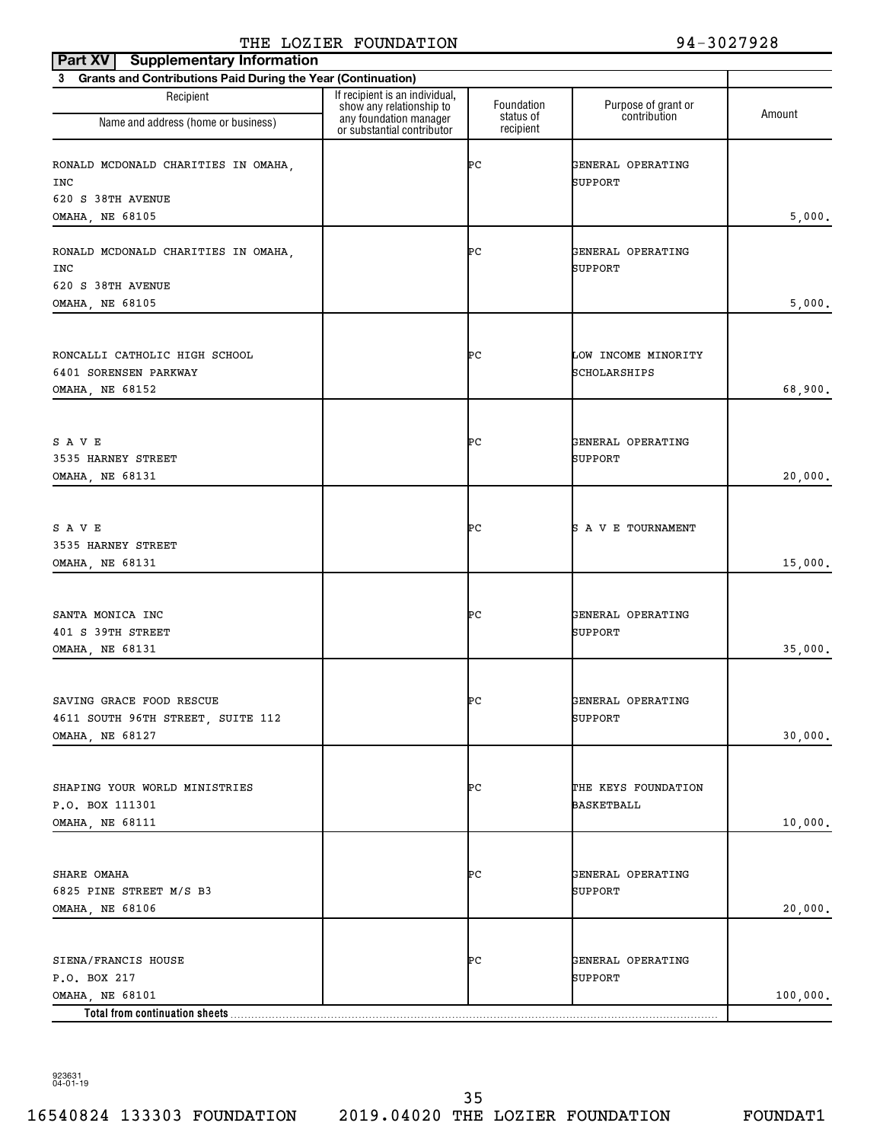| <b>Supplementary Information</b><br>Part XV                                      |                                                            |                         |                                     |          |
|----------------------------------------------------------------------------------|------------------------------------------------------------|-------------------------|-------------------------------------|----------|
| 3 Grants and Contributions Paid During the Year (Continuation)                   |                                                            |                         |                                     |          |
| Recipient                                                                        | If recipient is an individual,<br>show any relationship to | Foundation<br>status of | Purpose of grant or<br>contribution | Amount   |
| Name and address (home or business)                                              | any foundation manager<br>or substantial contributor       | recipient               |                                     |          |
| RONALD MCDONALD CHARITIES IN OMAHA,<br>INC<br>620 S 38TH AVENUE                  |                                                            | ÞС                      | GENERAL OPERATING<br>SUPPORT        |          |
| <b>OMAHA, NE 68105</b>                                                           |                                                            |                         |                                     | 5,000.   |
|                                                                                  |                                                            |                         |                                     |          |
| RONALD MCDONALD CHARITIES IN OMAHA,<br>INC                                       |                                                            | ÞС                      | GENERAL OPERATING<br>SUPPORT        |          |
| 620 S 38TH AVENUE                                                                |                                                            |                         |                                     |          |
| OMAHA, NE 68105                                                                  |                                                            |                         |                                     | 5,000.   |
| RONCALLI CATHOLIC HIGH SCHOOL                                                    |                                                            | ÞС                      | LOW INCOME MINORITY                 |          |
| 6401 SORENSEN PARKWAY                                                            |                                                            |                         | SCHOLARSHIPS                        |          |
| OMAHA, NE 68152                                                                  |                                                            |                         |                                     | 68,900.  |
| SAVE                                                                             |                                                            | ÞС                      | GENERAL OPERATING                   |          |
| 3535 HARNEY STREET                                                               |                                                            |                         | <b>SUPPORT</b>                      |          |
| OMAHA, NE 68131                                                                  |                                                            |                         |                                     | 20,000.  |
| SAVE<br>3535 HARNEY STREET                                                       |                                                            | ÞС                      | S A V E TOURNAMENT                  |          |
| OMAHA, NE 68131                                                                  |                                                            |                         |                                     | 15,000.  |
| SANTA MONICA INC<br>401 S 39TH STREET<br>OMAHA, NE 68131                         |                                                            | ÞС                      | GENERAL OPERATING<br><b>SUPPORT</b> | 35,000.  |
| SAVING GRACE FOOD RESCUE<br>4611 SOUTH 96TH STREET, SUITE 112<br>OMAHA, NE 68127 |                                                            | ÞС                      | GENERAL OPERATING<br>SUPPORT        | 30,000.  |
|                                                                                  |                                                            |                         |                                     |          |
| SHAPING YOUR WORLD MINISTRIES<br>P.O. BOX 111301<br>OMAHA, NE 68111              |                                                            | ÞС                      | THE KEYS FOUNDATION<br>BASKETBALL   | 10,000.  |
|                                                                                  |                                                            |                         |                                     |          |
| SHARE OMAHA<br>6825 PINE STREET M/S B3<br>OMAHA, NE 68106                        |                                                            | ÞС                      | GENERAL OPERATING<br>SUPPORT        | 20,000.  |
|                                                                                  |                                                            |                         |                                     |          |
| SIENA/FRANCIS HOUSE<br>P.O. BOX 217                                              |                                                            | ÞС                      | GENERAL OPERATING<br>SUPPORT        |          |
| OMAHA, NE 68101                                                                  |                                                            |                         |                                     | 100,000. |
| Total from continuation sheets                                                   |                                                            |                         |                                     |          |

923631 04-01-19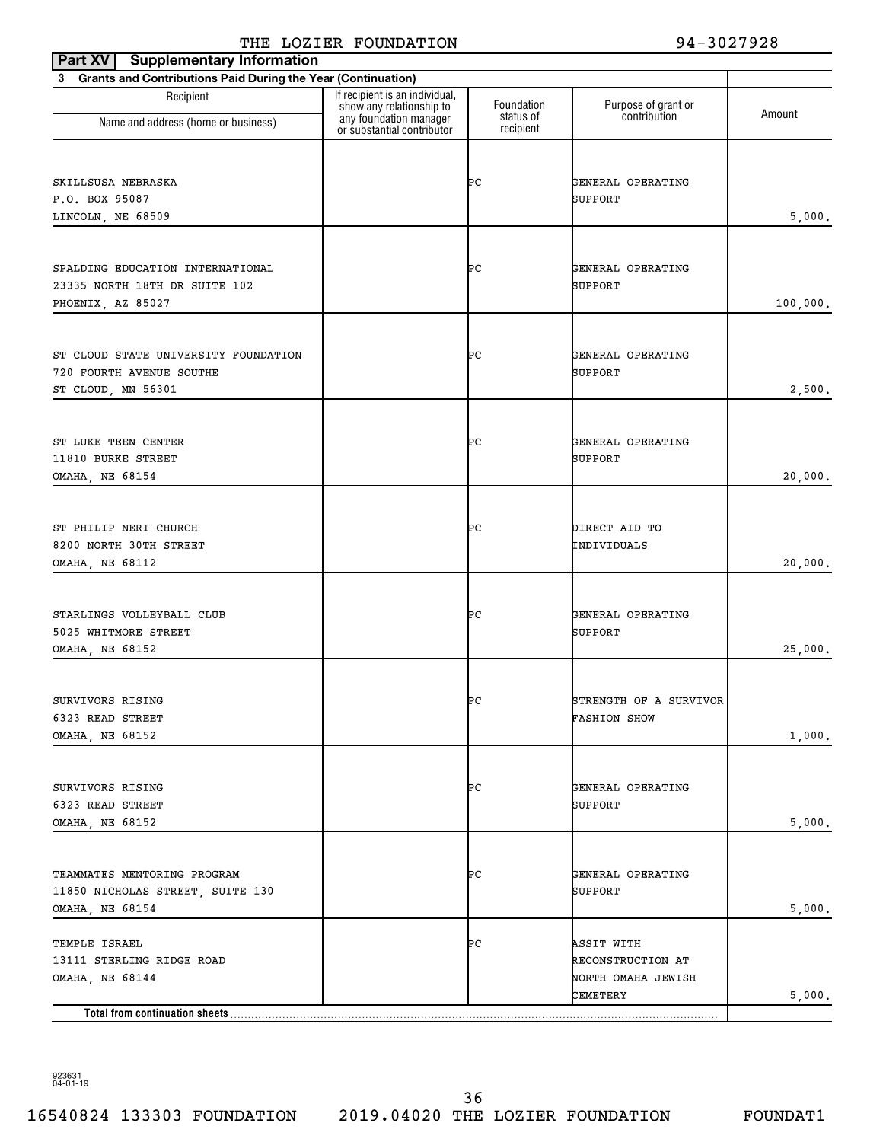| <b>Supplementary Information</b><br>Part XV                    |                                                                                      |                         |                                     |          |
|----------------------------------------------------------------|--------------------------------------------------------------------------------------|-------------------------|-------------------------------------|----------|
| 3 Grants and Contributions Paid During the Year (Continuation) |                                                                                      |                         |                                     |          |
| Recipient                                                      | If recipient is an individual,<br>show any relationship to<br>any foundation manager | Foundation<br>status of | Purpose of grant or<br>contribution | Amount   |
| Name and address (home or business)                            | or substantial contributor                                                           | recipient               |                                     |          |
|                                                                |                                                                                      |                         |                                     |          |
| SKILLSUSA NEBRASKA                                             |                                                                                      | ÞС                      | GENERAL OPERATING                   |          |
| P.O. BOX 95087                                                 |                                                                                      |                         | SUPPORT                             |          |
| LINCOLN, NE 68509                                              |                                                                                      |                         |                                     | 5,000.   |
|                                                                |                                                                                      |                         |                                     |          |
| SPALDING EDUCATION INTERNATIONAL                               |                                                                                      | ÞС                      | GENERAL OPERATING                   |          |
| 23335 NORTH 18TH DR SUITE 102                                  |                                                                                      |                         | SUPPORT                             |          |
| PHOENIX, AZ 85027                                              |                                                                                      |                         |                                     | 100,000. |
|                                                                |                                                                                      |                         |                                     |          |
| ST CLOUD STATE UNIVERSITY FOUNDATION                           |                                                                                      | ÞС                      | GENERAL OPERATING                   |          |
| 720 FOURTH AVENUE SOUTHE                                       |                                                                                      |                         | SUPPORT                             |          |
| ST CLOUD, MN 56301                                             |                                                                                      |                         |                                     | 2,500.   |
|                                                                |                                                                                      |                         |                                     |          |
|                                                                |                                                                                      |                         |                                     |          |
| ST LUKE TEEN CENTER<br>11810 BURKE STREET                      |                                                                                      | ÞС                      | GENERAL OPERATING<br>SUPPORT        |          |
| OMAHA, NE 68154                                                |                                                                                      |                         |                                     | 20,000.  |
|                                                                |                                                                                      |                         |                                     |          |
|                                                                |                                                                                      |                         |                                     |          |
| ST PHILIP NERI CHURCH                                          |                                                                                      | ÞС                      | DIRECT AID TO                       |          |
| 8200 NORTH 30TH STREET                                         |                                                                                      |                         | INDIVIDUALS                         | 20,000.  |
| OMAHA, NE 68112                                                |                                                                                      |                         |                                     |          |
|                                                                |                                                                                      |                         |                                     |          |
| STARLINGS VOLLEYBALL CLUB                                      |                                                                                      | ÞС                      | GENERAL OPERATING                   |          |
| 5025 WHITMORE STREET                                           |                                                                                      |                         | SUPPORT                             |          |
| OMAHA, NE 68152                                                |                                                                                      |                         |                                     | 25,000.  |
|                                                                |                                                                                      |                         |                                     |          |
| SURVIVORS RISING                                               |                                                                                      | Þс                      | STRENGTH OF A SURVIVOR              |          |
| 6323 READ STREET                                               |                                                                                      |                         | <b>FASHION SHOW</b>                 |          |
| OMAHA, NE 68152                                                |                                                                                      |                         |                                     | 1,000.   |
|                                                                |                                                                                      |                         |                                     |          |
| SURVIVORS RISING                                               |                                                                                      | ÞС                      | GENERAL OPERATING                   |          |
| 6323 READ STREET                                               |                                                                                      |                         | SUPPORT                             |          |
| OMAHA, NE 68152                                                |                                                                                      |                         |                                     | 5,000.   |
|                                                                |                                                                                      |                         |                                     |          |
| TEAMMATES MENTORING PROGRAM                                    |                                                                                      | ÞС                      | GENERAL OPERATING                   |          |
| 11850 NICHOLAS STREET, SUITE 130                               |                                                                                      |                         | SUPPORT                             |          |
| OMAHA, NE 68154                                                |                                                                                      |                         |                                     | 5,000.   |
| TEMPLE ISRAEL                                                  |                                                                                      | ÞС                      | ASSIT WITH                          |          |
| 13111 STERLING RIDGE ROAD                                      |                                                                                      |                         | RECONSTRUCTION AT                   |          |
| OMAHA, NE 68144                                                |                                                                                      |                         | NORTH OMAHA JEWISH                  |          |
|                                                                |                                                                                      |                         | CEMETERY                            | 5,000.   |
| Total from continuation sheets                                 |                                                                                      |                         |                                     |          |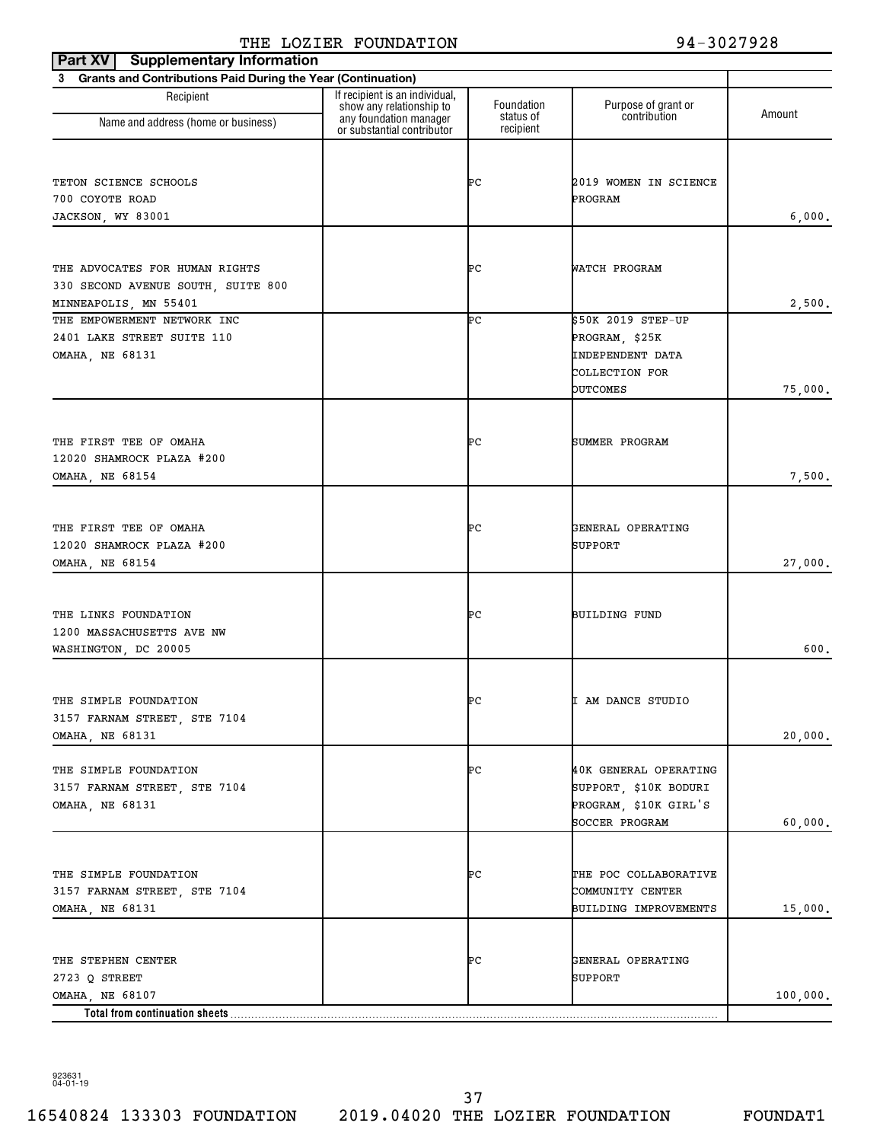| <b>Supplementary Information</b><br>Part XV                    |                                                                                      |                         |                                     |          |
|----------------------------------------------------------------|--------------------------------------------------------------------------------------|-------------------------|-------------------------------------|----------|
| 3 Grants and Contributions Paid During the Year (Continuation) |                                                                                      |                         |                                     |          |
| Recipient                                                      | If recipient is an individual,<br>show any relationship to<br>any foundation manager | Foundation<br>status of | Purpose of grant or<br>contribution | Amount   |
| Name and address (home or business)                            | or substantial contributor                                                           | recipient               |                                     |          |
|                                                                |                                                                                      |                         |                                     |          |
| TETON SCIENCE SCHOOLS                                          |                                                                                      | ÞС                      | 2019 WOMEN IN SCIENCE               |          |
| 700 COYOTE ROAD                                                |                                                                                      |                         | PROGRAM                             |          |
| JACKSON, WY 83001                                              |                                                                                      |                         |                                     | 6,000.   |
|                                                                |                                                                                      |                         |                                     |          |
|                                                                |                                                                                      |                         |                                     |          |
| THE ADVOCATES FOR HUMAN RIGHTS                                 |                                                                                      | ÞС                      | WATCH PROGRAM                       |          |
| 330 SECOND AVENUE SOUTH, SUITE 800                             |                                                                                      |                         |                                     | 2,500.   |
| MINNEAPOLIS, MN 55401<br>THE EMPOWERMENT NETWORK INC           |                                                                                      | ÞС                      | \$50K 2019 STEP-UP                  |          |
| 2401 LAKE STREET SUITE 110                                     |                                                                                      |                         | PROGRAM, \$25K                      |          |
| OMAHA, NE 68131                                                |                                                                                      |                         | INDEPENDENT DATA                    |          |
|                                                                |                                                                                      |                         | COLLECTION FOR                      |          |
|                                                                |                                                                                      |                         | <b>OUTCOMES</b>                     | 75,000.  |
|                                                                |                                                                                      |                         |                                     |          |
|                                                                |                                                                                      |                         |                                     |          |
| THE FIRST TEE OF OMAHA                                         |                                                                                      | ÞС                      | SUMMER PROGRAM                      |          |
| 12020 SHAMROCK PLAZA #200                                      |                                                                                      |                         |                                     |          |
| OMAHA, NE 68154                                                |                                                                                      |                         |                                     | 7,500.   |
|                                                                |                                                                                      |                         |                                     |          |
| THE FIRST TEE OF OMAHA                                         |                                                                                      | ÞС                      | GENERAL OPERATING                   |          |
| 12020 SHAMROCK PLAZA #200                                      |                                                                                      |                         | SUPPORT                             |          |
| OMAHA, NE 68154                                                |                                                                                      |                         |                                     | 27,000.  |
|                                                                |                                                                                      |                         |                                     |          |
| THE LINKS FOUNDATION                                           |                                                                                      | ÞС                      | BUILDING FUND                       |          |
| 1200 MASSACHUSETTS AVE NW                                      |                                                                                      |                         |                                     |          |
| WASHINGTON, DC 20005                                           |                                                                                      |                         |                                     | 600.     |
|                                                                |                                                                                      |                         |                                     |          |
|                                                                |                                                                                      |                         |                                     |          |
| THE SIMPLE FOUNDATION<br>3157 FARNAM STREET, STE 7104          |                                                                                      | ÞС                      | I AM DANCE STUDIO                   |          |
| <b>OMAHA, NE 68131</b>                                         |                                                                                      |                         |                                     | 20,000.  |
|                                                                |                                                                                      |                         |                                     |          |
| THE SIMPLE FOUNDATION                                          |                                                                                      | ÞС                      | 40K GENERAL OPERATING               |          |
| 3157 FARNAM STREET, STE 7104                                   |                                                                                      |                         | SUPPORT, \$10K BODURI               |          |
| OMAHA, NE 68131                                                |                                                                                      |                         | PROGRAM, \$10K GIRL'S               |          |
|                                                                |                                                                                      |                         | SOCCER PROGRAM                      | 60,000.  |
|                                                                |                                                                                      |                         |                                     |          |
| THE SIMPLE FOUNDATION                                          |                                                                                      | ÞС                      | THE POC COLLABORATIVE               |          |
| 3157 FARNAM STREET, STE 7104                                   |                                                                                      |                         | COMMUNITY CENTER                    |          |
| OMAHA, NE 68131                                                |                                                                                      |                         | BUILDING IMPROVEMENTS               | 15,000.  |
|                                                                |                                                                                      |                         |                                     |          |
|                                                                |                                                                                      |                         |                                     |          |
| THE STEPHEN CENTER                                             |                                                                                      | ÞС                      | GENERAL OPERATING                   |          |
| 2723 Q STREET                                                  |                                                                                      |                         | SUPPORT                             |          |
| OMAHA, NE 68107<br>Total from continuation sheets              |                                                                                      |                         |                                     | 100,000. |
|                                                                |                                                                                      |                         |                                     |          |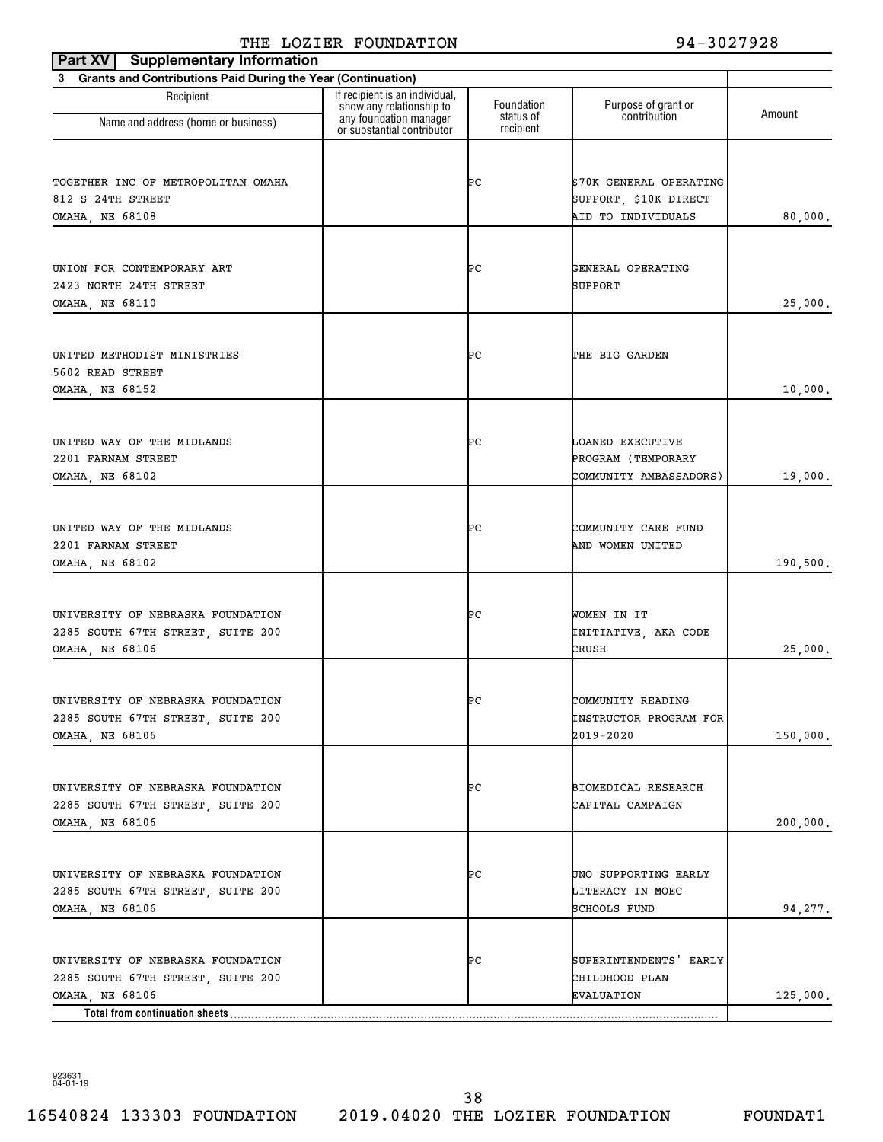| <b>Supplementary Information</b><br>Part XV                                                                                 |                                                                                      |                         |                                                                        |          |
|-----------------------------------------------------------------------------------------------------------------------------|--------------------------------------------------------------------------------------|-------------------------|------------------------------------------------------------------------|----------|
| 3 Grants and Contributions Paid During the Year (Continuation)                                                              |                                                                                      |                         |                                                                        |          |
| Recipient<br>Name and address (home or business)                                                                            | If recipient is an individual,<br>show any relationship to<br>any foundation manager | Foundation<br>status of | Purpose of grant or<br>contribution                                    | Amount   |
|                                                                                                                             | or substantial contributor                                                           | recipient               |                                                                        |          |
| TOGETHER INC OF METROPOLITAN OMAHA<br>812 S 24TH STREET<br>OMAHA, NE 68108                                                  |                                                                                      | ÞС                      | \$70K GENERAL OPERATING<br>SUPPORT, \$10K DIRECT<br>AID TO INDIVIDUALS | 80,000.  |
| UNION FOR CONTEMPORARY ART<br>2423 NORTH 24TH STREET<br>OMAHA, NE 68110                                                     |                                                                                      | ÞС                      | GENERAL OPERATING<br>SUPPORT                                           | 25,000.  |
| UNITED METHODIST MINISTRIES<br>5602 READ STREET<br>OMAHA, NE 68152                                                          |                                                                                      | ÞС                      | THE BIG GARDEN                                                         | 10,000.  |
| UNITED WAY OF THE MIDLANDS<br>2201 FARNAM STREET<br>OMAHA, NE 68102                                                         |                                                                                      | ÞС                      | LOANED EXECUTIVE<br>PROGRAM (TEMPORARY<br>COMMUNITY AMBASSADORS)       | 19,000.  |
| UNITED WAY OF THE MIDLANDS<br>2201 FARNAM STREET<br>OMAHA, NE 68102                                                         |                                                                                      | ÞС                      | COMMUNITY CARE FUND<br>AND WOMEN UNITED                                | 190,500. |
| UNIVERSITY OF NEBRASKA FOUNDATION<br>2285 SOUTH 67TH STREET, SUITE 200<br><b>OMAHA, NE 68106</b>                            |                                                                                      | ÞС                      | WOMEN IN IT<br>INITIATIVE, AKA CODE<br>CRUSH                           | 25,000.  |
| UNIVERSITY OF NEBRASKA FOUNDATION<br>2285 SOUTH 67TH STREET, SUITE 200<br>OMAHA, NE 68106                                   |                                                                                      | ÞС                      | COMMUNITY READING<br>INSTRUCTOR PROGRAM FOR<br>2019-2020               | 150,000. |
| UNIVERSITY OF NEBRASKA FOUNDATION<br>2285 SOUTH 67TH STREET, SUITE 200<br>OMAHA, NE 68106                                   |                                                                                      | ÞС                      | BIOMEDICAL RESEARCH<br>CAPITAL CAMPAIGN                                | 200,000. |
| UNIVERSITY OF NEBRASKA FOUNDATION<br>2285 SOUTH 67TH STREET, SUITE 200<br>OMAHA, NE 68106                                   |                                                                                      | ÞС                      | UNO SUPPORTING EARLY<br>LITERACY IN MOEC<br>SCHOOLS FUND               | 94,277.  |
| UNIVERSITY OF NEBRASKA FOUNDATION<br>2285 SOUTH 67TH STREET, SUITE 200<br>OMAHA, NE 68106<br>Total from continuation sheets |                                                                                      | ÞС                      | SUPERINTENDENTS EARLY<br>CHILDHOOD PLAN<br>EVALUATION                  | 125,000. |

923631 04-01-19

16540824 133303 FOUNDATION 2019.04020 THE LOZIER FOUNDATION FOUNDAT1 38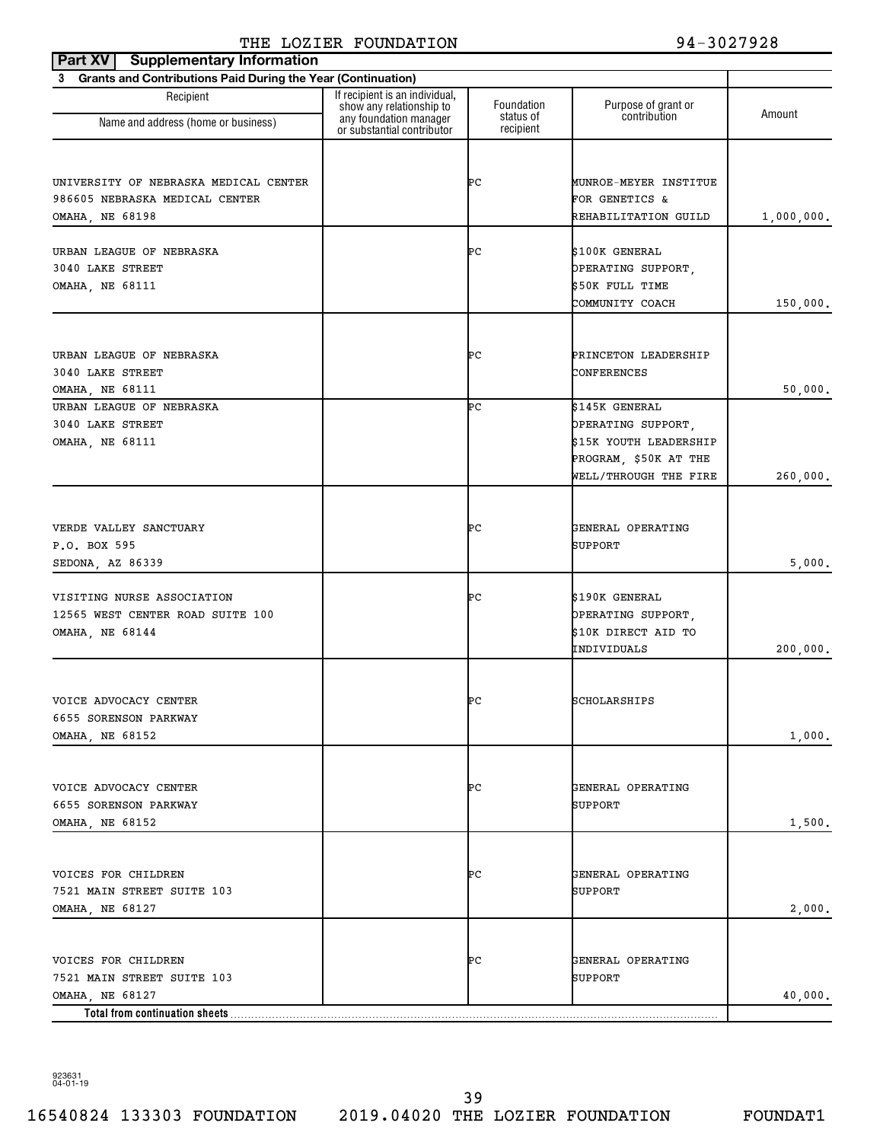| <b>Supplementary Information</b><br>Part XV                    |                                                                                      |                         |                                     |            |
|----------------------------------------------------------------|--------------------------------------------------------------------------------------|-------------------------|-------------------------------------|------------|
| 3 Grants and Contributions Paid During the Year (Continuation) |                                                                                      |                         |                                     |            |
| Recipient                                                      | If recipient is an individual,<br>show any relationship to<br>any foundation manager | Foundation<br>status of | Purpose of grant or<br>contribution | Amount     |
| Name and address (home or business)                            | or substantial contributor                                                           | recipient               |                                     |            |
|                                                                |                                                                                      |                         |                                     |            |
| UNIVERSITY OF NEBRASKA MEDICAL CENTER                          |                                                                                      | ÞС                      | MUNROE-MEYER INSTITUE               |            |
| 986605 NEBRASKA MEDICAL CENTER                                 |                                                                                      |                         | FOR GENETICS &                      |            |
| OMAHA, NE 68198                                                |                                                                                      |                         | REHABILITATION GUILD                | 1,000,000. |
|                                                                |                                                                                      |                         |                                     |            |
| URBAN LEAGUE OF NEBRASKA                                       |                                                                                      | ÞС                      | \$100K GENERAL                      |            |
| 3040 LAKE STREET                                               |                                                                                      |                         | OPERATING SUPPORT,                  |            |
| <b>OMAHA, NE 68111</b>                                         |                                                                                      |                         | \$50K FULL TIME                     |            |
|                                                                |                                                                                      |                         | COMMUNITY COACH                     | 150,000.   |
|                                                                |                                                                                      |                         |                                     |            |
| URBAN LEAGUE OF NEBRASKA                                       |                                                                                      | ÞС                      | PRINCETON LEADERSHIP                |            |
| 3040 LAKE STREET                                               |                                                                                      |                         | CONFERENCES                         |            |
| <b>OMAHA, NE 68111</b>                                         |                                                                                      |                         |                                     | 50,000.    |
| URBAN LEAGUE OF NEBRASKA                                       |                                                                                      | ÞС                      | \$145K GENERAL                      |            |
| 3040 LAKE STREET                                               |                                                                                      |                         | OPERATING SUPPORT,                  |            |
| <b>OMAHA, NE 68111</b>                                         |                                                                                      |                         | \$15K YOUTH LEADERSHIP              |            |
|                                                                |                                                                                      |                         | PROGRAM, \$50K AT THE               |            |
|                                                                |                                                                                      |                         | WELL/THROUGH THE FIRE               | 260,000.   |
|                                                                |                                                                                      |                         |                                     |            |
| VERDE VALLEY SANCTUARY                                         |                                                                                      | ÞС                      | GENERAL OPERATING                   |            |
| P.O. BOX 595                                                   |                                                                                      |                         | SUPPORT                             |            |
| SEDONA, AZ 86339                                               |                                                                                      |                         |                                     | 5,000.     |
|                                                                |                                                                                      |                         |                                     |            |
| VISITING NURSE ASSOCIATION                                     |                                                                                      | ÞС                      | \$190K GENERAL                      |            |
| 12565 WEST CENTER ROAD SUITE 100                               |                                                                                      |                         | OPERATING SUPPORT,                  |            |
| OMAHA, NE 68144                                                |                                                                                      |                         | \$10K DIRECT AID TO                 |            |
|                                                                |                                                                                      |                         | INDIVIDUALS                         | 200,000.   |
|                                                                |                                                                                      |                         |                                     |            |
| VOICE ADVOCACY CENTER                                          |                                                                                      | ÞС                      | SCHOLARSHIPS                        |            |
| 6655 SORENSON PARKWAY                                          |                                                                                      |                         |                                     |            |
| OMAHA, NE 68152                                                |                                                                                      |                         |                                     | 1,000.     |
|                                                                |                                                                                      |                         |                                     |            |
| VOICE ADVOCACY CENTER                                          |                                                                                      | ÞС                      | GENERAL OPERATING                   |            |
| 6655 SORENSON PARKWAY                                          |                                                                                      |                         | SUPPORT                             |            |
| <b>OMAHA, NE 68152</b>                                         |                                                                                      |                         |                                     | 1,500.     |
|                                                                |                                                                                      |                         |                                     |            |
| VOICES FOR CHILDREN                                            |                                                                                      | ÞС                      | GENERAL OPERATING                   |            |
| 7521 MAIN STREET SUITE 103                                     |                                                                                      |                         | SUPPORT                             |            |
| OMAHA, NE 68127                                                |                                                                                      |                         |                                     | 2,000.     |
|                                                                |                                                                                      |                         |                                     |            |
|                                                                |                                                                                      |                         |                                     |            |
| VOICES FOR CHILDREN                                            |                                                                                      | ÞС                      | GENERAL OPERATING                   |            |
| 7521 MAIN STREET SUITE 103                                     |                                                                                      |                         | SUPPORT                             |            |
| OMAHA, NE 68127                                                |                                                                                      |                         |                                     | 40,000.    |
| Total from continuation sheets                                 |                                                                                      |                         |                                     |            |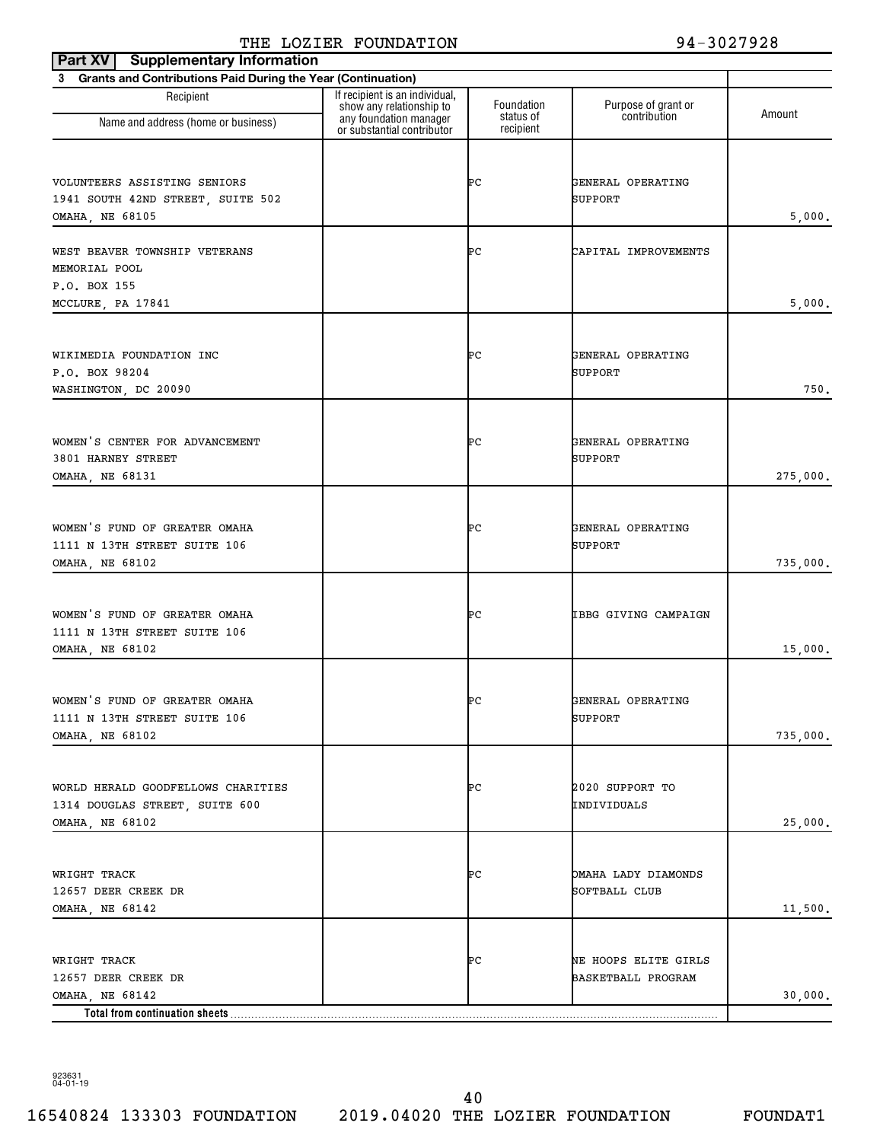| Part XV   Supplementary Information                                         |                                                            |                        |                                            |          |
|-----------------------------------------------------------------------------|------------------------------------------------------------|------------------------|--------------------------------------------|----------|
| Grants and Contributions Paid During the Year (Continuation)<br>$3^{\circ}$ |                                                            |                        |                                            |          |
| Recipient                                                                   | If recipient is an individual,<br>show any relationship to | Foundation             | Purpose of grant or                        | Amount   |
| Name and address (home or business)                                         | any foundation manager<br>or substantial contributor       | status of<br>recipient | contribution                               |          |
|                                                                             |                                                            |                        |                                            |          |
| VOLUNTEERS ASSISTING SENIORS<br>1941 SOUTH 42ND STREET, SUITE 502           |                                                            | ÞС                     | GENERAL OPERATING<br>SUPPORT               |          |
| OMAHA, NE 68105                                                             |                                                            |                        |                                            | 5,000.   |
| WEST BEAVER TOWNSHIP VETERANS                                               |                                                            | ÞС                     | CAPITAL IMPROVEMENTS                       |          |
| MEMORIAL POOL                                                               |                                                            |                        |                                            |          |
| P.O. BOX 155<br>MCCLURE, PA 17841                                           |                                                            |                        |                                            | 5,000.   |
|                                                                             |                                                            |                        |                                            |          |
| WIKIMEDIA FOUNDATION INC                                                    |                                                            | ÞС                     | GENERAL OPERATING                          |          |
| P.O. BOX 98204<br>WASHINGTON, DC 20090                                      |                                                            |                        | SUPPORT                                    | 750.     |
|                                                                             |                                                            |                        |                                            |          |
| WOMEN'S CENTER FOR ADVANCEMENT                                              |                                                            | ÞС                     | GENERAL OPERATING                          |          |
| 3801 HARNEY STREET<br>OMAHA, NE 68131                                       |                                                            |                        | SUPPORT                                    |          |
|                                                                             |                                                            |                        |                                            | 275,000. |
| WOMEN'S FUND OF GREATER OMAHA                                               |                                                            | ÞС                     | GENERAL OPERATING                          |          |
| 1111 N 13TH STREET SUITE 106                                                |                                                            |                        | SUPPORT                                    |          |
| OMAHA, NE 68102                                                             |                                                            |                        |                                            | 735,000. |
| WOMEN'S FUND OF GREATER OMAHA                                               |                                                            | ÞС                     | IBBG GIVING CAMPAIGN                       |          |
| 1111 N 13TH STREET SUITE 106                                                |                                                            |                        |                                            |          |
| OMAHA, NE 68102                                                             |                                                            |                        |                                            | 15,000.  |
| WOMEN'S FUND OF GREATER OMAHA                                               |                                                            | ÞС                     | GENERAL OPERATING                          |          |
| 1111 N 13TH STREET SUITE 106                                                |                                                            |                        | SUPPORT                                    |          |
| OMAHA, NE 68102                                                             |                                                            |                        |                                            | 735,000. |
|                                                                             |                                                            |                        |                                            |          |
| WORLD HERALD GOODFELLOWS CHARITIES<br>1314 DOUGLAS STREET, SUITE 600        |                                                            | ÞС                     | 2020 SUPPORT TO<br>INDIVIDUALS             |          |
| OMAHA, NE 68102                                                             |                                                            |                        |                                            | 25,000.  |
|                                                                             |                                                            |                        |                                            |          |
| WRIGHT TRACK<br>12657 DEER CREEK DR                                         |                                                            | ÞС                     | OMAHA LADY DIAMONDS<br>SOFTBALL CLUB       |          |
| OMAHA, NE 68142                                                             |                                                            |                        |                                            | 11,500.  |
|                                                                             |                                                            |                        |                                            |          |
| WRIGHT TRACK<br>12657 DEER CREEK DR                                         |                                                            | ÞС                     | NE HOOPS ELITE GIRLS<br>BASKETBALL PROGRAM |          |
| OMAHA, NE 68142                                                             |                                                            |                        |                                            | 30,000.  |
| Total from continuation sheets                                              |                                                            |                        |                                            |          |

923631 04-01-19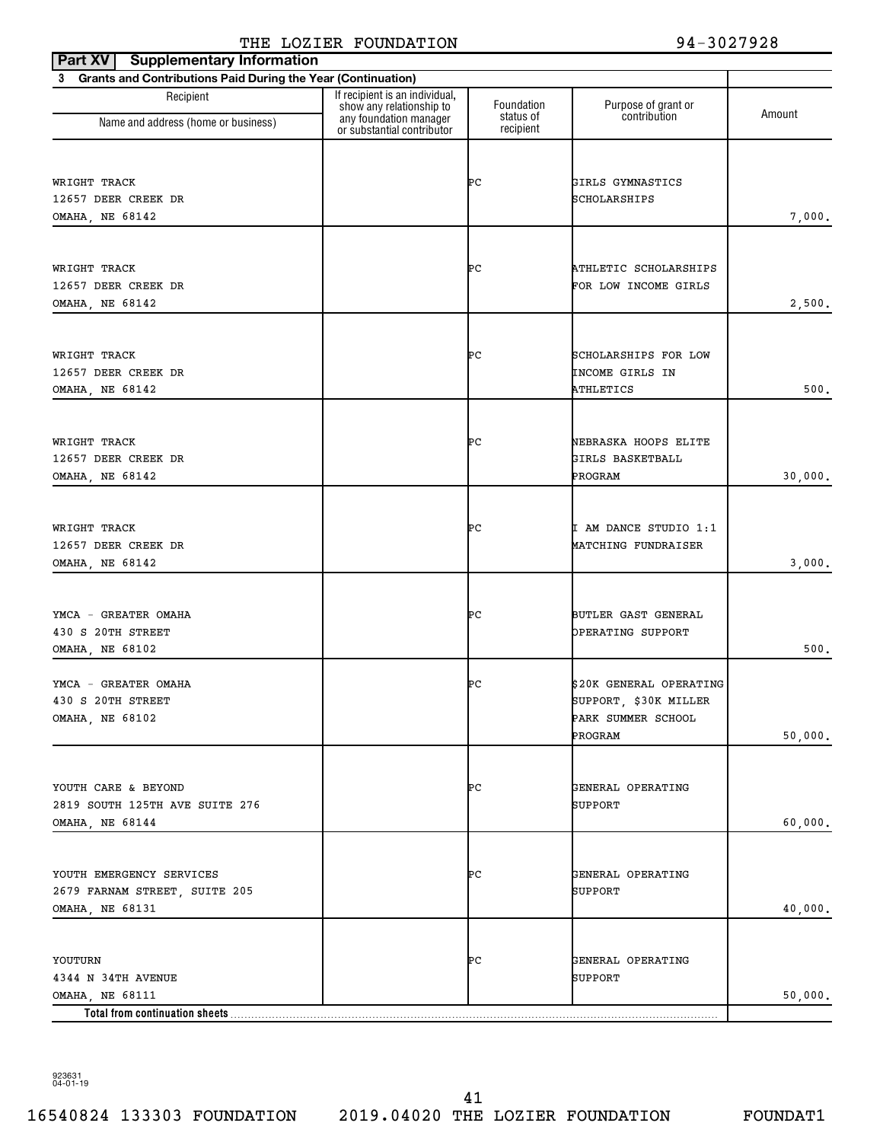| <b>Supplementary Information</b><br>Part XV                    |                                                                                      |                         |                                          |         |
|----------------------------------------------------------------|--------------------------------------------------------------------------------------|-------------------------|------------------------------------------|---------|
| 3 Grants and Contributions Paid During the Year (Continuation) |                                                                                      |                         |                                          |         |
| Recipient                                                      | If recipient is an individual,<br>show any relationship to<br>any foundation manager | Foundation<br>status of | Purpose of grant or<br>contribution      | Amount  |
| Name and address (home or business)                            | or substantial contributor                                                           | recipient               |                                          |         |
|                                                                |                                                                                      |                         |                                          |         |
| WRIGHT TRACK                                                   |                                                                                      | ÞС                      | GIRLS GYMNASTICS                         |         |
| 12657 DEER CREEK DR                                            |                                                                                      |                         | SCHOLARSHIPS                             |         |
| OMAHA, NE 68142                                                |                                                                                      |                         |                                          | 7,000.  |
|                                                                |                                                                                      |                         |                                          |         |
| WRIGHT TRACK                                                   |                                                                                      | ÞС                      | ATHLETIC SCHOLARSHIPS                    |         |
| 12657 DEER CREEK DR                                            |                                                                                      |                         | FOR LOW INCOME GIRLS                     |         |
| OMAHA, NE 68142                                                |                                                                                      |                         |                                          | 2,500.  |
|                                                                |                                                                                      |                         |                                          |         |
| WRIGHT TRACK                                                   |                                                                                      | ÞС                      | SCHOLARSHIPS FOR LOW                     |         |
| 12657 DEER CREEK DR                                            |                                                                                      |                         | INCOME GIRLS IN                          |         |
| OMAHA, NE 68142                                                |                                                                                      |                         | ATHLETICS                                | 500.    |
|                                                                |                                                                                      |                         |                                          |         |
|                                                                |                                                                                      | ÞС                      |                                          |         |
| WRIGHT TRACK<br>12657 DEER CREEK DR                            |                                                                                      |                         | NEBRASKA HOOPS ELITE<br>GIRLS BASKETBALL |         |
| OMAHA, NE 68142                                                |                                                                                      |                         | PROGRAM                                  | 30,000. |
|                                                                |                                                                                      |                         |                                          |         |
|                                                                |                                                                                      |                         |                                          |         |
| WRIGHT TRACK                                                   |                                                                                      | ÞС                      | I AM DANCE STUDIO 1:1                    |         |
| 12657 DEER CREEK DR<br>OMAHA, NE 68142                         |                                                                                      |                         | MATCHING FUNDRAISER                      | 3,000.  |
|                                                                |                                                                                      |                         |                                          |         |
|                                                                |                                                                                      |                         |                                          |         |
| YMCA - GREATER OMAHA                                           |                                                                                      | ÞС                      | BUTLER GAST GENERAL                      |         |
| 430 S 20TH STREET<br>OMAHA, NE 68102                           |                                                                                      |                         | OPERATING SUPPORT                        | 500.    |
|                                                                |                                                                                      |                         |                                          |         |
| YMCA - GREATER OMAHA                                           |                                                                                      | ÞС                      | \$20K GENERAL OPERATING                  |         |
| 430 S 20TH STREET                                              |                                                                                      |                         | SUPPORT, \$30K MILLER                    |         |
| OMAHA, NE 68102                                                |                                                                                      |                         | PARK SUMMER SCHOOL                       |         |
|                                                                |                                                                                      |                         | PROGRAM                                  | 50,000. |
|                                                                |                                                                                      |                         |                                          |         |
| YOUTH CARE & BEYOND                                            |                                                                                      | ÞС                      | GENERAL OPERATING                        |         |
| 2819 SOUTH 125TH AVE SUITE 276                                 |                                                                                      |                         | SUPPORT                                  |         |
| OMAHA, NE 68144                                                |                                                                                      |                         |                                          | 60,000. |
|                                                                |                                                                                      |                         |                                          |         |
| YOUTH EMERGENCY SERVICES                                       |                                                                                      | ÞС                      | GENERAL OPERATING                        |         |
| 2679 FARNAM STREET, SUITE 205                                  |                                                                                      |                         | SUPPORT                                  |         |
| OMAHA, NE 68131                                                |                                                                                      |                         |                                          | 40,000. |
|                                                                |                                                                                      |                         |                                          |         |
| YOUTURN                                                        |                                                                                      | ÞС                      | GENERAL OPERATING                        |         |
| 4344 N 34TH AVENUE                                             |                                                                                      |                         | SUPPORT                                  |         |
| OMAHA, NE 68111                                                |                                                                                      |                         |                                          | 50,000. |
| Total from continuation sheets                                 |                                                                                      |                         |                                          |         |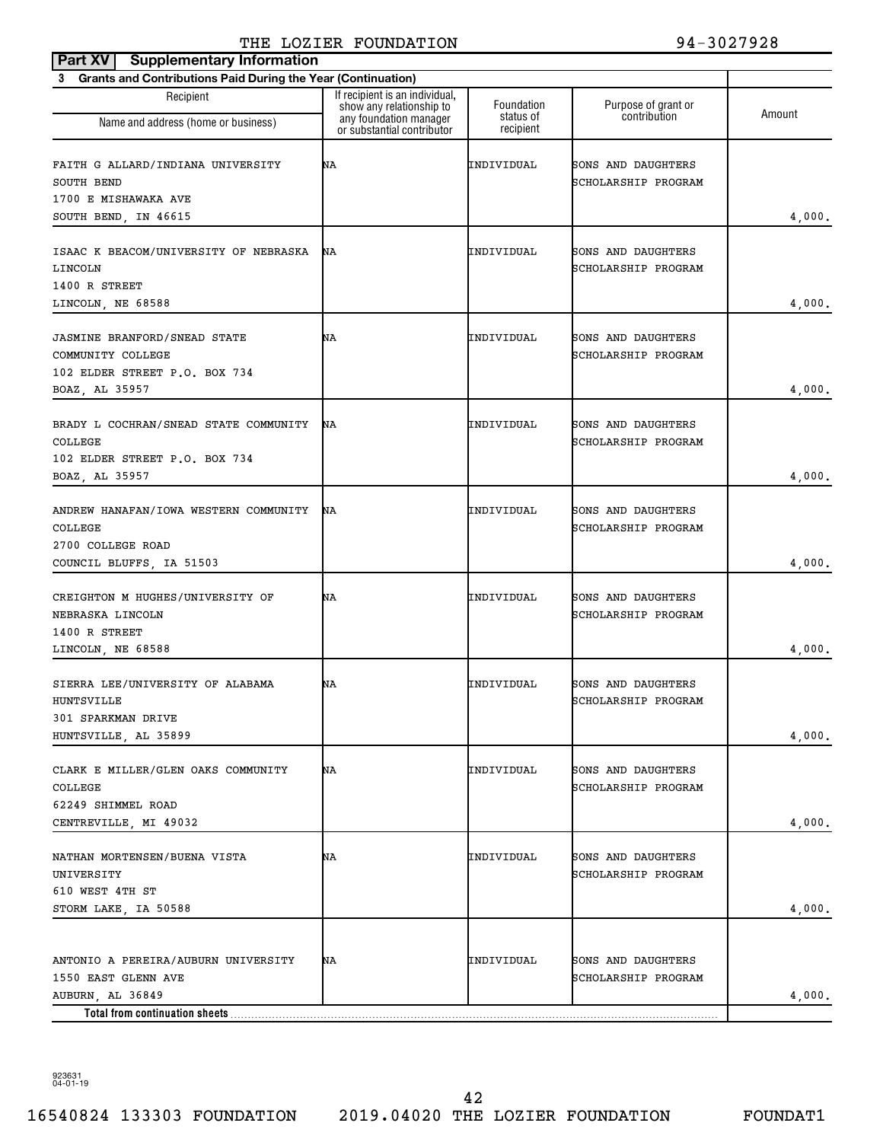| <b>Supplementary Information</b><br>Part XV                                                                      |                                                                                                                    |                                      |                                           |        |
|------------------------------------------------------------------------------------------------------------------|--------------------------------------------------------------------------------------------------------------------|--------------------------------------|-------------------------------------------|--------|
| <b>Grants and Contributions Paid During the Year (Continuation)</b><br>3                                         |                                                                                                                    |                                      |                                           |        |
| Recipient<br>Name and address (home or business)                                                                 | If recipient is an individual,<br>show any relationship to<br>any foundation manager<br>or substantial contributor | Foundation<br>status of<br>recipient | Purpose of grant or<br>contribution       | Amount |
| FAITH G ALLARD/INDIANA UNIVERSITY<br>SOUTH BEND<br>1700 E MISHAWAKA AVE<br>SOUTH BEND, IN 46615                  | ΝA                                                                                                                 | INDIVIDUAL                           | SONS AND DAUGHTERS<br>SCHOLARSHIP PROGRAM | 4,000. |
| ISAAC K BEACOM/UNIVERSITY OF NEBRASKA<br>LINCOLN<br>1400 R STREET<br>LINCOLN, NE 68588                           | ΝA                                                                                                                 | INDIVIDUAL                           | SONS AND DAUGHTERS<br>SCHOLARSHIP PROGRAM | 4,000. |
| <b>JASMINE BRANFORD/SNEAD STATE</b><br>COMMUNITY COLLEGE<br>102 ELDER STREET P.O. BOX 734<br>BOAZ, AL 35957      | ΝA                                                                                                                 | INDIVIDUAL                           | SONS AND DAUGHTERS<br>SCHOLARSHIP PROGRAM | 4,000. |
| BRADY L COCHRAN/SNEAD STATE COMMUNITY<br>COLLEGE<br>102 ELDER STREET P.O. BOX 734<br>BOAZ, AL 35957              | ΝA                                                                                                                 | INDIVIDUAL                           | SONS AND DAUGHTERS<br>SCHOLARSHIP PROGRAM | 4,000. |
| ANDREW HANAFAN/IOWA WESTERN COMMUNITY<br>COLLEGE<br>2700 COLLEGE ROAD<br>COUNCIL BLUFFS, IA 51503                | ΝA                                                                                                                 | INDIVIDUAL                           | SONS AND DAUGHTERS<br>SCHOLARSHIP PROGRAM | 4,000. |
| CREIGHTON M HUGHES/UNIVERSITY OF<br>NEBRASKA LINCOLN<br>1400 R STREET<br>LINCOLN, NE 68588                       | ΝA                                                                                                                 | INDIVIDUAL                           | SONS AND DAUGHTERS<br>SCHOLARSHIP PROGRAM | 4,000. |
| SIERRA LEE/UNIVERSITY OF ALABAMA<br>HUNTSVILLE<br>301 SPARKMAN DRIVE<br>HUNTSVILLE, AL 35899                     | ΝA                                                                                                                 | INDIVIDUAL                           | SONS AND DAUGHTERS<br>SCHOLARSHIP PROGRAM | 4,000. |
| CLARK E MILLER/GLEN OAKS COMMUNITY<br>COLLEGE<br>62249 SHIMMEL ROAD<br>CENTREVILLE, MI 49032                     | ΝA                                                                                                                 | INDIVIDUAL                           | SONS AND DAUGHTERS<br>SCHOLARSHIP PROGRAM | 4,000. |
| NATHAN MORTENSEN/BUENA VISTA<br>UNIVERSITY<br>610 WEST 4TH ST<br>STORM LAKE, IA 50588                            | ΝA                                                                                                                 | INDIVIDUAL                           | SONS AND DAUGHTERS<br>SCHOLARSHIP PROGRAM | 4,000. |
| ANTONIO A PEREIRA/AUBURN UNIVERSITY<br>1550 EAST GLENN AVE<br>AUBURN, AL 36849<br>Total from continuation sheets | ΝA                                                                                                                 | INDIVIDUAL                           | SONS AND DAUGHTERS<br>SCHOLARSHIP PROGRAM | 4,000. |

16540824 133303 FOUNDATION 2019.04020 THE LOZIER FOUNDATION FOUNDAT1 42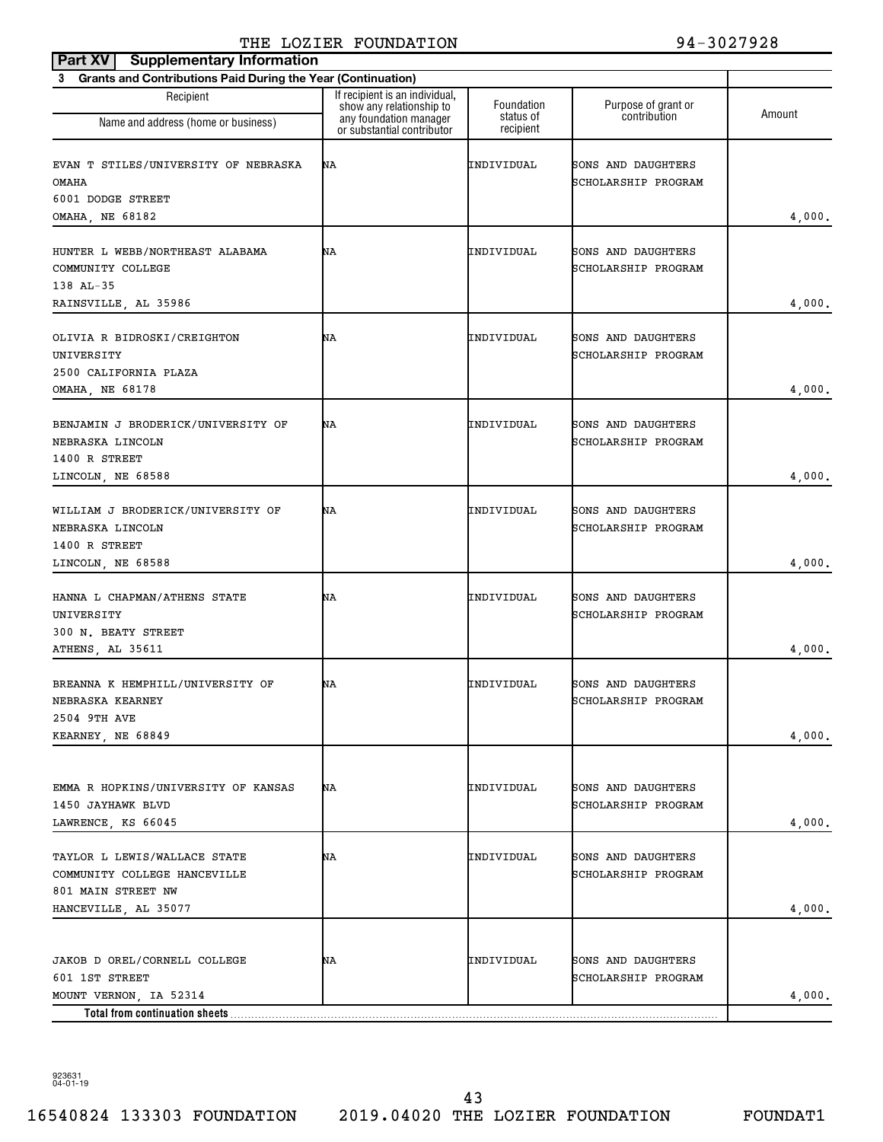| <b>Supplementary Information</b><br>Part XV                                                                 |                                                                                                                    |                                      |                                           |        |
|-------------------------------------------------------------------------------------------------------------|--------------------------------------------------------------------------------------------------------------------|--------------------------------------|-------------------------------------------|--------|
| <b>Grants and Contributions Paid During the Year (Continuation)</b><br>3                                    |                                                                                                                    |                                      |                                           |        |
| Recipient<br>Name and address (home or business)                                                            | If recipient is an individual,<br>show any relationship to<br>any foundation manager<br>or substantial contributor | Foundation<br>status of<br>recipient | Purpose of grant or<br>contribution       | Amount |
| EVAN T STILES/UNIVERSITY OF NEBRASKA<br><b>OMAHA</b><br>6001 DODGE STREET<br>OMAHA, NE 68182                | ΝA                                                                                                                 | INDIVIDUAL                           | SONS AND DAUGHTERS<br>SCHOLARSHIP PROGRAM | 4,000. |
| HUNTER L WEBB/NORTHEAST ALABAMA<br>COMMUNITY COLLEGE<br>138 AL-35<br>RAINSVILLE, AL 35986                   | ΝA                                                                                                                 | INDIVIDUAL                           | SONS AND DAUGHTERS<br>SCHOLARSHIP PROGRAM | 4,000. |
| OLIVIA R BIDROSKI/CREIGHTON<br>UNIVERSITY<br>2500 CALIFORNIA PLAZA<br>OMAHA, NE 68178                       | ΝA                                                                                                                 | INDIVIDUAL                           | SONS AND DAUGHTERS<br>SCHOLARSHIP PROGRAM | 4,000. |
| BENJAMIN J BRODERICK/UNIVERSITY OF<br>NEBRASKA LINCOLN<br>1400 R STREET<br>LINCOLN, NE 68588                | ΝA                                                                                                                 | INDIVIDUAL                           | SONS AND DAUGHTERS<br>SCHOLARSHIP PROGRAM | 4,000. |
| WILLIAM J BRODERICK/UNIVERSITY OF<br>NEBRASKA LINCOLN<br>1400 R STREET<br>LINCOLN, NE 68588                 | ΝA                                                                                                                 | INDIVIDUAL                           | SONS AND DAUGHTERS<br>SCHOLARSHIP PROGRAM | 4,000. |
| HANNA L CHAPMAN/ATHENS STATE<br>UNIVERSITY<br>300 N. BEATY STREET<br>ATHENS, AL 35611                       | ΝA                                                                                                                 | INDIVIDUAL                           | SONS AND DAUGHTERS<br>SCHOLARSHIP PROGRAM | 4,000. |
| BREANNA K HEMPHILL/UNIVERSITY OF<br>NEBRASKA KEARNEY<br>2504 9TH AVE<br>KEARNEY, NE 68849                   | ΝA                                                                                                                 | INDIVIDUAL                           | SONS AND DAUGHTERS<br>SCHOLARSHIP PROGRAM | 4,000. |
| EMMA R HOPKINS/UNIVERSITY OF KANSAS<br>1450 JAYHAWK BLVD<br>LAWRENCE, KS 66045                              | ΝA                                                                                                                 | INDIVIDUAL                           | SONS AND DAUGHTERS<br>SCHOLARSHIP PROGRAM | 4,000. |
| TAYLOR L LEWIS/WALLACE STATE<br>COMMUNITY COLLEGE HANCEVILLE<br>801 MAIN STREET NW<br>HANCEVILLE, AL 35077  | ΝA                                                                                                                 | INDIVIDUAL                           | SONS AND DAUGHTERS<br>SCHOLARSHIP PROGRAM | 4,000. |
| JAKOB D OREL/CORNELL COLLEGE<br>601 1ST STREET<br>MOUNT VERNON, IA 52314<br>Total from continuation sheets. | ΝA                                                                                                                 | INDIVIDUAL                           | SONS AND DAUGHTERS<br>SCHOLARSHIP PROGRAM | 4,000. |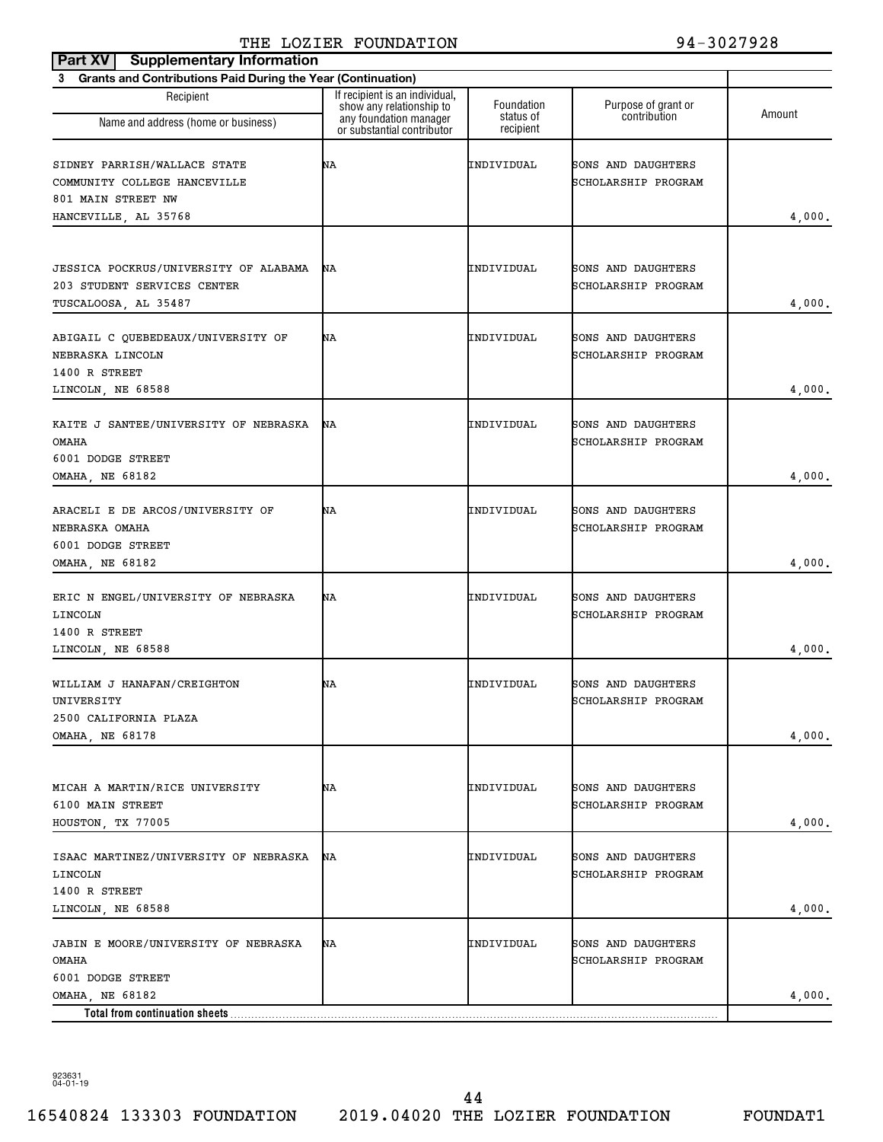| <b>Supplementary Information</b><br>Part XV                                                         |                                                                                      |                         |                                           |        |
|-----------------------------------------------------------------------------------------------------|--------------------------------------------------------------------------------------|-------------------------|-------------------------------------------|--------|
| <b>Grants and Contributions Paid During the Year (Continuation)</b><br>3                            |                                                                                      |                         |                                           |        |
| Recipient<br>Name and address (home or business)                                                    | If recipient is an individual,<br>show any relationship to<br>any foundation manager | Foundation<br>status of | Purpose of grant or<br>contribution       | Amount |
|                                                                                                     | or substantial contributor                                                           | recipient               |                                           |        |
| SIDNEY PARRISH/WALLACE STATE<br>COMMUNITY COLLEGE HANCEVILLE                                        | ΝA                                                                                   | INDIVIDUAL              | SONS AND DAUGHTERS<br>SCHOLARSHIP PROGRAM |        |
| 801 MAIN STREET NW<br>HANCEVILLE, AL 35768                                                          |                                                                                      |                         |                                           | 4,000. |
|                                                                                                     |                                                                                      |                         |                                           |        |
| <b>JESSICA POCKRUS/UNIVERSITY OF ALABAMA</b><br>203 STUDENT SERVICES CENTER<br>TUSCALOOSA, AL 35487 | ΝA                                                                                   | INDIVIDUAL              | SONS AND DAUGHTERS<br>SCHOLARSHIP PROGRAM | 4,000. |
| ABIGAIL C OUEBEDEAUX/UNIVERSITY OF<br>NEBRASKA LINCOLN<br>1400 R STREET                             | ΝA                                                                                   | INDIVIDUAL              | SONS AND DAUGHTERS<br>SCHOLARSHIP PROGRAM |        |
| LINCOLN, NE 68588                                                                                   |                                                                                      |                         |                                           | 4,000. |
| KAITE J SANTEE/UNIVERSITY OF NEBRASKA<br><b>OMAHA</b><br>6001 DODGE STREET                          | ΝA                                                                                   | INDIVIDUAL              | SONS AND DAUGHTERS<br>SCHOLARSHIP PROGRAM |        |
| OMAHA, NE 68182                                                                                     |                                                                                      |                         |                                           | 4,000. |
| ARACELI E DE ARCOS/UNIVERSITY OF<br>NEBRASKA OMAHA<br>6001 DODGE STREET                             | ΝA                                                                                   | INDIVIDUAL              | SONS AND DAUGHTERS<br>SCHOLARSHIP PROGRAM |        |
| OMAHA, NE 68182                                                                                     |                                                                                      |                         |                                           | 4,000. |
| ERIC N ENGEL/UNIVERSITY OF NEBRASKA<br>LINCOLN<br>1400 R STREET                                     | ΝA                                                                                   | INDIVIDUAL              | SONS AND DAUGHTERS<br>SCHOLARSHIP PROGRAM |        |
| LINCOLN, NE 68588                                                                                   |                                                                                      |                         |                                           | 4,000. |
| WILLIAM J HANAFAN/CREIGHTON<br>UNIVERSITY<br>2500 CALIFORNIA PLAZA                                  | ΝA                                                                                   | INDIVIDUAL              | SONS AND DAUGHTERS<br>SCHOLARSHIP PROGRAM |        |
| OMAHA, NE 68178                                                                                     |                                                                                      |                         |                                           | 4,000. |
|                                                                                                     |                                                                                      |                         |                                           |        |
| MICAH A MARTIN/RICE UNIVERSITY<br>6100 MAIN STREET<br>HOUSTON, TX 77005                             | ΝA                                                                                   | INDIVIDUAL              | SONS AND DAUGHTERS<br>SCHOLARSHIP PROGRAM | 4,000. |
| ISAAC MARTINEZ/UNIVERSITY OF NEBRASKA<br>LINCOLN<br>1400 R STREET                                   | ΝA                                                                                   | INDIVIDUAL              | SONS AND DAUGHTERS<br>SCHOLARSHIP PROGRAM |        |
| LINCOLN, NE 68588                                                                                   |                                                                                      |                         |                                           | 4,000. |
| JABIN E MOORE/UNIVERSITY OF NEBRASKA<br><b>OMAHA</b><br>6001 DODGE STREET                           | ΝA                                                                                   | INDIVIDUAL              | SONS AND DAUGHTERS<br>SCHOLARSHIP PROGRAM |        |
| OMAHA, NE 68182                                                                                     |                                                                                      |                         |                                           | 4,000. |
| Total from continuation sheets                                                                      |                                                                                      |                         |                                           |        |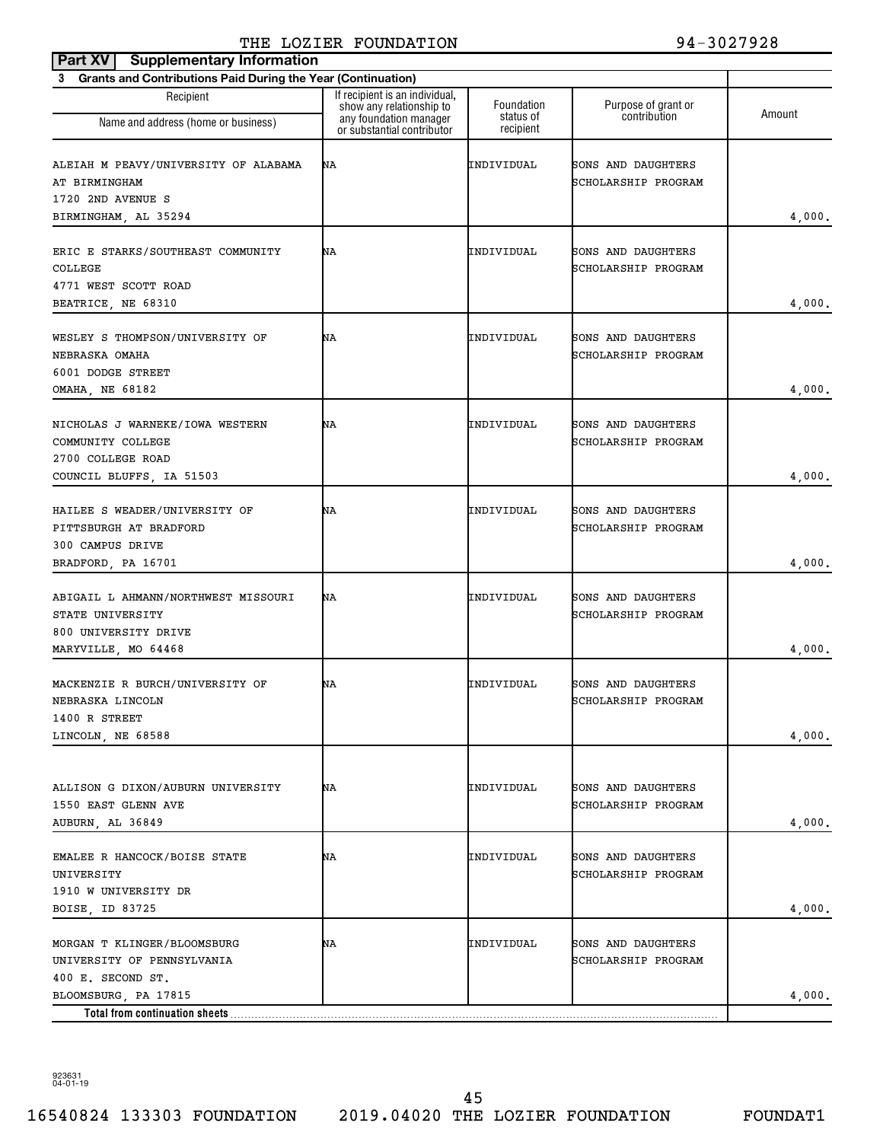| <b>Supplementary Information</b><br>Part XV                                                            |                                                                                                                    |                                      |                                           |        |
|--------------------------------------------------------------------------------------------------------|--------------------------------------------------------------------------------------------------------------------|--------------------------------------|-------------------------------------------|--------|
| <b>Grants and Contributions Paid During the Year (Continuation)</b><br>3                               |                                                                                                                    |                                      |                                           |        |
| Recipient<br>Name and address (home or business)                                                       | If recipient is an individual,<br>show any relationship to<br>any foundation manager<br>or substantial contributor | Foundation<br>status of<br>recipient | Purpose of grant or<br>contribution       | Amount |
| ALEIAH M PEAVY/UNIVERSITY OF ALABAMA<br>AT BIRMINGHAM<br>1720 2ND AVENUE S<br>BIRMINGHAM, AL 35294     | ΝA                                                                                                                 | INDIVIDUAL                           | SONS AND DAUGHTERS<br>SCHOLARSHIP PROGRAM | 4,000. |
| ERIC E STARKS/SOUTHEAST COMMUNITY<br>COLLEGE<br>4771 WEST SCOTT ROAD<br>BEATRICE, NE 68310             | ΝA                                                                                                                 | INDIVIDUAL                           | SONS AND DAUGHTERS<br>SCHOLARSHIP PROGRAM | 4,000. |
| WESLEY S THOMPSON/UNIVERSITY OF<br>NEBRASKA OMAHA<br>6001 DODGE STREET<br>OMAHA, NE 68182              | ΝA                                                                                                                 | INDIVIDUAL                           | SONS AND DAUGHTERS<br>SCHOLARSHIP PROGRAM | 4,000. |
| NICHOLAS J WARNEKE/IOWA WESTERN<br>COMMUNITY COLLEGE<br>2700 COLLEGE ROAD<br>COUNCIL BLUFFS, IA 51503  | ΝA                                                                                                                 | INDIVIDUAL                           | SONS AND DAUGHTERS<br>SCHOLARSHIP PROGRAM | 4,000. |
| HAILEE S WEADER/UNIVERSITY OF<br>PITTSBURGH AT BRADFORD<br>300 CAMPUS DRIVE<br>BRADFORD, PA 16701      | ΝA                                                                                                                 | INDIVIDUAL                           | SONS AND DAUGHTERS<br>SCHOLARSHIP PROGRAM | 4,000. |
| ABIGAIL L AHMANN/NORTHWEST MISSOURI<br>STATE UNIVERSITY<br>800 UNIVERSITY DRIVE<br>MARYVILLE, MO 64468 | ΝA                                                                                                                 | INDIVIDUAL                           | SONS AND DAUGHTERS<br>SCHOLARSHIP PROGRAM | 4,000. |
| MACKENZIE R BURCH/UNIVERSITY OF<br>NEBRASKA LINCOLN<br>1400 R STREET<br>LINCOLN, NE 68588              | ΝA                                                                                                                 | INDIVIDUAL                           | SONS AND DAUGHTERS<br>SCHOLARSHIP PROGRAM | 4,000. |
| ALLISON G DIXON/AUBURN UNIVERSITY<br>1550 EAST GLENN AVE<br>AUBURN, AL 36849                           | ΝA                                                                                                                 | INDIVIDUAL                           | SONS AND DAUGHTERS<br>SCHOLARSHIP PROGRAM | 4,000. |
| EMALEE R HANCOCK/BOISE STATE<br>UNIVERSITY<br>1910 W UNIVERSITY DR<br>BOISE, ID 83725                  | ΝA                                                                                                                 | INDIVIDUAL                           | SONS AND DAUGHTERS<br>SCHOLARSHIP PROGRAM | 4,000. |
| MORGAN T KLINGER/BLOOMSBURG<br>UNIVERSITY OF PENNSYLVANIA<br>400 E. SECOND ST.                         | ΝA                                                                                                                 | INDIVIDUAL                           | SONS AND DAUGHTERS<br>SCHOLARSHIP PROGRAM |        |
| BLOOMSBURG, PA 17815<br>Total from continuation sheets                                                 |                                                                                                                    |                                      |                                           | 4,000. |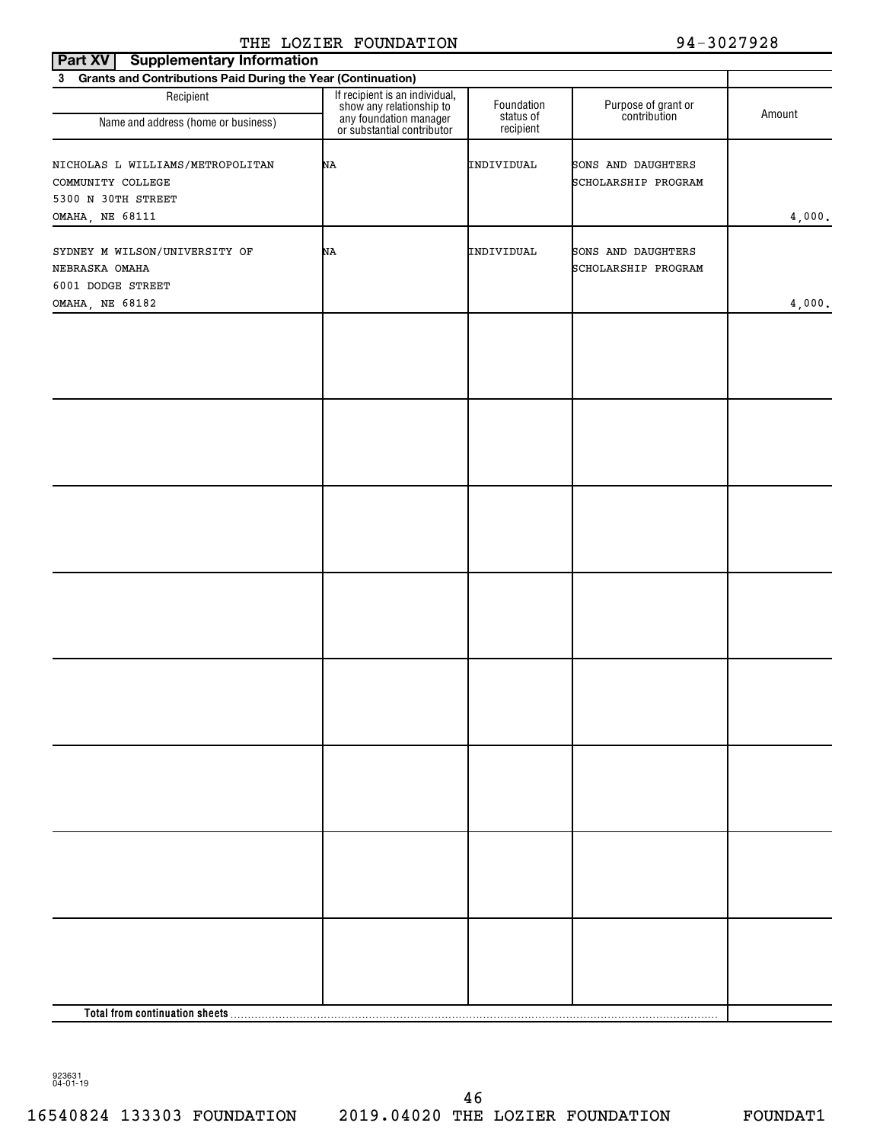| <b>Supplementary Information</b><br><b>Part XV</b>             |                                                                                                                    |                         |                                     |        |  |  |
|----------------------------------------------------------------|--------------------------------------------------------------------------------------------------------------------|-------------------------|-------------------------------------|--------|--|--|
| 3 Grants and Contributions Paid During the Year (Continuation) |                                                                                                                    |                         |                                     |        |  |  |
| Recipient                                                      | If recipient is an individual,<br>show any relationship to<br>any foundation manager<br>or substantial contributor | Foundation<br>status of | Purpose of grant or<br>contribution | Amount |  |  |
| Name and address (home or business)                            |                                                                                                                    | recipient               |                                     |        |  |  |
| NICHOLAS L WILLIAMS/METROPOLITAN                               | NA                                                                                                                 | INDIVIDUAL              | SONS AND DAUGHTERS                  |        |  |  |
| COMMUNITY COLLEGE                                              |                                                                                                                    |                         | SCHOLARSHIP PROGRAM                 |        |  |  |
| 5300 N 30TH STREET                                             |                                                                                                                    |                         |                                     |        |  |  |
| OMAHA, NE 68111                                                |                                                                                                                    |                         |                                     | 4,000. |  |  |
|                                                                |                                                                                                                    |                         |                                     |        |  |  |
| SYDNEY M WILSON/UNIVERSITY OF                                  | NA                                                                                                                 | INDIVIDUAL              | SONS AND DAUGHTERS                  |        |  |  |
| NEBRASKA OMAHA                                                 |                                                                                                                    |                         | SCHOLARSHIP PROGRAM                 |        |  |  |
| 6001 DODGE STREET                                              |                                                                                                                    |                         |                                     |        |  |  |
| OMAHA, NE 68182                                                |                                                                                                                    |                         |                                     | 4,000. |  |  |
|                                                                |                                                                                                                    |                         |                                     |        |  |  |
|                                                                |                                                                                                                    |                         |                                     |        |  |  |
|                                                                |                                                                                                                    |                         |                                     |        |  |  |
|                                                                |                                                                                                                    |                         |                                     |        |  |  |
|                                                                |                                                                                                                    |                         |                                     |        |  |  |
|                                                                |                                                                                                                    |                         |                                     |        |  |  |
|                                                                |                                                                                                                    |                         |                                     |        |  |  |
|                                                                |                                                                                                                    |                         |                                     |        |  |  |
|                                                                |                                                                                                                    |                         |                                     |        |  |  |
|                                                                |                                                                                                                    |                         |                                     |        |  |  |
|                                                                |                                                                                                                    |                         |                                     |        |  |  |
|                                                                |                                                                                                                    |                         |                                     |        |  |  |
|                                                                |                                                                                                                    |                         |                                     |        |  |  |
|                                                                |                                                                                                                    |                         |                                     |        |  |  |
|                                                                |                                                                                                                    |                         |                                     |        |  |  |
|                                                                |                                                                                                                    |                         |                                     |        |  |  |
|                                                                |                                                                                                                    |                         |                                     |        |  |  |
|                                                                |                                                                                                                    |                         |                                     |        |  |  |
|                                                                |                                                                                                                    |                         |                                     |        |  |  |
|                                                                |                                                                                                                    |                         |                                     |        |  |  |
|                                                                |                                                                                                                    |                         |                                     |        |  |  |
|                                                                |                                                                                                                    |                         |                                     |        |  |  |
|                                                                |                                                                                                                    |                         |                                     |        |  |  |
|                                                                |                                                                                                                    |                         |                                     |        |  |  |
|                                                                |                                                                                                                    |                         |                                     |        |  |  |
|                                                                |                                                                                                                    |                         |                                     |        |  |  |
|                                                                |                                                                                                                    |                         |                                     |        |  |  |
|                                                                |                                                                                                                    |                         |                                     |        |  |  |
|                                                                |                                                                                                                    |                         |                                     |        |  |  |
|                                                                |                                                                                                                    |                         |                                     |        |  |  |
|                                                                |                                                                                                                    |                         |                                     |        |  |  |
|                                                                |                                                                                                                    |                         |                                     |        |  |  |
|                                                                |                                                                                                                    |                         |                                     |        |  |  |
|                                                                |                                                                                                                    |                         |                                     |        |  |  |
|                                                                |                                                                                                                    |                         |                                     |        |  |  |
|                                                                |                                                                                                                    |                         |                                     |        |  |  |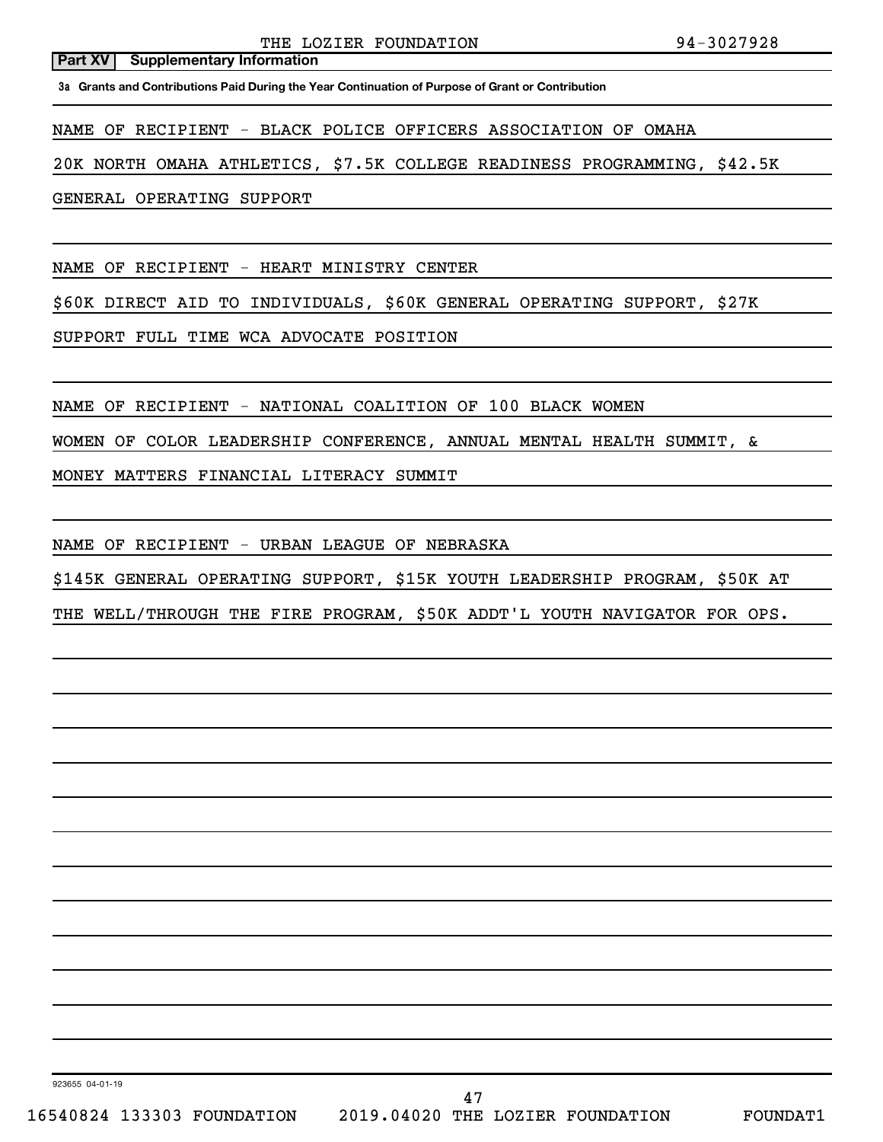**Part XV** Supplementary Information

**3a Grants and Contributions Paid During the Year Continuation of Purpose of Grant or Contribution**

NAME OF RECIPIENT - BLACK POLICE OFFICERS ASSOCIATION OF OMAHA

20K NORTH OMAHA ATHLETICS, \$7.5K COLLEGE READINESS PROGRAMMING, \$42.5K

GENERAL OPERATING SUPPORT

NAME OF RECIPIENT - HEART MINISTRY CENTER

\$60K DIRECT AID TO INDIVIDUALS, \$60K GENERAL OPERATING SUPPORT, \$27K

SUPPORT FULL TIME WCA ADVOCATE POSITION

NAME OF RECIPIENT - NATIONAL COALITION OF 100 BLACK WOMEN

WOMEN OF COLOR LEADERSHIP CONFERENCE, ANNUAL MENTAL HEALTH SUMMIT, &

MONEY MATTERS FINANCIAL LITERACY SUMMIT

NAME OF RECIPIENT - URBAN LEAGUE OF NEBRASKA

\$145K GENERAL OPERATING SUPPORT, \$15K YOUTH LEADERSHIP PROGRAM, \$50K AT

THE WELL/THROUGH THE FIRE PROGRAM, \$50K ADDT'L YOUTH NAVIGATOR FOR OPS.

923655 04-01-19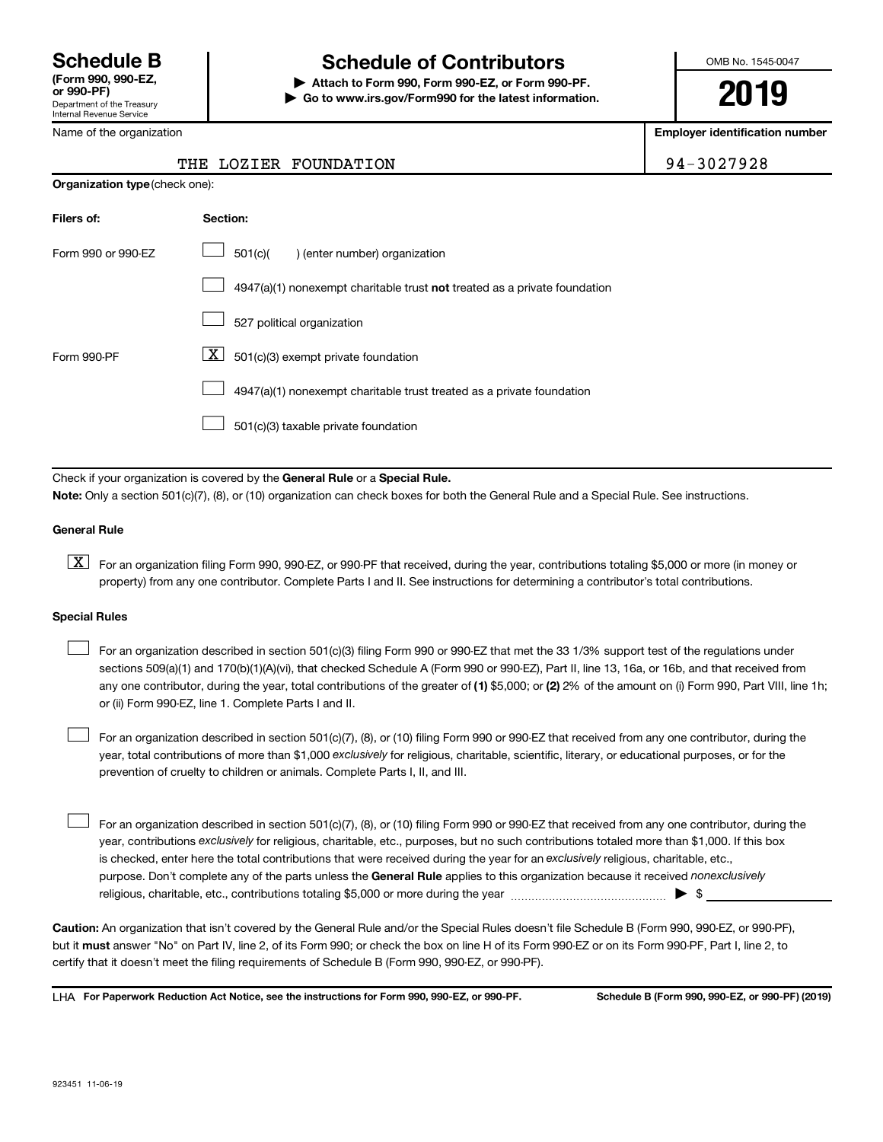Department of the Treasury Internal Revenue Service **(Form 990, 990-EZ,**

#### Name of the organization

**Organization type** (check one):

# **Schedule B Schedule of Contributors**

**or 990-PF) | Attach to Form 990, Form 990-EZ, or Form 990-PF. | Go to www.irs.gov/Form990 for the latest information.** OMB No. 1545-0047

**2019**

**Employer identification number**

### THE LOZIER FOUNDATION FOR THE 194-3027928

| Filers of:         | Section:                                                                           |
|--------------------|------------------------------------------------------------------------------------|
| Form 990 or 990-FZ | 501(c)(<br>enter number) organization                                              |
|                    | $4947(a)(1)$ nonexempt charitable trust <b>not</b> treated as a private foundation |
|                    | 527 political organization                                                         |
| Form 990-PF        | $X \mid$<br>501(c)(3) exempt private foundation                                    |
|                    | 4947(a)(1) nonexempt charitable trust treated as a private foundation              |
|                    | 501(c)(3) taxable private foundation                                               |

Check if your organization is covered by the General Rule or a Special Rule. **Note:**  Only a section 501(c)(7), (8), or (10) organization can check boxes for both the General Rule and a Special Rule. See instructions.

#### **General Rule**

**K** For an organization filing Form 990, 990-EZ, or 990-PF that received, during the year, contributions totaling \$5,000 or more (in money or property) from any one contributor. Complete Parts I and II. See instructions for determining a contributor's total contributions.

#### **Special Rules**

 $\Box$ 

 $\Box$ 

any one contributor, during the year, total contributions of the greater of (1) \$5,000; or (2) 2% of the amount on (i) Form 990, Part VIII, line 1h; For an organization described in section 501(c)(3) filing Form 990 or 990-EZ that met the 33 1/3% support test of the regulations under sections 509(a)(1) and 170(b)(1)(A)(vi), that checked Schedule A (Form 990 or 990-EZ), Part II, line 13, 16a, or 16b, and that received from or (ii) Form 990-EZ, line 1. Complete Parts I and II.  $\Box$ 

year, total contributions of more than \$1,000 *exclusively* for religious, charitable, scientific, literary, or educational purposes, or for the For an organization described in section 501(c)(7), (8), or (10) filing Form 990 or 990-EZ that received from any one contributor, during the prevention of cruelty to children or animals. Complete Parts I, II, and III.

purpose. Don't complete any of the parts unless the General Rule applies to this organization because it received nonexclusively year, contributions exclusively for religious, charitable, etc., purposes, but no such contributions totaled more than \$1,000. If this box is checked, enter here the total contributions that were received during the year for an exclusively religious, charitable, etc., For an organization described in section 501(c)(7), (8), or (10) filing Form 990 or 990-EZ that received from any one contributor, during the religious, charitable, etc., contributions totaling \$5,000 or more during the year  $\ldots$  $\ldots$  $\ldots$  $\ldots$  $\ldots$  $\ldots$ 

**Caution:**  An organization that isn't covered by the General Rule and/or the Special Rules doesn't file Schedule B (Form 990, 990-EZ, or 990-PF),  **must** but it answer "No" on Part IV, line 2, of its Form 990; or check the box on line H of its Form 990-EZ or on its Form 990-PF, Part I, line 2, to certify that it doesn't meet the filing requirements of Schedule B (Form 990, 990-EZ, or 990-PF).

**For Paperwork Reduction Act Notice, see the instructions for Form 990, 990-EZ, or 990-PF. Schedule B (Form 990, 990-EZ, or 990-PF) (2019)** LHA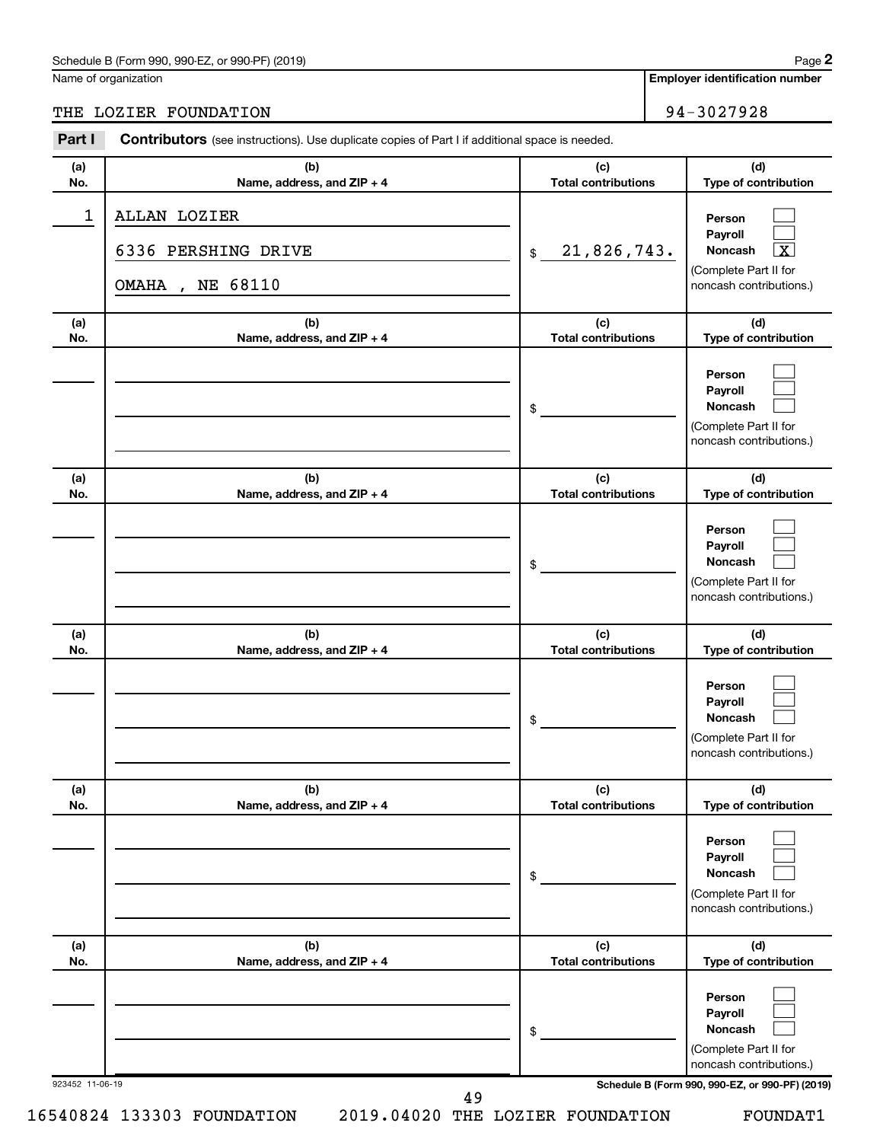### Schedule B (Form 990, 990-EZ, or 990-PF) (2019)

Name of organization

THE LOZIER FOUNDATION 94-3027928

| Part I          | <b>Contributors</b> (see instructions). Use duplicate copies of Part I if additional space is needed. |                                   |                                                                                                             |
|-----------------|-------------------------------------------------------------------------------------------------------|-----------------------------------|-------------------------------------------------------------------------------------------------------------|
| (a)<br>No.      | (b)<br>Name, address, and ZIP + 4                                                                     | (c)<br><b>Total contributions</b> | (d)<br>Type of contribution                                                                                 |
| $\mathbf 1$     | <b>ALLAN LOZIER</b><br>6336 PERSHING DRIVE<br>NE 68110<br>OMAHA,                                      | 21,826,743.<br>\$                 | Person<br>Payroll<br>$\overline{\mathbf{x}}$<br>Noncash<br>(Complete Part II for<br>noncash contributions.) |
| (a)<br>No.      | (b)<br>Name, address, and ZIP + 4                                                                     | (c)<br><b>Total contributions</b> | (d)<br>Type of contribution                                                                                 |
|                 |                                                                                                       | \$                                | Person<br>Payroll<br>Noncash<br>(Complete Part II for<br>noncash contributions.)                            |
| (a)<br>No.      | (b)<br>Name, address, and ZIP + 4                                                                     | (c)<br><b>Total contributions</b> | (d)<br>Type of contribution                                                                                 |
|                 |                                                                                                       | \$                                | Person<br>Payroll<br>Noncash<br>(Complete Part II for<br>noncash contributions.)                            |
| (a)<br>No.      | (b)<br>Name, address, and ZIP + 4                                                                     | (c)<br><b>Total contributions</b> | (d)<br>Type of contribution                                                                                 |
|                 |                                                                                                       | \$                                | Person<br>Payroll<br>Noncash<br>(Complete Part II for<br>noncash contributions.)                            |
| (a)<br>No.      | (b)<br>Name, address, and ZIP + 4                                                                     | (c)<br><b>Total contributions</b> | (d)<br>Type of contribution                                                                                 |
|                 |                                                                                                       | \$                                | Person<br>Payroll<br>Noncash<br>(Complete Part II for<br>noncash contributions.)                            |
| (a)<br>No.      | (b)<br>Name, address, and ZIP + 4                                                                     | (c)<br><b>Total contributions</b> | (d)<br>Type of contribution                                                                                 |
|                 |                                                                                                       | \$                                | Person<br>Payroll<br><b>Noncash</b><br>(Complete Part II for<br>noncash contributions.)                     |
| 923452 11-06-19 |                                                                                                       | 49                                | Schedule B (Form 990, 990-EZ, or 990-PF) (2019)                                                             |

16540824 133303 FOUNDATION 2019.04020 THE LOZIER FOUNDATION FOUNDAT1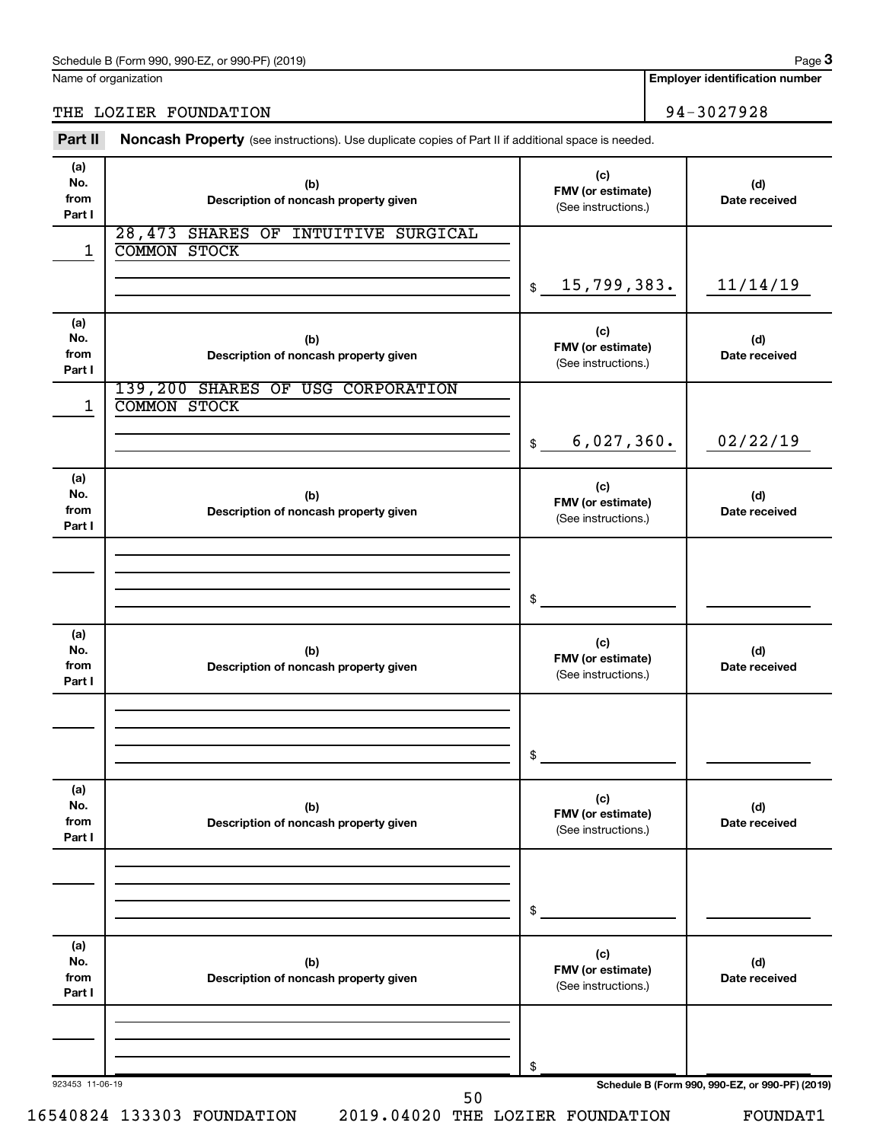Name of organization

## THE LOZIER FOUNDATION 94-3027928

Part II Noncash Property (see instructions). Use duplicate copies of Part II if additional space is needed.

| (a)<br>No.<br>from<br>Part I | (b)<br>Description of noncash property given               | (c)<br>FMV (or estimate)<br>(See instructions.) | (d)<br>Date received |
|------------------------------|------------------------------------------------------------|-------------------------------------------------|----------------------|
| 1                            | 28,473 SHARES OF INTUITIVE SURGICAL<br><b>COMMON STOCK</b> | 15,799,383.<br>\$                               | 11/14/19             |
| (a)<br>No.<br>from<br>Part I | (b)<br>Description of noncash property given               | (c)<br>FMV (or estimate)<br>(See instructions.) | (d)<br>Date received |
| 1                            | 139,200 SHARES OF USG CORPORATION<br><b>COMMON STOCK</b>   | 6,027,360.<br>$\frac{1}{2}$                     | 02/22/19             |
| (a)<br>No.<br>from<br>Part I | (b)<br>Description of noncash property given               | (c)<br>FMV (or estimate)<br>(See instructions.) | (d)<br>Date received |
|                              |                                                            | \$                                              |                      |
| (a)<br>No.<br>from<br>Part I | (b)<br>Description of noncash property given               | (c)<br>FMV (or estimate)<br>(See instructions.) | (d)<br>Date received |
|                              |                                                            | \$                                              |                      |
| (a)<br>No.<br>from<br>Part I | (b)<br>Description of noncash property given               | (c)<br>FMV (or estimate)<br>(See instructions.) | (d)<br>Date received |
|                              |                                                            | \$                                              |                      |
| (a)<br>No.<br>from<br>Part I | (b)<br>Description of noncash property given               | (c)<br>FMV (or estimate)<br>(See instructions.) | (d)<br>Date received |
|                              |                                                            | \$                                              |                      |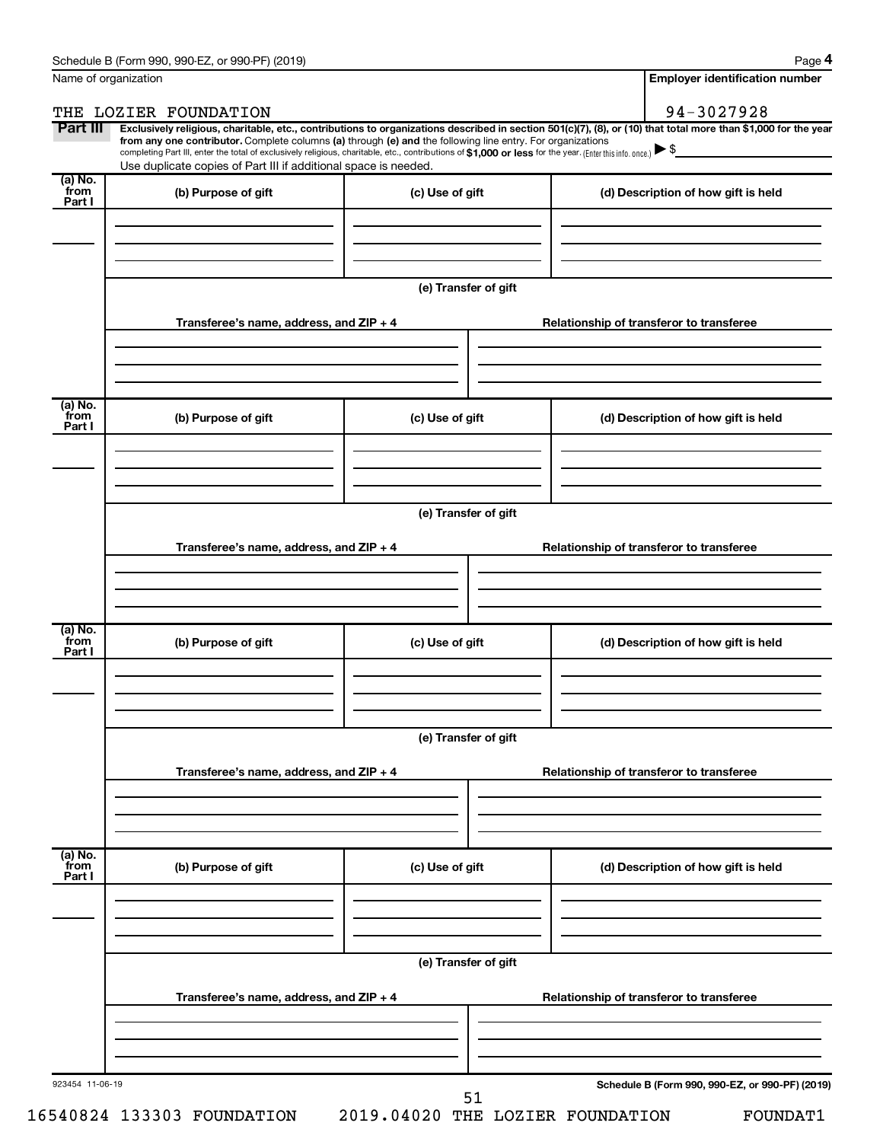**4**

| Name of organization      |                                                                                                                                                                                                                                                                                                                                                                                                                                                                                                             |                      | <b>Employer identification number</b>           |
|---------------------------|-------------------------------------------------------------------------------------------------------------------------------------------------------------------------------------------------------------------------------------------------------------------------------------------------------------------------------------------------------------------------------------------------------------------------------------------------------------------------------------------------------------|----------------------|-------------------------------------------------|
|                           | THE LOZIER FOUNDATION                                                                                                                                                                                                                                                                                                                                                                                                                                                                                       |                      | 94-3027928                                      |
| Part III                  | Exclusively religious, charitable, etc., contributions to organizations described in section 501(c)(7), (8), or (10) that total more than \$1,000 for the year<br>from any one contributor. Complete columns (a) through (e) and the following line entry. For organizations<br>completing Part III, enter the total of exclusively religious, charitable, etc., contributions of \$1,000 or less for the year. (Enter this info. once.)<br>Use duplicate copies of Part III if additional space is needed. |                      |                                                 |
| (a) No.<br>from<br>Part I | (b) Purpose of gift                                                                                                                                                                                                                                                                                                                                                                                                                                                                                         | (c) Use of gift      | (d) Description of how gift is held             |
|                           |                                                                                                                                                                                                                                                                                                                                                                                                                                                                                                             |                      |                                                 |
|                           |                                                                                                                                                                                                                                                                                                                                                                                                                                                                                                             | (e) Transfer of gift |                                                 |
|                           | Transferee's name, address, and ZIP + 4                                                                                                                                                                                                                                                                                                                                                                                                                                                                     |                      | Relationship of transferor to transferee        |
| (a) No.                   |                                                                                                                                                                                                                                                                                                                                                                                                                                                                                                             |                      |                                                 |
| from<br>Part I            | (b) Purpose of gift                                                                                                                                                                                                                                                                                                                                                                                                                                                                                         | (c) Use of gift      | (d) Description of how gift is held             |
|                           |                                                                                                                                                                                                                                                                                                                                                                                                                                                                                                             | (e) Transfer of gift |                                                 |
|                           | Transferee's name, address, and ZIP + 4                                                                                                                                                                                                                                                                                                                                                                                                                                                                     |                      | Relationship of transferor to transferee        |
|                           |                                                                                                                                                                                                                                                                                                                                                                                                                                                                                                             |                      |                                                 |
| (a) No.<br>from<br>Part I | (b) Purpose of gift                                                                                                                                                                                                                                                                                                                                                                                                                                                                                         | (c) Use of gift      | (d) Description of how gift is held             |
|                           |                                                                                                                                                                                                                                                                                                                                                                                                                                                                                                             |                      |                                                 |
|                           |                                                                                                                                                                                                                                                                                                                                                                                                                                                                                                             | (e) Transfer of gift |                                                 |
|                           | Transferee's name, address, and ZIP + 4                                                                                                                                                                                                                                                                                                                                                                                                                                                                     |                      | Relationship of transferor to transferee        |
| (a) No.<br>from<br>Part I | (b) Purpose of gift                                                                                                                                                                                                                                                                                                                                                                                                                                                                                         | (c) Use of gift      | (d) Description of how gift is held             |
|                           |                                                                                                                                                                                                                                                                                                                                                                                                                                                                                                             |                      |                                                 |
|                           |                                                                                                                                                                                                                                                                                                                                                                                                                                                                                                             | (e) Transfer of gift |                                                 |
|                           | Transferee's name, address, and ZIP + 4                                                                                                                                                                                                                                                                                                                                                                                                                                                                     |                      | Relationship of transferor to transferee        |
|                           |                                                                                                                                                                                                                                                                                                                                                                                                                                                                                                             |                      |                                                 |
| 923454 11-06-19           |                                                                                                                                                                                                                                                                                                                                                                                                                                                                                                             | 51                   | Schedule B (Form 990, 990-EZ, or 990-PF) (2019) |

16540824 133303 FOUNDATION 2019.04020 THE LOZIER FOUNDATION FOUNDAT1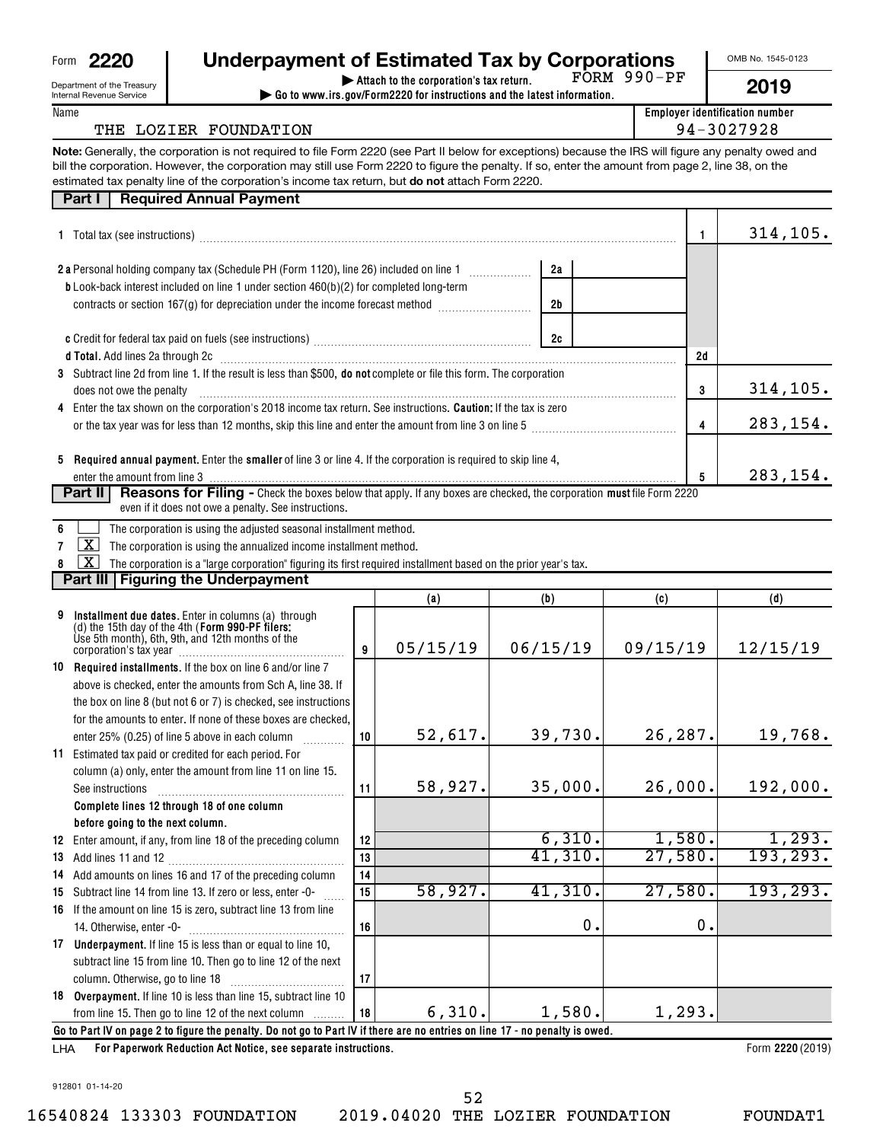| Form | ワワワル |
|------|------|
|------|------|

Department of the Treasury

| 2220 | <b>Underpayment of Estimated Tax by Corporations</b> |  |
|------|------------------------------------------------------|--|
|      |                                                      |  |

FORM 990-PF

OMB No. 1545-0123

| ×<br>٦ |  |
|--------|--|
|--------|--|

| .<br>Internal Revenue Service |  |
|-------------------------------|--|
| Name                          |  |

#### **| Attach to the corporation's tax return. | Go to www.irs.gov/Form2220 for instructions and the latest information.**

**Employer identification number**

## THE LOZIER FOUNDATION  $\vert$  94-3027928

**Note:** Generally, the corporation is not required to file Form 2220 (see Part II below for exceptions) because the IRS will figure any penalty owed and estimated tax penalty line of the corporation's income tax return, but **do not** attach Form 2220. bill the corporation. However, the corporation may still use Form 2220 to figure the penalty. If so, enter the amount from page 2, line 38, on the

| <b>Required Annual Payment</b><br>Part I                                                                                                                                                                                           |                |    |           |
|------------------------------------------------------------------------------------------------------------------------------------------------------------------------------------------------------------------------------------|----------------|----|-----------|
| 1 Total tax (see instructions) manufacture and content to the set of the content of the set of the set of the set of the set of the set of the set of the set of the set of the set of the set of the set of the set of the se     |                |    | 314, 105. |
| <b>2 a</b> Personal holding company tax (Schedule PH (Form 1120), line 26) included on line 1                                                                                                                                      | 2a             |    |           |
| <b>b</b> Look-back interest included on line 1 under section $460(b)(2)$ for completed long-term<br>contracts or section 167(g) for depreciation under the income forecast method <i>[[[[[[[[[[[[[[[[]]]]]]</i>                    | 2 <sub>b</sub> |    |           |
|                                                                                                                                                                                                                                    | 2c             |    |           |
| d Total. Add lines 2a through 2c [11] matter contract the contract of the contract of the contract of the contract of the contract of the contract of the contract of the contract of the contract of the contract of the cont     |                | 2d |           |
| 3 Subtract line 2d from line 1. If the result is less than \$500, <b>do not</b> complete or file this form. The corporation<br>does not owe the penalty                                                                            |                | 3  | 314, 105. |
| 4 Enter the tax shown on the corporation's 2018 income tax return. See instructions. <b>Caution</b> ; If the tax is zero<br>or the tax year was for less than 12 months, skip this line and enter the amount from line 3 on line 5 |                | 4  | 283,154.  |
| Required annual payment. Enter the smaller of line 3 or line 4. If the corporation is required to skip line 4,<br>5.                                                                                                               |                | 5  | 283,154.  |
| <b>Reasons for Filing -</b> Check the boxes below that apply. If any boxes are checked, the corporation must file Form 2220<br>Part II I<br>even if it does not owe a penalty. See instructions.                                   |                |    |           |
| The corporation is using the adjusted seasonal installment method.                                                                                                                                                                 |                |    |           |

**7**  $\boxed{\mathbf{X}}$  The corporation is using the annualized income installment method.

**8** The corporation is a "large corporation" figuring its first required installment based on the prior year's tax.  $\boxed{\text{X}}$ 

**Part III Figuring the Underpayment** 

|    |                                                                                                                                                             |    | (a)      | (b)      | (c)      | (d)       |  |
|----|-------------------------------------------------------------------------------------------------------------------------------------------------------------|----|----------|----------|----------|-----------|--|
|    | Installment due dates. Enter in columns (a) through<br>(d) the 15th day of the 4th (Form 990-PF filers:<br>Use 5th month), 6th, 9th, and 12th months of the | 9  | 05/15/19 | 06/15/19 | 09/15/19 | 12/15/19  |  |
|    | 10 Required installments. If the box on line 6 and/or line 7                                                                                                |    |          |          |          |           |  |
|    | above is checked, enter the amounts from Sch A, line 38. If                                                                                                 |    |          |          |          |           |  |
|    | the box on line 8 (but not 6 or 7) is checked, see instructions                                                                                             |    |          |          |          |           |  |
|    | for the amounts to enter. If none of these boxes are checked.                                                                                               |    |          |          |          |           |  |
|    | enter 25% (0.25) of line 5 above in each column                                                                                                             | 10 | 52,617.  | 39,730.  | 26,287.  | 19,768.   |  |
|    | 11 Estimated tax paid or credited for each period. For                                                                                                      |    |          |          |          |           |  |
|    | column (a) only, enter the amount from line 11 on line 15.                                                                                                  |    | 58,927.  | 35,000.  | 26,000.  | 192,000.  |  |
|    | See instructions                                                                                                                                            | 11 |          |          |          |           |  |
|    | Complete lines 12 through 18 of one column                                                                                                                  |    |          |          |          |           |  |
|    | before going to the next column.                                                                                                                            |    |          |          |          |           |  |
|    | 12 Enter amount, if any, from line 18 of the preceding column                                                                                               | 12 |          | 6,310.   | 1,580.   | 1,293.    |  |
|    |                                                                                                                                                             | 13 |          | 41,310.  | 27,580.  | 193, 293. |  |
|    | 14 Add amounts on lines 16 and 17 of the preceding column                                                                                                   | 14 |          |          |          |           |  |
| 15 | Subtract line 14 from line 13. If zero or less, enter -0-                                                                                                   | 15 | 58,927.  | 41,310.  | 27,580.  | 193, 293. |  |
|    | 16 If the amount on line 15 is zero, subtract line 13 from line                                                                                             |    |          |          |          |           |  |
|    |                                                                                                                                                             | 16 |          | 0.       | О.       |           |  |
|    | 17 Underpayment. If line 15 is less than or equal to line 10,                                                                                               |    |          |          |          |           |  |
|    | subtract line 15 from line 10. Then go to line 12 of the next                                                                                               |    |          |          |          |           |  |
|    |                                                                                                                                                             | 17 |          |          |          |           |  |
|    | 18 Overpayment. If line 10 is less than line 15, subtract line 10                                                                                           |    |          |          |          |           |  |
|    | from line 15. Then go to line 12 of the next column                                                                                                         | 18 | 6,310.   | 1,580.   | 1,293.   |           |  |
|    | Go to Part IV on page 2 to figure the penalty. Do not go to Part IV if there are no entries on line 17 - no penalty is owed.                                |    |          |          |          |           |  |
|    | Form 2220 (2019)<br><b>For Panerwork Reduction Act Notice, see senarate instructions</b><br>I HA                                                            |    |          |          |          |           |  |

**For Paperwork Reduction Act Notice, see separate instructions. 2220**  LHA

Form (2019)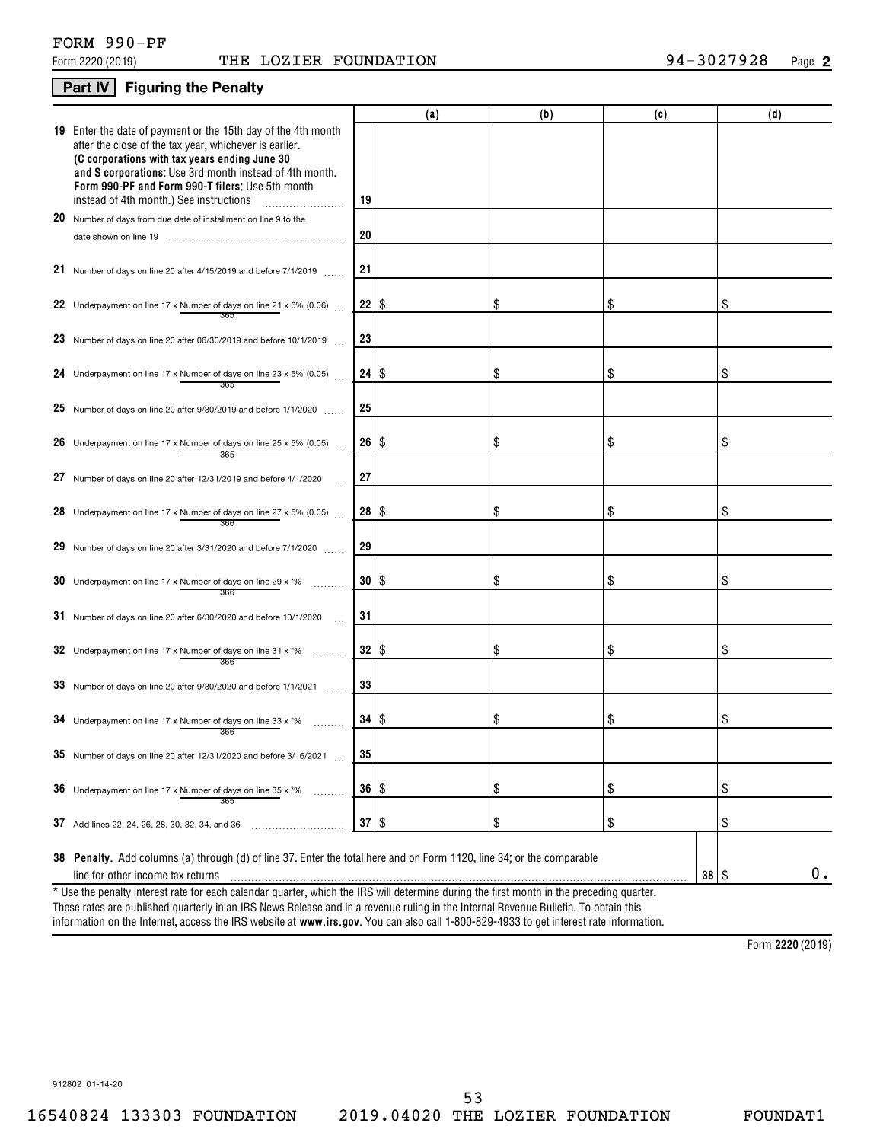### **Part IV Figuring the Penalty**

|    |                                                                                                                                                                                                                                                                                                                                           |              | (a)  | (b) | (c)       | (d) |
|----|-------------------------------------------------------------------------------------------------------------------------------------------------------------------------------------------------------------------------------------------------------------------------------------------------------------------------------------------|--------------|------|-----|-----------|-----|
|    | <b>19</b> Enter the date of payment or the 15th day of the 4th month<br>after the close of the tax year, whichever is earlier.<br>(C corporations with tax years ending June 30<br>and S corporations: Use 3rd month instead of 4th month.<br>Form 990-PF and Form 990-T filers; Use 5th month<br>instead of 4th month.) See instructions | 19           |      |     |           |     |
|    | 20 Number of days from due date of installment on line 9 to the                                                                                                                                                                                                                                                                           |              |      |     |           |     |
|    |                                                                                                                                                                                                                                                                                                                                           | 20           |      |     |           |     |
|    | 21 Number of days on line 20 after 4/15/2019 and before 7/1/2019                                                                                                                                                                                                                                                                          | 21           |      |     |           |     |
|    | 22 Underpayment on line 17 x Number of days on line 21 x 6% (0.06) $\ldots$                                                                                                                                                                                                                                                               | $22$   \$    |      | \$  | \$        | \$  |
|    | 23 Number of days on line 20 after 06/30/2019 and before 10/1/2019                                                                                                                                                                                                                                                                        | 23           |      |     |           |     |
|    | 24 Underpayment on line 17 x Number of days on line 23 x 5% (0.05)<br>365                                                                                                                                                                                                                                                                 | 24           | l \$ | \$  | \$        | \$  |
|    | 25 Number of days on line 20 after $9/30/2019$ and before $1/1/2020$                                                                                                                                                                                                                                                                      | 25           |      |     |           |     |
|    | 26 Underpayment on line 17 x Number of days on line 25 x 5% (0.05)<br>365                                                                                                                                                                                                                                                                 | 26           | 8    | \$  | \$        | \$  |
|    | 27 Number of days on line 20 after 12/31/2019 and before 4/1/2020                                                                                                                                                                                                                                                                         | 27           |      |     |           |     |
|    | 28 Underpayment on line 17 x Number of days on line 27 x 5% (0.05)<br>366                                                                                                                                                                                                                                                                 | 28           | 8    | S   | \$        | \$  |
|    | 29 Number of days on line 20 after 3/31/2020 and before 7/1/2020                                                                                                                                                                                                                                                                          | 29           |      |     |           |     |
|    | <b>30</b> Underpayment on line 17 x Number of days on line 29 x $*$ %<br>366                                                                                                                                                                                                                                                              | 30   \$      |      | \$  | \$        | \$  |
|    | 31 Number of days on line 20 after 6/30/2020 and before 10/1/2020                                                                                                                                                                                                                                                                         | 31           |      |     |           |     |
|    | 32 Underpayment on line 17 x Number of days on line 31 x $*$ %<br>366                                                                                                                                                                                                                                                                     | 32           | l \$ | \$  | \$        | \$  |
|    | 33 Number of days on line 20 after $9/30/2020$ and before $1/1/2021$                                                                                                                                                                                                                                                                      | 33           |      |     |           |     |
|    | 34 Underpayment on line 17 x Number of days on line 33 x $*$ %<br>366                                                                                                                                                                                                                                                                     | 34   S       |      | \$  | \$        | \$  |
|    | 35 Number of days on line 20 after 12/31/2020 and before 3/16/2021                                                                                                                                                                                                                                                                        | 35           |      |     |           |     |
| 36 | Underpayment on line 17 x Number of days on line 35 x *%<br>.<br>365                                                                                                                                                                                                                                                                      | 36   \$      |      | \$  | \$        | \$  |
|    | 37 Add lines 22, 24, 26, 28, 30, 32, 34, and 36                                                                                                                                                                                                                                                                                           | $37 \mid$ \$ |      | \$  | \$        | \$  |
|    | 38 Penalty. Add columns (a) through (d) of line 37. Enter the total here and on Form 1120, line 34; or the comparable                                                                                                                                                                                                                     |              |      |     |           |     |
|    | line for other income tax returns                                                                                                                                                                                                                                                                                                         |              |      |     | $38  $ \$ | 0.  |
|    | * Use the penalty interest rate for each calendar quarter, which the IRS will determine during the first month in the preceding quarter.                                                                                                                                                                                                  |              |      |     |           |     |

information on the Internet, access the IRS website at **www.irs.gov**. You can also call 1-800-829-4933 to get interest rate information. These rates are published quarterly in an IRS News Release and in a revenue ruling in the Internal Revenue Bulletin. To obtain this

**2220**  Form (2019)

912802 01-14-20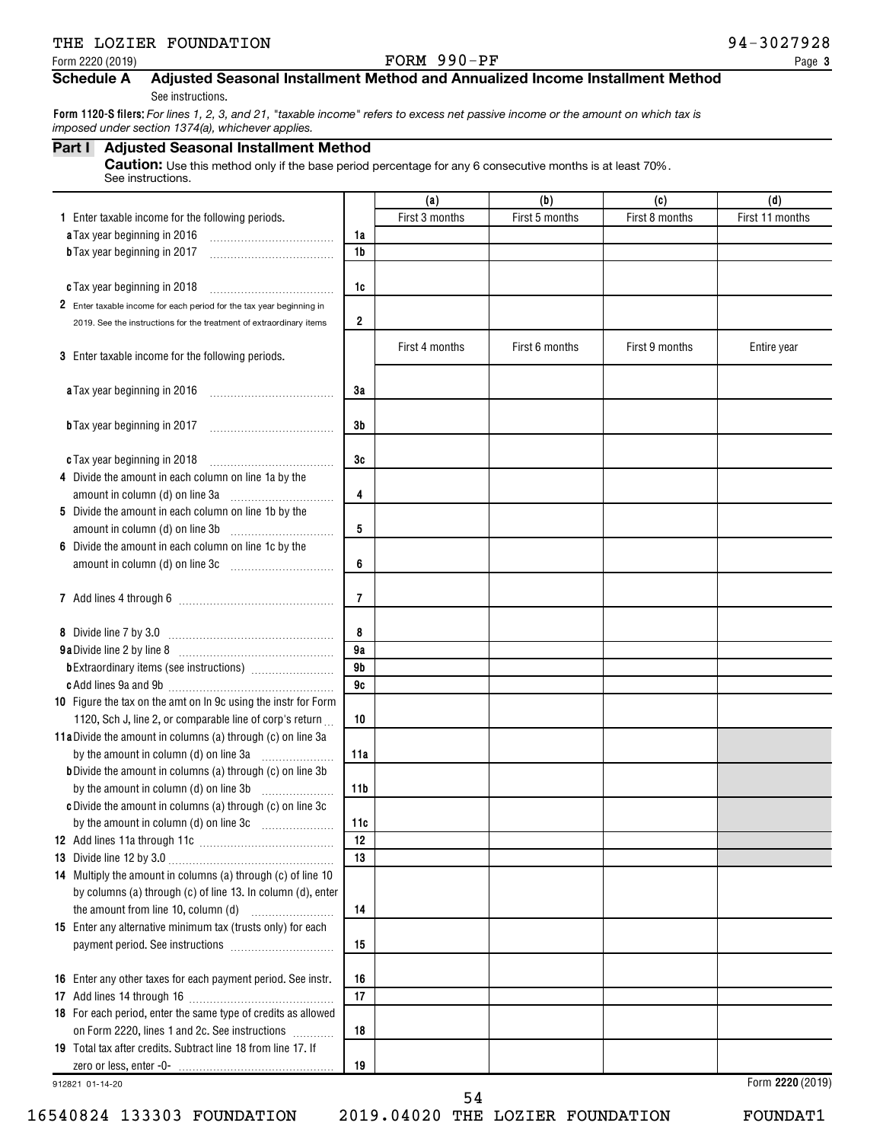## THE LOZIER FOUNDATION **12000 PM 2000 PM 2000 PM 2000 PM 2000 PM 3027928**

#### Form 2220 (2019) Page FORM 990-PF

## **Schedule A Adjusted Seasonal Installment Method and Annualized Income Installment Method**

See instructions.

**Form 1120-S filers:**  *For lines 1, 2, 3, and 21, "taxable income" refers to excess net passive income or the amount on which tax is imposed under section 1374(a), whichever applies.*

#### **Part I Adjusted Seasonal Installment Method**

Caution: Use this method only if the base period percentage for any 6 consecutive months is at least 70%. See instructions.

| First 3 months<br>First 5 months<br>First 8 months<br>1 Enter taxable income for the following periods.<br>a Tax year beginning in 2016<br>1a<br>1b<br><b>b</b> Tax year beginning in 2017 | First 11 months  |
|--------------------------------------------------------------------------------------------------------------------------------------------------------------------------------------------|------------------|
|                                                                                                                                                                                            |                  |
|                                                                                                                                                                                            |                  |
|                                                                                                                                                                                            |                  |
|                                                                                                                                                                                            |                  |
| c Tax year beginning in 2018<br>1c                                                                                                                                                         |                  |
| 2 Enter taxable income for each period for the tax year beginning in                                                                                                                       |                  |
| 2<br>2019. See the instructions for the treatment of extraordinary items                                                                                                                   |                  |
| First 4 months<br>First 6 months<br>First 9 months                                                                                                                                         | Entire year      |
| 3 Enter taxable income for the following periods.                                                                                                                                          |                  |
| a Tax year beginning in 2016<br>3a                                                                                                                                                         |                  |
|                                                                                                                                                                                            |                  |
| 3b<br><b>b</b> Tax year beginning in 2017                                                                                                                                                  |                  |
|                                                                                                                                                                                            |                  |
| 3c<br>c Tax year beginning in 2018                                                                                                                                                         |                  |
| 4 Divide the amount in each column on line 1a by the                                                                                                                                       |                  |
| 4<br>amount in column (d) on line 3a                                                                                                                                                       |                  |
| 5 Divide the amount in each column on line 1b by the                                                                                                                                       |                  |
| 5<br>amount in column (d) on line 3b                                                                                                                                                       |                  |
| 6 Divide the amount in each column on line 1c by the                                                                                                                                       |                  |
| 6<br>amount in column (d) on line 3c [11] [11] [12] amount in column (d) on line 3c                                                                                                        |                  |
|                                                                                                                                                                                            |                  |
| 7                                                                                                                                                                                          |                  |
|                                                                                                                                                                                            |                  |
| 8                                                                                                                                                                                          |                  |
| 9a<br>9 <sub>b</sub>                                                                                                                                                                       |                  |
| 9c                                                                                                                                                                                         |                  |
| 10 Figure the tax on the amt on In 9c using the instr for Form                                                                                                                             |                  |
| 1120, Sch J, line 2, or comparable line of corp's return<br>10                                                                                                                             |                  |
| 11a Divide the amount in columns (a) through (c) on line 3a                                                                                                                                |                  |
| by the amount in column (d) on line 3a<br>11a                                                                                                                                              |                  |
| <b>b</b> Divide the amount in columns (a) through (c) on line 3b                                                                                                                           |                  |
| by the amount in column (d) on line 3b<br>11b                                                                                                                                              |                  |
| c Divide the amount in columns (a) through (c) on line 3c                                                                                                                                  |                  |
| by the amount in column (d) on line 3c<br>11c                                                                                                                                              |                  |
| 12                                                                                                                                                                                         |                  |
| 13                                                                                                                                                                                         |                  |
| 14 Multiply the amount in columns (a) through (c) of line 10                                                                                                                               |                  |
| by columns (a) through (c) of line 13. In column (d), enter                                                                                                                                |                  |
| 14                                                                                                                                                                                         |                  |
| 15 Enter any alternative minimum tax (trusts only) for each                                                                                                                                |                  |
| 15                                                                                                                                                                                         |                  |
|                                                                                                                                                                                            |                  |
| 16 Enter any other taxes for each payment period. See instr.<br>16                                                                                                                         |                  |
| 17                                                                                                                                                                                         |                  |
| 18 For each period, enter the same type of credits as allowed                                                                                                                              |                  |
| on Form 2220, lines 1 and 2c. See instructions<br>18<br>19 Total tax after credits. Subtract line 18 from line 17. If                                                                      |                  |
| 19                                                                                                                                                                                         |                  |
| 912821 01-14-20                                                                                                                                                                            | Form 2220 (2019) |

16540824 133303 FOUNDATION 2019.04020 THE LOZIER FOUNDATION FOUNDAT1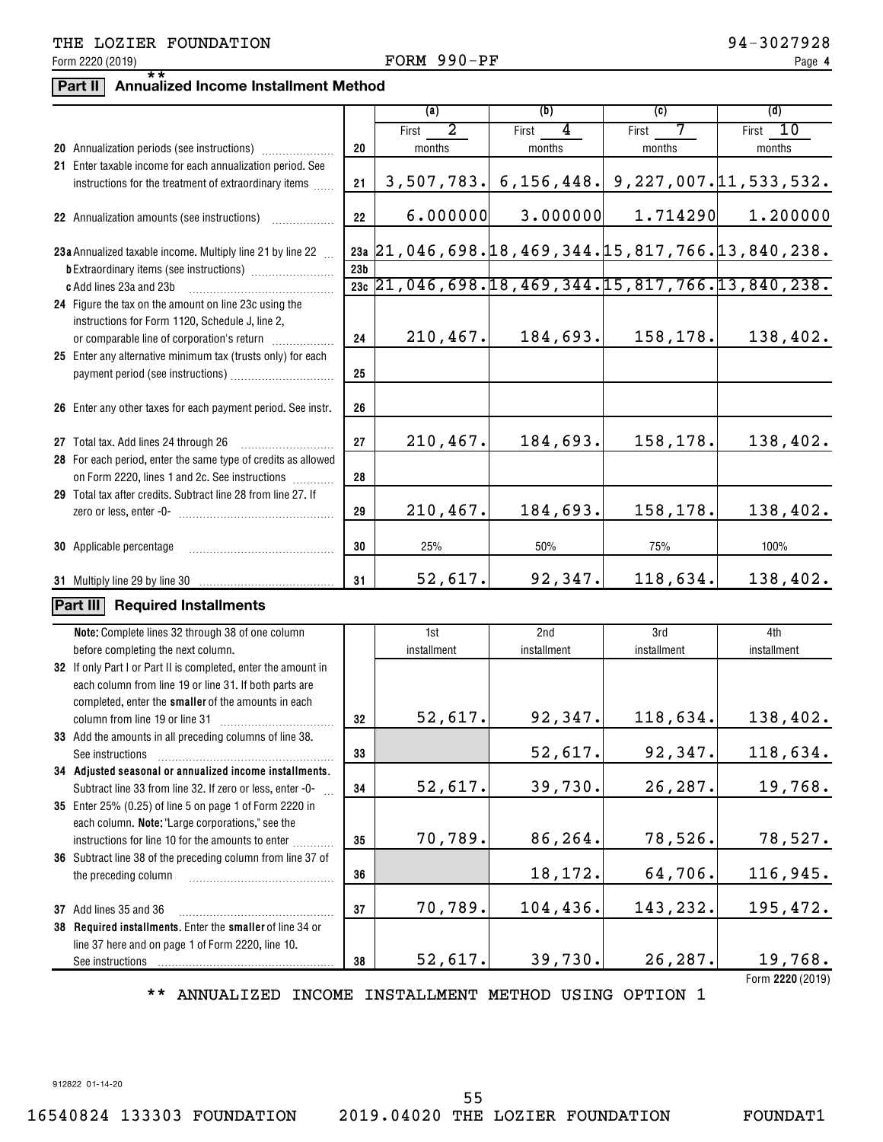## THE LOZIER FOUNDATION **12000 PM 2000 PM 2000 PM 2000 PM 2000 PM 3027928**

### Form 2220 (2019) Page FORM 990-PF

# **Part II Annualized Income Installment Method** \*\*

|                                                                                                                      |                 | (a)         | (b)                                                          | (c)                                       | (d)              |
|----------------------------------------------------------------------------------------------------------------------|-----------------|-------------|--------------------------------------------------------------|-------------------------------------------|------------------|
|                                                                                                                      |                 | 2           |                                                              |                                           |                  |
|                                                                                                                      |                 | First       | 4<br>First                                                   | First<br>7                                | 10<br>First      |
|                                                                                                                      | 20              | months      | months                                                       | months                                    | months           |
| 21 Enter taxable income for each annualization period. See<br>instructions for the treatment of extraordinary items  | 21              | 3,507,783.  |                                                              | $6, 156, 448.$ 9, 227, 007. 11, 533, 532. |                  |
|                                                                                                                      |                 |             |                                                              |                                           |                  |
| 22 Annualization amounts (see instructions)                                                                          | 22              | 6.000000    | 3.000000                                                     | 1.714290                                  | 1.200000         |
| 23a Annualized taxable income. Multiply line 21 by line 22                                                           |                 |             | 23a 21, 046, 698. 18, 469, 344. 15, 817, 766. 13, 840, 238.  |                                           |                  |
|                                                                                                                      | 23 <sub>b</sub> |             |                                                              |                                           |                  |
| c Add lines 23a and 23b                                                                                              |                 |             | $\frac{1}{23c}$ 21,046,698.18,469,344.15,817,766.13,840,238. |                                           |                  |
| 24 Figure the tax on the amount on line 23c using the                                                                |                 |             |                                                              |                                           |                  |
| instructions for Form 1120, Schedule J, line 2,                                                                      |                 |             |                                                              |                                           |                  |
| or comparable line of corporation's return                                                                           | 24              | 210, 467.   | 184,693.                                                     | 158,178.                                  | 138,402.         |
| 25 Enter any alternative minimum tax (trusts only) for each                                                          |                 |             |                                                              |                                           |                  |
|                                                                                                                      | 25              |             |                                                              |                                           |                  |
|                                                                                                                      |                 |             |                                                              |                                           |                  |
| 26 Enter any other taxes for each payment period. See instr.                                                         | 26              |             |                                                              |                                           |                  |
|                                                                                                                      |                 |             |                                                              |                                           |                  |
| 27 Total tax. Add lines 24 through 26                                                                                | 27              | 210,467.    | 184,693.                                                     | 158,178.                                  | 138,402.         |
| 28 For each period, enter the same type of credits as allowed                                                        |                 |             |                                                              |                                           |                  |
| on Form 2220, lines 1 and 2c. See instructions                                                                       | 28              |             |                                                              |                                           |                  |
| 29 Total tax after credits. Subtract line 28 from line 27. If                                                        |                 |             |                                                              |                                           |                  |
|                                                                                                                      | 29              | 210,467.    | 184,693.                                                     | 158,178.                                  | 138,402.         |
| 30 Applicable percentage                                                                                             | 30              | 25%         | 50%                                                          | 75%                                       | 100%             |
|                                                                                                                      | 31              | 52,617.     | 92,347.                                                      | 118,634.                                  | 138,402.         |
| Part III                                                                                                             |                 |             |                                                              |                                           |                  |
| <b>Required Installments</b>                                                                                         |                 |             |                                                              |                                           |                  |
| Note: Complete lines 32 through 38 of one column                                                                     |                 | 1st         | 2nd                                                          | 3rd                                       | 4th              |
| before completing the next column.                                                                                   |                 | installment | installment                                                  | installment                               | installment      |
| 32 If only Part I or Part II is completed, enter the amount in                                                       |                 |             |                                                              |                                           |                  |
| each column from line 19 or line 31. If both parts are                                                               |                 |             |                                                              |                                           |                  |
| completed, enter the smaller of the amounts in each                                                                  |                 |             |                                                              |                                           |                  |
| column from line 19 or line 31                                                                                       | 32              | 52,617.     | 92,347.                                                      | 118,634.                                  | 138,402.         |
| 33 Add the amounts in all preceding columns of line 38.                                                              | 33              |             | 52,617.                                                      | 92,347.                                   | 118,634.         |
| See instructions                                                                                                     |                 |             |                                                              |                                           |                  |
| 34 Adjusted seasonal or annualized income installments.<br>Subtract line 33 from line 32. If zero or less, enter -0- | 34              | 52,617.     | 39,730.                                                      | 26,287.                                   | 19,768.          |
| 35 Enter 25% (0.25) of line 5 on page 1 of Form 2220 in                                                              |                 |             |                                                              |                                           |                  |
| each column. Note: "Large corporations," see the                                                                     |                 |             |                                                              |                                           |                  |
| instructions for line 10 for the amounts to enter                                                                    | 35              | 70,789.     | 86,264.                                                      | 78,526.                                   | 78,527.          |
| 36 Subtract line 38 of the preceding column from line 37 of                                                          |                 |             |                                                              |                                           |                  |
| the preceding column                                                                                                 | 36              |             | 18,172.                                                      | 64,706.                                   | 116,945.         |
|                                                                                                                      |                 |             |                                                              |                                           |                  |
| 37 Add lines 35 and 36                                                                                               | 37              | 70,789.     | 104,436.                                                     | 143,232.                                  | 195,472.         |
| 38 Required installments. Enter the smaller of line 34 or                                                            |                 |             |                                                              |                                           |                  |
| line 37 here and on page 1 of Form 2220, line 10.                                                                    |                 |             |                                                              |                                           |                  |
| See instructions                                                                                                     | 38              | 52,617.     | 39,730.                                                      | 26,287.                                   | 19,768.          |
|                                                                                                                      |                 |             |                                                              |                                           | Form 2220 (2019) |

\*\* ANNUALIZED INCOME INSTALLMENT METHOD USING OPTION 1

912822 01-14-20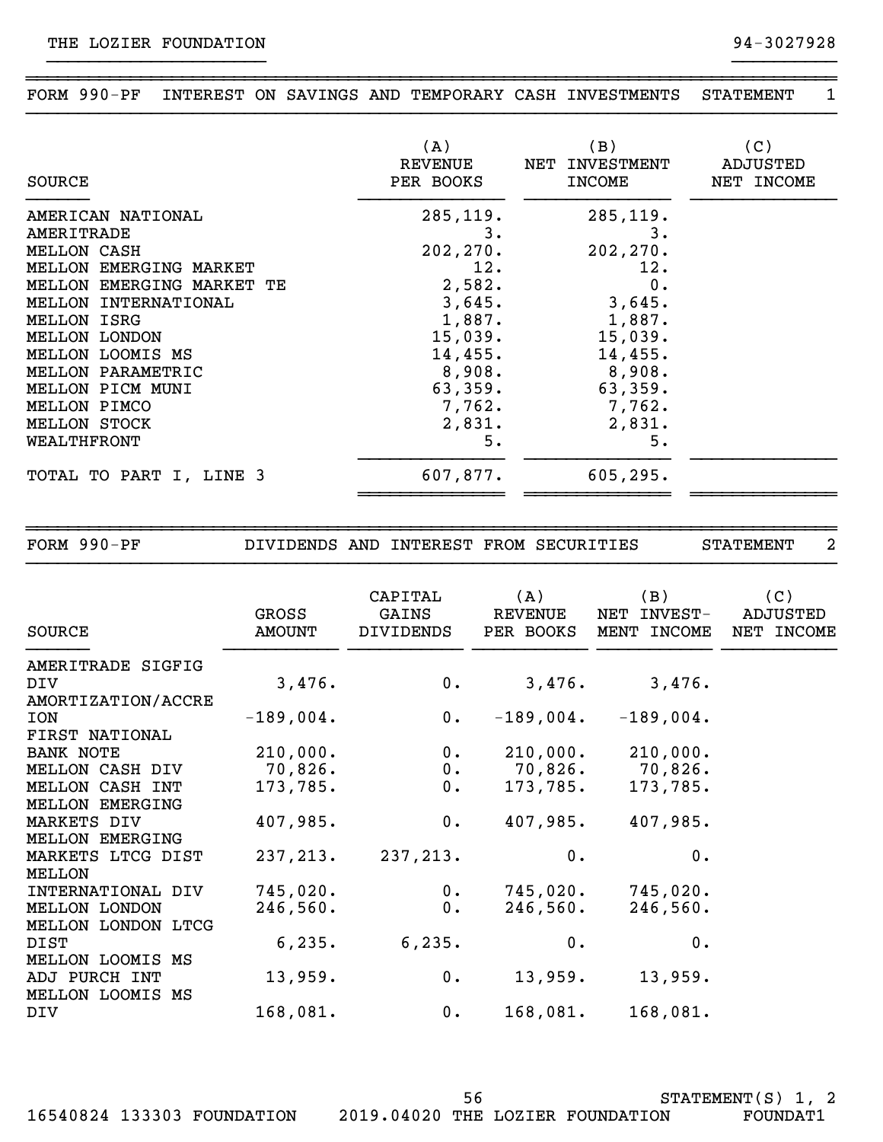~~~~~~~~~~~~~~~~~~~~~~~~~~~~~~~~~~~~~~~~~~~~~~~~~~~~~~~~~~~~~~~~~~~~~~~~~~~~~~ FORM 990-PF INTEREST ON SAVINGS AND TEMPORARY CASH INVESTMENTS STATEMENT 1 }}}}}}}}}}}}}}}}}}}}}}}}}}}}}}}}}}}}}}}}}}}}}}}}}}}}}}}}}}}}}}}}}}}}}}}}}}}}}}

}}}}}}}}}}}}}}}}}}}}} }}}}}}}}}}

| SOURCE                    | (A)<br>REVENUE<br>PER BOOKS | (B)<br>NET INVESTMENT<br><b>INCOME</b> | (C)<br>ADJUSTED<br>NET INCOME |
|---------------------------|-----------------------------|----------------------------------------|-------------------------------|
| AMERICAN NATIONAL         | 285, 119.                   | 285, 119.                              |                               |
| AMERITRADE                | 3.                          | з.                                     |                               |
| MELLON CASH               | 202, 270.                   | 202, 270.                              |                               |
| MELLON EMERGING MARKET    | 12.                         | 12.                                    |                               |
| MELLON EMERGING MARKET TE | 2,582.                      | 0.                                     |                               |
| MELLON INTERNATIONAL      | 3,645.                      | 3,645.                                 |                               |
| <b>MELLON ISRG</b>        | 1,887.                      | 1,887.                                 |                               |
| MELLON LONDON             | 15,039.                     | 15,039.                                |                               |
| MELLON LOOMIS MS          | 14,455.                     | 14,455.                                |                               |
| MELLON PARAMETRIC         | 8,908.                      | $8,908$ .                              |                               |
| MELLON PICM MUNI          | 63,359.                     | 63,359.                                |                               |
| MELLON PIMCO              | 7,762.                      | 7,762.                                 |                               |
| <b>MELLON STOCK</b>       | 2,831.                      | 2,831.                                 |                               |
| WEALTHFRONT               | 5.                          | 5.                                     |                               |
| TOTAL TO PART I, LINE 3   | 607,877.                    | 605, 295.                              |                               |
|                           |                             |                                        |                               |

~~~~~~~~~~~~~~~~~~~~~~~~~~~~~~~~~~~~~~~~~~~~~~~~~~~~~~~~~~~~~~~~~~~~~~~~~~~~~~ FORM 990-PF DIVIDENDS AND INTEREST FROM SECURITIES STATEMENT 2 }}}}}}}}}}}}}}}}}}}}}}}}}}}}}}}}}}}}}}}}}}}}}}}}}}}}}}}}}}}}}}}}}}}}}}}}}}}}}} CAPITAL (A) (B) (C) GROSS GAINS REVENUE NET INVEST- ADJUSTED SOURCE AMOUNT DIVIDENDS PER BOOKS MENT INCOME NET INCOME }}}}}} }}}}}}}}}}} }}}}}}}}}}} }}}}}}}}}}} }}}}}}}}}}} }}}}}}}}}}} AMERITRADE SIGFIG DIV 3,476. 0. 3,476. 3,476. AMORTIZATION/ACCRE ION -189,004. 0. -189,004. -189,004. FIRST NATIONAL BANK NOTE 210,000. 0. 210,000. 210,000. MELLON CASH DIV 70,826. 0. 70,826. 70,826. MELLON CASH INT 173,785. 0. 173,785. 173,785. MELLON EMERGING MARKETS DIV 407,985. 0. 407,985. 407,985. MELLON EMERGING MARKETS LTCG DIST 237,213. 237,213. 0. 0. MELLON INTERNATIONAL DIV 745,020. 0. 745,020. 745,020. MELLON LONDON 246,560. 0. 246,560. 246,560. MELLON LONDON LTCG DIST 6,235. 6,235. 0. 0. MELLON LOOMIS MS ADJ PURCH INT 13,959. 0. 13,959. 13,959. MELLON LOOMIS MS DIV 168,081. 0. 168,081. 168,081.

16540824 133303 FOUNDATION 2019.04020 THE LOZIER FOUNDATION FOUNDAT1

56

STATEMENT(S) 1, 2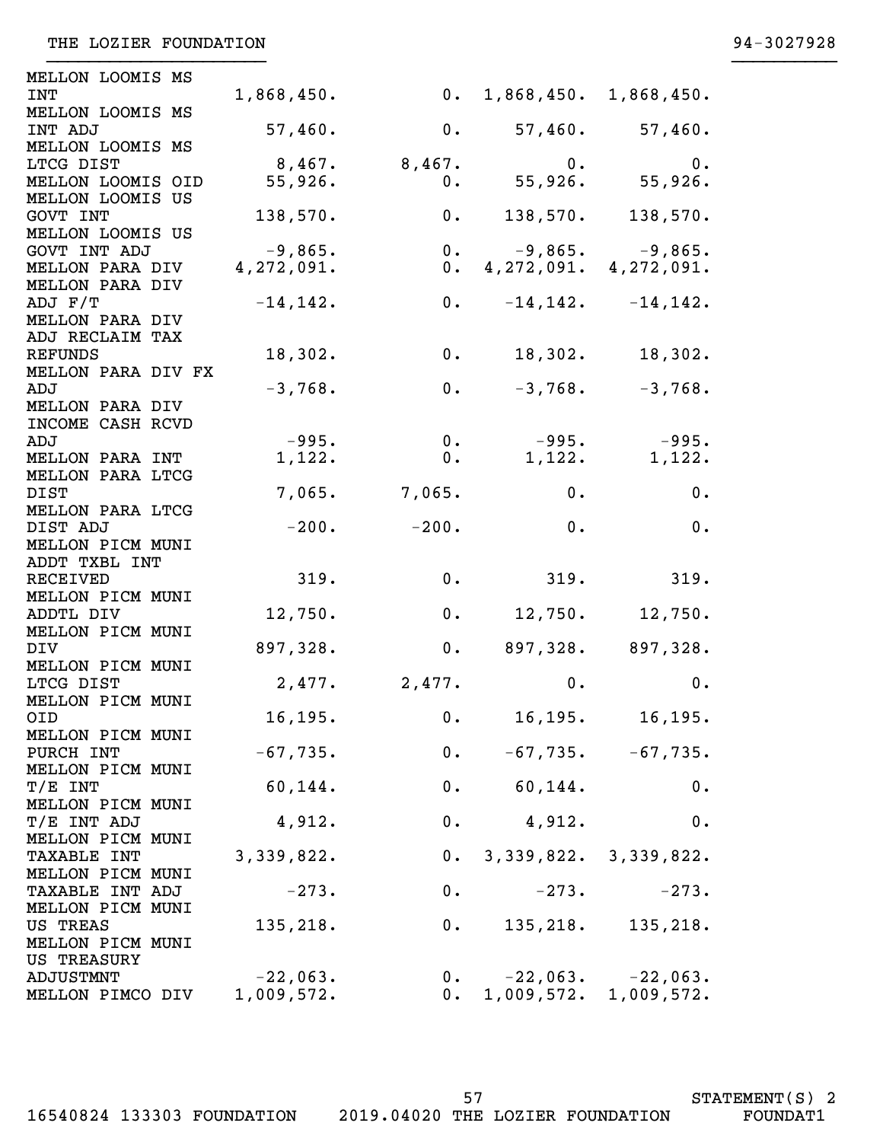| <b>MELLON LOOMIS MS</b>             |             |                          |                          |                           |
|-------------------------------------|-------------|--------------------------|--------------------------|---------------------------|
| <b>INT</b>                          | 1,868,450.  |                          | 0. 1,868,450. 1,868,450. |                           |
| MELLON LOOMIS MS                    |             |                          |                          |                           |
| INT ADJ                             | 57,460.     | 0.                       | 57,460.                  | 57,460.                   |
| MELLON LOOMIS MS<br>LTCG DIST       | $8,467$ .   | 8,467.                   | 0.                       | 0.                        |
| MELLON LOOMIS OID                   | 55,926.     | 0.                       | 55,926.                  | 55,926.                   |
| MELLON LOOMIS US                    |             |                          |                          |                           |
| GOVT INT                            | 138,570.    | 0.                       | 138,570.                 | 138,570.                  |
| MELLON LOOMIS US                    |             |                          |                          |                           |
| GOVT INT ADJ                        | $-9,865.$   | 0.                       |                          | $-9,865.$ $-9,865.$       |
| <b>MELLON PARA DIV</b>              | 4,272,091.  | 0.                       |                          | 4, 272, 091. 4, 272, 091. |
| <b>MELLON PARA DIV</b>              |             |                          |                          |                           |
| ADJ F/T<br><b>MELLON PARA DIV</b>   | $-14, 142.$ | 0.                       |                          | $-14, 142.$ $-14, 142.$   |
| ADJ RECLAIM TAX                     |             |                          |                          |                           |
| REFUNDS                             | 18,302.     | 0.                       | 18,302.                  | 18,302.                   |
| MELLON PARA DIV FX                  |             |                          |                          |                           |
| ADJ                                 | $-3,768.$   | 0.                       | $-3,768.$                | $-3,768.$                 |
| <b>MELLON PARA DIV</b>              |             |                          |                          |                           |
| INCOME CASH RCVD                    |             |                          |                          |                           |
| ADJ                                 | $-995.$     | $0$ .                    | $-995.$                  | $-995.$                   |
| <b>MELLON PARA INT</b>              | 1,122.      | 0.                       | 1,122.                   | 1,122.                    |
| MELLON PARA LTCG<br>DIST            | 7,065.      | 7,065.                   | 0.                       | 0.                        |
| <b>MELLON PARA LTCG</b>             |             |                          |                          |                           |
| DIST ADJ                            | $-200.$     | $-200.$                  | 0.                       | 0.                        |
| <b>MELLON PICM MUNI</b>             |             |                          |                          |                           |
| ADDT TXBL INT                       |             |                          |                          |                           |
| <b>RECEIVED</b>                     | 319.        | 0.                       | 319.                     | 319.                      |
| <b>MELLON PICM MUNI</b>             |             |                          |                          |                           |
| ADDTL DIV                           | 12,750.     | 0.                       | 12,750.                  | 12,750.                   |
| <b>MELLON PICM MUNI</b><br>DIV      | 897,328.    | 0.                       |                          | $897,328.$ 897,328.       |
| <b>MELLON PICM MUNI</b>             |             |                          |                          |                           |
| LTCG DIST                           | 2,477.      | 2,477.                   | 0.                       | 0.                        |
| <b>MELLON PICM MUNI</b>             |             |                          |                          |                           |
| OID                                 | 16, 195.    | $\overline{\phantom{a}}$ | 16,195.                  | 16,195.                   |
| <b>MELLON PICM MUNI</b>             |             |                          |                          |                           |
| PURCH INT                           | $-67,735.$  | 0.                       |                          | $-67, 735. -67, 735.$     |
| <b>MELLON PICM MUNI</b><br>T/E INT  | 60, 144.    |                          | 0. 60, 144.              | 0.                        |
| <b>MELLON PICM MUNI</b>             |             |                          |                          |                           |
| T/E INT ADJ                         | 4,912.      |                          | 0. 4,912.                | 0.                        |
| MELLON PICM MUNI                    |             |                          |                          |                           |
| <b>TAXABLE INT</b>                  | 3,339,822.  |                          | 0. 3,339,822. 3,339,822. |                           |
| <b>MELLON PICM MUNI</b>             |             |                          |                          |                           |
| <b>TAXABLE INT ADJ</b>              | $-273.$     | 0.                       | $-273.$                  | $-273.$                   |
| <b>MELLON PICM MUNI</b>             |             |                          |                          |                           |
| US TREAS<br><b>MELLON PICM MUNI</b> | 135,218.    | 0.                       | 135, 218.                | 135,218.                  |
| US TREASURY                         |             |                          |                          |                           |
| ADJUSTMNT                           | $-22,063.$  | 0.                       | $-22,063.$ $-22,063.$    |                           |
| MELLON PIMCO DIV                    | 1,009,572.  | 0.                       |                          | 1,009,572. 1,009,572.     |

}}}}}}}}}}}}}}}}}}}}} }}}}}}}}}}

16540824 133303 FOUNDATION 2019.04020 THE LOZIER FOUNDATION FOUNDAT1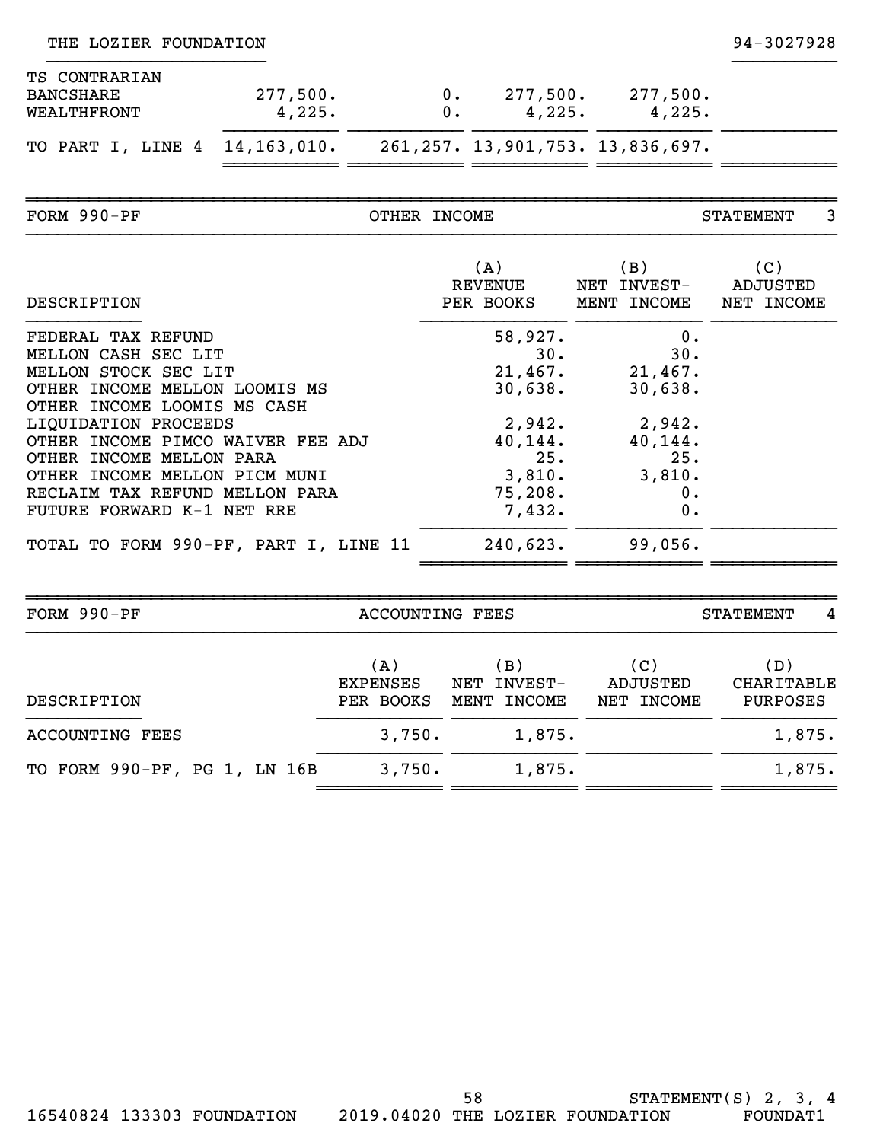| THE LOZIER FOUNDATION                                                                                                                                                                                                                                                                                                                                                |                    |                                     |                |                                                                                                             |                                                                                              | 94-3027928                    |
|----------------------------------------------------------------------------------------------------------------------------------------------------------------------------------------------------------------------------------------------------------------------------------------------------------------------------------------------------------------------|--------------------|-------------------------------------|----------------|-------------------------------------------------------------------------------------------------------------|----------------------------------------------------------------------------------------------|-------------------------------|
| TS CONTRARIAN<br><b>BANCSHARE</b><br>WEALTHFRONT                                                                                                                                                                                                                                                                                                                     | 277,500.<br>4,225. |                                     | $0$ .<br>$0$ . | 4,225.                                                                                                      | $277,500.$ 277,500.<br>4,225.                                                                |                               |
| TO PART I, LINE 4                                                                                                                                                                                                                                                                                                                                                    | 14, 163, 010.      |                                     |                |                                                                                                             | 261, 257. 13, 901, 753. 13, 836, 697.                                                        |                               |
| FORM 990-PF                                                                                                                                                                                                                                                                                                                                                          |                    | OTHER INCOME                        |                |                                                                                                             |                                                                                              | <b>STATEMENT</b><br>3.        |
| DESCRIPTION                                                                                                                                                                                                                                                                                                                                                          |                    |                                     |                | (A)<br><b>REVENUE</b><br>PER BOOKS                                                                          | (B)<br>NET INVEST-<br>MENT INCOME                                                            | (C)<br>ADJUSTED<br>NET INCOME |
| FEDERAL TAX REFUND<br>MELLON CASH SEC LIT<br>MELLON STOCK SEC LIT<br>OTHER INCOME MELLON LOOMIS MS<br>OTHER INCOME LOOMIS MS CASH<br>LIQUIDATION PROCEEDS<br>OTHER INCOME PIMCO WAIVER FEE ADJ<br>OTHER INCOME MELLON PARA<br>OTHER INCOME MELLON PICM MUNI<br>RECLAIM TAX REFUND MELLON PARA<br>FUTURE FORWARD K-1 NET RRE<br>TOTAL TO FORM 990-PF, PART I, LINE 11 |                    |                                     |                | 58,927.<br>30.<br>21,467.<br>30,638.<br>2,942.<br>40,144.<br>25.<br>3,810.<br>75,208.<br>7,432.<br>240,623. | 0.<br>30.<br>21,467.<br>30,638.<br>2,942.<br>40,144.<br>25.<br>3,810.<br>0.<br>0.<br>99,056. |                               |
| FORM 990-PF                                                                                                                                                                                                                                                                                                                                                          |                    | <b>ACCOUNTING FEES</b>              |                |                                                                                                             |                                                                                              | <b>STATEMENT</b><br>4         |
| DESCRIPTION                                                                                                                                                                                                                                                                                                                                                          |                    | (A)<br><b>EXPENSES</b><br>PER BOOKS |                | (B)<br>NET INVEST-<br>MENT INCOME                                                                           | (C)<br><b>ADJUSTED</b><br>NET INCOME                                                         | (D)<br>CHARITABLE<br>PURPOSES |
| <b>ACCOUNTING FEES</b>                                                                                                                                                                                                                                                                                                                                               |                    | 3,750.                              |                | 1,875.                                                                                                      |                                                                                              | 1,875.                        |
| TO FORM 990-PF, PG 1, LN 16B                                                                                                                                                                                                                                                                                                                                         |                    | 3,750.                              |                | 1,875.                                                                                                      |                                                                                              | 1,875.                        |
|                                                                                                                                                                                                                                                                                                                                                                      |                    |                                     |                |                                                                                                             |                                                                                              |                               |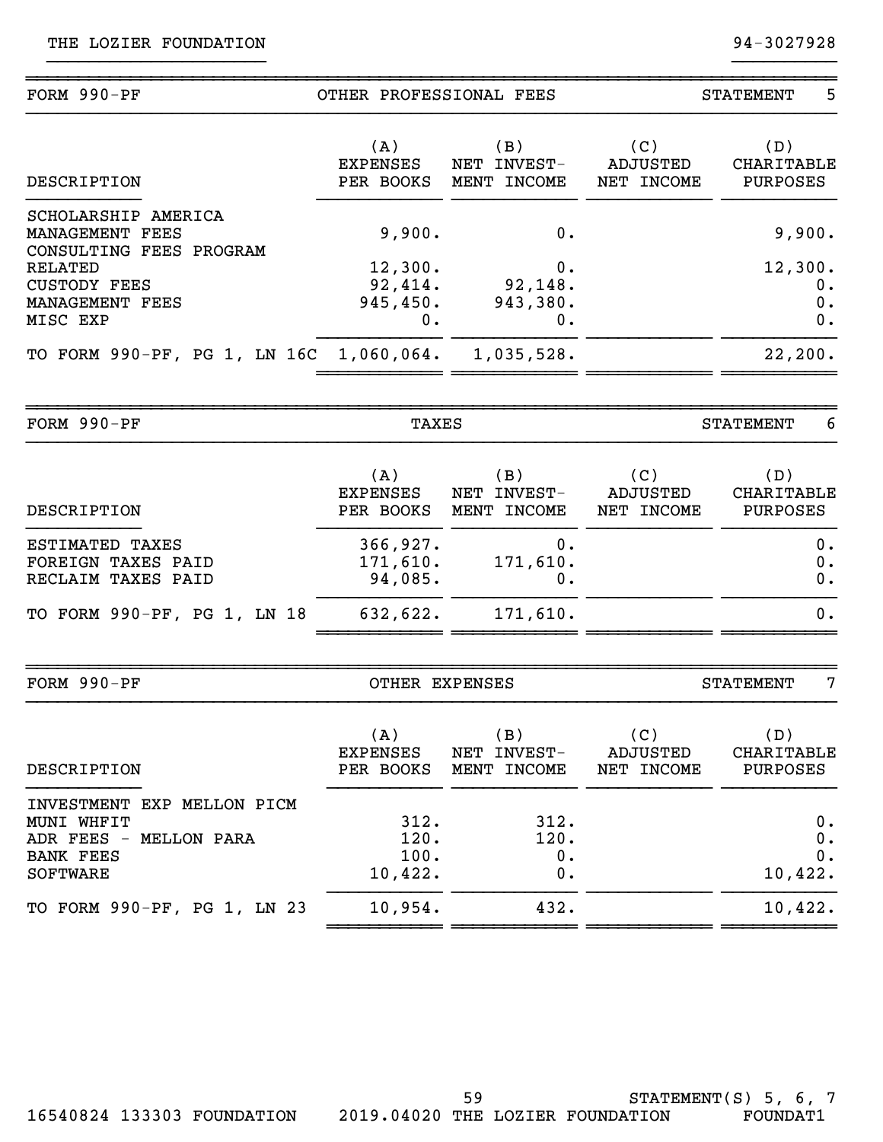| FORM 990-PF                                                                                               | OTHER PROFESSIONAL FEES                  |                                   | 5<br><b>STATEMENT</b>                |                                             |  |
|-----------------------------------------------------------------------------------------------------------|------------------------------------------|-----------------------------------|--------------------------------------|---------------------------------------------|--|
| DESCRIPTION                                                                                               | (A)<br><b>EXPENSES</b><br>PER BOOKS      | (B)<br>NET INVEST-<br>MENT INCOME | (C)<br><b>ADJUSTED</b><br>NET INCOME | (D)<br><b>CHARITABLE</b><br><b>PURPOSES</b> |  |
| SCHOLARSHIP AMERICA<br>MANAGEMENT FEES<br>CONSULTING FEES PROGRAM                                         | 9,900.                                   | 0.                                |                                      | 9,900.<br>12,300.                           |  |
| <b>RELATED</b><br><b>CUSTODY FEES</b><br>MANAGEMENT FEES<br>MISC EXP                                      | 12,300.<br>92,414.<br>945, 450.<br>$0$ . | 0.<br>92, 148.<br>943,380.<br>0.  |                                      | $0$ .<br>0.<br>0.                           |  |
| TO FORM 990-PF, PG 1, LN 16C 1,060,064.                                                                   |                                          | 1,035,528.                        |                                      | 22, 200.                                    |  |
| FORM 990-PF                                                                                               | TAXES                                    |                                   |                                      | 6<br><b>STATEMENT</b>                       |  |
| DESCRIPTION                                                                                               | (A)<br><b>EXPENSES</b><br>PER BOOKS      | (B)<br>NET INVEST-<br>MENT INCOME | (C)<br><b>ADJUSTED</b><br>NET INCOME | (D)<br><b>CHARITABLE</b><br>PURPOSES        |  |
| ESTIMATED TAXES<br>FOREIGN TAXES PAID<br>RECLAIM TAXES PAID                                               | 366, 927.<br>171,610.<br>94,085.         | 0.<br>171,610.<br>0.              |                                      | 0.<br>0.<br>0.                              |  |
| TO FORM 990-PF, PG 1, LN 18                                                                               | 632,622.                                 | 171,610.                          |                                      | 0.                                          |  |
| FORM 990-PF                                                                                               | OTHER EXPENSES                           |                                   | 7<br><b>STATEMENT</b>                |                                             |  |
| DESCRIPTION                                                                                               | (A)<br><b>EXPENSES</b><br>PER BOOKS      | (B)<br>NET INVEST-<br>MENT INCOME | (C)<br><b>ADJUSTED</b><br>NET INCOME | (D)<br>CHARITABLE<br><b>PURPOSES</b>        |  |
| INVESTMENT EXP MELLON PICM<br>MUNI WHFIT<br>ADR FEES - MELLON PARA<br><b>BANK FEES</b><br><b>SOFTWARE</b> | 312.<br>120.<br>100.<br>10,422.          | 312.<br>120.<br>0.<br>0.          |                                      | 0.<br>0.<br>0.<br>10,422.                   |  |
| TO FORM 990-PF, PG 1, LN 23                                                                               | 10,954.                                  | 432.                              |                                      | 10,422.                                     |  |

~~~~~~~~ ~~~~~~~ ~~~~~~~ ~~~~~~~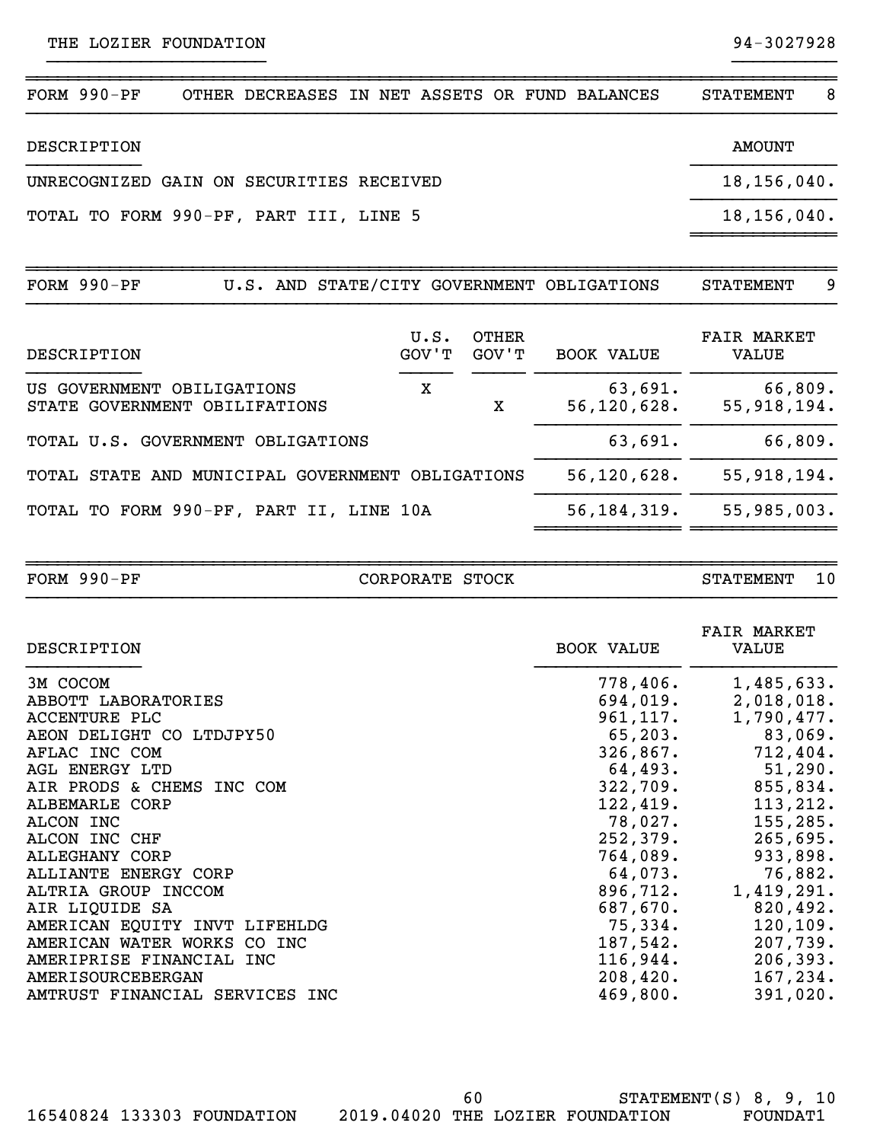| $FORM 990-PF$                            | OTHER DECREASES IN NET ASSETS OR FUND BALANCES |  |  | <b>STATEMENT</b> | 8 |
|------------------------------------------|------------------------------------------------|--|--|------------------|---|
| DESCRIPTION                              |                                                |  |  | <b>AMOUNT</b>    |   |
| UNRECOGNIZED GAIN ON SECURITIES RECEIVED |                                                |  |  | 18, 156, 040.    |   |
| TOTAL TO FORM 990-PF, PART III, LINE 5   |                                                |  |  | 18, 156, 040.    |   |
|                                          |                                                |  |  |                  |   |
| $FORM 990-PF$                            | U.S. AND STATE/CITY GOVERNMENT OBLIGATIONS     |  |  | <b>STATEMENT</b> | 9 |

}}}}}}}}}}}}}}}}}}}}} }}}}}}}}}}

| DESCRIPTION                                                 | U.S.<br>GOV'T | OTHER<br>GOV'T | <b>BOOK VALUE</b>        | <b>FAIR MARKET</b><br>VALUE |
|-------------------------------------------------------------|---------------|----------------|--------------------------|-----------------------------|
| US GOVERNMENT OBILIGATIONS<br>STATE GOVERNMENT OBILIFATIONS | х             | x              | 63,691.<br>56, 120, 628. | 66,809.<br>55,918,194.      |
| TOTAL U.S. GOVERNMENT OBLIGATIONS                           |               |                | 63,691.                  | 66,809.                     |
| TOTAL STATE AND MUNICIPAL GOVERNMENT OBLIGATIONS            |               |                | 56, 120, 628.            | 55,918,194.                 |
| TOTAL TO FORM 990-PF, PART II, LINE 10A                     |               |                | 56, 184, 319.            | 55,985,003.                 |
|                                                             |               |                |                          |                             |

|  | $FORM 990-PF$ |  |
|--|---------------|--|
|--|---------------|--|

CORPORATE STOCK STATEMENT 10 }}}}}}}}}}}}}}}}}}}}}}}}}}}}}}}}}}}}}}}}}}}}}}}}}}}}}}}}}}}}}}}}}}}}}}}}}}}}}}

~~~~~~~~~~~~~~~~~~~~~~~~~~~~~~~~~~~~~~~~~~~~~~~~~~~~~~~~~~~~~~~~~~~~~~~~~~~~~~

| DESCRIPTION                    | <b>BOOK VALUE</b> | <b>FAIR MARKET</b><br>VALUE |
|--------------------------------|-------------------|-----------------------------|
| 3M COCOM                       | 778,406.          | 1,485,633.                  |
| ABBOTT LABORATORIES            |                   | $694,019.$ 2,018,018.       |
| ACCENTURE PLC                  | 961,117.          | 1,790,477.                  |
| AEON DELIGHT CO LTDJPY50       | 65,203.           | 83,069.                     |
| AFLAC INC COM                  | 326,867.          | 712,404.                    |
| <b>AGL ENERGY LTD</b>          |                   | $64,493.$ $51,290.$         |
| AIR PRODS & CHEMS INC COM      |                   | $322,709.$ 855,834.         |
| ALBEMARLE CORP                 | 122,419.          | 113, 212.                   |
| ALCON INC                      |                   | $78,027.$ 155,285.          |
| ALCON INC CHF                  |                   | $252,379.$ 265,695.         |
| ALLEGHANY CORP                 | 764,089.          | 933,898.                    |
| ALLIANTE ENERGY CORP           | 64,073.           | 76,882.                     |
| ALTRIA GROUP INCCOM            | 896,712.          | 1,419,291.                  |
| AIR LIQUIDE SA                 | 687,670.          | 820,492.                    |
| AMERICAN EQUITY INVT LIFEHLDG  | 75,334.           | 120, 109.                   |
| AMERICAN WATER WORKS CO INC    | 187,542.          | 207,739.                    |
| AMERIPRISE FINANCIAL INC       | 116,944.          | 206, 393.                   |
| <b>AMERISOURCEBERGAN</b>       | 208,420.          | 167, 234.                   |
| AMTRUST FINANCIAL SERVICES INC | 469,800.          | 391,020.                    |

STATEMENT(S) 8, 9, 10 16540824 133303 FOUNDATION 2019.04020 THE LOZIER FOUNDATION FOUNDAT1 60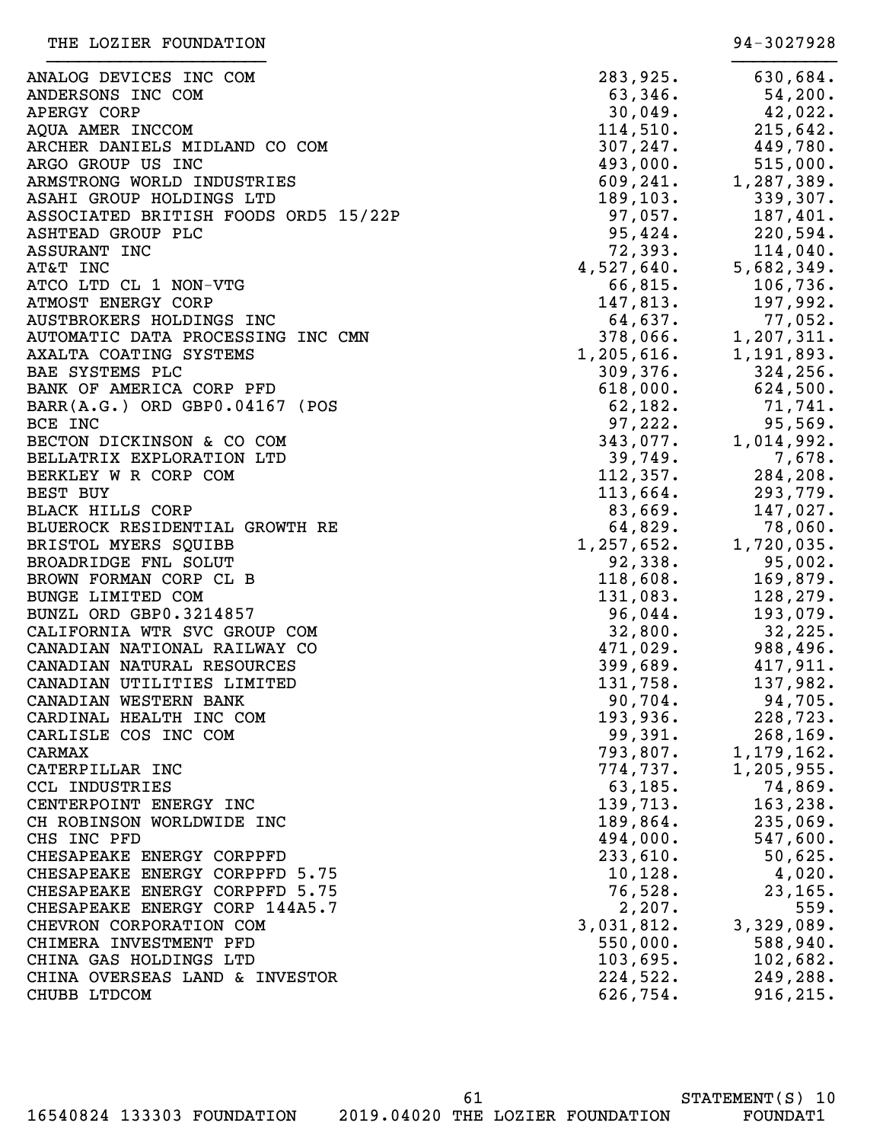ANALOG DEVICES INC COM ANDERSONS INC COM APERGY CORP AQUA AMER INCCOM ARCHER DANIELS MIDLAND CO COM ARGO GROUP US INC ARMSTRONG WORLD INDUSTRIES ASAHI GROUP HOLDINGS LTD ASSOCIATED BRITISH FOODS ORD5 15/22P ASHTEAD GROUP PLC ASSURANT INC AT&T INC 682,349. ATCO LTD CL 1 NON-VTG ATMOST ENERGY CORP AUSTBROKERS HOLDINGS INC AUTOMATIC DATA PROCESSING INC CMN AXALTA COATING SYSTEMS BAE SYSTEMS PLC BANK OF AMERICA CORP PFD  $BAR(A.G.)$  ORD GBP $0.04167$  (POS BCE INC  $97,222.$  95,569. BECTON DICKINSON & CO COM BELLATRIX EXPLORATION LTD BERKLEY W R CORP COM BEST BUY 113,664. 293,779. BLACK HILLS CORP BLUEROCK RESIDENTIAL GROWTH RE BRISTOL MYERS SQUIBB BROADRIDGE FNL SOLUT BROWN FORMAN CORP CL B BUNGE LIMITED COM BUNZL ORD GBP0.3214857 CALIFORNIA WTR SVC GROUP COM CANADIAN NATIONAL RAILWAY CO CANADIAN NATURAL RESOURCES CANADIAN UTILITIES LIMITED CANADIAN WESTERN BANK CARDINAL HEALTH INC COM CARLISLE COS INC COM CARMAX 793,807. 1,179,162. CATERPILLAR INC CCL INDUSTRIES CENTERPOINT ENERGY INC CH ROBINSON WORLDWIDE INC CHS INC PFD CHESAPEAKE ENERGY CORPPFD CHESAPEAKE ENERGY CORPPFD 5.75 CHESAPEAKE ENERGY CORPPFD 5.75 CHESAPEAKE ENERGY CORP 144A5.7 CHEVRON CORPORATION COM CHIMERA INVESTMENT PFD CHINA GAS HOLDINGS LTD CHINA OVERSEAS LAND & INVESTOR CHUBB LTDCOM }}}}}}}}}}}}}}}}}}}}} }}}}}}}}}}

| 283,925.<br>63,346.<br>30,049.<br>114,510.<br>307,247.<br>493,000.<br>609,241. | 630,684.<br>54,200.<br>42,022.<br>215,642.<br>449,780.<br>$515,000$ .<br>1,287,389. |
|--------------------------------------------------------------------------------|-------------------------------------------------------------------------------------|
| 189,103.<br>97,057.<br>95,424.<br>72,393.                                      | 339,307.<br>187,401.<br>220,594.<br>114,040.                                        |
| $4,527,640$ .<br>66,815.<br>147,813.                                           | 5,682,349.<br>106,736.<br>197,992.                                                  |
| 64,637.<br>378,066.<br>$1,205,616$ .<br>309,376.<br>$618,000$ .                | 77,052.<br>1,207,311.<br>1,191,893.<br>324,256.<br>624,500.                         |
| 62,182.<br>97,222.<br>343,077.<br>39,749.<br>112,357.                          | 71,741.<br>95,569.<br>1,014,992.<br>7,678.<br>284,208.                              |
| 113,664.<br>83,669.<br>64,829.<br>$1,257,652$ .                                | 293,779.<br>147,027.<br>78,060.<br>1,720,035.                                       |
| 92,338.<br>118,608.<br>131,083.<br>96,044.<br>32,800.                          | 95,002.<br>169,879.<br>128,279.<br>193,079.<br>32,225.                              |
| 471,029.<br>399,689.<br>131,758.<br>90,704.                                    | 988,496.<br>417,911.<br>137,982.<br>94,705.                                         |
| 193,936.<br>99,391.<br>793,807.<br>774,737.<br>63,185.                         | 228,723.<br>268,169.<br>1,179,162.<br>1,205,955.<br>74,869.                         |
| 139,713.<br>189,864.<br>494,000.<br>233,610.                                   | 163,238.<br>235,069.<br>547,600.<br>50,625.                                         |
| 10, 128.<br>76,528.<br>2, 207.<br>3,031,812.                                   | 4,020.<br>23,165.<br>559.<br>3,329,089.                                             |
| 550,000.<br>103,695.<br>224,522.<br>626,754.                                   | 588,940.<br>102,682.<br>249,288.<br>916,215.                                        |
|                                                                                |                                                                                     |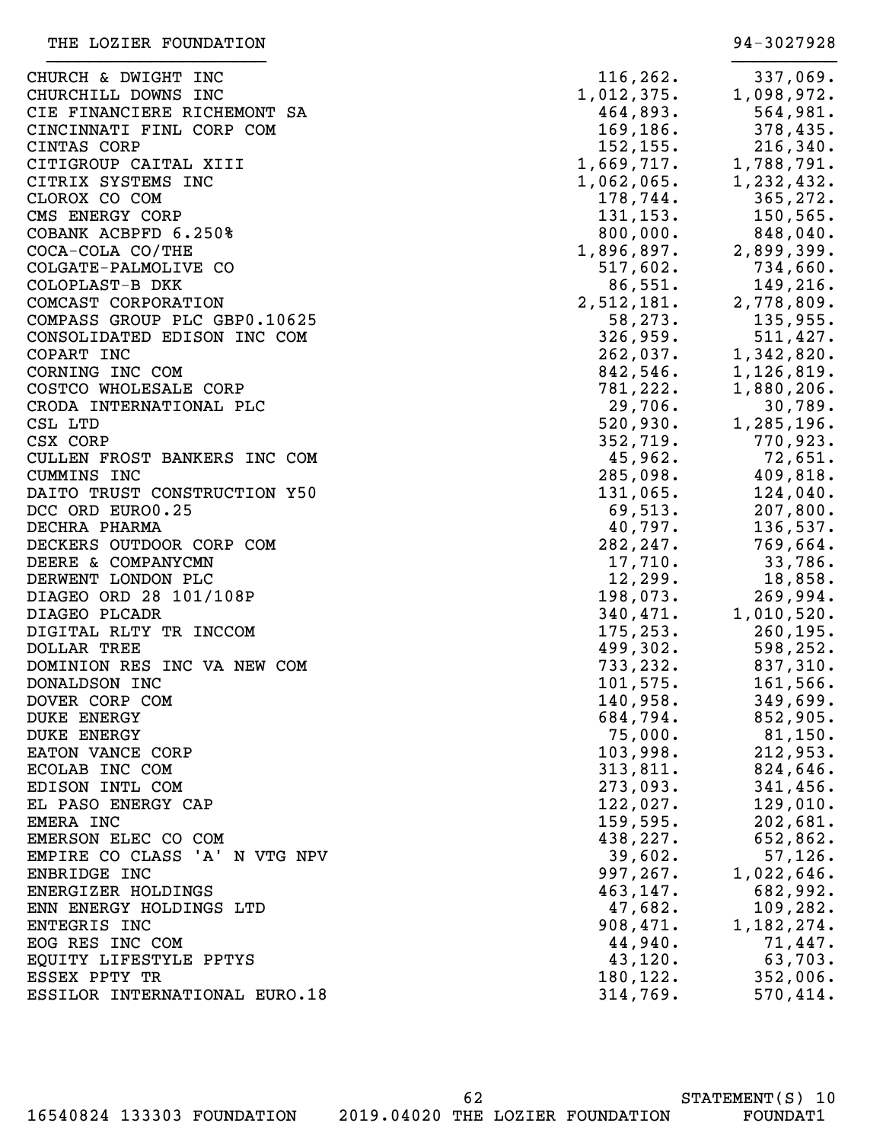| URCH & DWIGHT INC           | 116, 262.  | 337,069.     |
|-----------------------------|------------|--------------|
| URCHILL DOWNS INC           | 1,012,375. | 1,098,972.   |
| E FINANCIERE RICHEMONT SA   | 464,893.   | 564,981.     |
| NCINNATI FINL CORP COM      | 169, 186.  | 378,435.     |
| NTAS CORP                   | 152, 155.  | 216, 340.    |
| TIGROUP CAITAL XIII         | 1,669,717. | 1,788,791.   |
| TRIX SYSTEMS INC            | 1,062,065. | 1,232,432.   |
| OROX CO COM                 | 178,744.   | 365,272.     |
| S ENERGY CORP               | 131, 153.  | 150,565.     |
| BANK ACBPFD 6.250%          | 800,000.   | 848,040.     |
| CA-COLA CO/THE              | 1,896,897. | 2,899,399.   |
| LGATE-PALMOLIVE CO          | 517,602.   | 734,660.     |
| LOPLAST-B DKK               | 86,551.    | 149,216.     |
| <b>MCAST CORPORATION</b>    | 2,512,181. | 2,778,809.   |
| MPASS GROUP PLC GBP0.10625  | 58, 273.   | 135,955.     |
| NSOLIDATED EDISON INC COM   | 326,959.   | 511,427.     |
| PART INC                    | 262,037.   | 1,342,820.   |
| RNING INC COM               | 842,546.   | 1,126,819.   |
| STCO WHOLESALE CORP         | 781,222.   | 1,880,206.   |
| ODA INTERNATIONAL PLC       | 29,706.    | 30,789.      |
| L LTD                       | 520,930.   | 1,285,196.   |
| X CORP                      | 352, 719.  | 770,923.     |
| LLEN FROST BANKERS INC COM  | 45,962.    | 72,651.      |
| MMINS INC                   | 285,098.   | 409,818.     |
| ITO TRUST CONSTRUCTION Y50  | 131,065.   | 124,040.     |
|                             | 69,513.    |              |
| C ORD EURO0.25              |            | 207,800.     |
| CHRA PHARMA                 | 40,797.    | 136,537.     |
| CKERS OUTDOOR CORP COM      | 282, 247.  | 769,664.     |
| ERE & COMPANYCMN            | 17,710.    | 33,786.      |
| RWENT LONDON PLC            | 12,299.    | 18,858.      |
| AGEO ORD 28 101/108P        | 198,073.   | 269,994.     |
| AGEO PLCADR                 | 340,471.   | 1,010,520.   |
| GITAL RLTY TR INCCOM        | 175, 253.  | 260, 195.    |
| LLAR TREE                   | 499,302.   | 598,252.     |
| MINION RES INC VA NEW COM   | 733,232.   | 837,310.     |
| <b>NALDSON INC</b>          | 101,575.   | 161,566.     |
| VER CORP COM                | 140,958.   | 349,699.     |
| <b>KE ENERGY</b>            | 684,794.   | 852,905.     |
| <b>KE ENERGY</b>            | 75,000.    | $81,150$ .   |
| TON VANCE CORP              | 103,998.   | 212,953.     |
| OLAB INC COM                | 313,811.   | 824,646.     |
| ISON INTL COM               | 273,093.   | 341, 456.    |
| PASO ENERGY CAP             | 122,027.   | 129,010.     |
| ERA INC                     | 159,595.   | 202,681.     |
| ERSON ELEC CO COM           | 438,227.   | 652,862.     |
| PIRE CO CLASS 'A' N VTG NPV | 39,602.    | 57, 126.     |
| BRIDGE INC                  | 997, 267.  | 1,022,646.   |
| ERGIZER HOLDINGS            | 463,147.   | 682,992.     |
| N ENERGY HOLDINGS LTD       | 47,682.    | 109,282.     |
| <b>TEGRIS INC</b>           | 908,471.   | 1, 182, 274. |
| G RES INC COM               | 44,940.    | 71,447.      |
| UITY LIFESTYLE PPTYS        | 43,120.    | 63,703.      |
| SEX PPTY TR                 | 180,122.   | 352,006.     |
| SILOR INTERNATIONAL EURO.18 | 314,769.   | 570, 414.    |
|                             |            |              |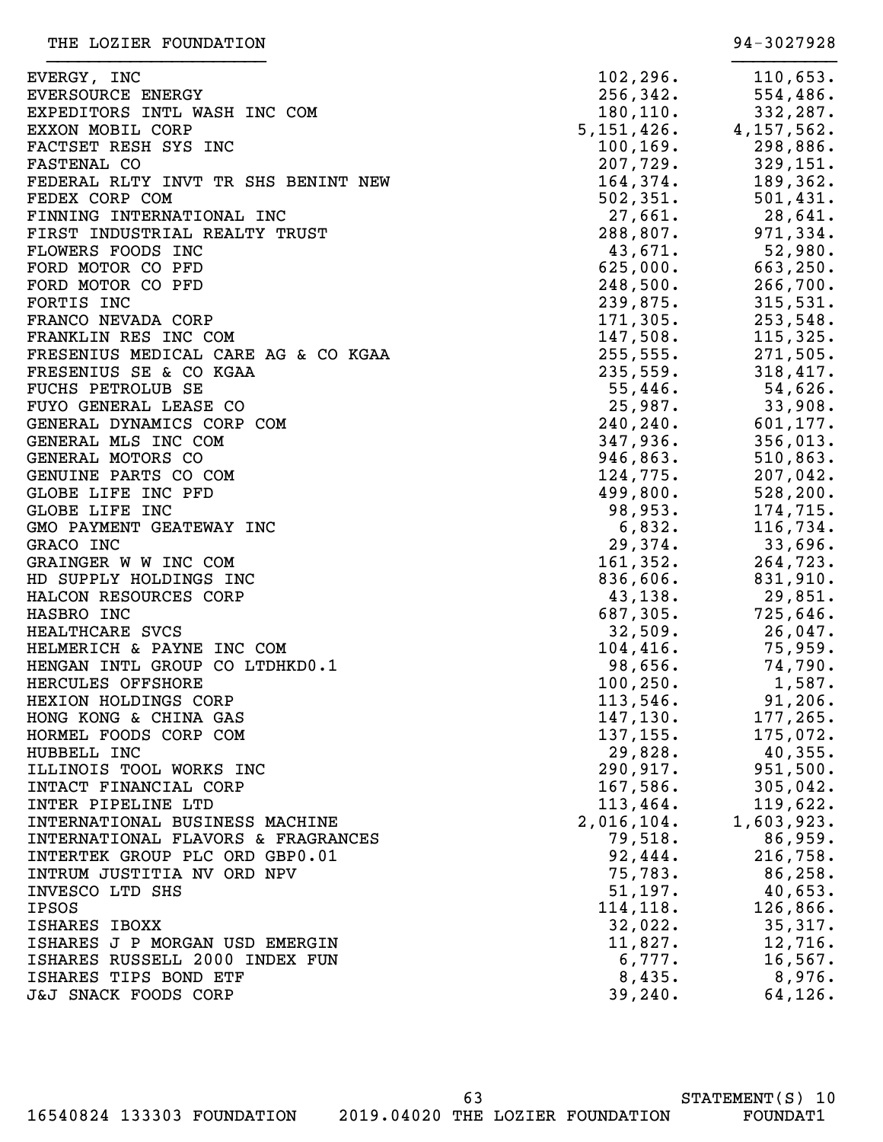| EVERGY, INC                         | 102, 296.  | 110,653.                    |
|-------------------------------------|------------|-----------------------------|
| <b>EVERSOURCE ENERGY</b>            | 256, 342.  | 554,486.                    |
| EXPEDITORS INTL WASH INC COM        | 180, 110.  | 332,287.                    |
| EXXON MOBIL CORP                    |            | $5, 151, 426.$ 4, 157, 562. |
| FACTSET RESH SYS INC                | 100, 169.  | 298,886.                    |
| <b>FASTENAL CO</b>                  | 207,729.   | 329, 151.                   |
| FEDERAL RLTY INVT TR SHS BENINT NEW | 164,374.   | 189,362.                    |
| FEDEX CORP COM                      | 502, 351.  | 501,431.                    |
| FINNING INTERNATIONAL INC           | 27,661.    | 28,641.                     |
| FIRST INDUSTRIAL REALTY TRUST       | 288,807.   | 971, 334.                   |
| FLOWERS FOODS INC                   | 43,671.    | $52,980$ .                  |
| FORD MOTOR CO PFD                   | 625,000.   | 663,250.                    |
| FORD MOTOR CO PFD                   | 248,500.   | 266,700.                    |
| FORTIS INC                          | 239,875.   | 315,531.                    |
| FRANCO NEVADA CORP                  | 171, 305.  | 253,548.                    |
| FRANKLIN RES INC COM                | 147,508.   | 115,325.                    |
| FRESENIUS MEDICAL CARE AG & CO KGAA | 255, 555.  | 271,505.                    |
| FRESENIUS SE & CO KGAA              | 235,559.   | 318,417.                    |
| <b>FUCHS PETROLUB SE</b>            | 55,446.    | 54,626.                     |
| FUYO GENERAL LEASE CO               | 25,987.    | 33,908.                     |
| GENERAL DYNAMICS CORP COM           | 240,240.   | 601, 177.                   |
| GENERAL MLS INC COM                 | 347,936.   | 356,013.                    |
| GENERAL MOTORS CO                   | 946,863.   | 510,863.                    |
| GENUINE PARTS CO COM                | 124,775.   | 207,042.                    |
| GLOBE LIFE INC PFD                  | 499,800.   | 528, 200.                   |
| GLOBE LIFE INC                      | 98,953.    | 174,715.                    |
| GMO PAYMENT GEATEWAY INC            | 6,832.     | 116,734.                    |
| GRACO INC                           | 29,374.    | 33,696.                     |
| GRAINGER W W INC COM                | 161, 352.  | 264,723.                    |
| HD SUPPLY HOLDINGS INC              | 836,606.   | 831,910.                    |
| HALCON RESOURCES CORP               | 43,138.    | 29,851.                     |
| HASBRO INC                          | 687,305.   | 725,646.                    |
| HEALTHCARE SVCS                     | 32,509.    | 26,047.                     |
| HELMERICH & PAYNE INC COM           | 104,416.   | 75,959.                     |
| HENGAN INTL GROUP CO LTDHKD0.1      | 98,656.    | 74,790.                     |
| HERCULES OFFSHORE                   | 100, 250.  | 1,587.                      |
| HEXION HOLDINGS CORP                | 113,546.   | 91, 206.                    |
| HONG KONG & CHINA GAS               | 147, 130.  | 177, 265.                   |
| HORMEL FOODS CORP COM               | 137, 155.  | 175,072.                    |
| HUBBELL INC                         | 29,828.    | $40,355$ .                  |
| ILLINOIS TOOL WORKS INC             | 290,917.   | 951,500.                    |
| INTACT FINANCIAL CORP               | 167,586.   | 305,042.                    |
| INTER PIPELINE LTD                  | 113,464.   | 119,622.                    |
| INTERNATIONAL BUSINESS MACHINE      | 2,016,104. | 1,603,923.                  |
| INTERNATIONAL FLAVORS & FRAGRANCES  | 79,518.    | 86,959.                     |
| INTERTEK GROUP PLC ORD GBP0.01      | 92,444.    | 216,758.                    |
| INTRUM JUSTITIA NV ORD NPV          | 75,783.    | 86, 258.                    |
| INVESCO LTD SHS                     | 51,197.    | 40,653.                     |
| <b>IPSOS</b>                        | 114, 118.  | 126,866.                    |
| ISHARES IBOXX                       | 32,022.    | 35,317.                     |
| ISHARES J P MORGAN USD EMERGIN      | 11,827.    | 12,716.                     |
| ISHARES RUSSELL 2000 INDEX FUN      | 6,777.     | 16, 567.                    |
| ISHARES TIPS BOND ETF               | 8,435.     | 8,976.                      |
| J&J SNACK FOODS CORP                | 39, 240.   | 64, 126.                    |
|                                     |            |                             |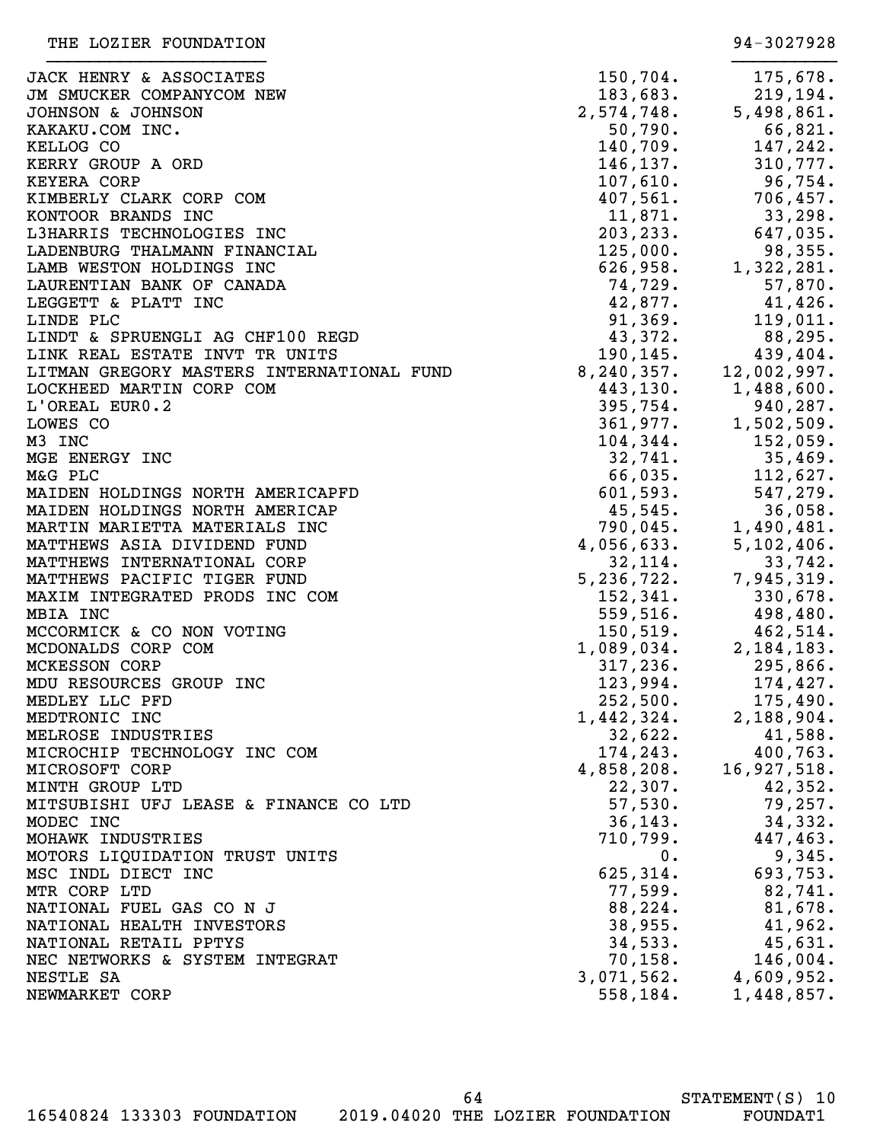| JACK HENRY & ASSOCIATES                   | 150, 704.    | 175,678.               |
|-------------------------------------------|--------------|------------------------|
| JM SMUCKER COMPANYCOM NEW                 | 183,683.     | 219,194.               |
| JOHNSON & JOHNSON                         | 2,574,748.   | 5,498,861.             |
| KAKAKU.COM INC.                           | 50,790.      | 66,821.                |
| KELLOG CO                                 | 140,709.     | 147,242.               |
| KERRY GROUP A ORD                         | 146,137.     | 310,777.               |
| <b>KEYERA CORP</b>                        | 107,610.     | 96,754.                |
| KIMBERLY CLARK CORP COM                   | 407,561.     | 706,457.               |
| KONTOOR BRANDS INC                        | 11,871.      | 33,298.                |
| L3HARRIS TECHNOLOGIES INC                 | 203, 233.    | 647,035.               |
| LADENBURG THALMANN FINANCIAL              | 125,000.     | 98,355.                |
| LAMB WESTON HOLDINGS INC                  | 626,958.     | 1,322,281.             |
| LAURENTIAN BANK OF CANADA                 | 74,729.      | 57,870.                |
| LEGGETT & PLATT INC                       | 42,877.      | 41,426.                |
| LINDE PLC                                 | 91,369.      | 119,011.               |
| LINDT & SPRUENGLI AG CHF100 REGD          | 43,372.      | $88,295$ .             |
| LINK REAL ESTATE INVT TR UNITS            | 190,145.     | 439,404.               |
| LITMAN GREGORY MASTERS INTERNATIONAL FUND | 8, 240, 357. | 12,002,997.            |
| LOCKHEED MARTIN CORP COM                  |              | 443, 130. 1, 488, 600. |
| L'OREAL EURO.2                            | 395,754.     | 940,287.               |
| LOWES CO                                  | 361,977.     | 1,502,509.             |
| M3 INC                                    | 104, 344.    | 152,059.               |
| MGE ENERGY INC                            | 32,741.      | 35,469.                |
| M&G PLC                                   | 66,035.      | 112,627.               |
| MAIDEN HOLDINGS NORTH AMERICAPFD          | 601,593.     | 547,279.               |
| MAIDEN HOLDINGS NORTH AMERICAP            | 45,545.      | 36,058.                |
| MARTIN MARIETTA MATERIALS INC             | 790,045.     | 1,490,481.             |
| MATTHEWS ASIA DIVIDEND FUND               | 4,056,633.   | 5,102,406.             |
| MATTHEWS INTERNATIONAL CORP               | 32,114.      | 33,742.                |
| MATTHEWS PACIFIC TIGER FUND               | 5, 236, 722. | 7,945,319.             |
| MAXIM INTEGRATED PRODS INC COM            | 152, 341.    | 330,678.               |
| MBIA INC                                  | 559,516.     | 498,480.               |
| MCCORMICK & CO NON VOTING                 | 150, 519.    | 462,514.               |
| MCDONALDS CORP COM                        | 1,089,034.   | 2, 184, 183.           |
| MCKESSON CORP                             | 317,236.     | 295,866.               |
| MDU RESOURCES GROUP INC                   | 123,994.     | 174,427.               |
| MEDLEY LLC PFD                            | 252,500.     | 175,490.               |
| MEDTRONIC INC                             | 1,442,324.   | 2,188,904.             |
| MELROSE INDUSTRIES                        | 32,622.      | 41,588.                |
| MICROCHIP TECHNOLOGY INC COM              | 174, 243.    | 400,763.               |
| MICROSOFT CORP                            | 4,858,208.   | 16,927,518.            |
| MINTH GROUP LTD                           | 22,307.      | 42,352.                |
| MITSUBISHI UFJ LEASE & FINANCE CO LTD     | 57,530.      | 79,257.                |
| MODEC INC                                 | 36, 143.     | 34,332.                |
| MOHAWK INDUSTRIES                         | 710,799.     | 447,463.               |
| MOTORS LIQUIDATION TRUST UNITS            | $0$ .        | 9,345.                 |
| MSC INDL DIECT INC                        | 625,314.     | 693,753.               |
| MTR CORP LTD                              | 77,599.      | 82,741.                |
| NATIONAL FUEL GAS CO N J                  | 88,224.      | 81,678.                |
| NATIONAL HEALTH INVESTORS                 | 38,955.      | 41,962.                |
| NATIONAL RETAIL PPTYS                     | 34,533.      | 45,631.                |
| NEC NETWORKS & SYSTEM INTEGRAT            | 70, 158.     | 146,004.               |
| NESTLE SA                                 | 3,071,562.   | 4,609,952.             |
| NEWMARKET CORP                            | 558,184.     | 1,448,857.             |
|                                           |              |                        |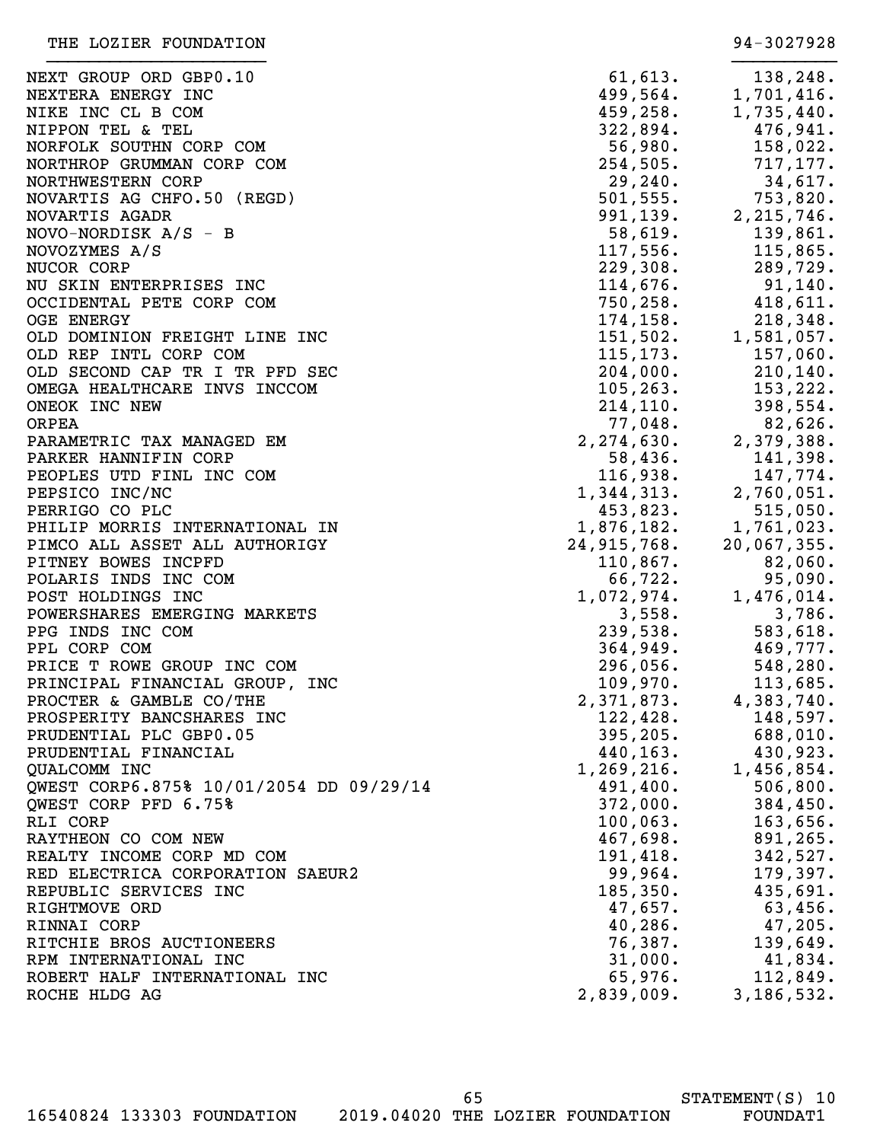| NEXT GROUP ORD GBP0.10                  | 61,613.      | 138,248.    |
|-----------------------------------------|--------------|-------------|
| NEXTERA ENERGY INC                      | 499,564.     | 1,701,416.  |
| NIKE INC CL B COM                       | 459,258.     | 1,735,440.  |
| NIPPON TEL & TEL                        | 322,894.     | 476,941.    |
| NORFOLK SOUTHN CORP COM                 | 56,980.      | 158,022.    |
| NORTHROP GRUMMAN CORP COM               | 254,505.     | 717,177.    |
| NORTHWESTERN CORP                       | 29,240.      | 34,617.     |
| NOVARTIS AG CHFO.50 (REGD)              | 501, 555.    | 753,820.    |
| NOVARTIS AGADR                          | 991, 139.    |             |
|                                         |              | 2,215,746.  |
| $NOVO-NORDISK A/S - B$                  | 58,619.      | 139,861.    |
| NOVOZYMES A/S                           | 117,556.     | 115,865.    |
| NUCOR CORP                              | 229,308.     | 289,729.    |
| NU SKIN ENTERPRISES INC                 | 114,676.     | $91,140$ .  |
| OCCIDENTAL PETE CORP COM                | 750, 258.    | 418,611.    |
| <b>OGE ENERGY</b>                       | 174, 158.    | 218,348.    |
| OLD DOMINION FREIGHT LINE INC           | 151,502.     | 1,581,057.  |
| OLD REP INTL CORP COM                   | 115, 173.    | 157,060.    |
| OLD SECOND CAP TR I TR PFD SEC          | 204,000.     | 210, 140.   |
| OMEGA HEALTHCARE INVS INCCOM            | 105, 263.    | 153, 222.   |
| ONEOK INC NEW                           | 214, 110.    | 398,554.    |
| <b>ORPEA</b>                            | 77,048.      | 82,626.     |
| PARAMETRIC TAX MANAGED EM               | 2, 274, 630. | 2,379,388.  |
| PARKER HANNIFIN CORP                    | 58,436.      | 141,398.    |
| PEOPLES UTD FINL INC COM                | 116,938.     | 147,774.    |
| PEPSICO INC/NC                          | 1,344,313.   | 2,760,051.  |
| PERRIGO CO PLC                          | 453,823.     | 515,050.    |
| PHILIP MORRIS INTERNATIONAL IN          | 1,876,182.   | 1,761,023.  |
| PIMCO ALL ASSET ALL AUTHORIGY           | 24,915,768.  | 20,067,355. |
| PITNEY BOWES INCPFD                     | 110,867.     | 82,060.     |
| POLARIS INDS INC COM                    | 66,722.      | 95,090.     |
| POST HOLDINGS INC                       | 1,072,974.   | 1,476,014.  |
| POWERSHARES EMERGING MARKETS            | 3,558.       | 3,786.      |
| PPG INDS INC COM                        | 239,538.     | 583,618.    |
| PPL CORP COM                            | 364,949.     | 469,777.    |
| PRICE T ROWE GROUP INC COM              | 296,056.     | 548,280.    |
|                                         |              |             |
| PRINCIPAL FINANCIAL GROUP, INC          | 109,970.     | 113,685.    |
| PROCTER & GAMBLE CO/THE                 | 2,371,873.   | 4,383,740.  |
| PROSPERITY BANCSHARES INC               | 122,428.     | 148,597.    |
| PRUDENTIAL PLC GBP0.05                  | 395, 205.    | 688,010.    |
| PRUDENTIAL FINANCIAL                    | 440,163.     | 430,923.    |
| QUALCOMM INC                            | 1,269,216.   | 1,456,854.  |
| QWEST CORP6.875% 10/01/2054 DD 09/29/14 | 491,400.     | 506, 800.   |
| QWEST CORP PFD 6.75%                    | 372,000.     | 384,450.    |
| RLI CORP                                | 100,063.     | 163,656.    |
| RAYTHEON CO COM NEW                     | 467,698.     | 891,265.    |
| REALTY INCOME CORP MD COM               | 191,418.     | 342,527.    |
| RED ELECTRICA CORPORATION SAEUR2        | 99,964.      | 179,397.    |
| REPUBLIC SERVICES INC                   | 185,350.     | 435,691.    |
| RIGHTMOVE ORD                           | 47,657.      | 63,456.     |
| RINNAI CORP                             | 40, 286.     | 47,205.     |
| RITCHIE BROS AUCTIONEERS                | 76,387.      | 139,649.    |
| RPM INTERNATIONAL INC                   | 31,000.      | 41,834.     |
| ROBERT HALF INTERNATIONAL INC           | 65,976.      | 112,849.    |
| ROCHE HLDG AG                           | 2,839,009.   | 3,186,532.  |
|                                         |              |             |

16540824 133303 FOUNDATION 2019.04020 THE LOZIER FOUNDATION FOUNDAT1

65

STATEMENT(S) 10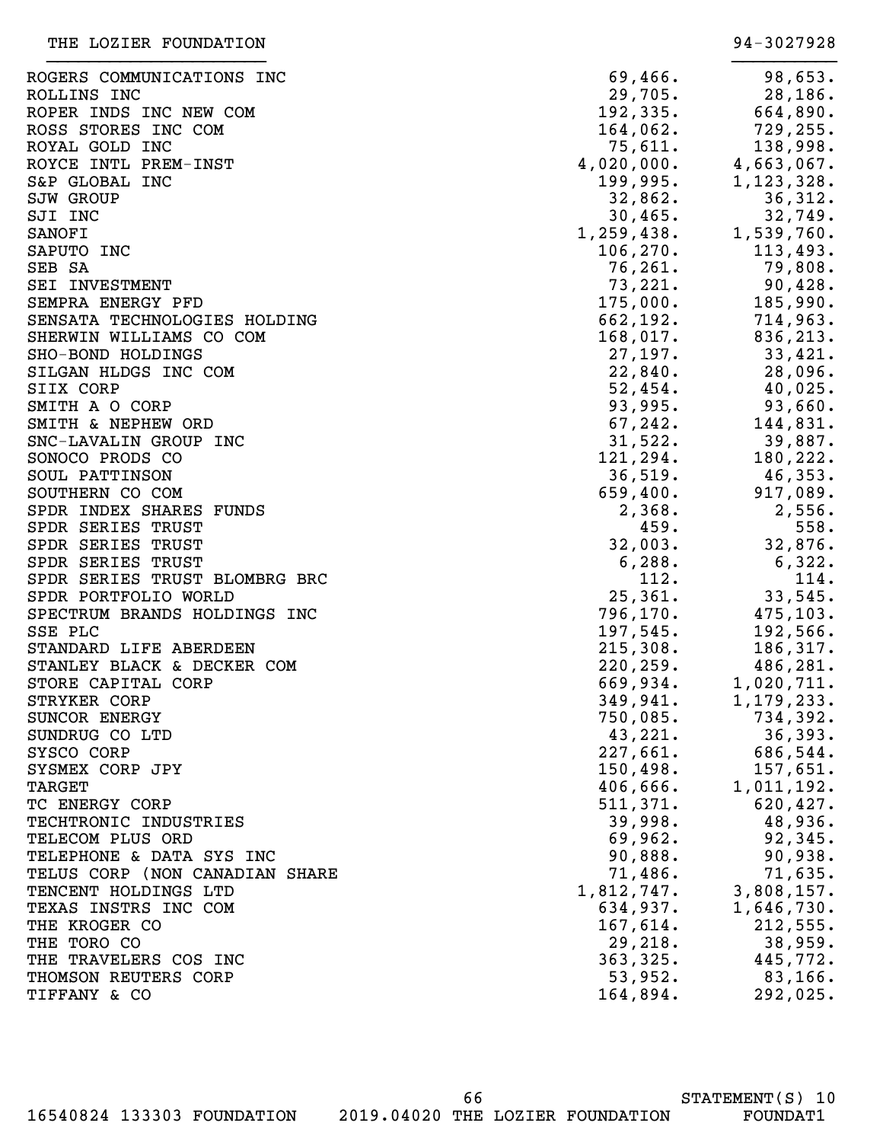| ROGERS COMMUNICATIONS INC      | 69,466.     | 98,653.              |
|--------------------------------|-------------|----------------------|
| ROLLINS INC                    | 29,705.     | 28, 186.             |
| ROPER INDS INC NEW COM         | 192, 335.   | 664,890.             |
| ROSS STORES INC COM            | $164,062$ . | 729, 255.            |
| ROYAL GOLD INC                 | 75,611.     | 138,998.             |
| ROYCE INTL PREM-INST           | 4,020,000.  | 4,663,067.           |
| S&P GLOBAL INC                 | 199,995.    | 1,123,328.           |
| <b>SJW GROUP</b>               | 32,862.     | 36,312.              |
| SJI INC                        | $30,465$ .  | 32,749.              |
| SANOFI                         | 1,259,438.  | 1,539,760.           |
| SAPUTO INC                     | 106,270.    | 113,493.             |
| SEB SA                         | 76,261.     | 79,808.              |
| SEI INVESTMENT                 | 73,221.     | 90,428.              |
| SEMPRA ENERGY PFD              | 175,000.    | 185,990.             |
| SENSATA TECHNOLOGIES HOLDING   | 662, 192.   | 714,963.             |
| SHERWIN WILLIAMS CO COM        | $168,017$ . | 836, 213.            |
| SHO-BOND HOLDINGS              | 27,197.     | 33,421.              |
| SILGAN HLDGS INC COM           | 22,840.     | 28,096.              |
| SIIX CORP                      | 52,454.     | 40,025.              |
| SMITH A O CORP                 | 93,995.     | 93,660.              |
| SMITH & NEPHEW ORD             | 67, 242.    | 144,831.             |
| SNC-LAVALIN GROUP INC          | 31,522.     | 39,887.              |
| SONOCO PRODS CO                | 121,294.    | 180,222.             |
| SOUL PATTINSON                 | 36,519.     | 46,353.              |
| SOUTHERN CO COM                | 659,400.    | 917,089.             |
| SPDR INDEX SHARES FUNDS        | 2,368.      | 2,556.               |
| SPDR SERIES TRUST              | 459.        | 558.                 |
| SPDR SERIES TRUST              | 32,003.     | 32,876.              |
| SPDR SERIES TRUST              | 6,288.      | 6,322.               |
| SPDR SERIES TRUST BLOMBRG BRC  | 112.        | 114.                 |
| SPDR PORTFOLIO WORLD           | 25,361.     | 33,545.              |
| SPECTRUM BRANDS HOLDINGS INC   | 796, 170.   | 475, 103.            |
| SSE PLC                        | 197,545.    | 192,566.             |
| STANDARD LIFE ABERDEEN         | 215,308.    | 186, 317.            |
| STANLEY BLACK & DECKER COM     | 220, 259.   | 486,281.             |
| STORE CAPITAL CORP             | 669,934.    | 1,020,711.           |
| STRYKER CORP                   | 349,941.    | 1,179,233.           |
| SUNCOR ENERGY                  | 750,085.    | 734,392.             |
| SUNDRUG CO LTD                 | 43,221.     | 36,393.              |
| SYSCO CORP                     | 227,661.    | 686,544.             |
| SYSMEX CORP JPY                | 150,498.    | 157,651.             |
| <b>TARGET</b>                  | 406,666.    |                      |
|                                |             | 1,011,192.           |
| TC ENERGY CORP                 | 511,371.    | 620, 427.<br>48,936. |
| TECHTRONIC INDUSTRIES          | 39,998.     |                      |
| TELECOM PLUS ORD               | 69,962.     | 92,345.              |
| TELEPHONE & DATA SYS INC       | 90,888.     | 90,938.              |
| TELUS CORP (NON CANADIAN SHARE | 71,486.     | 71,635.              |
| TENCENT HOLDINGS LTD           | 1,812,747.  | 3,808,157.           |
| TEXAS INSTRS INC COM           | 634,937.    | 1,646,730.           |
| THE KROGER CO                  | 167,614.    | 212,555.             |
| THE TORO CO                    | 29, 218.    | 38,959.              |
| THE TRAVELERS COS INC          | 363, 325.   | 445,772.             |
| THOMSON REUTERS CORP           | 53,952.     | $83,166$ .           |
| TIFFANY & CO                   | 164,894.    | 292,025.             |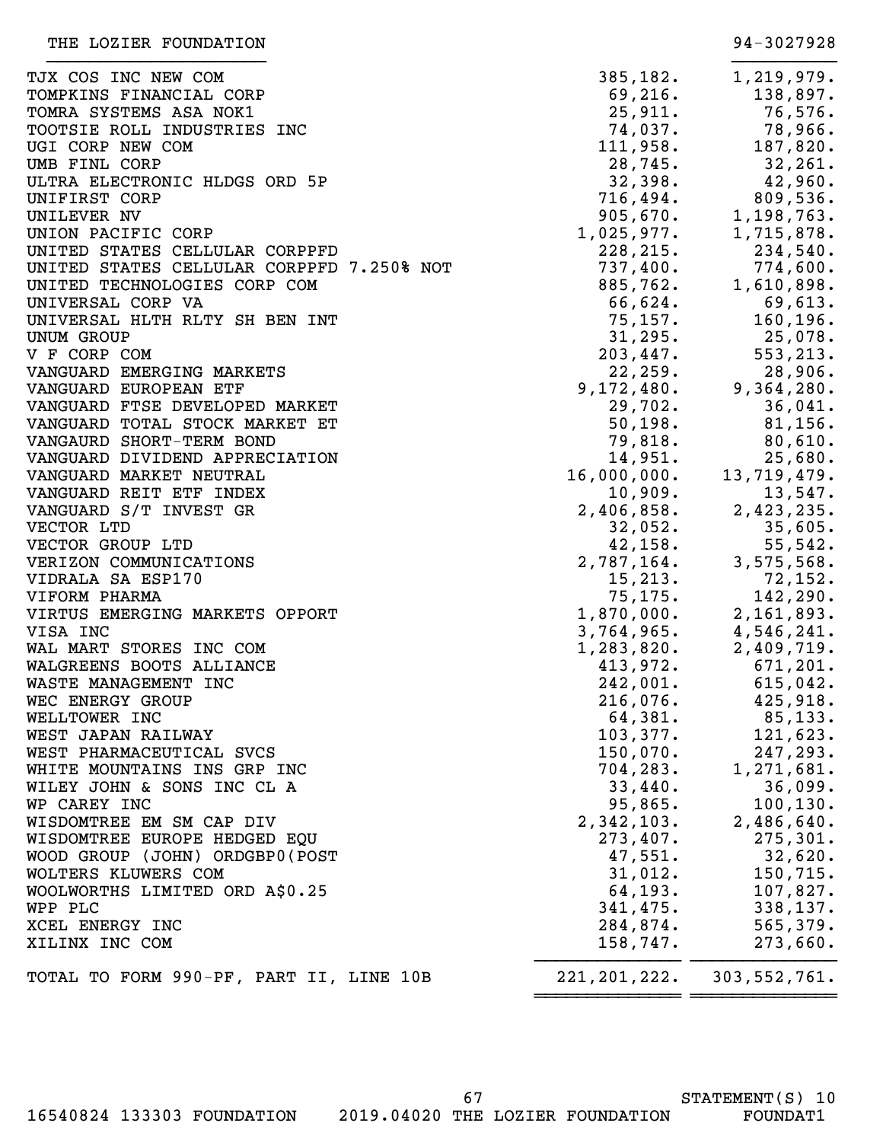| TJX COS INC NEW COM                       | 385,182.                                      | 1,219,979.                    |
|-------------------------------------------|-----------------------------------------------|-------------------------------|
| TOMPKINS FINANCIAL CORP                   | 69,216.                                       | 138,897.                      |
| TOMRA SYSTEMS ASA NOK1                    | 25,911.                                       | 76,576.                       |
| TOOTSIE ROLL INDUSTRIES INC               | 74,037.                                       | 78,966.                       |
| UGI CORP NEW COM                          | 111,958.                                      | 187,820.                      |
| UMB FINL CORP                             | 28,745.                                       | 32,261.                       |
| ULTRA ELECTRONIC HLDGS ORD 5P             | 32,398.                                       | 42,960.                       |
| UNIFIRST CORP                             | 716,494.                                      | 809,536.                      |
| UNILEVER NV                               | $905,670.$<br>1,025,977.                      | 1,198,763.                    |
| UNION PACIFIC CORP                        |                                               | 1,715,878.                    |
| UNITED STATES CELLULAR CORPPFD            | 228, 215.                                     | 234,540.                      |
| UNITED STATES CELLULAR CORPPFD 7.250% NOT |                                               | 774,600.                      |
| UNITED TECHNOLOGIES CORP COM              | $737,400$ .<br>885,762.<br>66,624.<br>55,624. | 1,610,898.                    |
| UNIVERSAL CORP VA                         |                                               | 69,613.                       |
| UNIVERSAL HLTH RLTY SH BEN INT            | 75, 157.                                      | 160, 196.                     |
| UNUM GROUP                                | 31, 295.                                      | $25,078$ .                    |
| V F CORP COM                              | 203,447.                                      | 553, 213.                     |
| VANGUARD EMERGING MARKETS                 | 22, 259.                                      | 28,906.                       |
| VANGUARD EUROPEAN ETF                     | 9, 172, 480.                                  | 9,364,280.                    |
| VANGUARD FTSE DEVELOPED MARKET            | 29,702.                                       | 36,041.                       |
| VANGUARD TOTAL STOCK MARKET ET            | 50, 198.                                      | 81,156.                       |
|                                           | 79,818.                                       |                               |
| VANGAURD SHORT-TERM BOND                  |                                               | 80,610.                       |
| VANGUARD DIVIDEND APPRECIATION            | 14,951.                                       | 25,680.                       |
| VANGUARD MARKET NEUTRAL                   | 16,000,000.                                   | 13,719,479.                   |
| VANGUARD REIT ETF INDEX                   | 10,909.                                       | 13,547.                       |
| VANGUARD S/T INVEST GR                    | 2,406,858.                                    | 2,423,235.                    |
| VECTOR LTD                                | 32,052.                                       | 35,605.                       |
| VECTOR GROUP LTD                          | 42, 158.                                      | 55,542.                       |
| VERIZON COMMUNICATIONS                    | 2,787,164.                                    | 3,575,568.                    |
| VIDRALA SA ESP170                         | 15,213.                                       | 72, 152.                      |
| VIFORM PHARMA                             | 75,175.                                       | 142,290.                      |
| VIRTUS EMERGING MARKETS OPPORT            | 1,870,000.                                    | 2,161,893.                    |
| VISA INC                                  | 3,764,965.                                    | 4,546,241.                    |
| WAL MART STORES INC COM                   | 1,283,820.                                    | 2,409,719.                    |
| WALGREENS BOOTS ALLIANCE                  | 413,972.                                      | 671, 201.                     |
| WASTE MANAGEMENT INC                      | 242,001.                                      | 615,042.                      |
| WEC ENERGY GROUP                          | 216,076.                                      | 425,918.                      |
| WELLTOWER INC                             | 64,381.                                       | 85,133.                       |
| WEST JAPAN RAILWAY                        | 103,377.                                      | 121,623.                      |
| WEST PHARMACEUTICAL SVCS                  | 150,070.                                      | 247,293.                      |
| WHITE MOUNTAINS INS GRP INC               | 704, 283.                                     | 1,271,681.                    |
| WILEY JOHN & SONS INC CL A                | 33,440.                                       | 36,099.                       |
| WP CAREY INC                              | 95,865.                                       | 100, 130.                     |
| WISDOMTREE EM SM CAP DIV                  | 2,342,103.                                    | 2,486,640.                    |
| WISDOMTREE EUROPE HEDGED EQU              | 273,407.                                      | 275,301.                      |
| WOOD GROUP (JOHN) ORDGBP0(POST            | 47,551.                                       | 32,620.                       |
| WOLTERS KLUWERS COM                       | 31,012.                                       | 150,715.                      |
| WOOLWORTHS LIMITED ORD A\$0.25            | 64, 193.                                      | 107,827.                      |
| WPP PLC                                   | 341,475.                                      | 338,137.                      |
| XCEL ENERGY INC                           | 284,874.                                      | 565,379.                      |
|                                           |                                               |                               |
| XILINX INC COM                            | 158,747.                                      | 273,660.                      |
| TOTAL TO FORM 990-PF, PART II, LINE 10B   |                                               | 221, 201, 222. 303, 552, 761. |
|                                           |                                               |                               |

16540824 133303 FOUNDATION 2019.04020 THE LOZIER FOUNDATION FOUNDAT1

67

THE LOZIER FOUNDATION 34-3027928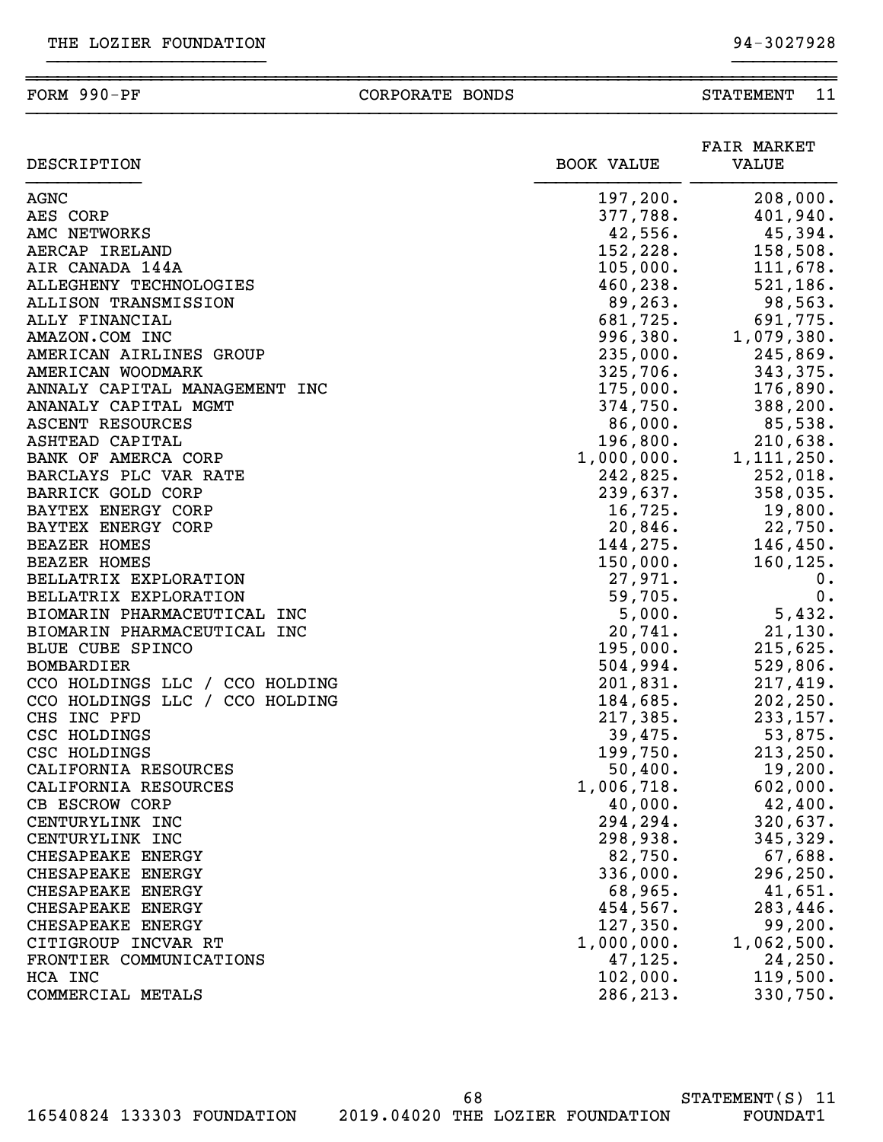### ~~~~~~~~~~~~~~~~~~~~~~~~~~~~~~~~~~~~~~~~~~~~~~~~~~~~~~~~~~~~~~~~~~~~~~~~~~~~~~ FORM 990-PF CORPORATE BONDS STATEMENT 11 }}}}}}}}}}}}}}}}}}}}}}}}}}}}}}}}}}}}}}}}}}}}}}}}}}}}}}}}}}}}}}}}}}}}}}}}}}}}}}

}}}}}}}}}}}}}}}}}}}}} }}}}}}}}}}

| DESCRIPTION                    | <b>BOOK VALUE</b> | <b>FAIR MARKET</b><br>VALUE |
|--------------------------------|-------------------|-----------------------------|
| <b>AGNC</b>                    | 197,200.          | 208,000.                    |
| AES CORP                       | 377,788.          | 401,940.                    |
| AMC NETWORKS                   | 42,556.           | 45,394.                     |
| AERCAP IRELAND                 | 152, 228.         | 158,508.                    |
| AIR CANADA 144A                | 105,000.          | 111,678.                    |
| ALLEGHENY TECHNOLOGIES         | 460, 238.         | 521, 186.                   |
| ALLISON TRANSMISSION           | 89, 263.          | 98,563.                     |
| ALLY FINANCIAL                 | 681,725.          | 691,775.                    |
| AMAZON.COM INC                 | 996,380.          | 1,079,380.                  |
| AMERICAN AIRLINES GROUP        | 235,000.          | 245,869.                    |
| AMERICAN WOODMARK              | 325,706.          | 343,375.                    |
| ANNALY CAPITAL MANAGEMENT INC  | 175,000.          | 176,890.                    |
| ANANALY CAPITAL MGMT           | 374,750.          | 388,200.                    |
| ASCENT RESOURCES               | 86,000.           | 85,538.                     |
| ASHTEAD CAPITAL                | 196,800.          | 210,638.                    |
| BANK OF AMERCA CORP            | 1,000,000.        | 1, 111, 250.                |
| BARCLAYS PLC VAR RATE          | 242,825.          | 252,018.                    |
| BARRICK GOLD CORP              | 239,637.          | 358,035.                    |
| BAYTEX ENERGY CORP             | 16,725.           | 19,800.                     |
| BAYTEX ENERGY CORP             | 20,846.           | 22,750.                     |
| <b>BEAZER HOMES</b>            | 144,275.          | 146, 450.                   |
| <b>BEAZER HOMES</b>            | 150,000.          | 160, 125.                   |
| BELLATRIX EXPLORATION          | 27,971.           | 0.                          |
| BELLATRIX EXPLORATION          | 59,705.           | 0.                          |
| BIOMARIN PHARMACEUTICAL INC    | 5,000.            | 5,432.                      |
| BIOMARIN PHARMACEUTICAL INC    | 20,741.           | 21, 130.                    |
| BLUE CUBE SPINCO               | 195,000.          | 215,625.                    |
| <b>BOMBARDIER</b>              | 504,994.          | 529,806.                    |
| CCO HOLDINGS LLC / CCO HOLDING | 201,831.          | 217,419.                    |
| CCO HOLDINGS LLC / CCO HOLDING | 184,685.          | 202, 250.                   |
| CHS INC PFD                    | 217,385.          | 233, 157.                   |
| CSC HOLDINGS                   | 39,475.           | 53,875.                     |
| CSC HOLDINGS                   | 199,750.          | 213, 250.                   |
| CALIFORNIA RESOURCES           | 50,400.           | 19,200.                     |
| CALIFORNIA RESOURCES           | 1,006,718.        | 602,000.                    |
| CB ESCROW CORP                 | 40,000.           | 42,400.                     |
| CENTURYLINK INC                | 294,294.          | 320,637.                    |
| CENTURYLINK INC                | 298,938.          | 345,329.                    |
| CHESAPEAKE ENERGY              | 82,750.           | 67,688.                     |
| CHESAPEAKE ENERGY              | 336,000.          | 296, 250.                   |
| CHESAPEAKE ENERGY              | 68,965.           | 41,651.                     |
| CHESAPEAKE ENERGY              | 454,567.          | 283,446.                    |
| CHESAPEAKE ENERGY              | 127,350.          | 99, 200.                    |
| CITIGROUP INCVAR RT            | 1,000,000.        | 1,062,500.                  |
| FRONTIER COMMUNICATIONS        | 47, 125.          | 24, 250.                    |
| HCA INC                        | 102,000.          | 119,500.                    |
| COMMERCIAL METALS              | 286, 213.         | 330,750.                    |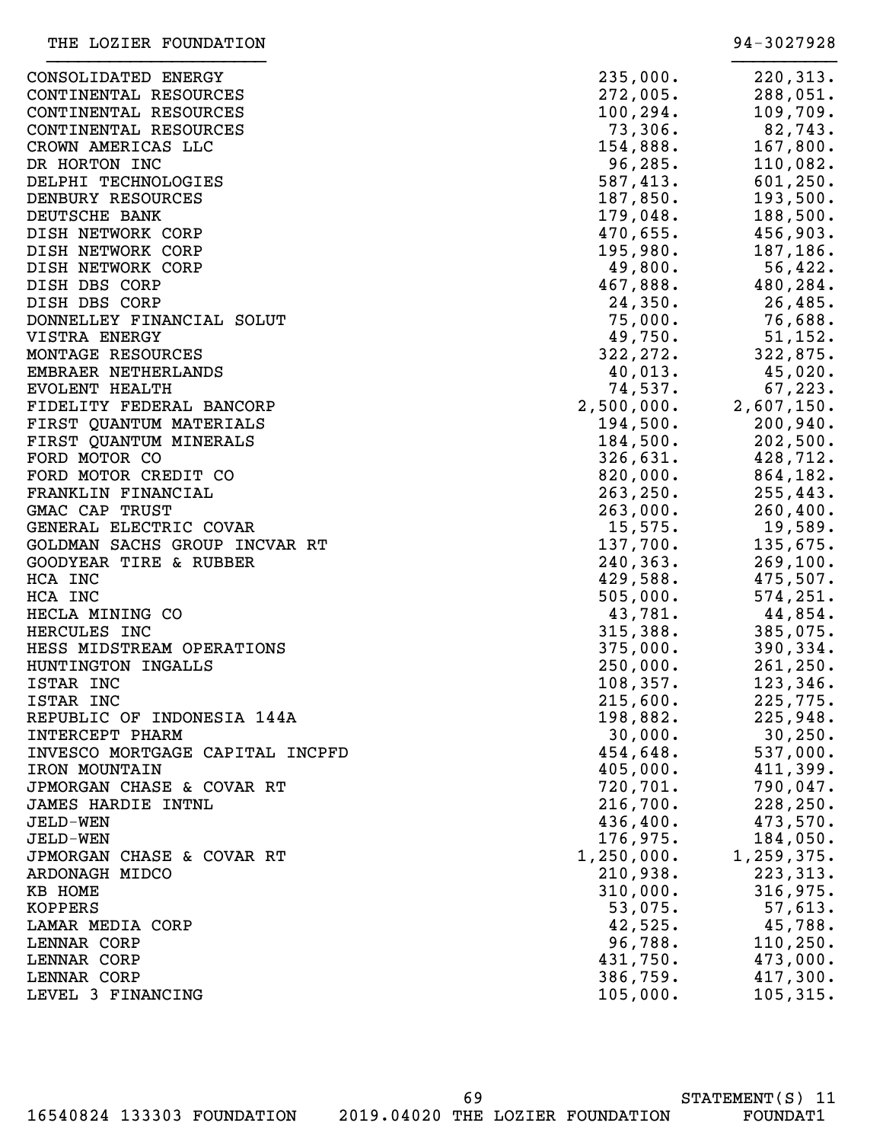| CONSOLIDATED ENERGY             | 235,000.   | 220, 313.  |
|---------------------------------|------------|------------|
| CONTINENTAL RESOURCES           | 272,005.   | 288,051.   |
| CONTINENTAL RESOURCES           | 100, 294.  | 109,709.   |
| CONTINENTAL RESOURCES           | 73,306.    | 82,743.    |
| CROWN AMERICAS LLC              | 154,888.   | 167,800.   |
| DR HORTON INC                   | 96, 285.   | 110,082.   |
| DELPHI TECHNOLOGIES             | 587,413.   | 601, 250.  |
| DENBURY RESOURCES               | 187,850.   | 193,500.   |
| DEUTSCHE BANK                   | 179,048.   | 188,500.   |
|                                 | 470,655.   |            |
| DISH NETWORK CORP               |            | 456,903.   |
| DISH NETWORK CORP               | 195,980.   | 187,186.   |
| DISH NETWORK CORP               | 49,800.    | 56,422.    |
| DISH DBS CORP                   | 467,888.   | 480,284.   |
| DISH DBS CORP                   | 24,350.    | 26,485.    |
| DONNELLEY FINANCIAL SOLUT       | 75,000.    | 76,688.    |
| VISTRA ENERGY                   | 49,750.    | 51,152.    |
| MONTAGE RESOURCES               | 322, 272.  | 322,875.   |
| EMBRAER NETHERLANDS             | 40,013.    | 45,020.    |
| <b>EVOLENT HEALTH</b>           | 74,537.    | 67, 223.   |
| FIDELITY FEDERAL BANCORP        | 2,500,000. | 2,607,150. |
| FIRST QUANTUM MATERIALS         | 194,500.   | 200,940.   |
| FIRST QUANTUM MINERALS          | 184,500.   | 202,500.   |
| FORD MOTOR CO                   | 326,631.   | 428,712.   |
| FORD MOTOR CREDIT CO            | 820,000.   | 864,182.   |
| FRANKLIN FINANCIAL              | 263, 250.  | 255, 443.  |
| GMAC CAP TRUST                  | 263,000.   | 260, 400.  |
| GENERAL ELECTRIC COVAR          | 15,575.    | 19,589.    |
| GOLDMAN SACHS GROUP INCVAR RT   | 137,700.   | 135,675.   |
| GOODYEAR TIRE & RUBBER          | 240, 363.  | 269, 100.  |
| HCA INC                         | 429,588.   | 475,507.   |
| HCA INC                         | 505,000.   | 574, 251.  |
| HECLA MINING CO                 | 43,781.    | 44,854.    |
| HERCULES INC                    | 315,388.   | 385,075.   |
| HESS MIDSTREAM OPERATIONS       |            |            |
| HUNTINGTON INGALLS              | 375,000.   | 390, 334.  |
|                                 | 250,000.   | 261, 250.  |
| ISTAR INC                       | 108, 357.  | 123,346.   |
| ISTAR INC                       | 215,600.   | 225,775.   |
| REPUBLIC OF INDONESIA 144A      | 198,882.   | 225,948.   |
| INTERCEPT PHARM                 | 30,000.    | 30, 250.   |
| INVESCO MORTGAGE CAPITAL INCPFD | 454,648.   | 537,000.   |
| IRON MOUNTAIN                   | 405,000.   | 411,399.   |
| JPMORGAN CHASE & COVAR RT       | 720, 701.  | 790,047.   |
| <b>JAMES HARDIE INTNL</b>       | 216,700.   | 228, 250.  |
| JELD-WEN                        | 436,400.   | 473,570.   |
| JELD-WEN                        | 176,975.   | 184,050.   |
| JPMORGAN CHASE & COVAR RT       | 1,250,000. | 1,259,375. |
| ARDONAGH MIDCO                  | 210,938.   | 223, 313.  |
| KB HOME                         | 310,000.   | 316,975.   |
| <b>KOPPERS</b>                  | 53,075.    | 57,613.    |
| LAMAR MEDIA CORP                | 42,525.    | 45,788.    |
| LENNAR CORP                     | 96,788.    | 110, 250.  |
| LENNAR CORP                     | 431,750.   | 473,000.   |
| LENNAR CORP                     | 386,759.   | 417,300.   |
| LEVEL 3 FINANCING               | 105,000.   | 105, 315.  |
|                                 |            |            |

16540824 133303 FOUNDATION 2019.04020 THE LOZIER FOUNDATION FOUNDAT1

69

STATEMENT(S) 11

THE LOZIER FOUNDATION 34-3027928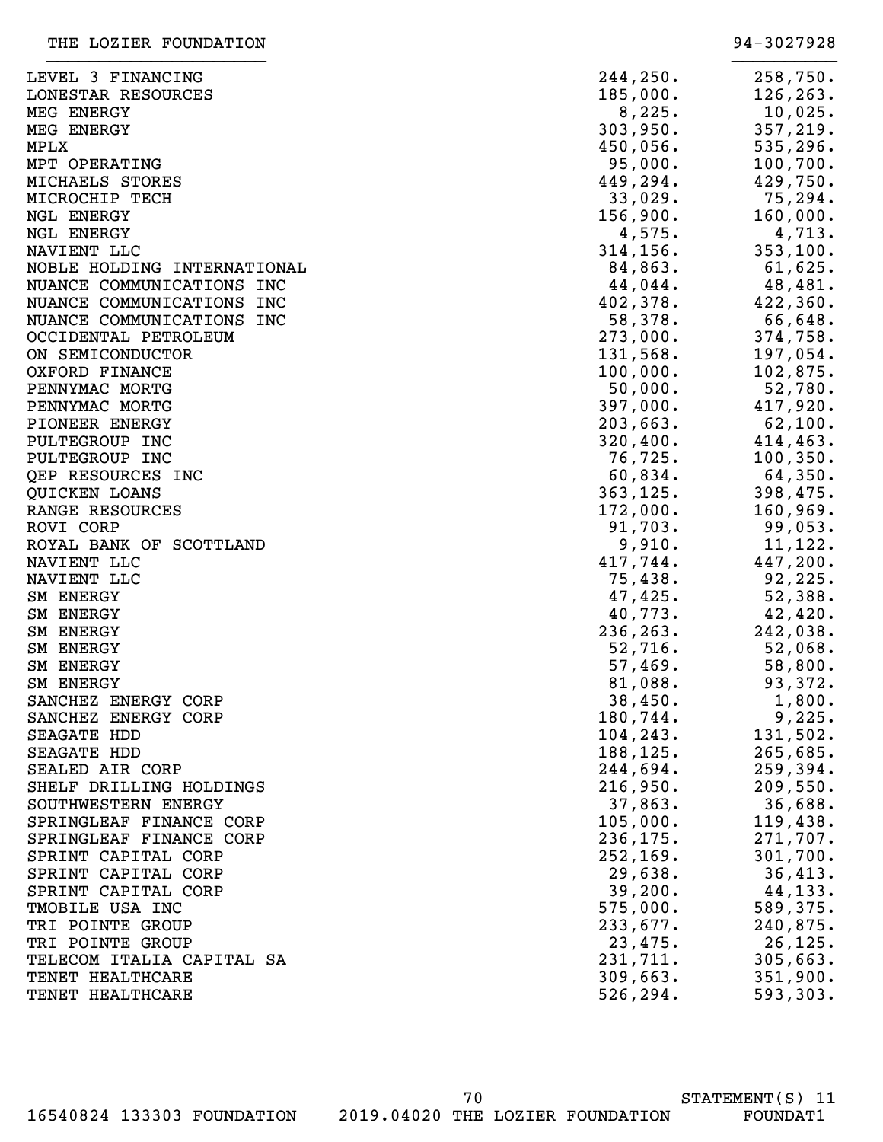| LEVEL 3 FINANCING           | 244, 250. | 258,750.   |
|-----------------------------|-----------|------------|
| LONESTAR RESOURCES          | 185,000.  | 126, 263.  |
| MEG ENERGY                  | 8,225.    | 10,025.    |
| MEG ENERGY                  | 303,950.  | 357, 219.  |
| MPLX                        | 450,056.  | 535, 296.  |
| MPT OPERATING               | 95,000.   | 100, 700.  |
| MICHAELS STORES             | 449,294.  | 429,750.   |
| MICROCHIP TECH              | 33,029.   | 75,294.    |
| NGL ENERGY                  | 156,900.  | 160,000.   |
| <b>NGL ENERGY</b>           | 4,575.    | 4,713.     |
| NAVIENT LLC                 | 314, 156. | 353, 100.  |
| NOBLE HOLDING INTERNATIONAL | 84,863.   | 61,625.    |
| NUANCE COMMUNICATIONS INC   | 44,044.   | 48,481.    |
| NUANCE COMMUNICATIONS INC   | 402,378.  | 422,360.   |
| NUANCE COMMUNICATIONS INC   | 58,378.   | 66,648.    |
| OCCIDENTAL PETROLEUM        | 273,000.  | 374,758.   |
| ON SEMICONDUCTOR            | 131,568.  | 197,054.   |
| OXFORD FINANCE              | 100,000.  | 102,875.   |
| PENNYMAC MORTG              | 50,000.   | 52,780.    |
| PENNYMAC MORTG              | 397,000.  | 417,920.   |
| PIONEER ENERGY              | 203,663.  | 62,100.    |
| PULTEGROUP INC              | 320,400.  | 414,463.   |
| PULTEGROUP INC              | 76,725.   | 100, 350.  |
| QEP RESOURCES INC           | 60,834.   | $64,350$ . |
| QUICKEN LOANS               | 363, 125. | 398,475.   |
| RANGE RESOURCES             | 172,000.  | 160,969.   |
| ROVI CORP                   | 91,703.   | 99,053.    |
| ROYAL BANK OF SCOTTLAND     | 9,910.    | 11, 122.   |
| NAVIENT LLC                 | 417,744.  | 447,200.   |
| NAVIENT LLC                 | 75,438.   | 92, 225.   |
| SM ENERGY                   | 47,425.   | 52,388.    |
| <b>SM ENERGY</b>            | 40,773.   | 42,420.    |
| <b>SM ENERGY</b>            | 236, 263. | 242,038.   |
| SM ENERGY                   | 52,716.   | 52,068.    |
| <b>SM ENERGY</b>            | 57,469.   | 58,800.    |
| SM ENERGY                   | 81,088.   | 93,372.    |
| SANCHEZ ENERGY CORP         | 38,450.   | $1,800$ .  |
| SANCHEZ ENERGY CORP         | 180,744.  | 9,225.     |
| SEAGATE HDD                 | 104, 243. | 131,502.   |
| SEAGATE HDD                 | 188, 125. | 265,685.   |
| SEALED AIR CORP             | 244,694.  | 259, 394.  |
| SHELF DRILLING HOLDINGS     | 216,950.  | 209,550.   |
| SOUTHWESTERN ENERGY         | 37,863.   | 36,688.    |
| SPRINGLEAF FINANCE CORP     | 105,000.  | 119,438.   |
| SPRINGLEAF FINANCE CORP     | 236, 175. | 271,707.   |
| SPRINT CAPITAL CORP         | 252, 169. | 301,700.   |
| SPRINT CAPITAL CORP         | 29,638.   | 36,413.    |
| SPRINT CAPITAL CORP         | 39,200.   | 44,133.    |
| TMOBILE USA INC             | 575,000.  | 589,375.   |
| TRI POINTE GROUP            | 233,677.  | 240,875.   |
| TRI POINTE GROUP            | 23,475.   | 26,125.    |
| TELECOM ITALIA CAPITAL SA   | 231,711.  | 305,663.   |
| TENET HEALTHCARE            | 309,663.  | 351,900.   |
| TENET HEALTHCARE            | 526, 294. | 593,303.   |
|                             |           |            |

70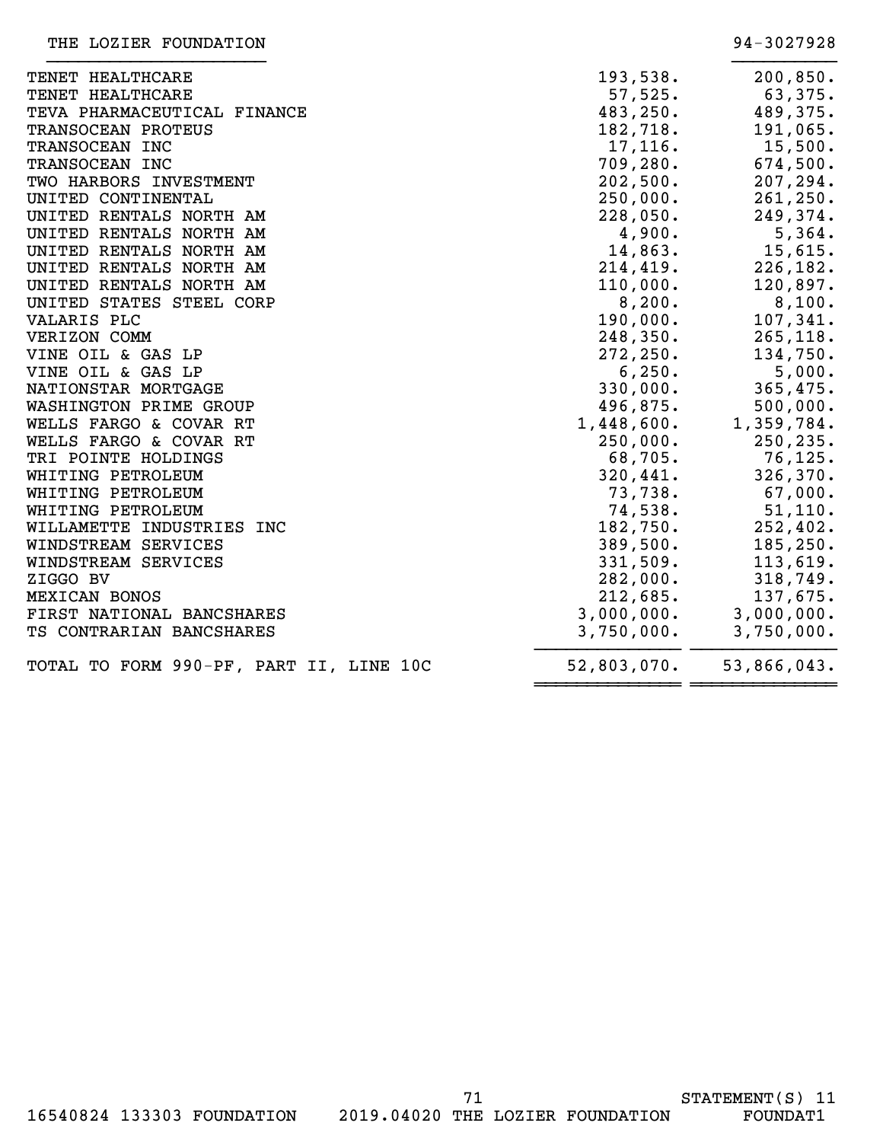| TENET HEALTHCARE                        | 193,538.    | 200, 850.   |
|-----------------------------------------|-------------|-------------|
| TENET HEALTHCARE                        | 57,525.     | 63,375.     |
| TEVA PHARMACEUTICAL FINANCE             | 483,250.    | 489,375.    |
| TRANSOCEAN PROTEUS                      | 182,718.    | 191,065.    |
| TRANSOCEAN INC                          | 17,116.     | 15,500.     |
| TRANSOCEAN INC                          | 709,280.    | 674,500.    |
| TWO HARBORS INVESTMENT                  | 202,500.    | 207,294.    |
| UNITED CONTINENTAL                      | 250,000.    | 261, 250.   |
| UNITED RENTALS NORTH AM                 | 228,050.    | 249,374.    |
| UNITED RENTALS NORTH AM                 | 4,900.      | 5,364.      |
| UNITED RENTALS NORTH AM                 | 14,863.     | 15,615.     |
| UNITED RENTALS NORTH AM                 | 214,419.    | 226, 182.   |
| UNITED RENTALS NORTH AM                 | 110,000.    | 120,897.    |
| UNITED STATES STEEL CORP                | 8,200.      | 8,100.      |
| VALARIS PLC                             | 190,000.    | 107,341.    |
| VERIZON COMM                            | 248,350.    | 265, 118.   |
| VINE OIL & GAS LP                       | 272, 250.   | 134,750.    |
| VINE OIL & GAS LP                       | 6, 250.     | 5,000.      |
| NATIONSTAR MORTGAGE                     | 330,000.    | 365,475.    |
| WASHINGTON PRIME GROUP                  | 496,875.    | 500,000.    |
| WELLS FARGO & COVAR RT                  | 1,448,600.  | 1,359,784.  |
| WELLS FARGO & COVAR RT                  | 250,000.    | 250, 235.   |
| TRI POINTE HOLDINGS                     | 68,705.     | 76, 125.    |
| WHITING PETROLEUM                       | 320,441.    | 326, 370.   |
| WHITING PETROLEUM                       | 73,738.     | 67,000.     |
| WHITING PETROLEUM                       | 74,538.     | 51, 110.    |
| WILLAMETTE INDUSTRIES INC               | 182,750.    | 252, 402.   |
| WINDSTREAM SERVICES                     | 389,500.    | 185, 250.   |
| WINDSTREAM SERVICES                     | 331,509.    | 113,619.    |
| ZIGGO BV                                | 282,000.    | 318,749.    |
| MEXICAN BONOS                           | 212,685.    | 137,675.    |
| FIRST NATIONAL BANCSHARES               | 3,000,000.  | 3,000,000.  |
| TS CONTRARIAN BANCSHARES                | 3,750,000.  | 3,750,000.  |
| TOTAL TO FORM 990-PF, PART II, LINE 10C | 52,803,070. | 53,866,043. |
|                                         |             |             |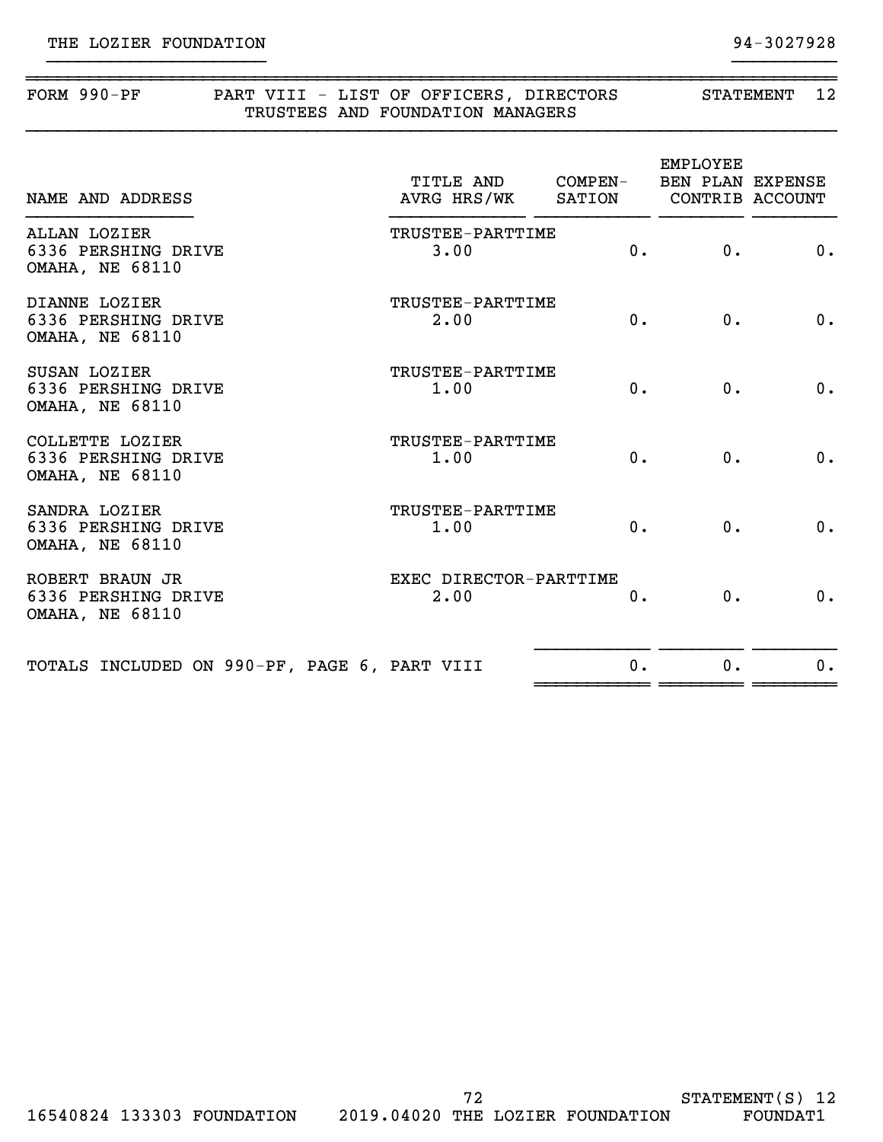| $FORM 990-PF$ | PART VIII - LIST OF OFFICERS, DIRECTORS | STATEMENT |  |
|---------------|-----------------------------------------|-----------|--|
|               | TRUSTEES AND FOUNDATION MANAGERS        |           |  |
|               |                                         |           |  |

}}}}}}}}}}}}}}}}}}}}} }}}}}}}}}}

| NAME AND ADDRESS                                                 | TITLE AND COMPEN-<br>AVRG HRS/WK SATION |       | <b>EMPLOYEE</b><br>BEN PLAN EXPENSE | CONTRIB ACCOUNT |
|------------------------------------------------------------------|-----------------------------------------|-------|-------------------------------------|-----------------|
| ALLAN LOZIER<br>6336 PERSHING DRIVE<br><b>OMAHA, NE 68110</b>    | TRUSTEE-PARTTIME<br>3.00                | 0.    | $0$ .                               | 0.              |
| DIANNE LOZIER<br>6336 PERSHING DRIVE<br><b>OMAHA, NE 68110</b>   | TRUSTEE-PARTTIME<br>2.00                | 0.    | 0.                                  | 0.              |
| SUSAN LOZIER<br>6336 PERSHING DRIVE<br><b>OMAHA, NE 68110</b>    | TRUSTEE-PARTTIME<br>1.00                | $0$ . | 0.                                  | 0.              |
| COLLETTE LOZIER<br>6336 PERSHING DRIVE<br><b>OMAHA, NE 68110</b> | TRUSTEE-PARTTIME<br>1.00                | 0.    | 0.                                  | 0.              |
| SANDRA LOZIER<br>6336 PERSHING DRIVE<br><b>OMAHA, NE 68110</b>   | TRUSTEE-PARTTIME<br>1.00                | 0.    | 0.                                  | 0.              |
| ROBERT BRAUN JR<br>6336 PERSHING DRIVE<br><b>OMAHA, NE 68110</b> | EXEC DIRECTOR-PARTTIME<br>2.00          | 0.    | $0$ .                               | 0.              |
| TOTALS INCLUDED ON 990-PF, PAGE 6, PART VIII                     |                                         | $0$ . | $0$ .                               | 0.              |
|                                                                  |                                         |       |                                     |                 |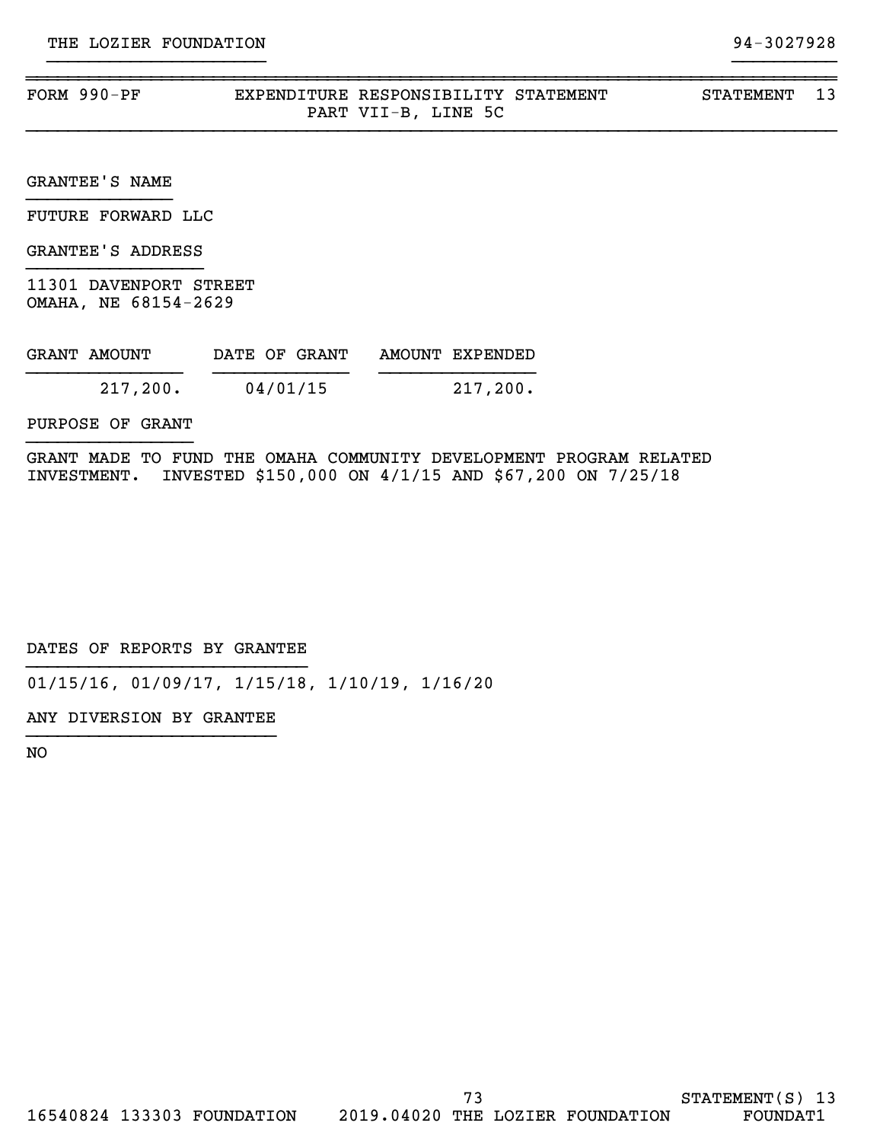| FORM | 990-PF |      | YPENDITURE RESPONSIBILITY    | STATEMENT | STATEMENT |  |
|------|--------|------|------------------------------|-----------|-----------|--|
|      |        | PART | 5C<br>VII-B.<br>LNE .<br>ياڭ |           |           |  |

}}}}}}}}}}}}}}}}}}}}} }}}}}}}}}}

}}}}}}}}}}}}}}}}}}}}}}}}}}}}}}}}}}}}}}}}}}}}}}}}}}}}}}}}}}}}}}}}}}}}}}}}}}}}}}

GRANTEE'S NAME }}}}}}}}}}}}}}

FUTURE FORWARD LLC

GRANTEE'S ADDRESS }}}}}}}}}}}}}}}}}

11301 DAVENPORT STREET OMAHA, NE 68154-2629

| GRANT AMOUNT |          | DATE OF GRANT |  | AMOUNT EXPENDED |
|--------------|----------|---------------|--|-----------------|
|              | 217,200. | 04/01/15      |  | 217,200.        |

PURPOSE OF GRANT }}}}}}}}}}}}}}}}

GRANT MADE TO FUND THE OMAHA COMMUNITY DEVELOPMENT PROGRAM RELATED INVESTMENT. INVESTED \$150,000 ON 4/1/15 AND \$67,200 ON 7/25/18

DATES OF REPORTS BY GRANTEE }}}}}}}}}}}}}}}}}}}}}}}}}}}

01/15/16, 01/09/17, 1/15/18, 1/10/19, 1/16/20

ANY DIVERSION BY GRANTEE }}}}}}}}}}}}}}}}}}}}}}}}

NO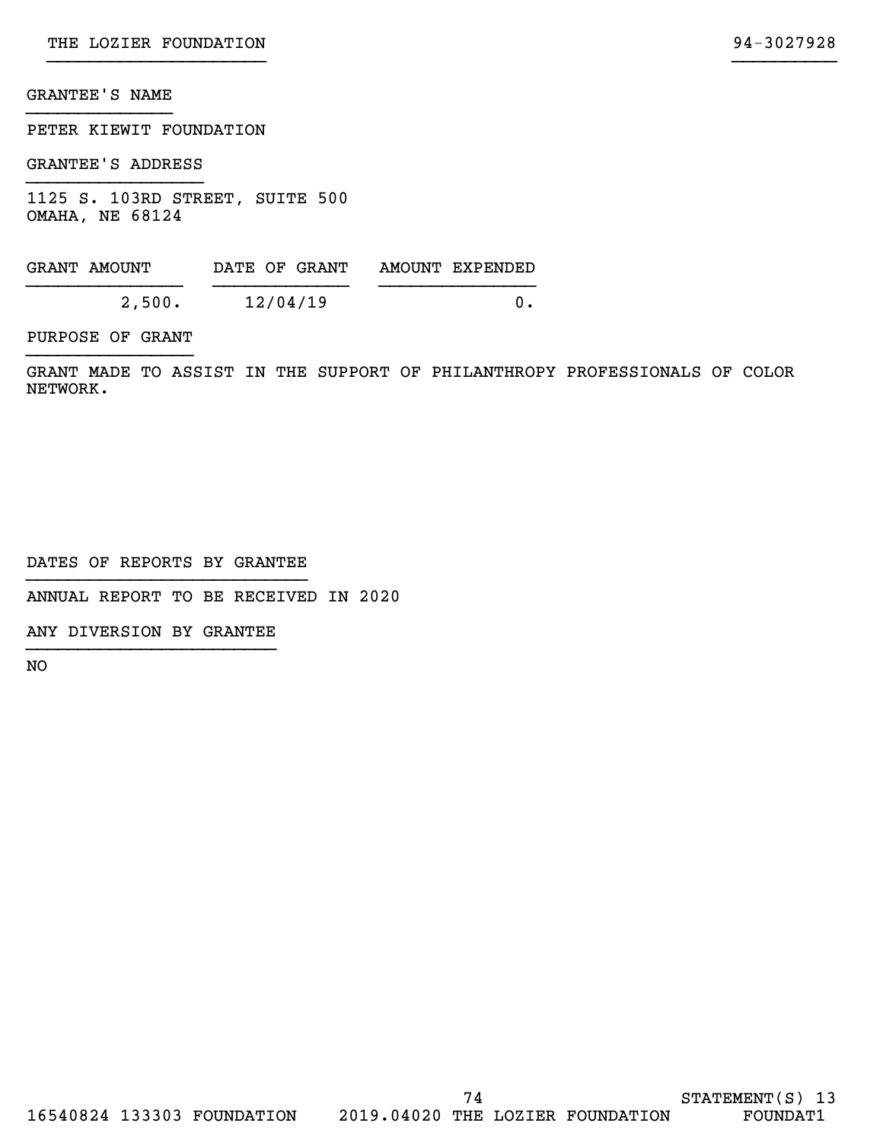## GRANTEE'S NAME }}}}}}}}}}}}}}

PETER KIEWIT FOUNDATION

GRANTEE'S ADDRESS }}}}}}}}}}}}}}}}}

1125 S. 103RD STREET, SUITE 500 OMAHA, NE 68124

| GRANT AMOUNT | DATE OF GRANT | AMOUNT EXPENDED |
|--------------|---------------|-----------------|
| 2,500.       | 12/04/19      |                 |

PURPOSE OF GRANT }}}}}}}}}}}}}}}}

GRANT MADE TO ASSIST IN THE SUPPORT OF PHILANTHROPY PROFESSIONALS OF COLOR NETWORK.

DATES OF REPORTS BY GRANTEE }}}}}}}}}}}}}}}}}}}}}}}}}}}

ANNUAL REPORT TO BE RECEIVED IN 2020

ANY DIVERSION BY GRANTEE }}}}}}}}}}}}}}}}}}}}}}}}

NO